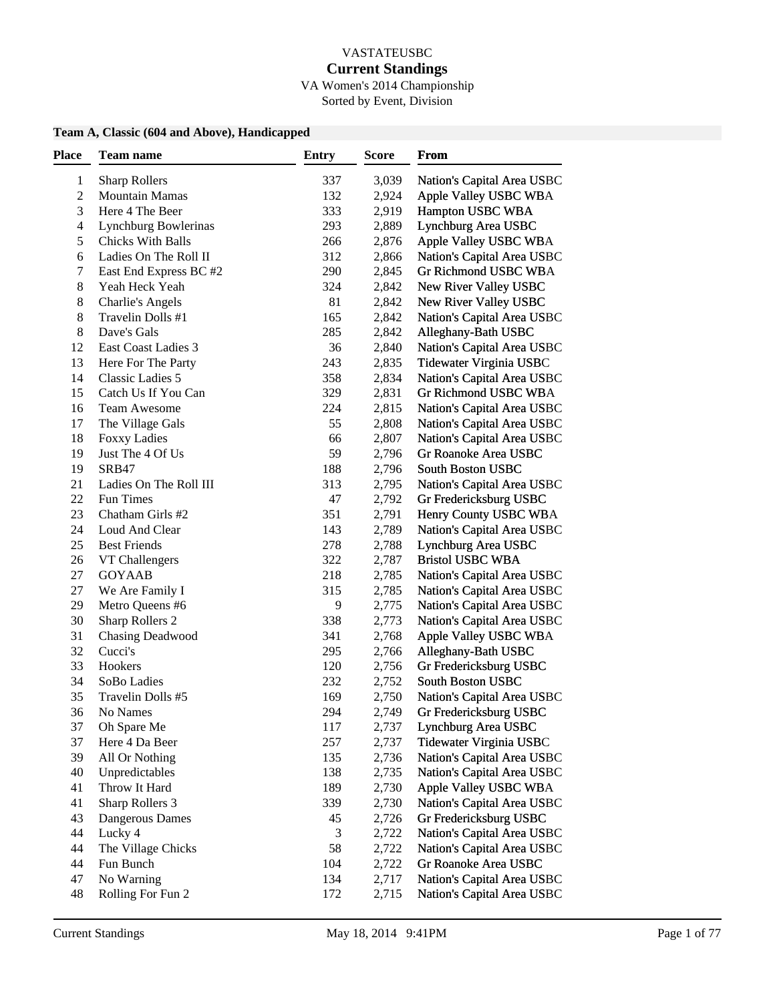#### VASTATEUSBC **Current Standings** VA Women's 2014 Championship

Sorted by Event, Division

#### **Team A, Classic (604 and Above), Handicapped**

| 337<br>3,039<br><b>Sharp Rollers</b><br>Nation's Capital Area USBC<br>1<br>$\overline{c}$<br>Mountain Mamas<br>132<br>2,924<br>Apple Valley USBC WBA<br>3<br>Here 4 The Beer<br>333<br>2,919<br>Hampton USBC WBA<br>$\overline{\mathcal{L}}$<br>Lynchburg Bowlerinas<br>293<br>2,889<br>Lynchburg Area USBC<br>5<br>Chicks With Balls<br>266<br>2,876<br>Apple Valley USBC WBA<br>Ladies On The Roll II<br>6<br>312<br>2,866<br>Nation's Capital Area USBC<br>7<br>Gr Richmond USBC WBA<br>East End Express BC #2<br>290<br>2,845<br>8<br>Yeah Heck Yeah<br>324<br>2,842<br>New River Valley USBC<br>8<br><b>Charlie's Angels</b><br>81<br>2,842<br>New River Valley USBC<br>8<br>Travelin Dolls #1<br>165<br>2,842<br>Nation's Capital Area USBC<br>8<br>2,842<br>Alleghany-Bath USBC<br>Dave's Gals<br>285<br>12<br>2,840<br>East Coast Ladies 3<br>36<br>Nation's Capital Area USBC<br>13<br>Here For The Party<br>243<br>2,835<br>Tidewater Virginia USBC<br>14<br>Classic Ladies 5<br>358<br>2,834<br>Nation's Capital Area USBC<br>Gr Richmond USBC WBA<br>15<br>Catch Us If You Can<br>329<br>2,831<br>16<br>Team Awesome<br>224<br>2,815<br>Nation's Capital Area USBC<br>17<br>The Village Gals<br>55<br>2,808<br>Nation's Capital Area USBC<br>18<br><b>Foxxy Ladies</b><br>Nation's Capital Area USBC<br>66<br>2,807<br>Gr Roanoke Area USBC<br>19<br>Just The 4 Of Us<br>59<br>2,796<br>2,796<br>19<br>SRB47<br>188<br><b>South Boston USBC</b><br>21<br>2,795<br>Ladies On The Roll III<br>313<br>Nation's Capital Area USBC<br>22<br>Fun Times<br>2,792<br>47<br>Gr Fredericksburg USBC<br>23<br>Chatham Girls #2<br>2,791<br>351<br>Henry County USBC WBA<br>24<br>Loud And Clear<br>143<br>2,789<br>Nation's Capital Area USBC<br>25<br><b>Best Friends</b><br>278<br>2,788<br>Lynchburg Area USBC<br>26<br>VT Challengers<br>322<br>2,787<br><b>Bristol USBC WBA</b><br><b>GOYAAB</b><br>27<br>218<br>2,785<br>Nation's Capital Area USBC<br>27<br>We Are Family I<br>315<br>2,785<br>Nation's Capital Area USBC<br>29<br>Metro Queens #6<br>9<br>2,775<br>Nation's Capital Area USBC<br>30<br>Sharp Rollers 2<br>338<br>2,773<br>Nation's Capital Area USBC<br>31<br><b>Chasing Deadwood</b><br>341<br>2,768<br>Apple Valley USBC WBA<br>32<br>Alleghany-Bath USBC<br>Cucci's<br>295<br>2,766<br>33<br>Hookers<br>120<br>2,756<br>Gr Fredericksburg USBC<br>34<br>SoBo Ladies<br>232<br>2,752<br>South Boston USBC<br>35<br>2,750<br>Travelin Dolls #5<br>169<br>Nation's Capital Area USBC<br>2,749<br>36<br>294<br>Gr Fredericksburg USBC<br>No Names<br>Lynchburg Area USBC<br>37<br>Oh Spare Me<br>117<br>2,737<br>257<br>Tidewater Virginia USBC<br>37<br>Here 4 Da Beer<br>2,737<br>39<br>All Or Nothing<br>135<br>Nation's Capital Area USBC<br>2,736<br>40<br>Unpredictables<br>138<br>Nation's Capital Area USBC<br>2,735<br>41<br>Throw It Hard<br>189<br>2,730<br>Apple Valley USBC WBA<br>41<br>Sharp Rollers 3<br>339<br>Nation's Capital Area USBC<br>2,730<br>43<br>Dangerous Dames<br>45<br>Gr Fredericksburg USBC<br>2,726<br>44<br>Lucky 4<br>3<br>2,722<br>Nation's Capital Area USBC<br>44<br>The Village Chicks<br>58<br>2,722<br>Nation's Capital Area USBC<br>44<br>Fun Bunch<br>104<br>2,722<br>Gr Roanoke Area USBC<br>47<br>No Warning<br>134<br>2,717<br>Nation's Capital Area USBC<br>48<br>Rolling For Fun 2<br>172<br>2,715<br>Nation's Capital Area USBC | <b>Place</b> | Team name | <b>Entry</b> | <b>Score</b> | From |
|-----------------------------------------------------------------------------------------------------------------------------------------------------------------------------------------------------------------------------------------------------------------------------------------------------------------------------------------------------------------------------------------------------------------------------------------------------------------------------------------------------------------------------------------------------------------------------------------------------------------------------------------------------------------------------------------------------------------------------------------------------------------------------------------------------------------------------------------------------------------------------------------------------------------------------------------------------------------------------------------------------------------------------------------------------------------------------------------------------------------------------------------------------------------------------------------------------------------------------------------------------------------------------------------------------------------------------------------------------------------------------------------------------------------------------------------------------------------------------------------------------------------------------------------------------------------------------------------------------------------------------------------------------------------------------------------------------------------------------------------------------------------------------------------------------------------------------------------------------------------------------------------------------------------------------------------------------------------------------------------------------------------------------------------------------------------------------------------------------------------------------------------------------------------------------------------------------------------------------------------------------------------------------------------------------------------------------------------------------------------------------------------------------------------------------------------------------------------------------------------------------------------------------------------------------------------------------------------------------------------------------------------------------------------------------------------------------------------------------------------------------------------------------------------------------------------------------------------------------------------------------------------------------------------------------------------------------------------------------------------------------------------------------------------------------------------------------------------------------------------------------------------------------------------------------------------------------------------------------------------------------------------------------------------------------------------------------------------------------------------------------------------------------------|--------------|-----------|--------------|--------------|------|
|                                                                                                                                                                                                                                                                                                                                                                                                                                                                                                                                                                                                                                                                                                                                                                                                                                                                                                                                                                                                                                                                                                                                                                                                                                                                                                                                                                                                                                                                                                                                                                                                                                                                                                                                                                                                                                                                                                                                                                                                                                                                                                                                                                                                                                                                                                                                                                                                                                                                                                                                                                                                                                                                                                                                                                                                                                                                                                                                                                                                                                                                                                                                                                                                                                                                                                                                                                                                           |              |           |              |              |      |
|                                                                                                                                                                                                                                                                                                                                                                                                                                                                                                                                                                                                                                                                                                                                                                                                                                                                                                                                                                                                                                                                                                                                                                                                                                                                                                                                                                                                                                                                                                                                                                                                                                                                                                                                                                                                                                                                                                                                                                                                                                                                                                                                                                                                                                                                                                                                                                                                                                                                                                                                                                                                                                                                                                                                                                                                                                                                                                                                                                                                                                                                                                                                                                                                                                                                                                                                                                                                           |              |           |              |              |      |
|                                                                                                                                                                                                                                                                                                                                                                                                                                                                                                                                                                                                                                                                                                                                                                                                                                                                                                                                                                                                                                                                                                                                                                                                                                                                                                                                                                                                                                                                                                                                                                                                                                                                                                                                                                                                                                                                                                                                                                                                                                                                                                                                                                                                                                                                                                                                                                                                                                                                                                                                                                                                                                                                                                                                                                                                                                                                                                                                                                                                                                                                                                                                                                                                                                                                                                                                                                                                           |              |           |              |              |      |
|                                                                                                                                                                                                                                                                                                                                                                                                                                                                                                                                                                                                                                                                                                                                                                                                                                                                                                                                                                                                                                                                                                                                                                                                                                                                                                                                                                                                                                                                                                                                                                                                                                                                                                                                                                                                                                                                                                                                                                                                                                                                                                                                                                                                                                                                                                                                                                                                                                                                                                                                                                                                                                                                                                                                                                                                                                                                                                                                                                                                                                                                                                                                                                                                                                                                                                                                                                                                           |              |           |              |              |      |
|                                                                                                                                                                                                                                                                                                                                                                                                                                                                                                                                                                                                                                                                                                                                                                                                                                                                                                                                                                                                                                                                                                                                                                                                                                                                                                                                                                                                                                                                                                                                                                                                                                                                                                                                                                                                                                                                                                                                                                                                                                                                                                                                                                                                                                                                                                                                                                                                                                                                                                                                                                                                                                                                                                                                                                                                                                                                                                                                                                                                                                                                                                                                                                                                                                                                                                                                                                                                           |              |           |              |              |      |
|                                                                                                                                                                                                                                                                                                                                                                                                                                                                                                                                                                                                                                                                                                                                                                                                                                                                                                                                                                                                                                                                                                                                                                                                                                                                                                                                                                                                                                                                                                                                                                                                                                                                                                                                                                                                                                                                                                                                                                                                                                                                                                                                                                                                                                                                                                                                                                                                                                                                                                                                                                                                                                                                                                                                                                                                                                                                                                                                                                                                                                                                                                                                                                                                                                                                                                                                                                                                           |              |           |              |              |      |
|                                                                                                                                                                                                                                                                                                                                                                                                                                                                                                                                                                                                                                                                                                                                                                                                                                                                                                                                                                                                                                                                                                                                                                                                                                                                                                                                                                                                                                                                                                                                                                                                                                                                                                                                                                                                                                                                                                                                                                                                                                                                                                                                                                                                                                                                                                                                                                                                                                                                                                                                                                                                                                                                                                                                                                                                                                                                                                                                                                                                                                                                                                                                                                                                                                                                                                                                                                                                           |              |           |              |              |      |
|                                                                                                                                                                                                                                                                                                                                                                                                                                                                                                                                                                                                                                                                                                                                                                                                                                                                                                                                                                                                                                                                                                                                                                                                                                                                                                                                                                                                                                                                                                                                                                                                                                                                                                                                                                                                                                                                                                                                                                                                                                                                                                                                                                                                                                                                                                                                                                                                                                                                                                                                                                                                                                                                                                                                                                                                                                                                                                                                                                                                                                                                                                                                                                                                                                                                                                                                                                                                           |              |           |              |              |      |
|                                                                                                                                                                                                                                                                                                                                                                                                                                                                                                                                                                                                                                                                                                                                                                                                                                                                                                                                                                                                                                                                                                                                                                                                                                                                                                                                                                                                                                                                                                                                                                                                                                                                                                                                                                                                                                                                                                                                                                                                                                                                                                                                                                                                                                                                                                                                                                                                                                                                                                                                                                                                                                                                                                                                                                                                                                                                                                                                                                                                                                                                                                                                                                                                                                                                                                                                                                                                           |              |           |              |              |      |
|                                                                                                                                                                                                                                                                                                                                                                                                                                                                                                                                                                                                                                                                                                                                                                                                                                                                                                                                                                                                                                                                                                                                                                                                                                                                                                                                                                                                                                                                                                                                                                                                                                                                                                                                                                                                                                                                                                                                                                                                                                                                                                                                                                                                                                                                                                                                                                                                                                                                                                                                                                                                                                                                                                                                                                                                                                                                                                                                                                                                                                                                                                                                                                                                                                                                                                                                                                                                           |              |           |              |              |      |
|                                                                                                                                                                                                                                                                                                                                                                                                                                                                                                                                                                                                                                                                                                                                                                                                                                                                                                                                                                                                                                                                                                                                                                                                                                                                                                                                                                                                                                                                                                                                                                                                                                                                                                                                                                                                                                                                                                                                                                                                                                                                                                                                                                                                                                                                                                                                                                                                                                                                                                                                                                                                                                                                                                                                                                                                                                                                                                                                                                                                                                                                                                                                                                                                                                                                                                                                                                                                           |              |           |              |              |      |
|                                                                                                                                                                                                                                                                                                                                                                                                                                                                                                                                                                                                                                                                                                                                                                                                                                                                                                                                                                                                                                                                                                                                                                                                                                                                                                                                                                                                                                                                                                                                                                                                                                                                                                                                                                                                                                                                                                                                                                                                                                                                                                                                                                                                                                                                                                                                                                                                                                                                                                                                                                                                                                                                                                                                                                                                                                                                                                                                                                                                                                                                                                                                                                                                                                                                                                                                                                                                           |              |           |              |              |      |
|                                                                                                                                                                                                                                                                                                                                                                                                                                                                                                                                                                                                                                                                                                                                                                                                                                                                                                                                                                                                                                                                                                                                                                                                                                                                                                                                                                                                                                                                                                                                                                                                                                                                                                                                                                                                                                                                                                                                                                                                                                                                                                                                                                                                                                                                                                                                                                                                                                                                                                                                                                                                                                                                                                                                                                                                                                                                                                                                                                                                                                                                                                                                                                                                                                                                                                                                                                                                           |              |           |              |              |      |
|                                                                                                                                                                                                                                                                                                                                                                                                                                                                                                                                                                                                                                                                                                                                                                                                                                                                                                                                                                                                                                                                                                                                                                                                                                                                                                                                                                                                                                                                                                                                                                                                                                                                                                                                                                                                                                                                                                                                                                                                                                                                                                                                                                                                                                                                                                                                                                                                                                                                                                                                                                                                                                                                                                                                                                                                                                                                                                                                                                                                                                                                                                                                                                                                                                                                                                                                                                                                           |              |           |              |              |      |
|                                                                                                                                                                                                                                                                                                                                                                                                                                                                                                                                                                                                                                                                                                                                                                                                                                                                                                                                                                                                                                                                                                                                                                                                                                                                                                                                                                                                                                                                                                                                                                                                                                                                                                                                                                                                                                                                                                                                                                                                                                                                                                                                                                                                                                                                                                                                                                                                                                                                                                                                                                                                                                                                                                                                                                                                                                                                                                                                                                                                                                                                                                                                                                                                                                                                                                                                                                                                           |              |           |              |              |      |
|                                                                                                                                                                                                                                                                                                                                                                                                                                                                                                                                                                                                                                                                                                                                                                                                                                                                                                                                                                                                                                                                                                                                                                                                                                                                                                                                                                                                                                                                                                                                                                                                                                                                                                                                                                                                                                                                                                                                                                                                                                                                                                                                                                                                                                                                                                                                                                                                                                                                                                                                                                                                                                                                                                                                                                                                                                                                                                                                                                                                                                                                                                                                                                                                                                                                                                                                                                                                           |              |           |              |              |      |
|                                                                                                                                                                                                                                                                                                                                                                                                                                                                                                                                                                                                                                                                                                                                                                                                                                                                                                                                                                                                                                                                                                                                                                                                                                                                                                                                                                                                                                                                                                                                                                                                                                                                                                                                                                                                                                                                                                                                                                                                                                                                                                                                                                                                                                                                                                                                                                                                                                                                                                                                                                                                                                                                                                                                                                                                                                                                                                                                                                                                                                                                                                                                                                                                                                                                                                                                                                                                           |              |           |              |              |      |
|                                                                                                                                                                                                                                                                                                                                                                                                                                                                                                                                                                                                                                                                                                                                                                                                                                                                                                                                                                                                                                                                                                                                                                                                                                                                                                                                                                                                                                                                                                                                                                                                                                                                                                                                                                                                                                                                                                                                                                                                                                                                                                                                                                                                                                                                                                                                                                                                                                                                                                                                                                                                                                                                                                                                                                                                                                                                                                                                                                                                                                                                                                                                                                                                                                                                                                                                                                                                           |              |           |              |              |      |
|                                                                                                                                                                                                                                                                                                                                                                                                                                                                                                                                                                                                                                                                                                                                                                                                                                                                                                                                                                                                                                                                                                                                                                                                                                                                                                                                                                                                                                                                                                                                                                                                                                                                                                                                                                                                                                                                                                                                                                                                                                                                                                                                                                                                                                                                                                                                                                                                                                                                                                                                                                                                                                                                                                                                                                                                                                                                                                                                                                                                                                                                                                                                                                                                                                                                                                                                                                                                           |              |           |              |              |      |
|                                                                                                                                                                                                                                                                                                                                                                                                                                                                                                                                                                                                                                                                                                                                                                                                                                                                                                                                                                                                                                                                                                                                                                                                                                                                                                                                                                                                                                                                                                                                                                                                                                                                                                                                                                                                                                                                                                                                                                                                                                                                                                                                                                                                                                                                                                                                                                                                                                                                                                                                                                                                                                                                                                                                                                                                                                                                                                                                                                                                                                                                                                                                                                                                                                                                                                                                                                                                           |              |           |              |              |      |
|                                                                                                                                                                                                                                                                                                                                                                                                                                                                                                                                                                                                                                                                                                                                                                                                                                                                                                                                                                                                                                                                                                                                                                                                                                                                                                                                                                                                                                                                                                                                                                                                                                                                                                                                                                                                                                                                                                                                                                                                                                                                                                                                                                                                                                                                                                                                                                                                                                                                                                                                                                                                                                                                                                                                                                                                                                                                                                                                                                                                                                                                                                                                                                                                                                                                                                                                                                                                           |              |           |              |              |      |
|                                                                                                                                                                                                                                                                                                                                                                                                                                                                                                                                                                                                                                                                                                                                                                                                                                                                                                                                                                                                                                                                                                                                                                                                                                                                                                                                                                                                                                                                                                                                                                                                                                                                                                                                                                                                                                                                                                                                                                                                                                                                                                                                                                                                                                                                                                                                                                                                                                                                                                                                                                                                                                                                                                                                                                                                                                                                                                                                                                                                                                                                                                                                                                                                                                                                                                                                                                                                           |              |           |              |              |      |
|                                                                                                                                                                                                                                                                                                                                                                                                                                                                                                                                                                                                                                                                                                                                                                                                                                                                                                                                                                                                                                                                                                                                                                                                                                                                                                                                                                                                                                                                                                                                                                                                                                                                                                                                                                                                                                                                                                                                                                                                                                                                                                                                                                                                                                                                                                                                                                                                                                                                                                                                                                                                                                                                                                                                                                                                                                                                                                                                                                                                                                                                                                                                                                                                                                                                                                                                                                                                           |              |           |              |              |      |
|                                                                                                                                                                                                                                                                                                                                                                                                                                                                                                                                                                                                                                                                                                                                                                                                                                                                                                                                                                                                                                                                                                                                                                                                                                                                                                                                                                                                                                                                                                                                                                                                                                                                                                                                                                                                                                                                                                                                                                                                                                                                                                                                                                                                                                                                                                                                                                                                                                                                                                                                                                                                                                                                                                                                                                                                                                                                                                                                                                                                                                                                                                                                                                                                                                                                                                                                                                                                           |              |           |              |              |      |
|                                                                                                                                                                                                                                                                                                                                                                                                                                                                                                                                                                                                                                                                                                                                                                                                                                                                                                                                                                                                                                                                                                                                                                                                                                                                                                                                                                                                                                                                                                                                                                                                                                                                                                                                                                                                                                                                                                                                                                                                                                                                                                                                                                                                                                                                                                                                                                                                                                                                                                                                                                                                                                                                                                                                                                                                                                                                                                                                                                                                                                                                                                                                                                                                                                                                                                                                                                                                           |              |           |              |              |      |
|                                                                                                                                                                                                                                                                                                                                                                                                                                                                                                                                                                                                                                                                                                                                                                                                                                                                                                                                                                                                                                                                                                                                                                                                                                                                                                                                                                                                                                                                                                                                                                                                                                                                                                                                                                                                                                                                                                                                                                                                                                                                                                                                                                                                                                                                                                                                                                                                                                                                                                                                                                                                                                                                                                                                                                                                                                                                                                                                                                                                                                                                                                                                                                                                                                                                                                                                                                                                           |              |           |              |              |      |
|                                                                                                                                                                                                                                                                                                                                                                                                                                                                                                                                                                                                                                                                                                                                                                                                                                                                                                                                                                                                                                                                                                                                                                                                                                                                                                                                                                                                                                                                                                                                                                                                                                                                                                                                                                                                                                                                                                                                                                                                                                                                                                                                                                                                                                                                                                                                                                                                                                                                                                                                                                                                                                                                                                                                                                                                                                                                                                                                                                                                                                                                                                                                                                                                                                                                                                                                                                                                           |              |           |              |              |      |
|                                                                                                                                                                                                                                                                                                                                                                                                                                                                                                                                                                                                                                                                                                                                                                                                                                                                                                                                                                                                                                                                                                                                                                                                                                                                                                                                                                                                                                                                                                                                                                                                                                                                                                                                                                                                                                                                                                                                                                                                                                                                                                                                                                                                                                                                                                                                                                                                                                                                                                                                                                                                                                                                                                                                                                                                                                                                                                                                                                                                                                                                                                                                                                                                                                                                                                                                                                                                           |              |           |              |              |      |
|                                                                                                                                                                                                                                                                                                                                                                                                                                                                                                                                                                                                                                                                                                                                                                                                                                                                                                                                                                                                                                                                                                                                                                                                                                                                                                                                                                                                                                                                                                                                                                                                                                                                                                                                                                                                                                                                                                                                                                                                                                                                                                                                                                                                                                                                                                                                                                                                                                                                                                                                                                                                                                                                                                                                                                                                                                                                                                                                                                                                                                                                                                                                                                                                                                                                                                                                                                                                           |              |           |              |              |      |
|                                                                                                                                                                                                                                                                                                                                                                                                                                                                                                                                                                                                                                                                                                                                                                                                                                                                                                                                                                                                                                                                                                                                                                                                                                                                                                                                                                                                                                                                                                                                                                                                                                                                                                                                                                                                                                                                                                                                                                                                                                                                                                                                                                                                                                                                                                                                                                                                                                                                                                                                                                                                                                                                                                                                                                                                                                                                                                                                                                                                                                                                                                                                                                                                                                                                                                                                                                                                           |              |           |              |              |      |
|                                                                                                                                                                                                                                                                                                                                                                                                                                                                                                                                                                                                                                                                                                                                                                                                                                                                                                                                                                                                                                                                                                                                                                                                                                                                                                                                                                                                                                                                                                                                                                                                                                                                                                                                                                                                                                                                                                                                                                                                                                                                                                                                                                                                                                                                                                                                                                                                                                                                                                                                                                                                                                                                                                                                                                                                                                                                                                                                                                                                                                                                                                                                                                                                                                                                                                                                                                                                           |              |           |              |              |      |
|                                                                                                                                                                                                                                                                                                                                                                                                                                                                                                                                                                                                                                                                                                                                                                                                                                                                                                                                                                                                                                                                                                                                                                                                                                                                                                                                                                                                                                                                                                                                                                                                                                                                                                                                                                                                                                                                                                                                                                                                                                                                                                                                                                                                                                                                                                                                                                                                                                                                                                                                                                                                                                                                                                                                                                                                                                                                                                                                                                                                                                                                                                                                                                                                                                                                                                                                                                                                           |              |           |              |              |      |
|                                                                                                                                                                                                                                                                                                                                                                                                                                                                                                                                                                                                                                                                                                                                                                                                                                                                                                                                                                                                                                                                                                                                                                                                                                                                                                                                                                                                                                                                                                                                                                                                                                                                                                                                                                                                                                                                                                                                                                                                                                                                                                                                                                                                                                                                                                                                                                                                                                                                                                                                                                                                                                                                                                                                                                                                                                                                                                                                                                                                                                                                                                                                                                                                                                                                                                                                                                                                           |              |           |              |              |      |
|                                                                                                                                                                                                                                                                                                                                                                                                                                                                                                                                                                                                                                                                                                                                                                                                                                                                                                                                                                                                                                                                                                                                                                                                                                                                                                                                                                                                                                                                                                                                                                                                                                                                                                                                                                                                                                                                                                                                                                                                                                                                                                                                                                                                                                                                                                                                                                                                                                                                                                                                                                                                                                                                                                                                                                                                                                                                                                                                                                                                                                                                                                                                                                                                                                                                                                                                                                                                           |              |           |              |              |      |
|                                                                                                                                                                                                                                                                                                                                                                                                                                                                                                                                                                                                                                                                                                                                                                                                                                                                                                                                                                                                                                                                                                                                                                                                                                                                                                                                                                                                                                                                                                                                                                                                                                                                                                                                                                                                                                                                                                                                                                                                                                                                                                                                                                                                                                                                                                                                                                                                                                                                                                                                                                                                                                                                                                                                                                                                                                                                                                                                                                                                                                                                                                                                                                                                                                                                                                                                                                                                           |              |           |              |              |      |
|                                                                                                                                                                                                                                                                                                                                                                                                                                                                                                                                                                                                                                                                                                                                                                                                                                                                                                                                                                                                                                                                                                                                                                                                                                                                                                                                                                                                                                                                                                                                                                                                                                                                                                                                                                                                                                                                                                                                                                                                                                                                                                                                                                                                                                                                                                                                                                                                                                                                                                                                                                                                                                                                                                                                                                                                                                                                                                                                                                                                                                                                                                                                                                                                                                                                                                                                                                                                           |              |           |              |              |      |
|                                                                                                                                                                                                                                                                                                                                                                                                                                                                                                                                                                                                                                                                                                                                                                                                                                                                                                                                                                                                                                                                                                                                                                                                                                                                                                                                                                                                                                                                                                                                                                                                                                                                                                                                                                                                                                                                                                                                                                                                                                                                                                                                                                                                                                                                                                                                                                                                                                                                                                                                                                                                                                                                                                                                                                                                                                                                                                                                                                                                                                                                                                                                                                                                                                                                                                                                                                                                           |              |           |              |              |      |
|                                                                                                                                                                                                                                                                                                                                                                                                                                                                                                                                                                                                                                                                                                                                                                                                                                                                                                                                                                                                                                                                                                                                                                                                                                                                                                                                                                                                                                                                                                                                                                                                                                                                                                                                                                                                                                                                                                                                                                                                                                                                                                                                                                                                                                                                                                                                                                                                                                                                                                                                                                                                                                                                                                                                                                                                                                                                                                                                                                                                                                                                                                                                                                                                                                                                                                                                                                                                           |              |           |              |              |      |
|                                                                                                                                                                                                                                                                                                                                                                                                                                                                                                                                                                                                                                                                                                                                                                                                                                                                                                                                                                                                                                                                                                                                                                                                                                                                                                                                                                                                                                                                                                                                                                                                                                                                                                                                                                                                                                                                                                                                                                                                                                                                                                                                                                                                                                                                                                                                                                                                                                                                                                                                                                                                                                                                                                                                                                                                                                                                                                                                                                                                                                                                                                                                                                                                                                                                                                                                                                                                           |              |           |              |              |      |
|                                                                                                                                                                                                                                                                                                                                                                                                                                                                                                                                                                                                                                                                                                                                                                                                                                                                                                                                                                                                                                                                                                                                                                                                                                                                                                                                                                                                                                                                                                                                                                                                                                                                                                                                                                                                                                                                                                                                                                                                                                                                                                                                                                                                                                                                                                                                                                                                                                                                                                                                                                                                                                                                                                                                                                                                                                                                                                                                                                                                                                                                                                                                                                                                                                                                                                                                                                                                           |              |           |              |              |      |
|                                                                                                                                                                                                                                                                                                                                                                                                                                                                                                                                                                                                                                                                                                                                                                                                                                                                                                                                                                                                                                                                                                                                                                                                                                                                                                                                                                                                                                                                                                                                                                                                                                                                                                                                                                                                                                                                                                                                                                                                                                                                                                                                                                                                                                                                                                                                                                                                                                                                                                                                                                                                                                                                                                                                                                                                                                                                                                                                                                                                                                                                                                                                                                                                                                                                                                                                                                                                           |              |           |              |              |      |
|                                                                                                                                                                                                                                                                                                                                                                                                                                                                                                                                                                                                                                                                                                                                                                                                                                                                                                                                                                                                                                                                                                                                                                                                                                                                                                                                                                                                                                                                                                                                                                                                                                                                                                                                                                                                                                                                                                                                                                                                                                                                                                                                                                                                                                                                                                                                                                                                                                                                                                                                                                                                                                                                                                                                                                                                                                                                                                                                                                                                                                                                                                                                                                                                                                                                                                                                                                                                           |              |           |              |              |      |
|                                                                                                                                                                                                                                                                                                                                                                                                                                                                                                                                                                                                                                                                                                                                                                                                                                                                                                                                                                                                                                                                                                                                                                                                                                                                                                                                                                                                                                                                                                                                                                                                                                                                                                                                                                                                                                                                                                                                                                                                                                                                                                                                                                                                                                                                                                                                                                                                                                                                                                                                                                                                                                                                                                                                                                                                                                                                                                                                                                                                                                                                                                                                                                                                                                                                                                                                                                                                           |              |           |              |              |      |
|                                                                                                                                                                                                                                                                                                                                                                                                                                                                                                                                                                                                                                                                                                                                                                                                                                                                                                                                                                                                                                                                                                                                                                                                                                                                                                                                                                                                                                                                                                                                                                                                                                                                                                                                                                                                                                                                                                                                                                                                                                                                                                                                                                                                                                                                                                                                                                                                                                                                                                                                                                                                                                                                                                                                                                                                                                                                                                                                                                                                                                                                                                                                                                                                                                                                                                                                                                                                           |              |           |              |              |      |
|                                                                                                                                                                                                                                                                                                                                                                                                                                                                                                                                                                                                                                                                                                                                                                                                                                                                                                                                                                                                                                                                                                                                                                                                                                                                                                                                                                                                                                                                                                                                                                                                                                                                                                                                                                                                                                                                                                                                                                                                                                                                                                                                                                                                                                                                                                                                                                                                                                                                                                                                                                                                                                                                                                                                                                                                                                                                                                                                                                                                                                                                                                                                                                                                                                                                                                                                                                                                           |              |           |              |              |      |
|                                                                                                                                                                                                                                                                                                                                                                                                                                                                                                                                                                                                                                                                                                                                                                                                                                                                                                                                                                                                                                                                                                                                                                                                                                                                                                                                                                                                                                                                                                                                                                                                                                                                                                                                                                                                                                                                                                                                                                                                                                                                                                                                                                                                                                                                                                                                                                                                                                                                                                                                                                                                                                                                                                                                                                                                                                                                                                                                                                                                                                                                                                                                                                                                                                                                                                                                                                                                           |              |           |              |              |      |
|                                                                                                                                                                                                                                                                                                                                                                                                                                                                                                                                                                                                                                                                                                                                                                                                                                                                                                                                                                                                                                                                                                                                                                                                                                                                                                                                                                                                                                                                                                                                                                                                                                                                                                                                                                                                                                                                                                                                                                                                                                                                                                                                                                                                                                                                                                                                                                                                                                                                                                                                                                                                                                                                                                                                                                                                                                                                                                                                                                                                                                                                                                                                                                                                                                                                                                                                                                                                           |              |           |              |              |      |
|                                                                                                                                                                                                                                                                                                                                                                                                                                                                                                                                                                                                                                                                                                                                                                                                                                                                                                                                                                                                                                                                                                                                                                                                                                                                                                                                                                                                                                                                                                                                                                                                                                                                                                                                                                                                                                                                                                                                                                                                                                                                                                                                                                                                                                                                                                                                                                                                                                                                                                                                                                                                                                                                                                                                                                                                                                                                                                                                                                                                                                                                                                                                                                                                                                                                                                                                                                                                           |              |           |              |              |      |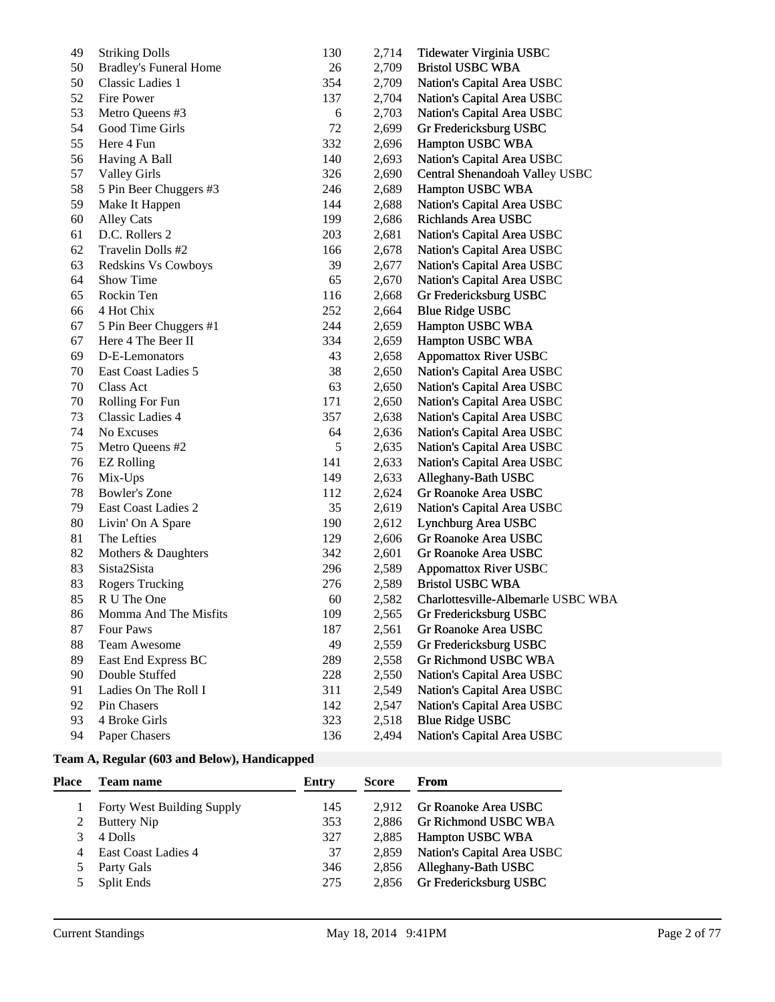| 49 | <b>Striking Dolls</b>         | 130           | 2,714 | Tidewater Virginia USBC            |
|----|-------------------------------|---------------|-------|------------------------------------|
| 50 | <b>Bradley's Funeral Home</b> | 26            | 2,709 | <b>Bristol USBC WBA</b>            |
| 50 | Classic Ladies 1              | 354           | 2,709 | Nation's Capital Area USBC         |
| 52 | Fire Power                    | 137           | 2,704 | Nation's Capital Area USBC         |
| 53 | Metro Queens #3               | 6             | 2,703 | Nation's Capital Area USBC         |
| 54 | Good Time Girls               | 72            | 2,699 | Gr Fredericksburg USBC             |
| 55 | Here 4 Fun                    | 332           | 2,696 | Hampton USBC WBA                   |
| 56 | Having A Ball                 | 140           | 2,693 | Nation's Capital Area USBC         |
| 57 | Valley Girls                  | 326           | 2,690 | Central Shenandoah Valley USBC     |
| 58 | 5 Pin Beer Chuggers #3        | 246           | 2,689 | Hampton USBC WBA                   |
| 59 | Make It Happen                | 144           | 2,688 | Nation's Capital Area USBC         |
| 60 | <b>Alley Cats</b>             | 199           | 2,686 | Richlands Area USBC                |
| 61 | D.C. Rollers 2                | 203           | 2,681 | Nation's Capital Area USBC         |
| 62 | Travelin Dolls #2             | 166           | 2,678 | Nation's Capital Area USBC         |
| 63 | Redskins Vs Cowboys           | 39            | 2,677 | Nation's Capital Area USBC         |
| 64 | Show Time                     | 65            | 2,670 | Nation's Capital Area USBC         |
| 65 | Rockin Ten                    | 116           | 2,668 | Gr Fredericksburg USBC             |
| 66 | 4 Hot Chix                    | 252           | 2,664 | <b>Blue Ridge USBC</b>             |
| 67 | 5 Pin Beer Chuggers #1        | 244           | 2,659 | Hampton USBC WBA                   |
| 67 | Here 4 The Beer II            | 334           | 2,659 | Hampton USBC WBA                   |
| 69 | D-E-Lemonators                | 43            | 2,658 | <b>Appomattox River USBC</b>       |
| 70 | East Coast Ladies 5           | 38            | 2,650 | Nation's Capital Area USBC         |
| 70 | Class Act                     | 63            | 2,650 | Nation's Capital Area USBC         |
| 70 | Rolling For Fun               | 171           | 2,650 | Nation's Capital Area USBC         |
| 73 | Classic Ladies 4              | 357           | 2,638 | Nation's Capital Area USBC         |
| 74 | No Excuses                    | 64            | 2,636 | Nation's Capital Area USBC         |
| 75 | Metro Queens #2               | $\mathfrak s$ | 2,635 | Nation's Capital Area USBC         |
| 76 | <b>EZ</b> Rolling             | 141           | 2,633 | Nation's Capital Area USBC         |
| 76 | Mix-Ups                       | 149           | 2,633 | Alleghany-Bath USBC                |
| 78 | <b>Bowler's Zone</b>          | 112           | 2,624 | Gr Roanoke Area USBC               |
| 79 | East Coast Ladies 2           | 35            | 2,619 | Nation's Capital Area USBC         |
| 80 | Livin' On A Spare             | 190           | 2,612 | Lynchburg Area USBC                |
| 81 | The Lefties                   | 129           | 2,606 | Gr Roanoke Area USBC               |
| 82 | Mothers & Daughters           | 342           | 2,601 | Gr Roanoke Area USBC               |
| 83 | Sista2Sista                   | 296           | 2,589 | <b>Appomattox River USBC</b>       |
| 83 | <b>Rogers Trucking</b>        | 276           | 2,589 | <b>Bristol USBC WBA</b>            |
| 85 | R U The One                   | 60            | 2,582 | Charlottesville-Albemarle USBC WBA |
| 86 | Momma And The Misfits         | 109           | 2,565 | Gr Fredericksburg USBC             |
| 87 | Four Paws                     | 187           | 2,561 | Gr Roanoke Area USBC               |
| 88 | Team Awesome                  | 49            | 2,559 | Gr Fredericksburg USBC             |
| 89 | East End Express BC           | 289           | 2,558 | Gr Richmond USBC WBA               |
| 90 | Double Stuffed                | 228           | 2,550 | Nation's Capital Area USBC         |
| 91 | Ladies On The Roll I          | 311           | 2,549 | Nation's Capital Area USBC         |
| 92 | Pin Chasers                   | 142           | 2,547 | Nation's Capital Area USBC         |
| 93 | 4 Broke Girls                 | 323           | 2,518 | <b>Blue Ridge USBC</b>             |
| 94 | Paper Chasers                 | 136           | 2,494 | Nation's Capital Area USBC         |
|    |                               |               |       |                                    |

# **Team A, Regular (603 and Below), Handicapped**

| Place | Team name                  | Entry | <b>Score</b> | From                       |
|-------|----------------------------|-------|--------------|----------------------------|
|       | Forty West Building Supply | 145   | 2.912        | Gr Roanoke Area USBC       |
|       | Buttery Nip                | 353   | 2.886        | Gr Richmond USBC WBA       |
| 3     | 4 Dolls                    | 327   | 2.885        | Hampton USBC WBA           |
| 4     | East Coast Ladies 4        | 37    | 2.859        | Nation's Capital Area USBC |
|       | Party Gals                 | 346   | 2.856        | Alleghany-Bath USBC        |
|       | Split Ends                 | 275   | 2.856        | Gr Fredericksburg USBC     |
|       |                            |       |              |                            |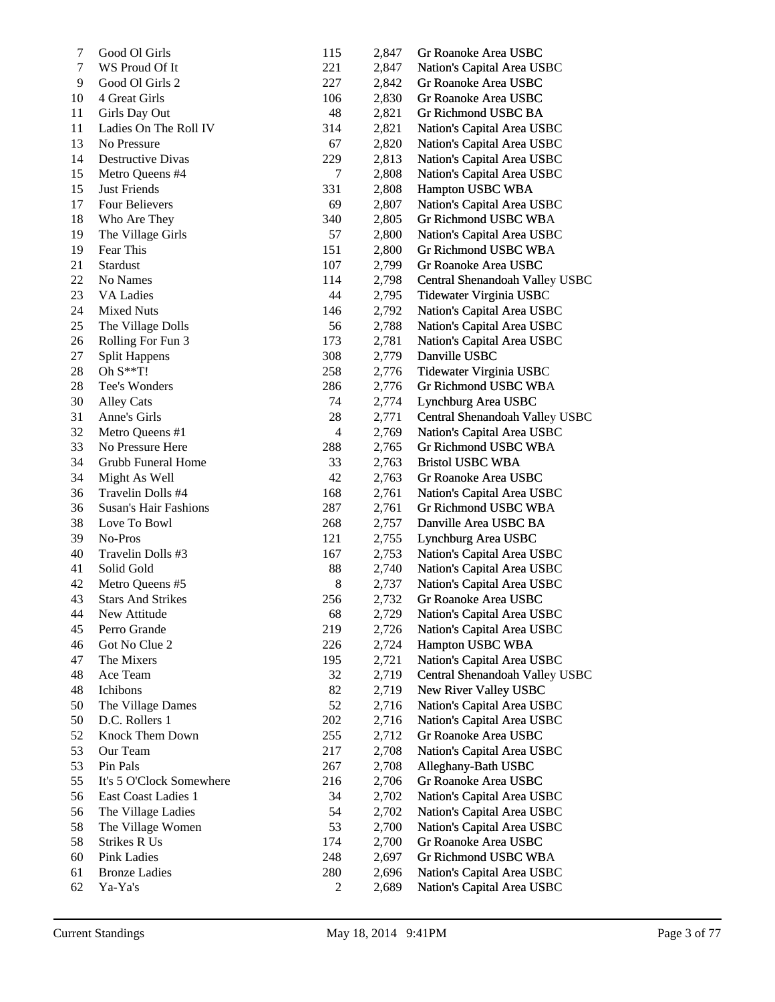| 7        | Good Ol Girls                      | 115            | 2,847          | Gr Roanoke Area USBC                                         |
|----------|------------------------------------|----------------|----------------|--------------------------------------------------------------|
| $\tau$   | WS Proud Of It                     | 221            | 2,847          | Nation's Capital Area USBC                                   |
| 9        | Good Ol Girls 2                    | 227            | 2,842          | Gr Roanoke Area USBC                                         |
| 10       | 4 Great Girls                      | 106            | 2,830          | Gr Roanoke Area USBC                                         |
| 11       | Girls Day Out                      | 48             | 2,821          | Gr Richmond USBC BA                                          |
| 11       | Ladies On The Roll IV              | 314            | 2,821          | Nation's Capital Area USBC                                   |
| 13       | No Pressure                        | 67             | 2,820          | Nation's Capital Area USBC                                   |
| 14       | Destructive Divas                  | 229            | 2,813          | Nation's Capital Area USBC                                   |
| 15       | Metro Queens #4                    | $\tau$         | 2,808          | Nation's Capital Area USBC                                   |
| 15       | Just Friends                       | 331            | 2,808          | Hampton USBC WBA                                             |
| 17       | Four Believers                     | 69             | 2,807          | Nation's Capital Area USBC                                   |
| 18       | Who Are They                       | 340            | 2,805          | Gr Richmond USBC WBA                                         |
| 19       | The Village Girls                  | 57             | 2,800          | Nation's Capital Area USBC                                   |
| 19       | Fear This                          | 151            | 2,800          | Gr Richmond USBC WBA                                         |
| 21       | Stardust                           | 107            | 2,799          | Gr Roanoke Area USBC                                         |
| 22       | No Names                           | 114            | 2,798          | Central Shenandoah Valley USBC                               |
| 23       | <b>VA Ladies</b>                   | 44             | 2,795          | Tidewater Virginia USBC                                      |
| 24       | <b>Mixed Nuts</b>                  | 146            | 2,792          | Nation's Capital Area USBC                                   |
| 25       | The Village Dolls                  | 56             | 2,788          | Nation's Capital Area USBC                                   |
| 26       | Rolling For Fun 3                  | 173            | 2,781          | Nation's Capital Area USBC                                   |
| 27       |                                    | 308            | 2,779          | Danville USBC                                                |
| 28       | Split Happens<br>Oh S**T!          | 258            | 2,776          |                                                              |
| 28       | Tee's Wonders                      | 286            |                | Tidewater Virginia USBC<br>Gr Richmond USBC WBA              |
|          |                                    | 74             | 2,776<br>2,774 |                                                              |
| 30       | <b>Alley Cats</b><br>Anne's Girls  | 28             |                | Lynchburg Area USBC                                          |
| 31<br>32 | Metro Queens #1                    | $\overline{4}$ | 2,771          | Central Shenandoah Valley USBC<br>Nation's Capital Area USBC |
| 33       | No Pressure Here                   | 288            | 2,769          | Gr Richmond USBC WBA                                         |
| 34       | Grubb Funeral Home                 | 33             | 2,765          | <b>Bristol USBC WBA</b>                                      |
| 34       |                                    | 42             | 2,763          |                                                              |
| 36       | Might As Well<br>Travelin Dolls #4 | 168            | 2,763<br>2,761 | Gr Roanoke Area USBC                                         |
| 36       | <b>Susan's Hair Fashions</b>       | 287            | 2,761          | Nation's Capital Area USBC<br>Gr Richmond USBC WBA           |
| 38       | Love To Bowl                       | 268            | 2,757          | Danville Area USBC BA                                        |
| 39       | No-Pros                            | 121            | 2,755          | Lynchburg Area USBC                                          |
| 40       | Travelin Dolls #3                  | 167            | 2,753          | Nation's Capital Area USBC                                   |
| 41       | Solid Gold                         | 88             | 2,740          |                                                              |
| 42       | Metro Queens #5                    | $\,8\,$        |                | Nation's Capital Area USBC                                   |
| 43       | <b>Stars And Strikes</b>           | 256            | 2,737<br>2,732 | Nation's Capital Area USBC<br>Gr Roanoke Area USBC           |
| 44       |                                    | 68             |                | Nation's Capital Area USBC                                   |
|          | New Attitude                       |                | 2,729          |                                                              |
| 45       | Perro Grande<br>Got No Clue 2      | 219<br>226     | 2,726          | Nation's Capital Area USBC<br>Hampton USBC WBA               |
| 46       |                                    |                | 2,724          |                                                              |
| 47       | The Mixers                         | 195            | 2,721          | Nation's Capital Area USBC                                   |
| 48       | Ace Team                           | 32             | 2,719          | Central Shenandoah Valley USBC                               |
| 48       | Ichibons                           | 82             | 2,719          | New River Valley USBC                                        |
| 50       | The Village Dames                  | 52             | 2,716          | Nation's Capital Area USBC                                   |
| 50       | D.C. Rollers 1                     | 202            | 2,716          | Nation's Capital Area USBC                                   |
| 52       | Knock Them Down                    | 255            | 2,712          | Gr Roanoke Area USBC                                         |
| 53       | Our Team                           | 217            | 2,708          | Nation's Capital Area USBC                                   |
| 53       | Pin Pals                           | 267            | 2,708          | Alleghany-Bath USBC                                          |
| 55       | It's 5 O'Clock Somewhere           | 216            | 2,706          | Gr Roanoke Area USBC                                         |
| 56       | East Coast Ladies 1                | 34             | 2,702          | Nation's Capital Area USBC                                   |
| 56       | The Village Ladies                 | 54             | 2,702          | Nation's Capital Area USBC                                   |
| 58       | The Village Women                  | 53             | 2,700          | Nation's Capital Area USBC                                   |
| 58       | Strikes R Us                       | 174            | 2,700          | Gr Roanoke Area USBC                                         |
| 60       | <b>Pink Ladies</b>                 | 248            | 2,697          | Gr Richmond USBC WBA                                         |
| 61       | <b>Bronze Ladies</b>               | 280            | 2,696          | Nation's Capital Area USBC                                   |
| 62       | Ya-Ya's                            | 2              | 2,689          | Nation's Capital Area USBC                                   |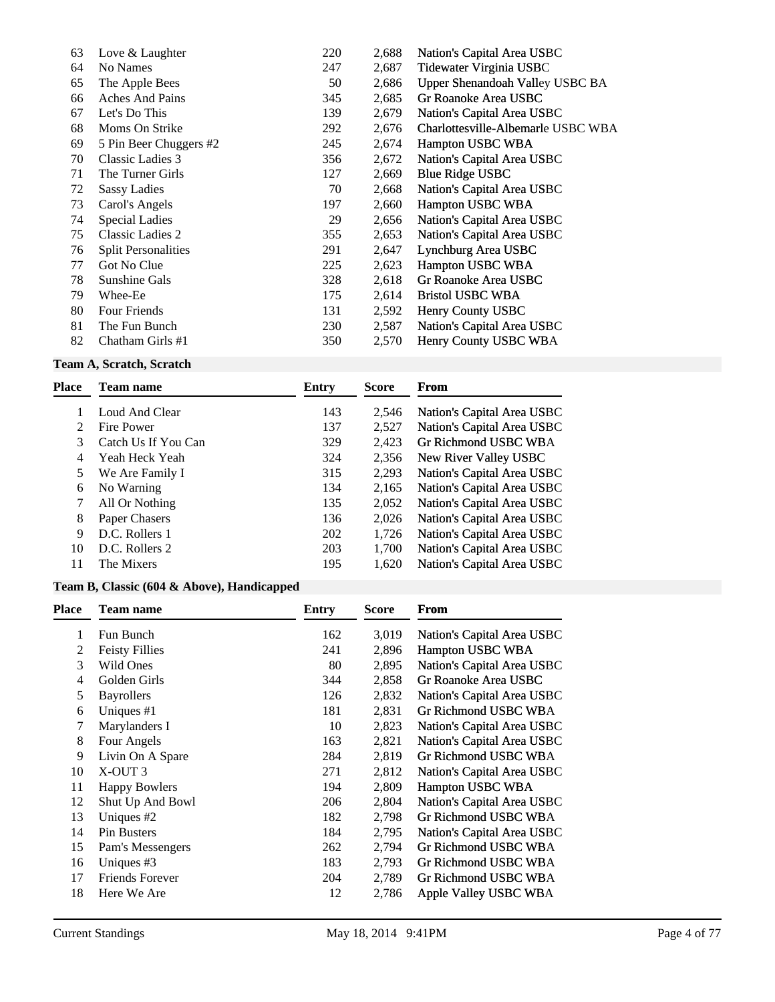| 63 | Love & Laughter            | 220 | 2,688 | Nation's Capital Area USBC         |
|----|----------------------------|-----|-------|------------------------------------|
| 64 | No Names                   | 247 | 2,687 | Tidewater Virginia USBC            |
| 65 | The Apple Bees             | 50  | 2,686 | Upper Shenandoah Valley USBC BA    |
| 66 | <b>Aches And Pains</b>     | 345 | 2,685 | Gr Roanoke Area USBC               |
| 67 | Let's Do This              | 139 | 2,679 | Nation's Capital Area USBC         |
| 68 | Moms On Strike             | 292 | 2,676 | Charlottesville-Albemarle USBC WBA |
| 69 | 5 Pin Beer Chuggers #2     | 245 | 2,674 | Hampton USBC WBA                   |
| 70 | Classic Ladies 3           | 356 | 2,672 | Nation's Capital Area USBC         |
| 71 | The Turner Girls           | 127 | 2,669 | <b>Blue Ridge USBC</b>             |
| 72 | <b>Sassy Ladies</b>        | 70  | 2,668 | Nation's Capital Area USBC         |
| 73 | Carol's Angels             | 197 | 2,660 | Hampton USBC WBA                   |
| 74 | Special Ladies             | 29  | 2,656 | Nation's Capital Area USBC         |
| 75 | Classic Ladies 2           | 355 | 2,653 | Nation's Capital Area USBC         |
| 76 | <b>Split Personalities</b> | 291 | 2,647 | Lynchburg Area USBC                |
| 77 | Got No Clue                | 225 | 2,623 | Hampton USBC WBA                   |
| 78 | Sunshine Gals              | 328 | 2,618 | Gr Roanoke Area USBC               |
| 79 | Whee-Ee                    | 175 | 2,614 | <b>Bristol USBC WBA</b>            |
| 80 | Four Friends               | 131 | 2,592 | Henry County USBC                  |
| 81 | The Fun Bunch              | 230 | 2,587 | Nation's Capital Area USBC         |
| 82 | Chatham Girls #1           | 350 | 2,570 | Henry County USBC WBA              |
|    |                            |     |       |                                    |

# **Team A, Scratch, Scratch**

| Place         | <b>Team name</b>    | Entry | <b>Score</b> | <b>From</b>                |
|---------------|---------------------|-------|--------------|----------------------------|
|               | Loud And Clear      | 143   | 2.546        | Nation's Capital Area USBC |
| $\mathcal{L}$ | Fire Power          | 137   | 2,527        | Nation's Capital Area USBC |
| 3             | Catch Us If You Can | 329   | 2,423        | Gr Richmond USBC WBA       |
| 4             | Yeah Heck Yeah      | 324   | 2,356        | New River Valley USBC      |
| 5             | We Are Family I     | 315   | 2,293        | Nation's Capital Area USBC |
| 6             | No Warning          | 134   | 2,165        | Nation's Capital Area USBC |
|               | All Or Nothing      | 135   | 2,052        | Nation's Capital Area USBC |
| 8             | Paper Chasers       | 136   | 2.026        | Nation's Capital Area USBC |
| 9             | D.C. Rollers 1      | 202   | 1,726        | Nation's Capital Area USBC |
| 10            | D.C. Rollers 2      | 203   | 1,700        | Nation's Capital Area USBC |
| 11            | The Mixers          | 195   | 1,620        | Nation's Capital Area USBC |
|               |                     |       |              |                            |

# **Team B, Classic (604 & Above), Handicapped**

| Place | <b>Team name</b>       | Entry | <b>Score</b> | <b>From</b>                |
|-------|------------------------|-------|--------------|----------------------------|
| 1     | Fun Bunch              | 162   | 3,019        | Nation's Capital Area USBC |
| 2     | <b>Feisty Fillies</b>  | 241   | 2,896        | Hampton USBC WBA           |
| 3     | Wild Ones              | 80    | 2,895        | Nation's Capital Area USBC |
| 4     | Golden Girls           | 344   | 2,858        | Gr Roanoke Area USBC       |
| 5     | <b>Bayrollers</b>      | 126   | 2,832        | Nation's Capital Area USBC |
| 6     | Uniques $#1$           | 181   | 2,831        | Gr Richmond USBC WBA       |
| 7     | Marylanders I          | 10    | 2,823        | Nation's Capital Area USBC |
| 8     | Four Angels            | 163   | 2,821        | Nation's Capital Area USBC |
| 9     | Livin On A Spare       | 284   | 2,819        | Gr Richmond USBC WBA       |
| 10    | X-OUT 3                | 271   | 2,812        | Nation's Capital Area USBC |
| 11    | <b>Happy Bowlers</b>   | 194   | 2,809        | Hampton USBC WBA           |
| 12    | Shut Up And Bowl       | 206   | 2,804        | Nation's Capital Area USBC |
| 13    | Uniques $#2$           | 182   | 2,798        | Gr Richmond USBC WBA       |
| 14    | Pin Busters            | 184   | 2,795        | Nation's Capital Area USBC |
| 15    | Pam's Messengers       | 262   | 2,794        | Gr Richmond USBC WBA       |
| 16    | Uniques #3             | 183   | 2,793        | Gr Richmond USBC WBA       |
| 17    | <b>Friends Forever</b> | 204   | 2,789        | Gr Richmond USBC WBA       |
| 18    | Here We Are            | 12    | 2,786        | Apple Valley USBC WBA      |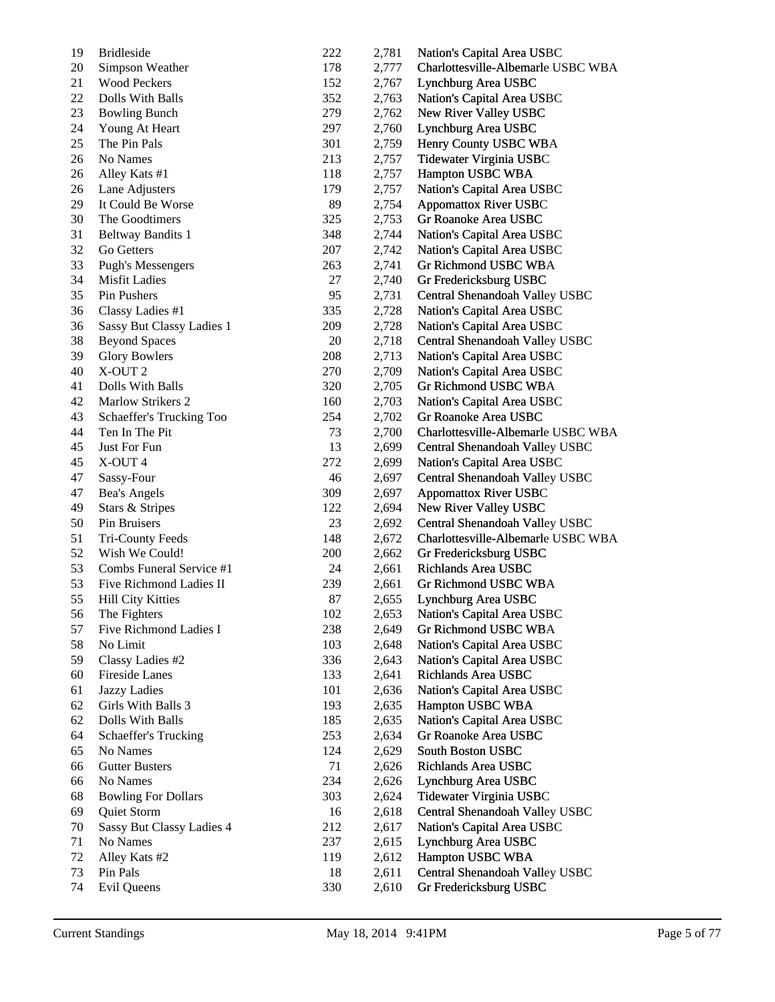| 19 | <b>Bridleside</b>          | 222    | 2,781          | Nation's Capital Area USBC         |
|----|----------------------------|--------|----------------|------------------------------------|
| 20 | Simpson Weather            | 178    | 2,777          | Charlottesville-Albemarle USBC WBA |
| 21 | <b>Wood Peckers</b>        | 152    | 2,767          | Lynchburg Area USBC                |
| 22 | Dolls With Balls           | 352    | 2,763          | Nation's Capital Area USBC         |
| 23 | <b>Bowling Bunch</b>       | 279    | 2,762          | New River Valley USBC              |
| 24 | Young At Heart             | 297    | 2,760          | Lynchburg Area USBC                |
| 25 | The Pin Pals               | 301    | 2,759          | Henry County USBC WBA              |
| 26 | No Names                   | 213    | 2,757          | Tidewater Virginia USBC            |
| 26 | Alley Kats #1              | 118    | 2,757          | Hampton USBC WBA                   |
| 26 | Lane Adjusters             | 179    | 2,757          | Nation's Capital Area USBC         |
| 29 | It Could Be Worse          | 89     | 2,754          | <b>Appomattox River USBC</b>       |
| 30 | The Goodtimers             | 325    | 2,753          | Gr Roanoke Area USBC               |
| 31 | <b>Beltway Bandits 1</b>   | 348    | 2,744          | Nation's Capital Area USBC         |
| 32 | Go Getters                 | 207    | 2,742          | Nation's Capital Area USBC         |
| 33 | <b>Pugh's Messengers</b>   | 263    | 2,741          | Gr Richmond USBC WBA               |
| 34 | <b>Misfit Ladies</b>       | 27     | 2,740          | Gr Fredericksburg USBC             |
| 35 | Pin Pushers                | 95     | 2,731          | Central Shenandoah Valley USBC     |
| 36 | Classy Ladies #1           | 335    | 2,728          | Nation's Capital Area USBC         |
| 36 | Sassy But Classy Ladies 1  | 209    | 2,728          | Nation's Capital Area USBC         |
| 38 | <b>Beyond Spaces</b>       | $20\,$ | 2,718          | Central Shenandoah Valley USBC     |
| 39 | <b>Glory Bowlers</b>       | 208    | 2,713          | Nation's Capital Area USBC         |
| 40 | X-OUT <sub>2</sub>         | 270    | 2,709          | Nation's Capital Area USBC         |
| 41 | Dolls With Balls           | 320    | 2,705          | Gr Richmond USBC WBA               |
| 42 | Marlow Strikers 2          | 160    | 2,703          | Nation's Capital Area USBC         |
| 43 | Schaeffer's Trucking Too   | 254    | 2,702          | Gr Roanoke Area USBC               |
| 44 | Ten In The Pit             | 73     | 2,700          | Charlottesville-Albemarle USBC WBA |
| 45 | Just For Fun               | 13     | 2,699          | Central Shenandoah Valley USBC     |
| 45 | X-OUT 4                    | 272    | 2,699          | Nation's Capital Area USBC         |
| 47 | Sassy-Four                 | 46     | 2,697          | Central Shenandoah Valley USBC     |
| 47 | Bea's Angels               | 309    | 2,697          | <b>Appomattox River USBC</b>       |
| 49 | Stars & Stripes            | 122    | 2,694          | New River Valley USBC              |
| 50 | Pin Bruisers               | 23     | 2,692          | Central Shenandoah Valley USBC     |
| 51 | <b>Tri-County Feeds</b>    | 148    | 2,672          | Charlottesville-Albemarle USBC WBA |
| 52 | Wish We Could!             | 200    | 2,662          | Gr Fredericksburg USBC             |
| 53 | Combs Funeral Service #1   | 24     | 2,661          | Richlands Area USBC                |
| 53 | Five Richmond Ladies II    | 239    | 2,661          | Gr Richmond USBC WBA               |
| 55 | <b>Hill City Kitties</b>   | 87     | 2,655          | Lynchburg Area USBC                |
| 56 | The Fighters               | 102    | 2,653          | Nation's Capital Area USBC         |
| 57 | Five Richmond Ladies I     | 238    | 2,649          | Gr Richmond USBC WBA               |
| 58 | No Limit                   | 103    | 2,648          | Nation's Capital Area USBC         |
| 59 | Classy Ladies #2           | 336    | 2,643          | Nation's Capital Area USBC         |
| 60 | <b>Fireside Lanes</b>      | 133    | 2,641          | Richlands Area USBC                |
|    | <b>Jazzy Ladies</b>        | 101    | 2,636          | Nation's Capital Area USBC         |
| 61 |                            |        |                |                                    |
| 62 | Girls With Balls 3         | 193    | 2,635<br>2,635 | Hampton USBC WBA                   |
| 62 | Dolls With Balls           | 185    |                | Nation's Capital Area USBC         |
| 64 | Schaeffer's Trucking       | 253    | 2,634          | Gr Roanoke Area USBC               |
| 65 | No Names                   | 124    | 2,629          | South Boston USBC                  |
| 66 | <b>Gutter Busters</b>      | 71     | 2,626          | Richlands Area USBC                |
| 66 | No Names                   | 234    | 2,626          | Lynchburg Area USBC                |
| 68 | <b>Bowling For Dollars</b> | 303    | 2,624          | Tidewater Virginia USBC            |
| 69 | Quiet Storm                | 16     | 2,618          | Central Shenandoah Valley USBC     |
| 70 | Sassy But Classy Ladies 4  | 212    | 2,617          | Nation's Capital Area USBC         |
| 71 | No Names                   | 237    | 2,615          | Lynchburg Area USBC                |
| 72 | Alley Kats #2              | 119    | 2,612          | Hampton USBC WBA                   |
| 73 | Pin Pals                   | 18     | 2,611          | Central Shenandoah Valley USBC     |
| 74 | Evil Queens                | 330    | 2,610          | Gr Fredericksburg USBC             |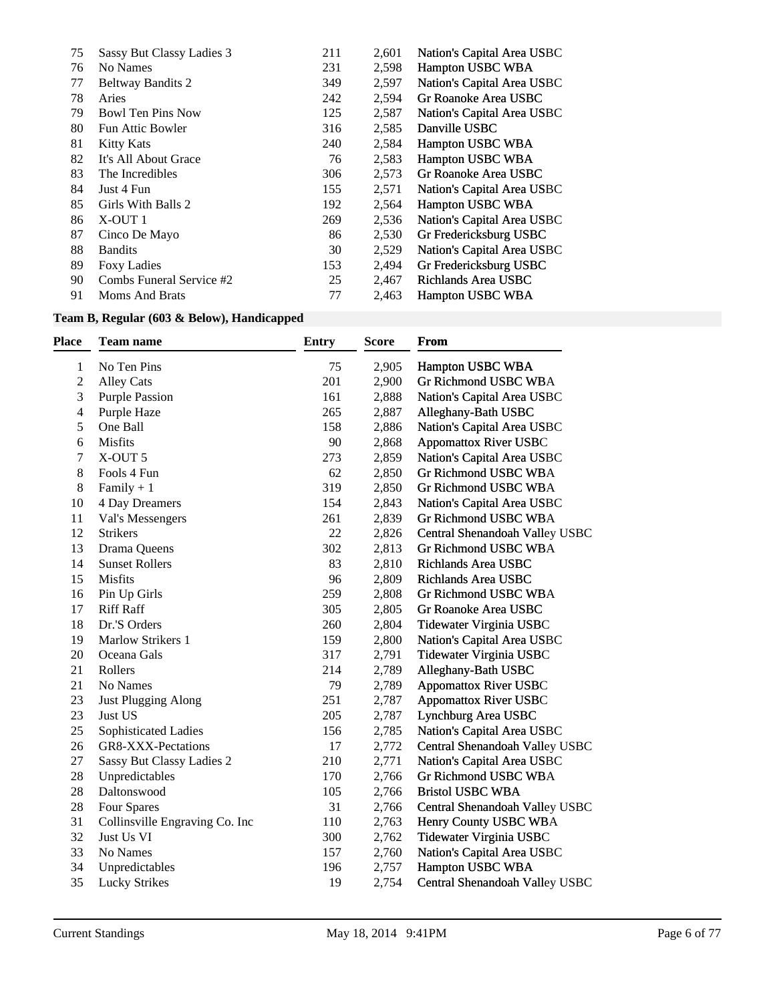| 75 | Sassy But Classy Ladies 3 | 211 | 2,601 | Nation's Capital Area USBC |
|----|---------------------------|-----|-------|----------------------------|
| 76 | No Names                  | 231 | 2,598 | Hampton USBC WBA           |
| 77 | <b>Beltway Bandits 2</b>  | 349 | 2,597 | Nation's Capital Area USBC |
| 78 | Aries                     | 242 | 2,594 | Gr Roanoke Area USBC       |
| 79 | <b>Bowl Ten Pins Now</b>  | 125 | 2,587 | Nation's Capital Area USBC |
| 80 | <b>Fun Attic Bowler</b>   | 316 | 2,585 | Danville USBC              |
| 81 | <b>Kitty Kats</b>         | 240 | 2,584 | Hampton USBC WBA           |
| 82 | It's All About Grace      | 76  | 2.583 | Hampton USBC WBA           |
| 83 | The Incredibles           | 306 | 2,573 | Gr Roanoke Area USBC       |
| 84 | Just 4 Fun                | 155 | 2,571 | Nation's Capital Area USBC |
| 85 | Girls With Balls 2        | 192 | 2,564 | Hampton USBC WBA           |
| 86 | X-OUT 1                   | 269 | 2,536 | Nation's Capital Area USBC |
| 87 | Cinco De Mayo             | 86  | 2,530 | Gr Fredericksburg USBC     |
| 88 | <b>Bandits</b>            | 30  | 2,529 | Nation's Capital Area USBC |
| 89 | <b>Foxy Ladies</b>        | 153 | 2,494 | Gr Fredericksburg USBC     |
| 90 | Combs Funeral Service #2  | 25  | 2,467 | Richlands Area USBC        |
| 91 | Moms And Brats            | 77  | 2.463 | <b>Hampton USBC WBA</b>    |
|    |                           |     |       |                            |

## **Team B, Regular (603 & Below), Handicapped**

| <b>Place</b>   | <b>Team name</b>               | Entry | <b>Score</b> | <b>From</b>                    |
|----------------|--------------------------------|-------|--------------|--------------------------------|
| $\mathbf{1}$   | No Ten Pins                    | 75    | 2,905        | Hampton USBC WBA               |
| $\overline{c}$ | <b>Alley Cats</b>              | 201   | 2,900        | Gr Richmond USBC WBA           |
| 3              | <b>Purple Passion</b>          | 161   | 2,888        | Nation's Capital Area USBC     |
| 4              | Purple Haze                    | 265   | 2,887        | Alleghany-Bath USBC            |
| 5              | One Ball                       | 158   | 2,886        | Nation's Capital Area USBC     |
| 6              | <b>Misfits</b>                 | 90    | 2,868        | <b>Appomattox River USBC</b>   |
| 7              | X-OUT 5                        | 273   | 2,859        | Nation's Capital Area USBC     |
| 8              | Fools 4 Fun                    | 62    | 2,850        | Gr Richmond USBC WBA           |
| $8\,$          | Family $+1$                    | 319   | 2,850        | Gr Richmond USBC WBA           |
| 10             | 4 Day Dreamers                 | 154   | 2,843        | Nation's Capital Area USBC     |
| 11             | Val's Messengers               | 261   | 2,839        | Gr Richmond USBC WBA           |
| 12             | <b>Strikers</b>                | 22    | 2,826        | Central Shenandoah Valley USBC |
| 13             | Drama Queens                   | 302   | 2,813        | Gr Richmond USBC WBA           |
| 14             | <b>Sunset Rollers</b>          | 83    | 2,810        | Richlands Area USBC            |
| 15             | Misfits                        | 96    | 2,809        | Richlands Area USBC            |
| 16             | Pin Up Girls                   | 259   | 2,808        | <b>Gr Richmond USBC WBA</b>    |
| 17             | <b>Riff Raff</b>               | 305   | 2,805        | Gr Roanoke Area USBC           |
| 18             | Dr.'S Orders                   | 260   | 2,804        | Tidewater Virginia USBC        |
| 19             | Marlow Strikers 1              | 159   | 2,800        | Nation's Capital Area USBC     |
| 20             | Oceana Gals                    | 317   | 2,791        | Tidewater Virginia USBC        |
| 21             | Rollers                        | 214   | 2,789        | Alleghany-Bath USBC            |
| 21             | No Names                       | 79    | 2,789        | <b>Appomattox River USBC</b>   |
| 23             | <b>Just Plugging Along</b>     | 251   | 2,787        | <b>Appomattox River USBC</b>   |
| 23             | Just US                        | 205   | 2,787        | Lynchburg Area USBC            |
| 25             | Sophisticated Ladies           | 156   | 2,785        | Nation's Capital Area USBC     |
| 26             | GR8-XXX-Pectations             | 17    | 2,772        | Central Shenandoah Valley USBC |
| 27             | Sassy But Classy Ladies 2      | 210   | 2,771        | Nation's Capital Area USBC     |
| 28             | Unpredictables                 | 170   | 2,766        | Gr Richmond USBC WBA           |
| 28             | Daltonswood                    | 105   | 2,766        | <b>Bristol USBC WBA</b>        |
| 28             | Four Spares                    | 31    | 2,766        | Central Shenandoah Valley USBC |
| 31             | Collinsville Engraving Co. Inc | 110   | 2,763        | Henry County USBC WBA          |
| 32             | Just Us VI                     | 300   | 2,762        | Tidewater Virginia USBC        |
| 33             | No Names                       | 157   | 2,760        | Nation's Capital Area USBC     |
| 34             | Unpredictables                 | 196   | 2,757        | Hampton USBC WBA               |
| 35             | <b>Lucky Strikes</b>           | 19    | 2,754        | Central Shenandoah Valley USBC |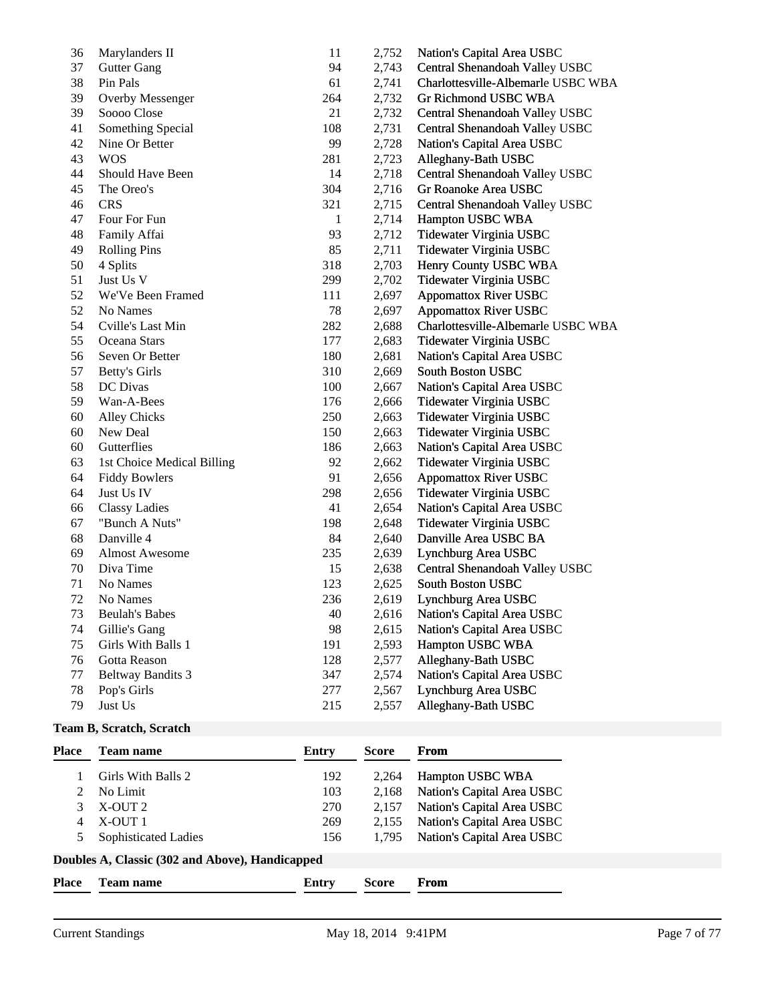| 36 | Marylanders II             | 11  | 2,752 | Nation's Capital Area USBC         |
|----|----------------------------|-----|-------|------------------------------------|
| 37 | <b>Gutter Gang</b>         | 94  | 2,743 | Central Shenandoah Valley USBC     |
| 38 | Pin Pals                   | 61  | 2,741 | Charlottesville-Albemarle USBC WBA |
| 39 | Overby Messenger           | 264 | 2,732 | Gr Richmond USBC WBA               |
| 39 | Soooo Close                | 21  | 2,732 | Central Shenandoah Valley USBC     |
| 41 | Something Special          | 108 | 2,731 | Central Shenandoah Valley USBC     |
| 42 | Nine Or Better             | 99  | 2,728 | Nation's Capital Area USBC         |
| 43 | <b>WOS</b>                 | 281 | 2,723 | Alleghany-Bath USBC                |
| 44 | Should Have Been           | 14  | 2,718 | Central Shenandoah Valley USBC     |
| 45 | The Oreo's                 | 304 | 2,716 | Gr Roanoke Area USBC               |
| 46 | <b>CRS</b>                 | 321 | 2,715 | Central Shenandoah Valley USBC     |
| 47 | Four For Fun               | 1   | 2,714 | Hampton USBC WBA                   |
| 48 | Family Affai               | 93  | 2,712 | Tidewater Virginia USBC            |
| 49 | <b>Rolling Pins</b>        | 85  | 2,711 | Tidewater Virginia USBC            |
| 50 | 4 Splits                   | 318 | 2,703 | Henry County USBC WBA              |
| 51 | Just Us V                  | 299 | 2,702 | Tidewater Virginia USBC            |
| 52 | We'Ve Been Framed          | 111 | 2,697 | <b>Appomattox River USBC</b>       |
| 52 | No Names                   | 78  | 2,697 | Appomattox River USBC              |
| 54 | Cville's Last Min          | 282 | 2,688 | Charlottesville-Albemarle USBC WBA |
| 55 | Oceana Stars               | 177 | 2,683 | Tidewater Virginia USBC            |
| 56 | Seven Or Better            | 180 | 2,681 | Nation's Capital Area USBC         |
| 57 | <b>Betty's Girls</b>       | 310 | 2,669 | South Boston USBC                  |
| 58 | DC Divas                   | 100 | 2,667 | Nation's Capital Area USBC         |
| 59 | Wan-A-Bees                 | 176 | 2,666 | Tidewater Virginia USBC            |
| 60 | <b>Alley Chicks</b>        | 250 | 2,663 | Tidewater Virginia USBC            |
| 60 | New Deal                   | 150 | 2,663 | Tidewater Virginia USBC            |
| 60 | Gutterflies                | 186 | 2,663 | Nation's Capital Area USBC         |
| 63 | 1st Choice Medical Billing | 92  | 2,662 | Tidewater Virginia USBC            |
| 64 | <b>Fiddy Bowlers</b>       | 91  | 2,656 | <b>Appomattox River USBC</b>       |
| 64 | Just Us IV                 | 298 | 2,656 | Tidewater Virginia USBC            |
| 66 | <b>Classy Ladies</b>       | 41  | 2,654 | Nation's Capital Area USBC         |
| 67 | "Bunch A Nuts"             | 198 | 2,648 | Tidewater Virginia USBC            |
| 68 | Danville 4                 | 84  | 2,640 | Danville Area USBC BA              |
| 69 | <b>Almost Awesome</b>      | 235 | 2,639 | Lynchburg Area USBC                |
| 70 | Diva Time                  | 15  | 2,638 | Central Shenandoah Valley USBC     |
| 71 | No Names                   | 123 | 2,625 | South Boston USBC                  |
| 72 | No Names                   | 236 | 2,619 | Lynchburg Area USBC                |
| 73 | <b>Beulah's Babes</b>      | 40  |       | 2,616 Nation's Capital Area USBC   |
| 74 | Gillie's Gang              | 98  | 2,615 | Nation's Capital Area USBC         |
| 75 | Girls With Balls 1         | 191 | 2,593 | Hampton USBC WBA                   |
| 76 | Gotta Reason               | 128 | 2,577 | Alleghany-Bath USBC                |
| 77 | <b>Beltway Bandits 3</b>   | 347 | 2,574 | Nation's Capital Area USBC         |
| 78 | Pop's Girls                | 277 | 2,567 | Lynchburg Area USBC                |
| 79 | Just Us                    | 215 | 2,557 | Alleghany-Bath USBC                |

# **Team B, Scratch, Scratch**

| <b>Place</b> | Team name                                       | Entry | <b>Score</b> | <b>From</b>                |
|--------------|-------------------------------------------------|-------|--------------|----------------------------|
|              | Girls With Balls 2                              | 192   | 2,264        | Hampton USBC WBA           |
|              | No Limit                                        | 103   | 2,168        | Nation's Capital Area USBC |
|              | X-OUT <sub>2</sub>                              | 270   | 2,157        | Nation's Capital Area USBC |
|              | X-OUT 1                                         | 269   | 2,155        | Nation's Capital Area USBC |
|              | Sophisticated Ladies                            | 156   | 1.795        | Nation's Capital Area USBC |
|              | Doubles A, Classic (302 and Above), Handicapped |       |              |                            |
| <b>Place</b> | Team name                                       | Entry | <b>Score</b> | From                       |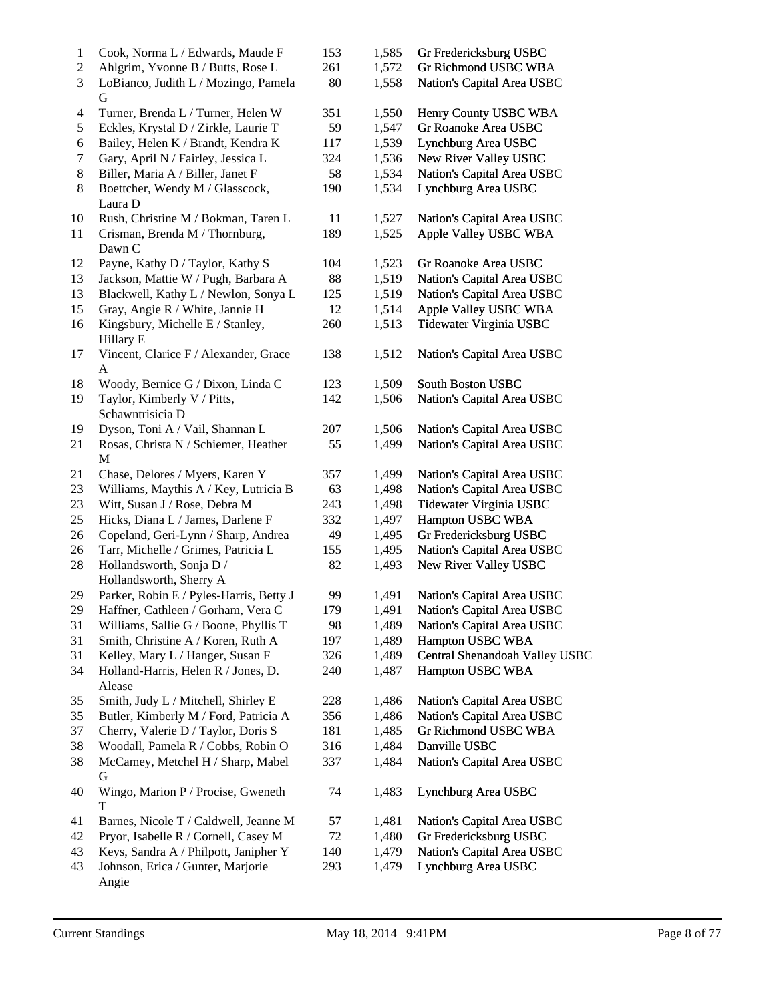| $\mathbf{1}$   | Cook, Norma L / Edwards, Maude F                  | 153 | 1,585 | Gr Fredericksburg USBC         |
|----------------|---------------------------------------------------|-----|-------|--------------------------------|
| $\mathbf{2}$   | Ahlgrim, Yvonne B / Butts, Rose L                 | 261 | 1,572 | Gr Richmond USBC WBA           |
| 3              | LoBianco, Judith L / Mozingo, Pamela<br>G         | 80  | 1,558 | Nation's Capital Area USBC     |
| $\overline{4}$ | Turner, Brenda L / Turner, Helen W                | 351 | 1,550 | Henry County USBC WBA          |
| 5              | Eckles, Krystal D / Zirkle, Laurie T              | 59  | 1,547 | Gr Roanoke Area USBC           |
| 6              | Bailey, Helen K / Brandt, Kendra K                | 117 | 1,539 | Lynchburg Area USBC            |
| $\tau$         | Gary, April N / Fairley, Jessica L                | 324 | 1,536 | New River Valley USBC          |
| 8              | Biller, Maria A / Biller, Janet F                 | 58  | 1,534 | Nation's Capital Area USBC     |
| $8\,$          | Boettcher, Wendy M / Glasscock,                   | 190 | 1,534 | Lynchburg Area USBC            |
|                | Laura D                                           |     |       |                                |
| 10             | Rush, Christine M / Bokman, Taren L               | 11  | 1,527 | Nation's Capital Area USBC     |
| 11             | Crisman, Brenda M / Thornburg,                    | 189 | 1,525 | Apple Valley USBC WBA          |
|                | Dawn C                                            |     |       |                                |
| 12             | Payne, Kathy D / Taylor, Kathy S                  | 104 | 1,523 | Gr Roanoke Area USBC           |
| 13             | Jackson, Mattie W / Pugh, Barbara A               | 88  | 1,519 | Nation's Capital Area USBC     |
| 13             | Blackwell, Kathy L / Newlon, Sonya L              | 125 | 1,519 | Nation's Capital Area USBC     |
| 15             | Gray, Angie R / White, Jannie H                   | 12  | 1,514 | Apple Valley USBC WBA          |
| 16             | Kingsbury, Michelle E / Stanley,                  | 260 | 1,513 | Tidewater Virginia USBC        |
|                | Hillary E                                         |     |       |                                |
| 17             | Vincent, Clarice F / Alexander, Grace             | 138 | 1,512 | Nation's Capital Area USBC     |
| 18             | $\mathbf{A}$<br>Woody, Bernice G / Dixon, Linda C | 123 | 1,509 | South Boston USBC              |
| 19             | Taylor, Kimberly V / Pitts,                       | 142 | 1,506 | Nation's Capital Area USBC     |
|                | Schawntrisicia D                                  |     |       |                                |
| 19             | Dyson, Toni A / Vail, Shannan L                   | 207 | 1,506 | Nation's Capital Area USBC     |
| 21             | Rosas, Christa N / Schiemer, Heather              | 55  | 1,499 | Nation's Capital Area USBC     |
|                | M                                                 |     |       |                                |
| 21             | Chase, Delores / Myers, Karen Y                   | 357 | 1,499 | Nation's Capital Area USBC     |
| 23             | Williams, Maythis A / Key, Lutricia B             | 63  | 1,498 | Nation's Capital Area USBC     |
| 23             | Witt, Susan J / Rose, Debra M                     | 243 | 1,498 | Tidewater Virginia USBC        |
| 25             | Hicks, Diana L / James, Darlene F                 | 332 | 1,497 | Hampton USBC WBA               |
| 26             | Copeland, Geri-Lynn / Sharp, Andrea               | 49  | 1,495 | Gr Fredericksburg USBC         |
| 26             | Tarr, Michelle / Grimes, Patricia L               | 155 | 1,495 | Nation's Capital Area USBC     |
| 28             | Hollandsworth, Sonja D /                          | 82  | 1,493 | New River Valley USBC          |
|                | Hollandsworth, Sherry A                           |     |       |                                |
| 29             | Parker, Robin E / Pyles-Harris, Betty J           | 99  | 1,491 | Nation's Capital Area USBC     |
| 29             | Haffner, Cathleen / Gorham, Vera C                | 179 | 1,491 | Nation's Capital Area USBC     |
| 31             | Williams, Sallie G / Boone, Phyllis T             | 98  | 1,489 | Nation's Capital Area USBC     |
| 31             | Smith, Christine A / Koren, Ruth A                | 197 | 1,489 | Hampton USBC WBA               |
| 31             | Kelley, Mary L / Hanger, Susan F                  | 326 | 1,489 | Central Shenandoah Valley USBC |
| 34             | Holland-Harris, Helen R / Jones, D.               | 240 | 1,487 | Hampton USBC WBA               |
|                | Alease                                            |     |       |                                |
| 35             | Smith, Judy L / Mitchell, Shirley E               | 228 | 1,486 | Nation's Capital Area USBC     |
| 35             | Butler, Kimberly M / Ford, Patricia A             | 356 | 1,486 | Nation's Capital Area USBC     |
| 37             | Cherry, Valerie D / Taylor, Doris S               | 181 | 1,485 | Gr Richmond USBC WBA           |
| 38             | Woodall, Pamela R / Cobbs, Robin O                | 316 | 1,484 | Danville USBC                  |
|                |                                                   |     |       |                                |
| 38             | McCamey, Metchel H / Sharp, Mabel<br>G            | 337 | 1,484 | Nation's Capital Area USBC     |
| 40             | Wingo, Marion P / Procise, Gweneth<br>Т           | 74  | 1,483 | Lynchburg Area USBC            |
| 41             | Barnes, Nicole T / Caldwell, Jeanne M             | 57  | 1,481 | Nation's Capital Area USBC     |
| 42             | Pryor, Isabelle R / Cornell, Casey M              | 72  | 1,480 | Gr Fredericksburg USBC         |
| 43             | Keys, Sandra A / Philpott, Janipher Y             | 140 | 1,479 | Nation's Capital Area USBC     |
| 43             | Johnson, Erica / Gunter, Marjorie                 | 293 | 1,479 | Lynchburg Area USBC            |
|                | Angie                                             |     |       |                                |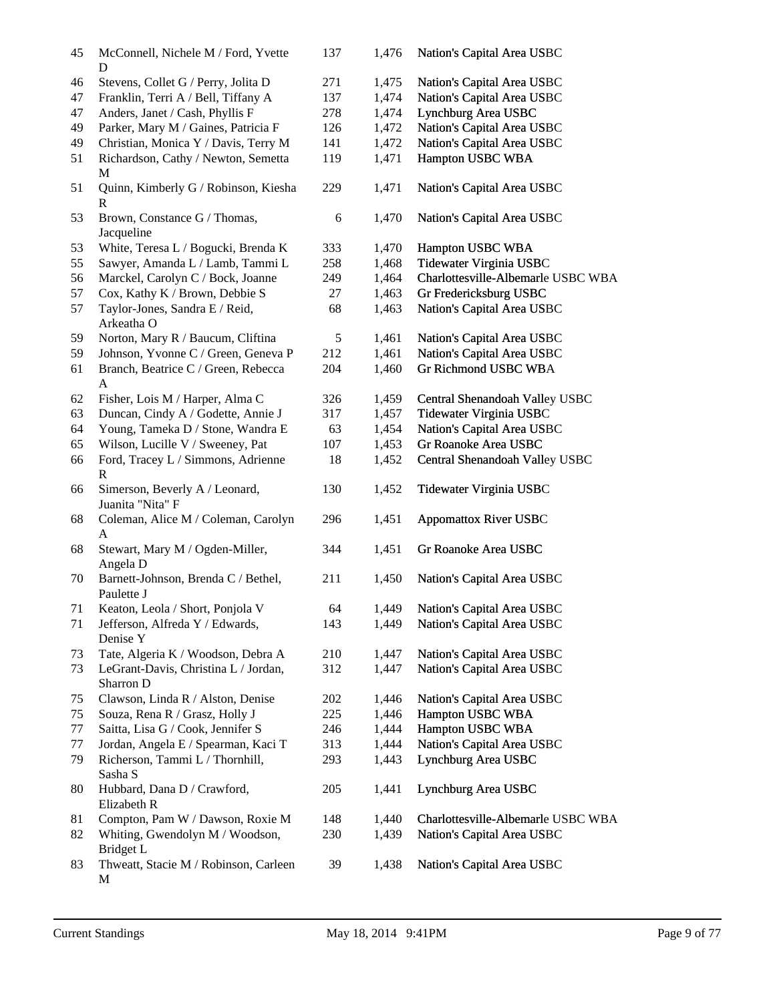| 45 | McConnell, Nichele M / Ford, Yvette<br>D            | 137 | 1,476 | Nation's Capital Area USBC         |
|----|-----------------------------------------------------|-----|-------|------------------------------------|
| 46 | Stevens, Collet G / Perry, Jolita D                 | 271 | 1,475 | Nation's Capital Area USBC         |
| 47 | Franklin, Terri A / Bell, Tiffany A                 | 137 | 1,474 | Nation's Capital Area USBC         |
| 47 | Anders, Janet / Cash, Phyllis F                     | 278 | 1,474 | Lynchburg Area USBC                |
| 49 | Parker, Mary M / Gaines, Patricia F                 | 126 | 1,472 | Nation's Capital Area USBC         |
| 49 | Christian, Monica Y / Davis, Terry M                | 141 | 1,472 | Nation's Capital Area USBC         |
| 51 | Richardson, Cathy / Newton, Semetta<br>М            | 119 | 1,471 | Hampton USBC WBA                   |
| 51 | Quinn, Kimberly G / Robinson, Kiesha<br>R           | 229 | 1,471 | Nation's Capital Area USBC         |
| 53 | Brown, Constance G / Thomas,<br>Jacqueline          | 6   | 1,470 | Nation's Capital Area USBC         |
| 53 | White, Teresa L / Bogucki, Brenda K                 | 333 | 1,470 | Hampton USBC WBA                   |
| 55 | Sawyer, Amanda L / Lamb, Tammi L                    | 258 | 1,468 | Tidewater Virginia USBC            |
| 56 | Marckel, Carolyn C / Bock, Joanne                   | 249 | 1,464 | Charlottesville-Albemarle USBC WBA |
| 57 | Cox, Kathy K / Brown, Debbie S                      | 27  | 1,463 | Gr Fredericksburg USBC             |
| 57 | Taylor-Jones, Sandra E / Reid,<br>Arkeatha O        | 68  | 1,463 | Nation's Capital Area USBC         |
| 59 | Norton, Mary R / Baucum, Cliftina                   | 5   | 1,461 | Nation's Capital Area USBC         |
| 59 | Johnson, Yvonne C / Green, Geneva P                 | 212 | 1,461 | Nation's Capital Area USBC         |
| 61 | Branch, Beatrice C / Green, Rebecca<br>A            | 204 | 1,460 | <b>Gr Richmond USBC WBA</b>        |
| 62 | Fisher, Lois M / Harper, Alma C                     | 326 | 1,459 | Central Shenandoah Valley USBC     |
| 63 | Duncan, Cindy A / Godette, Annie J                  | 317 | 1,457 | Tidewater Virginia USBC            |
| 64 | Young, Tameka D / Stone, Wandra E                   | 63  | 1,454 | Nation's Capital Area USBC         |
| 65 | Wilson, Lucille V / Sweeney, Pat                    | 107 | 1,453 | Gr Roanoke Area USBC               |
| 66 | Ford, Tracey L / Simmons, Adrienne<br>R             | 18  | 1,452 | Central Shenandoah Valley USBC     |
| 66 | Simerson, Beverly A / Leonard,<br>Juanita "Nita" F  | 130 | 1,452 | Tidewater Virginia USBC            |
| 68 | Coleman, Alice M / Coleman, Carolyn<br>A            | 296 | 1,451 | <b>Appomattox River USBC</b>       |
| 68 | Stewart, Mary M / Ogden-Miller,<br>Angela D         | 344 | 1,451 | Gr Roanoke Area USBC               |
| 70 | Barnett-Johnson, Brenda C / Bethel,<br>Paulette J   | 211 | 1,450 | Nation's Capital Area USBC         |
| 71 | Keaton, Leola / Short, Ponjola V                    | 64  | 1,449 | Nation's Capital Area USBC         |
| 71 | Jefferson, Alfreda Y / Edwards,<br>Denise Y         | 143 | 1,449 | Nation's Capital Area USBC         |
| 73 | Tate, Algeria K / Woodson, Debra A                  | 210 | 1,447 | Nation's Capital Area USBC         |
| 73 | LeGrant-Davis, Christina L / Jordan,<br>Sharron D   | 312 | 1,447 | Nation's Capital Area USBC         |
| 75 | Clawson, Linda R / Alston, Denise                   | 202 | 1,446 | Nation's Capital Area USBC         |
| 75 | Souza, Rena R / Grasz, Holly J                      | 225 | 1,446 | Hampton USBC WBA                   |
| 77 | Saitta, Lisa G / Cook, Jennifer S                   | 246 | 1,444 | Hampton USBC WBA                   |
| 77 | Jordan, Angela E / Spearman, Kaci T                 | 313 | 1,444 | Nation's Capital Area USBC         |
| 79 | Richerson, Tammi L / Thornhill,<br>Sasha S          | 293 | 1,443 | Lynchburg Area USBC                |
| 80 | Hubbard, Dana D / Crawford,<br>Elizabeth R          | 205 | 1,441 | Lynchburg Area USBC                |
| 81 | Compton, Pam W / Dawson, Roxie M                    | 148 | 1,440 | Charlottesville-Albemarle USBC WBA |
| 82 | Whiting, Gwendolyn M / Woodson,<br><b>Bridget L</b> | 230 | 1,439 | Nation's Capital Area USBC         |
| 83 | Thweatt, Stacie M / Robinson, Carleen<br>M          | 39  | 1,438 | Nation's Capital Area USBC         |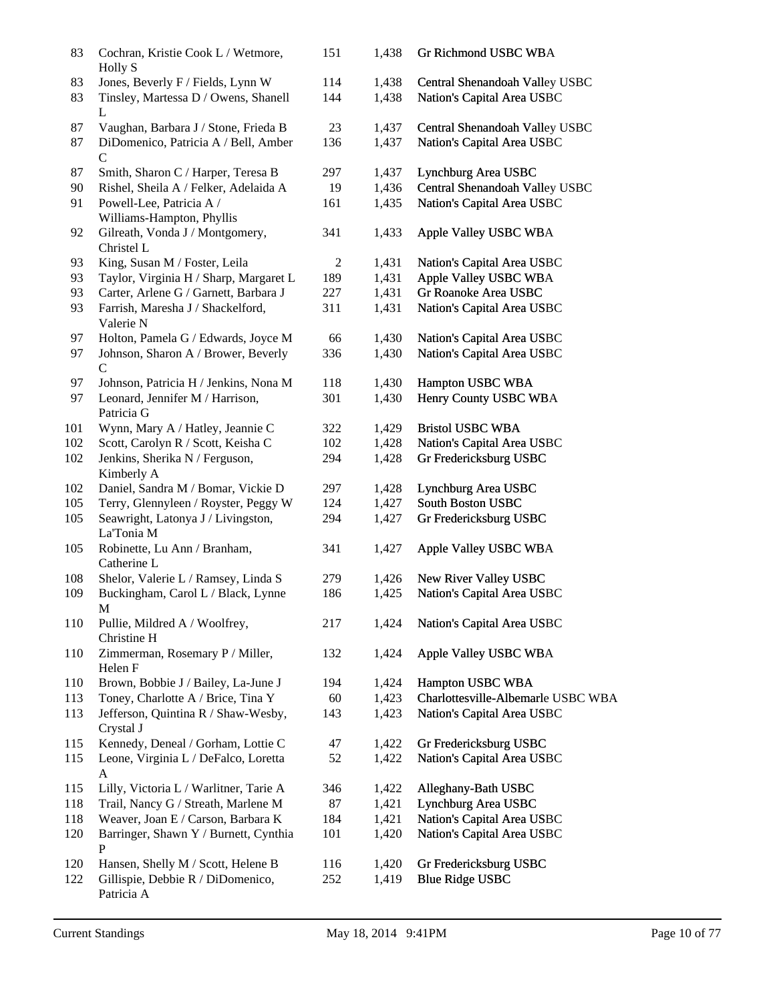| 83  | Cochran, Kristie Cook L / Wetmore,<br>Holly S       | 151            | 1,438 | Gr Richmond USBC WBA               |
|-----|-----------------------------------------------------|----------------|-------|------------------------------------|
| 83  | Jones, Beverly F / Fields, Lynn W                   | 114            | 1,438 | Central Shenandoah Valley USBC     |
| 83  | Tinsley, Martessa D / Owens, Shanell<br>L           | 144            | 1,438 | Nation's Capital Area USBC         |
| 87  | Vaughan, Barbara J / Stone, Frieda B                | 23             | 1,437 | Central Shenandoah Valley USBC     |
| 87  | DiDomenico, Patricia A / Bell, Amber<br>C           | 136            | 1,437 | Nation's Capital Area USBC         |
| 87  | Smith, Sharon C / Harper, Teresa B                  | 297            | 1,437 | Lynchburg Area USBC                |
| 90  | Rishel, Sheila A / Felker, Adelaida A               | 19             | 1,436 | Central Shenandoah Valley USBC     |
| 91  | Powell-Lee, Patricia A /                            | 161            | 1,435 | Nation's Capital Area USBC         |
|     | Williams-Hampton, Phyllis                           |                |       |                                    |
| 92  | Gilreath, Vonda J / Montgomery,<br>Christel L       | 341            | 1,433 | Apple Valley USBC WBA              |
| 93  | King, Susan M / Foster, Leila                       | $\overline{c}$ | 1,431 | Nation's Capital Area USBC         |
| 93  | Taylor, Virginia H / Sharp, Margaret L              | 189            | 1,431 | Apple Valley USBC WBA              |
| 93  | Carter, Arlene G / Garnett, Barbara J               | 227            |       | Gr Roanoke Area USBC               |
|     |                                                     |                | 1,431 |                                    |
| 93  | Farrish, Maresha J / Shackelford,<br>Valerie N      | 311            | 1,431 | Nation's Capital Area USBC         |
| 97  | Holton, Pamela G / Edwards, Joyce M                 | 66             | 1,430 | Nation's Capital Area USBC         |
| 97  | Johnson, Sharon A / Brower, Beverly<br>$\mathsf{C}$ | 336            | 1,430 | Nation's Capital Area USBC         |
| 97  | Johnson, Patricia H / Jenkins, Nona M               | 118            | 1,430 | Hampton USBC WBA                   |
| 97  | Leonard, Jennifer M / Harrison,<br>Patricia G       | 301            | 1,430 | Henry County USBC WBA              |
| 101 | Wynn, Mary A / Hatley, Jeannie C                    | 322            | 1,429 | <b>Bristol USBC WBA</b>            |
| 102 | Scott, Carolyn R / Scott, Keisha C                  | 102            | 1,428 | Nation's Capital Area USBC         |
| 102 | Jenkins, Sherika N / Ferguson,<br>Kimberly A        | 294            | 1,428 | Gr Fredericksburg USBC             |
| 102 | Daniel, Sandra M / Bomar, Vickie D                  | 297            | 1,428 | Lynchburg Area USBC                |
| 105 | Terry, Glennyleen / Royster, Peggy W                | 124            | 1,427 | South Boston USBC                  |
| 105 | Seawright, Latonya J / Livingston,                  | 294            | 1,427 | Gr Fredericksburg USBC             |
|     | La'Tonia M                                          |                |       |                                    |
| 105 | Robinette, Lu Ann / Branham,<br>Catherine L         | 341            | 1,427 | Apple Valley USBC WBA              |
| 108 | Shelor, Valerie L / Ramsey, Linda S                 | 279            | 1,426 | New River Valley USBC              |
| 109 | Buckingham, Carol L / Black, Lynne<br>M             | 186            | 1,425 | Nation's Capital Area USBC         |
| 110 | Pullie, Mildred A / Woolfrey,<br>Christine H        | 217            | 1,424 | Nation's Capital Area USBC         |
| 110 | Zimmerman, Rosemary P / Miller,<br>Helen F          | 132            | 1,424 | Apple Valley USBC WBA              |
| 110 | Brown, Bobbie J / Bailey, La-June J                 | 194            | 1,424 | Hampton USBC WBA                   |
| 113 | Toney, Charlotte A / Brice, Tina Y                  | 60             | 1,423 | Charlottesville-Albemarle USBC WBA |
| 113 | Jefferson, Quintina R / Shaw-Wesby,                 | 143            | 1,423 | Nation's Capital Area USBC         |
|     | Crystal J<br>Kennedy, Deneal / Gorham, Lottie C     |                |       |                                    |
| 115 |                                                     | 47             | 1,422 | Gr Fredericksburg USBC             |
| 115 | Leone, Virginia L / DeFalco, Loretta<br>A           | 52             | 1,422 | Nation's Capital Area USBC         |
| 115 | Lilly, Victoria L / Warlitner, Tarie A              | 346            | 1,422 | Alleghany-Bath USBC                |
| 118 | Trail, Nancy G / Streath, Marlene M                 | 87             | 1,421 | Lynchburg Area USBC                |
| 118 | Weaver, Joan E / Carson, Barbara K                  | 184            | 1,421 | Nation's Capital Area USBC         |
| 120 | Barringer, Shawn Y / Burnett, Cynthia<br>P          | 101            | 1,420 | Nation's Capital Area USBC         |
| 120 | Hansen, Shelly M / Scott, Helene B                  | 116            | 1,420 | Gr Fredericksburg USBC             |
| 122 | Gillispie, Debbie R / DiDomenico,<br>Patricia A     | 252            | 1,419 | <b>Blue Ridge USBC</b>             |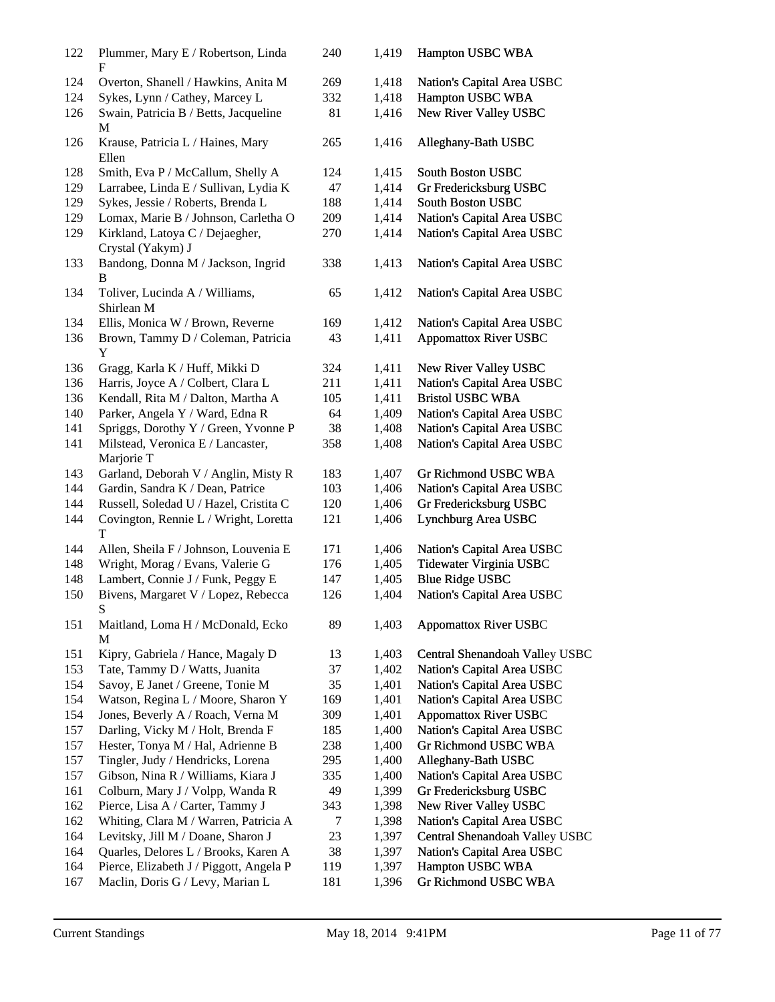| 122 | Plummer, Mary E / Robertson, Linda<br>F              | 240 | 1,419 | Hampton USBC WBA               |
|-----|------------------------------------------------------|-----|-------|--------------------------------|
| 124 | Overton, Shanell / Hawkins, Anita M                  | 269 | 1,418 | Nation's Capital Area USBC     |
| 124 | Sykes, Lynn / Cathey, Marcey L                       | 332 | 1,418 | Hampton USBC WBA               |
| 126 | Swain, Patricia B / Betts, Jacqueline<br>М           | 81  | 1,416 | New River Valley USBC          |
| 126 | Krause, Patricia L / Haines, Mary<br>Ellen           | 265 | 1,416 | Alleghany-Bath USBC            |
| 128 | Smith, Eva P / McCallum, Shelly A                    | 124 | 1,415 | <b>South Boston USBC</b>       |
| 129 | Larrabee, Linda E / Sullivan, Lydia K                | 47  | 1,414 | Gr Fredericksburg USBC         |
| 129 | Sykes, Jessie / Roberts, Brenda L                    | 188 | 1,414 | South Boston USBC              |
| 129 | Lomax, Marie B / Johnson, Carletha O                 | 209 | 1,414 | Nation's Capital Area USBC     |
| 129 | Kirkland, Latoya C / Dejaegher,<br>Crystal (Yakym) J | 270 | 1,414 | Nation's Capital Area USBC     |
| 133 | Bandong, Donna M / Jackson, Ingrid<br>B              | 338 | 1,413 | Nation's Capital Area USBC     |
| 134 | Toliver, Lucinda A / Williams,<br>Shirlean M         | 65  | 1,412 | Nation's Capital Area USBC     |
| 134 | Ellis, Monica W / Brown, Reverne                     | 169 | 1,412 | Nation's Capital Area USBC     |
| 136 | Brown, Tammy D / Coleman, Patricia<br>Y              | 43  | 1,411 | <b>Appomattox River USBC</b>   |
| 136 | Gragg, Karla K / Huff, Mikki D                       | 324 | 1,411 | New River Valley USBC          |
| 136 | Harris, Joyce A / Colbert, Clara L                   | 211 | 1,411 | Nation's Capital Area USBC     |
| 136 | Kendall, Rita M / Dalton, Martha A                   | 105 | 1,411 | <b>Bristol USBC WBA</b>        |
| 140 | Parker, Angela Y / Ward, Edna R                      | 64  | 1,409 | Nation's Capital Area USBC     |
| 141 | Spriggs, Dorothy Y / Green, Yvonne P                 | 38  | 1,408 | Nation's Capital Area USBC     |
| 141 | Milstead, Veronica E / Lancaster,<br>Marjorie T      | 358 | 1,408 | Nation's Capital Area USBC     |
| 143 | Garland, Deborah V / Anglin, Misty R                 | 183 | 1,407 | Gr Richmond USBC WBA           |
| 144 | Gardin, Sandra K / Dean, Patrice                     | 103 | 1,406 | Nation's Capital Area USBC     |
| 144 | Russell, Soledad U / Hazel, Cristita C               | 120 | 1,406 | Gr Fredericksburg USBC         |
| 144 | Covington, Rennie L / Wright, Loretta<br>т           | 121 | 1,406 | Lynchburg Area USBC            |
| 144 | Allen, Sheila F / Johnson, Louvenia E                | 171 | 1,406 | Nation's Capital Area USBC     |
| 148 | Wright, Morag / Evans, Valerie G                     | 176 | 1,405 | Tidewater Virginia USBC        |
| 148 | Lambert, Connie J / Funk, Peggy E                    | 147 | 1,405 | <b>Blue Ridge USBC</b>         |
| 150 | Bivens, Margaret V / Lopez, Rebecca<br>S             | 126 | 1,404 | Nation's Capital Area USBC     |
| 151 | Maitland, Loma H / McDonald, Ecko<br>M               | 89  | 1,403 | <b>Appomattox River USBC</b>   |
| 151 | Kipry, Gabriela / Hance, Magaly D                    | 13  | 1,403 | Central Shenandoah Valley USBC |
| 153 | Tate, Tammy D / Watts, Juanita                       | 37  | 1,402 | Nation's Capital Area USBC     |
| 154 | Savoy, E Janet / Greene, Tonie M                     | 35  | 1,401 | Nation's Capital Area USBC     |
| 154 | Watson, Regina L / Moore, Sharon Y                   | 169 | 1,401 | Nation's Capital Area USBC     |
| 154 | Jones, Beverly A / Roach, Verna M                    | 309 | 1,401 | <b>Appomattox River USBC</b>   |
| 157 | Darling, Vicky M / Holt, Brenda F                    | 185 | 1,400 | Nation's Capital Area USBC     |
| 157 | Hester, Tonya M / Hal, Adrienne B                    | 238 | 1,400 | Gr Richmond USBC WBA           |
| 157 | Tingler, Judy / Hendricks, Lorena                    | 295 | 1,400 | Alleghany-Bath USBC            |
| 157 | Gibson, Nina R / Williams, Kiara J                   | 335 | 1,400 | Nation's Capital Area USBC     |
| 161 | Colburn, Mary J / Volpp, Wanda R                     | 49  | 1,399 | Gr Fredericksburg USBC         |
| 162 | Pierce, Lisa A / Carter, Tammy J                     | 343 | 1,398 | New River Valley USBC          |
| 162 | Whiting, Clara M / Warren, Patricia A                | 7   | 1,398 | Nation's Capital Area USBC     |
| 164 | Levitsky, Jill M / Doane, Sharon J                   | 23  | 1,397 | Central Shenandoah Valley USBC |
| 164 | Quarles, Delores L / Brooks, Karen A                 | 38  | 1,397 | Nation's Capital Area USBC     |
| 164 | Pierce, Elizabeth J / Piggott, Angela P              | 119 | 1,397 | Hampton USBC WBA               |
| 167 | Maclin, Doris G / Levy, Marian L                     | 181 | 1,396 | Gr Richmond USBC WBA           |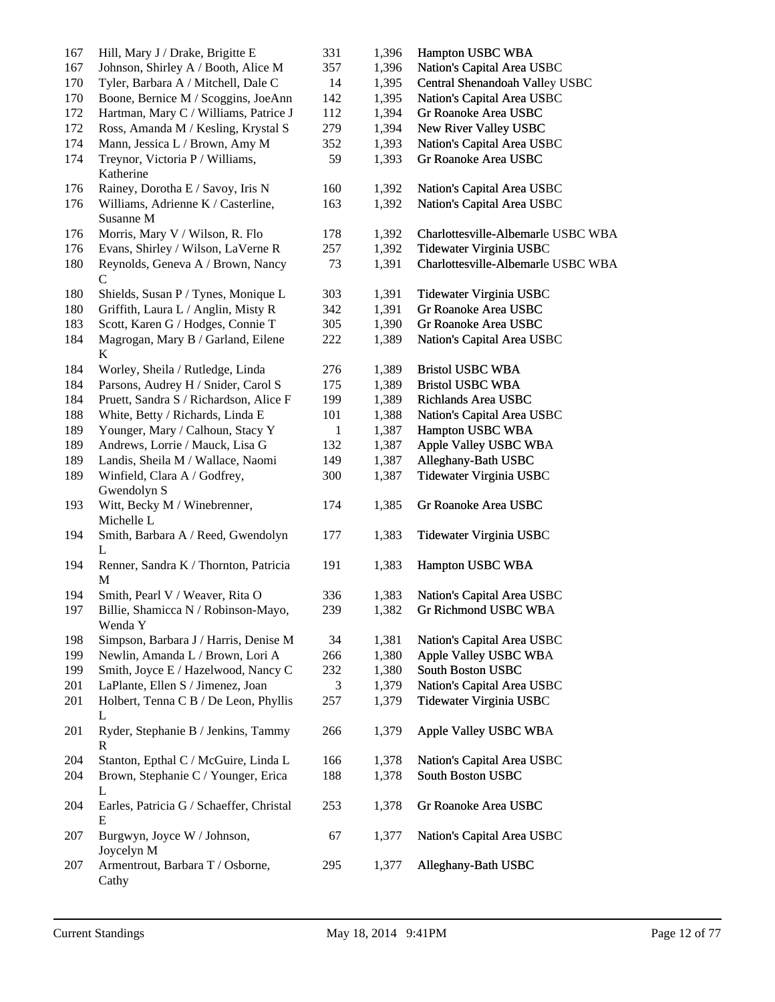| 167 | Hill, Mary J / Drake, Brigitte E         | 331          | 1,396 | Hampton USBC WBA                   |
|-----|------------------------------------------|--------------|-------|------------------------------------|
| 167 | Johnson, Shirley A / Booth, Alice M      | 357          | 1,396 | Nation's Capital Area USBC         |
| 170 | Tyler, Barbara A / Mitchell, Dale C      | 14           | 1,395 | Central Shenandoah Valley USBC     |
| 170 | Boone, Bernice M / Scoggins, JoeAnn      | 142          | 1,395 | Nation's Capital Area USBC         |
| 172 | Hartman, Mary C / Williams, Patrice J    | 112          | 1,394 | Gr Roanoke Area USBC               |
| 172 | Ross, Amanda M / Kesling, Krystal S      | 279          | 1,394 | New River Valley USBC              |
| 174 | Mann, Jessica L / Brown, Amy M           | 352          | 1,393 | Nation's Capital Area USBC         |
| 174 | Treynor, Victoria P / Williams,          | 59           | 1,393 | Gr Roanoke Area USBC               |
|     | Katherine                                |              |       |                                    |
| 176 | Rainey, Dorotha E / Savoy, Iris N        | 160          | 1,392 | Nation's Capital Area USBC         |
| 176 | Williams, Adrienne K / Casterline,       | 163          | 1,392 | Nation's Capital Area USBC         |
|     | Susanne M                                |              |       |                                    |
| 176 | Morris, Mary V / Wilson, R. Flo          | 178          | 1,392 | Charlottesville-Albemarle USBC WBA |
| 176 | Evans, Shirley / Wilson, LaVerne R       | 257          | 1,392 | Tidewater Virginia USBC            |
| 180 | Reynolds, Geneva A / Brown, Nancy        | 73           | 1,391 | Charlottesville-Albemarle USBC WBA |
|     | $\mathsf{C}$                             |              |       |                                    |
| 180 | Shields, Susan P / Tynes, Monique L      | 303          | 1,391 | Tidewater Virginia USBC            |
| 180 | Griffith, Laura L / Anglin, Misty R      | 342          | 1,391 | Gr Roanoke Area USBC               |
| 183 | Scott, Karen G / Hodges, Connie T        | 305          | 1,390 | Gr Roanoke Area USBC               |
| 184 | Magrogan, Mary B / Garland, Eilene       | 222          | 1,389 | Nation's Capital Area USBC         |
|     | K                                        |              |       |                                    |
| 184 | Worley, Sheila / Rutledge, Linda         | 276          | 1,389 | <b>Bristol USBC WBA</b>            |
| 184 | Parsons, Audrey H / Snider, Carol S      | 175          | 1,389 | <b>Bristol USBC WBA</b>            |
| 184 | Pruett, Sandra S / Richardson, Alice F   | 199          | 1,389 | Richlands Area USBC                |
| 188 | White, Betty / Richards, Linda E         | 101          | 1,388 | Nation's Capital Area USBC         |
| 189 | Younger, Mary / Calhoun, Stacy Y         | $\mathbf{1}$ | 1,387 | Hampton USBC WBA                   |
| 189 | Andrews, Lorrie / Mauck, Lisa G          | 132          | 1,387 | Apple Valley USBC WBA              |
| 189 | Landis, Sheila M / Wallace, Naomi        | 149          | 1,387 | Alleghany-Bath USBC                |
| 189 | Winfield, Clara A / Godfrey,             | 300          | 1,387 | Tidewater Virginia USBC            |
|     | Gwendolyn S                              |              |       |                                    |
| 193 | Witt, Becky M / Winebrenner,             | 174          | 1,385 | Gr Roanoke Area USBC               |
|     | Michelle L                               |              |       |                                    |
| 194 | Smith, Barbara A / Reed, Gwendolyn       | 177          | 1,383 | Tidewater Virginia USBC            |
|     | L                                        |              |       |                                    |
| 194 | Renner, Sandra K / Thornton, Patricia    | 191          | 1,383 | Hampton USBC WBA                   |
|     | M                                        |              |       |                                    |
| 194 | Smith, Pearl V / Weaver, Rita O          | 336          | 1,383 | Nation's Capital Area USBC         |
|     |                                          |              |       |                                    |
| 197 | Billie, Shamicca N / Robinson-Mayo,      | 239          | 1,382 | Gr Richmond USBC WBA               |
|     | Wenda Y                                  |              |       |                                    |
| 198 | Simpson, Barbara J / Harris, Denise M    | 34           | 1,381 | Nation's Capital Area USBC         |
| 199 | Newlin, Amanda L / Brown, Lori A         | 266          | 1,380 | Apple Valley USBC WBA              |
| 199 | Smith, Joyce E / Hazelwood, Nancy C      | 232          | 1,380 | South Boston USBC                  |
| 201 | LaPlante, Ellen S / Jimenez, Joan        | 3            | 1,379 | Nation's Capital Area USBC         |
| 201 | Holbert, Tenna C B / De Leon, Phyllis    | 257          | 1,379 | Tidewater Virginia USBC            |
|     | L                                        |              |       |                                    |
| 201 | Ryder, Stephanie B / Jenkins, Tammy      | 266          | 1,379 | Apple Valley USBC WBA              |
|     | R                                        |              |       |                                    |
| 204 | Stanton, Epthal C / McGuire, Linda L     | 166          | 1,378 | Nation's Capital Area USBC         |
| 204 | Brown, Stephanie C / Younger, Erica      | 188          | 1,378 | South Boston USBC                  |
|     | L                                        |              |       |                                    |
| 204 | Earles, Patricia G / Schaeffer, Christal | 253          | 1,378 | Gr Roanoke Area USBC               |
|     | Е                                        |              |       |                                    |
| 207 | Burgwyn, Joyce W / Johnson,              | 67           | 1,377 | Nation's Capital Area USBC         |
|     | Joycelyn M                               |              |       |                                    |
| 207 | Armentrout, Barbara T / Osborne,         | 295          | 1,377 | Alleghany-Bath USBC                |
|     | Cathy                                    |              |       |                                    |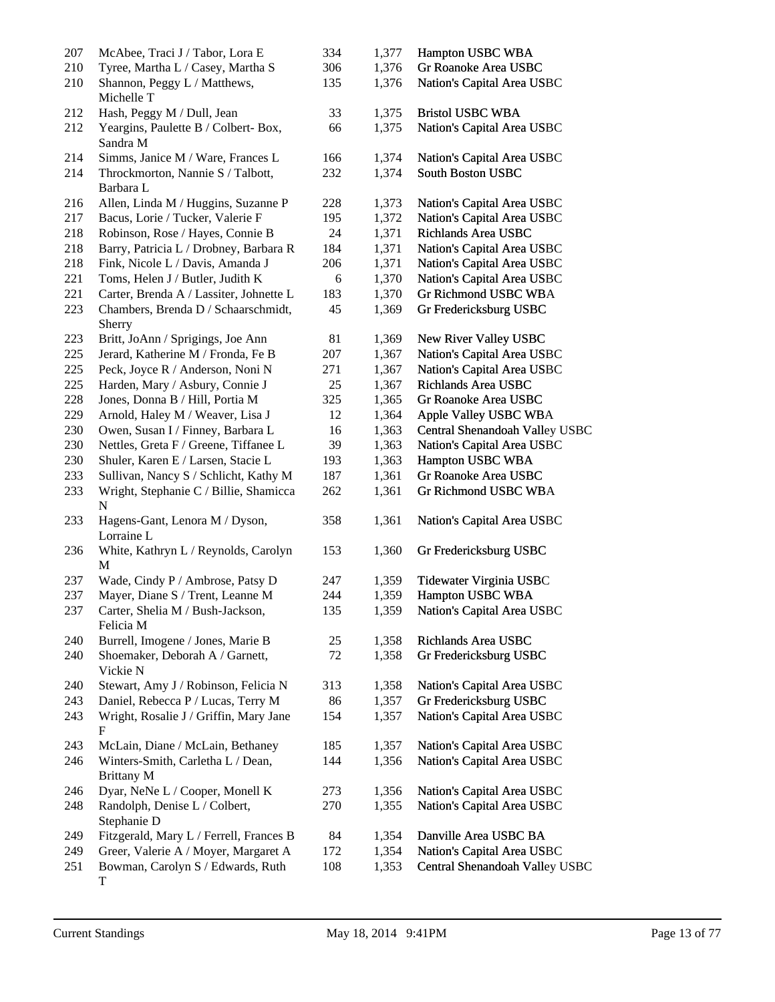| 207 | McAbee, Traci J / Tabor, Lora E                        | 334        | 1,377 | Hampton USBC WBA               |
|-----|--------------------------------------------------------|------------|-------|--------------------------------|
| 210 | Tyree, Martha L / Casey, Martha S                      | 306        | 1,376 | Gr Roanoke Area USBC           |
| 210 | Shannon, Peggy L / Matthews,<br>Michelle T             | 135        | 1,376 | Nation's Capital Area USBC     |
| 212 | Hash, Peggy M / Dull, Jean                             | 33         | 1,375 | <b>Bristol USBC WBA</b>        |
| 212 | Yeargins, Paulette B / Colbert-Box,<br>Sandra M        | 66         | 1,375 | Nation's Capital Area USBC     |
| 214 | Simms, Janice M / Ware, Frances L                      | 166        | 1,374 | Nation's Capital Area USBC     |
| 214 | Throckmorton, Nannie S / Talbott,<br>Barbara L         | 232        | 1,374 | South Boston USBC              |
| 216 | Allen, Linda M / Huggins, Suzanne P                    | 228        | 1,373 | Nation's Capital Area USBC     |
| 217 | Bacus, Lorie / Tucker, Valerie F                       | 195        | 1,372 | Nation's Capital Area USBC     |
| 218 | Robinson, Rose / Hayes, Connie B                       | 24         | 1,371 | Richlands Area USBC            |
| 218 | Barry, Patricia L / Drobney, Barbara R                 | 184        | 1,371 | Nation's Capital Area USBC     |
| 218 | Fink, Nicole L / Davis, Amanda J                       | 206        | 1,371 | Nation's Capital Area USBC     |
| 221 | Toms, Helen J / Butler, Judith K                       | $\sqrt{6}$ | 1,370 | Nation's Capital Area USBC     |
| 221 | Carter, Brenda A / Lassiter, Johnette L                | 183        | 1,370 | Gr Richmond USBC WBA           |
| 223 | Chambers, Brenda D / Schaarschmidt,<br>Sherry          | 45         | 1,369 | Gr Fredericksburg USBC         |
| 223 | Britt, JoAnn / Sprigings, Joe Ann                      | 81         | 1,369 | New River Valley USBC          |
| 225 | Jerard, Katherine M / Fronda, Fe B                     | 207        | 1,367 | Nation's Capital Area USBC     |
| 225 | Peck, Joyce R / Anderson, Noni N                       | 271        | 1,367 | Nation's Capital Area USBC     |
| 225 | Harden, Mary / Asbury, Connie J                        | 25         | 1,367 | Richlands Area USBC            |
| 228 | Jones, Donna B / Hill, Portia M                        | 325        | 1,365 | Gr Roanoke Area USBC           |
| 229 | Arnold, Haley M / Weaver, Lisa J                       | 12         | 1,364 | Apple Valley USBC WBA          |
| 230 | Owen, Susan I / Finney, Barbara L                      | 16         | 1,363 | Central Shenandoah Valley USBC |
| 230 | Nettles, Greta F / Greene, Tiffanee L                  | 39         | 1,363 | Nation's Capital Area USBC     |
| 230 | Shuler, Karen E / Larsen, Stacie L                     | 193        | 1,363 | Hampton USBC WBA               |
| 233 | Sullivan, Nancy S / Schlicht, Kathy M                  | 187        | 1,361 | Gr Roanoke Area USBC           |
| 233 | Wright, Stephanie C / Billie, Shamicca<br>$\mathbf N$  | 262        | 1,361 | Gr Richmond USBC WBA           |
| 233 | Hagens-Gant, Lenora M / Dyson,<br>Lorraine L           | 358        | 1,361 | Nation's Capital Area USBC     |
| 236 | White, Kathryn L / Reynolds, Carolyn<br>M              | 153        | 1,360 | Gr Fredericksburg USBC         |
| 237 | Wade, Cindy P / Ambrose, Patsy D                       | 247        | 1,359 | Tidewater Virginia USBC        |
| 237 | Mayer, Diane S / Trent, Leanne M                       | 244        | 1,359 | Hampton USBC WBA               |
| 237 | Carter, Shelia M / Bush-Jackson,<br>Felicia M          | 135        | 1,359 | Nation's Capital Area USBC     |
| 240 | Burrell, Imogene / Jones, Marie B                      | 25         | 1,358 | Richlands Area USBC            |
| 240 | Shoemaker, Deborah A / Garnett,<br>Vickie N            | 72         | 1,358 | Gr Fredericksburg USBC         |
| 240 | Stewart, Amy J / Robinson, Felicia N                   | 313        | 1,358 | Nation's Capital Area USBC     |
| 243 | Daniel, Rebecca P / Lucas, Terry M                     | 86         | 1,357 | Gr Fredericksburg USBC         |
| 243 | Wright, Rosalie J / Griffin, Mary Jane<br>F            | 154        | 1,357 | Nation's Capital Area USBC     |
| 243 | McLain, Diane / McLain, Bethaney                       | 185        | 1,357 | Nation's Capital Area USBC     |
| 246 | Winters-Smith, Carletha L / Dean,<br><b>Brittany M</b> | 144        | 1,356 | Nation's Capital Area USBC     |
| 246 | Dyar, NeNe L / Cooper, Monell K                        | 273        | 1,356 | Nation's Capital Area USBC     |
| 248 | Randolph, Denise L / Colbert,<br>Stephanie D           | 270        | 1,355 | Nation's Capital Area USBC     |
| 249 | Fitzgerald, Mary L / Ferrell, Frances B                | 84         | 1,354 | Danville Area USBC BA          |
| 249 | Greer, Valerie A / Moyer, Margaret A                   | 172        | 1,354 | Nation's Capital Area USBC     |
| 251 | Bowman, Carolyn S / Edwards, Ruth<br>T                 | 108        | 1,353 | Central Shenandoah Valley USBC |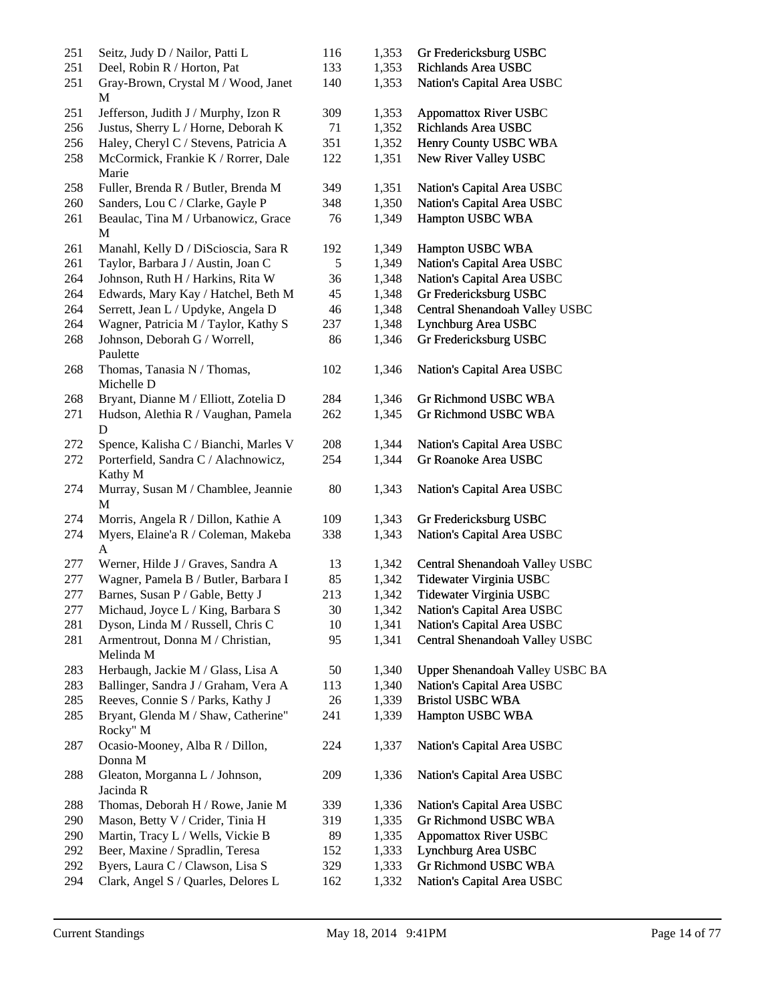| 251 | Seitz, Judy D / Nailor, Patti L                 | 116 | 1,353 | Gr Fredericksburg USBC          |
|-----|-------------------------------------------------|-----|-------|---------------------------------|
| 251 | Deel, Robin R / Horton, Pat                     | 133 | 1,353 | Richlands Area USBC             |
| 251 | Gray-Brown, Crystal M / Wood, Janet<br>M        | 140 | 1,353 | Nation's Capital Area USBC      |
| 251 | Jefferson, Judith J / Murphy, Izon R            | 309 | 1,353 | <b>Appomattox River USBC</b>    |
| 256 | Justus, Sherry L / Horne, Deborah K             | 71  | 1,352 | Richlands Area USBC             |
| 256 | Haley, Cheryl C / Stevens, Patricia A           | 351 | 1,352 | Henry County USBC WBA           |
| 258 | McCormick, Frankie K / Rorrer, Dale             | 122 | 1,351 | New River Valley USBC           |
|     | Marie                                           |     |       |                                 |
| 258 | Fuller, Brenda R / Butler, Brenda M             | 349 | 1,351 | Nation's Capital Area USBC      |
| 260 | Sanders, Lou C / Clarke, Gayle P                | 348 | 1,350 | Nation's Capital Area USBC      |
| 261 | Beaulac, Tina M / Urbanowicz, Grace<br>M        | 76  | 1,349 | Hampton USBC WBA                |
| 261 | Manahl, Kelly D / DiScioscia, Sara R            | 192 | 1,349 | Hampton USBC WBA                |
| 261 | Taylor, Barbara J / Austin, Joan C              | 5   | 1,349 | Nation's Capital Area USBC      |
| 264 | Johnson, Ruth H / Harkins, Rita W               | 36  | 1,348 | Nation's Capital Area USBC      |
| 264 | Edwards, Mary Kay / Hatchel, Beth M             | 45  | 1,348 | Gr Fredericksburg USBC          |
| 264 | Serrett, Jean L / Updyke, Angela D              | 46  | 1,348 | Central Shenandoah Valley USBC  |
| 264 | Wagner, Patricia M / Taylor, Kathy S            | 237 | 1,348 | Lynchburg Area USBC             |
|     |                                                 |     |       |                                 |
| 268 | Johnson, Deborah G / Worrell,<br>Paulette       | 86  | 1,346 | Gr Fredericksburg USBC          |
| 268 | Thomas, Tanasia N / Thomas,<br>Michelle D       | 102 | 1,346 | Nation's Capital Area USBC      |
| 268 | Bryant, Dianne M / Elliott, Zotelia D           | 284 | 1,346 | <b>Gr Richmond USBC WBA</b>     |
| 271 | Hudson, Alethia R / Vaughan, Pamela<br>D        | 262 | 1,345 | Gr Richmond USBC WBA            |
| 272 | Spence, Kalisha C / Bianchi, Marles V           | 208 | 1,344 | Nation's Capital Area USBC      |
| 272 | Porterfield, Sandra C / Alachnowicz,<br>Kathy M | 254 | 1,344 | Gr Roanoke Area USBC            |
| 274 | Murray, Susan M / Chamblee, Jeannie<br>M        | 80  | 1,343 | Nation's Capital Area USBC      |
| 274 | Morris, Angela R / Dillon, Kathie A             | 109 | 1,343 | Gr Fredericksburg USBC          |
| 274 | Myers, Elaine'a R / Coleman, Makeba             | 338 | 1,343 | Nation's Capital Area USBC      |
|     | A                                               |     |       |                                 |
| 277 | Werner, Hilde J / Graves, Sandra A              | 13  | 1,342 | Central Shenandoah Valley USBC  |
| 277 | Wagner, Pamela B / Butler, Barbara I            | 85  | 1,342 | Tidewater Virginia USBC         |
| 277 | Barnes, Susan P / Gable, Betty J                | 213 | 1,342 | Tidewater Virginia USBC         |
| 277 | Michaud, Joyce L / King, Barbara S              | 30  | 1,342 | Nation's Capital Area USBC      |
| 281 | Dyson, Linda M / Russell, Chris C               | 10  | 1,341 | Nation's Capital Area USBC      |
| 281 | Armentrout, Donna M / Christian,<br>Melinda M   | 95  | 1,341 | Central Shenandoah Valley USBC  |
| 283 | Herbaugh, Jackie M / Glass, Lisa A              | 50  | 1,340 | Upper Shenandoah Valley USBC BA |
| 283 | Ballinger, Sandra J / Graham, Vera A            | 113 | 1,340 | Nation's Capital Area USBC      |
| 285 | Reeves, Connie S / Parks, Kathy J               | 26  | 1,339 | <b>Bristol USBC WBA</b>         |
| 285 | Bryant, Glenda M / Shaw, Catherine"<br>Rocky" M | 241 | 1,339 | Hampton USBC WBA                |
| 287 | Ocasio-Mooney, Alba R / Dillon,<br>Donna M      | 224 | 1,337 | Nation's Capital Area USBC      |
| 288 | Gleaton, Morganna L / Johnson,<br>Jacinda R     | 209 | 1,336 | Nation's Capital Area USBC      |
| 288 | Thomas, Deborah H / Rowe, Janie M               | 339 | 1,336 | Nation's Capital Area USBC      |
| 290 | Mason, Betty V / Crider, Tinia H                | 319 | 1,335 | Gr Richmond USBC WBA            |
| 290 | Martin, Tracy L / Wells, Vickie B               | 89  | 1,335 | <b>Appomattox River USBC</b>    |
|     |                                                 |     |       |                                 |
| 292 | Beer, Maxine / Spradlin, Teresa                 | 152 | 1,333 | Lynchburg Area USBC             |
| 292 | Byers, Laura C / Clawson, Lisa S                | 329 | 1,333 | Gr Richmond USBC WBA            |
| 294 | Clark, Angel S / Quarles, Delores L             | 162 | 1,332 | Nation's Capital Area USBC      |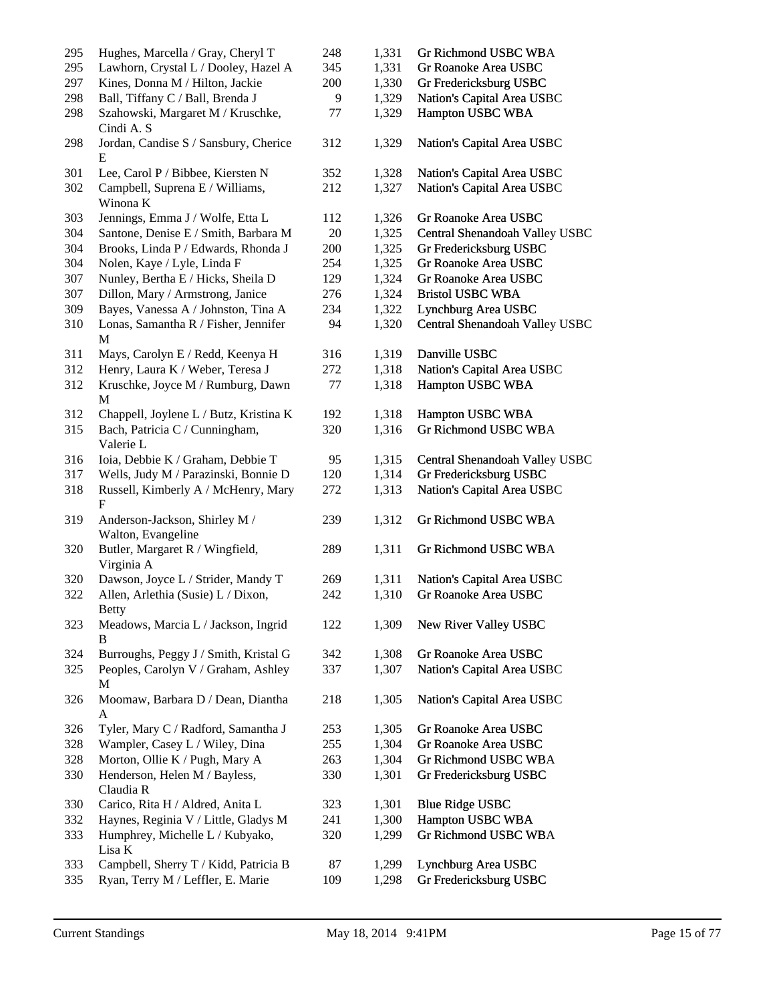| 295        | Hughes, Marcella / Gray, Cheryl T                                          | 248       | 1,331          | Gr Richmond USBC WBA                          |
|------------|----------------------------------------------------------------------------|-----------|----------------|-----------------------------------------------|
| 295        | Lawhorn, Crystal L / Dooley, Hazel A                                       | 345       | 1,331          | Gr Roanoke Area USBC                          |
| 297        | Kines, Donna M / Hilton, Jackie                                            | 200       | 1,330          | Gr Fredericksburg USBC                        |
| 298        | Ball, Tiffany C / Ball, Brenda J                                           | 9         | 1,329          | Nation's Capital Area USBC                    |
| 298        | Szahowski, Margaret M / Kruschke,<br>Cindi A. S                            | 77        | 1,329          | Hampton USBC WBA                              |
| 298        | Jordan, Candise S / Sansbury, Cherice<br>E                                 | 312       | 1,329          | Nation's Capital Area USBC                    |
| 301        | Lee, Carol P / Bibbee, Kiersten N                                          | 352       | 1,328          | Nation's Capital Area USBC                    |
| 302        | Campbell, Suprena E / Williams,                                            | 212       | 1,327          | Nation's Capital Area USBC                    |
|            | Winona K                                                                   |           |                |                                               |
| 303        | Jennings, Emma J / Wolfe, Etta L                                           | 112       | 1,326          | Gr Roanoke Area USBC                          |
| 304        | Santone, Denise E / Smith, Barbara M                                       | 20        | 1,325          | Central Shenandoah Valley USBC                |
| 304        | Brooks, Linda P / Edwards, Rhonda J                                        | 200       | 1,325          | Gr Fredericksburg USBC                        |
| 304        | Nolen, Kaye / Lyle, Linda F                                                | 254       | 1,325          | Gr Roanoke Area USBC                          |
| 307        | Nunley, Bertha E / Hicks, Sheila D                                         | 129       | 1,324          | Gr Roanoke Area USBC                          |
| 307        | Dillon, Mary / Armstrong, Janice                                           | 276       | 1,324          | <b>Bristol USBC WBA</b>                       |
| 309        | Bayes, Vanessa A / Johnston, Tina A                                        | 234       | 1,322          | Lynchburg Area USBC                           |
| 310        | Lonas, Samantha R / Fisher, Jennifer                                       | 94        | 1,320          | Central Shenandoah Valley USBC                |
|            | M                                                                          |           |                |                                               |
| 311        | Mays, Carolyn E / Redd, Keenya H                                           | 316       | 1,319          | Danville USBC                                 |
| 312        | Henry, Laura K / Weber, Teresa J                                           | 272       | 1,318          | Nation's Capital Area USBC                    |
| 312        | Kruschke, Joyce M / Rumburg, Dawn                                          | 77        | 1,318          | Hampton USBC WBA                              |
|            | M                                                                          |           |                |                                               |
| 312        | Chappell, Joylene L / Butz, Kristina K                                     | 192       | 1,318          | Hampton USBC WBA                              |
| 315        | Bach, Patricia C / Cunningham,                                             | 320       | 1,316          | Gr Richmond USBC WBA                          |
|            | Valerie L                                                                  |           |                |                                               |
| 316        | Ioia, Debbie K / Graham, Debbie T                                          | 95        | 1,315          | Central Shenandoah Valley USBC                |
| 317        | Wells, Judy M / Parazinski, Bonnie D                                       | 120       | 1,314          | Gr Fredericksburg USBC                        |
| 318        | Russell, Kimberly A / McHenry, Mary                                        | 272       | 1,313          | Nation's Capital Area USBC                    |
|            | F                                                                          |           |                |                                               |
| 319        | Anderson-Jackson, Shirley M /                                              | 239       | 1,312          | Gr Richmond USBC WBA                          |
|            | Walton, Evangeline                                                         |           |                |                                               |
| 320        | Butler, Margaret R / Wingfield,<br>Virginia A                              | 289       | 1,311          | Gr Richmond USBC WBA                          |
| 320        | Dawson, Joyce L / Strider, Mandy T                                         | 269       | 1,311          | Nation's Capital Area USBC                    |
| 322        | Allen, Arlethia (Susie) L / Dixon,                                         | 242       | 1,310          | Gr Roanoke Area USBC                          |
|            | <b>Betty</b>                                                               |           |                |                                               |
| 323        | Meadows, Marcia L / Jackson, Ingrid<br>B                                   | 122       | 1,309          | New River Valley USBC                         |
| 324        | Burroughs, Peggy J / Smith, Kristal G                                      | 342       | 1,308          | Gr Roanoke Area USBC                          |
| 325        | Peoples, Carolyn V / Graham, Ashley                                        | 337       | 1,307          | Nation's Capital Area USBC                    |
|            | M                                                                          |           |                |                                               |
| 326        | Moomaw, Barbara D / Dean, Diantha                                          | 218       | 1,305          | Nation's Capital Area USBC                    |
|            | A                                                                          |           |                |                                               |
| 326        | Tyler, Mary C / Radford, Samantha J                                        | 253       | 1,305          | Gr Roanoke Area USBC                          |
| 328        | Wampler, Casey L / Wiley, Dina                                             | 255       | 1,304          | Gr Roanoke Area USBC                          |
| 328        | Morton, Ollie K / Pugh, Mary A                                             | 263       | 1,304          | Gr Richmond USBC WBA                          |
| 330        | Henderson, Helen M / Bayless,                                              | 330       | 1,301          | Gr Fredericksburg USBC                        |
|            | Claudia R                                                                  |           |                |                                               |
| 330        | Carico, Rita H / Aldred, Anita L                                           | 323       | 1,301          | <b>Blue Ridge USBC</b>                        |
| 332        | Haynes, Reginia V / Little, Gladys M                                       | 241       | 1,300          | Hampton USBC WBA                              |
| 333        | Humphrey, Michelle L / Kubyako,                                            | 320       | 1,299          | Gr Richmond USBC WBA                          |
|            | Lisa K                                                                     |           |                |                                               |
| 333<br>335 | Campbell, Sherry T / Kidd, Patricia B<br>Ryan, Terry M / Leffler, E. Marie | 87<br>109 | 1,299<br>1,298 | Lynchburg Area USBC<br>Gr Fredericksburg USBC |
|            |                                                                            |           |                |                                               |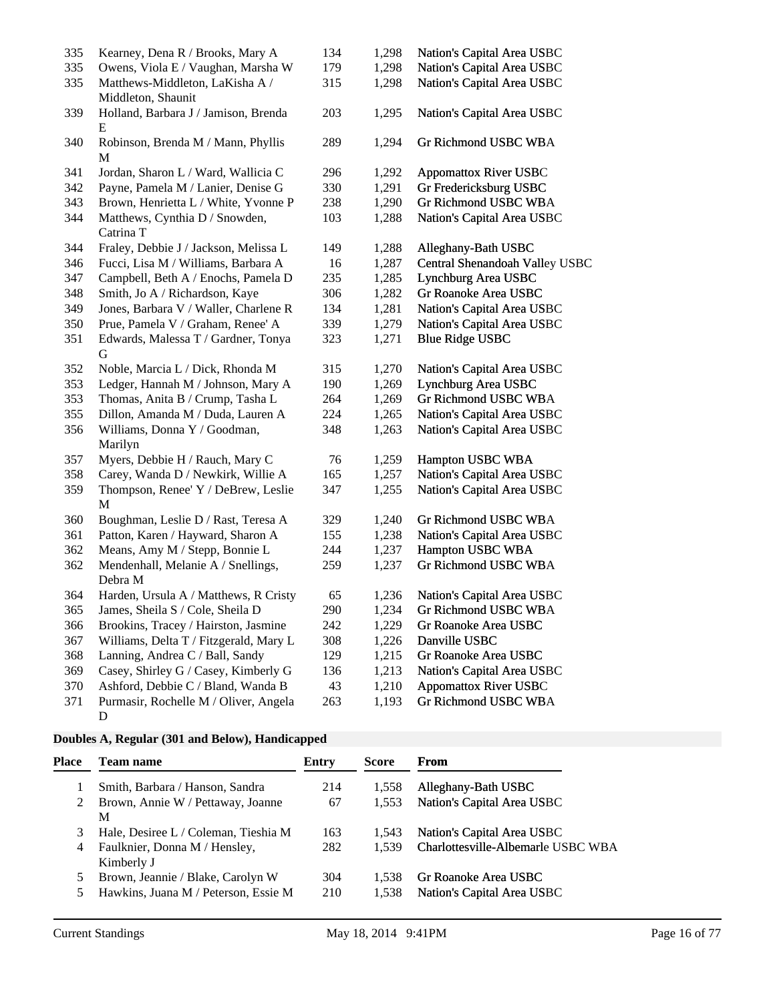| 335 | Kearney, Dena R / Brooks, Mary A                      | 134 | 1,298 | Nation's Capital Area USBC     |
|-----|-------------------------------------------------------|-----|-------|--------------------------------|
| 335 | Owens, Viola E / Vaughan, Marsha W                    | 179 | 1,298 | Nation's Capital Area USBC     |
| 335 | Matthews-Middleton, LaKisha A /<br>Middleton, Shaunit | 315 | 1,298 | Nation's Capital Area USBC     |
| 339 | Holland, Barbara J / Jamison, Brenda                  | 203 | 1,295 | Nation's Capital Area USBC     |
| 340 | E<br>Robinson, Brenda M / Mann, Phyllis<br>M          | 289 | 1,294 | Gr Richmond USBC WBA           |
| 341 | Jordan, Sharon L / Ward, Wallicia C                   | 296 | 1,292 | <b>Appomattox River USBC</b>   |
| 342 | Payne, Pamela M / Lanier, Denise G                    | 330 | 1,291 | Gr Fredericksburg USBC         |
| 343 | Brown, Henrietta L / White, Yvonne P                  | 238 | 1,290 | Gr Richmond USBC WBA           |
| 344 | Matthews, Cynthia D / Snowden,<br>Catrina T           | 103 | 1,288 | Nation's Capital Area USBC     |
| 344 | Fraley, Debbie J / Jackson, Melissa L                 | 149 | 1,288 | Alleghany-Bath USBC            |
| 346 | Fucci, Lisa M / Williams, Barbara A                   | 16  | 1,287 | Central Shenandoah Valley USBC |
| 347 | Campbell, Beth A / Enochs, Pamela D                   | 235 | 1,285 | Lynchburg Area USBC            |
| 348 | Smith, Jo A / Richardson, Kaye                        | 306 | 1,282 | Gr Roanoke Area USBC           |
| 349 | Jones, Barbara V / Waller, Charlene R                 | 134 | 1,281 | Nation's Capital Area USBC     |
| 350 | Prue, Pamela V / Graham, Renee' A                     | 339 | 1,279 | Nation's Capital Area USBC     |
| 351 | Edwards, Malessa T / Gardner, Tonya<br>G              | 323 | 1,271 | <b>Blue Ridge USBC</b>         |
| 352 | Noble, Marcia L / Dick, Rhonda M                      | 315 | 1,270 | Nation's Capital Area USBC     |
| 353 | Ledger, Hannah M / Johnson, Mary A                    | 190 | 1,269 | Lynchburg Area USBC            |
| 353 | Thomas, Anita B / Crump, Tasha L                      | 264 | 1,269 | Gr Richmond USBC WBA           |
| 355 | Dillon, Amanda M / Duda, Lauren A                     | 224 | 1,265 | Nation's Capital Area USBC     |
| 356 | Williams, Donna Y / Goodman,                          | 348 | 1,263 | Nation's Capital Area USBC     |
|     | Marilyn                                               |     |       |                                |
| 357 | Myers, Debbie H / Rauch, Mary C                       | 76  | 1,259 | Hampton USBC WBA               |
| 358 | Carey, Wanda D / Newkirk, Willie A                    | 165 | 1,257 | Nation's Capital Area USBC     |
| 359 | Thompson, Renee' Y / DeBrew, Leslie<br>M              | 347 | 1,255 | Nation's Capital Area USBC     |
| 360 | Boughman, Leslie D / Rast, Teresa A                   | 329 | 1,240 | Gr Richmond USBC WBA           |
| 361 | Patton, Karen / Hayward, Sharon A                     | 155 | 1,238 | Nation's Capital Area USBC     |
| 362 | Means, Amy M / Stepp, Bonnie L                        | 244 | 1,237 | Hampton USBC WBA               |
| 362 | Mendenhall, Melanie A / Snellings,<br>Debra M         | 259 | 1,237 | Gr Richmond USBC WBA           |
| 364 | Harden, Ursula A / Matthews, R Cristy                 | 65  | 1,236 | Nation's Capital Area USBC     |
| 365 | James, Sheila S / Cole, Sheila D                      | 290 | 1,234 | Gr Richmond USBC WBA           |
| 366 | Brookins, Tracey / Hairston, Jasmine                  | 242 | 1,229 | Gr Roanoke Area USBC           |
| 367 | Williams, Delta T / Fitzgerald, Mary L                | 308 | 1,226 | Danville USBC                  |
| 368 | Lanning, Andrea C / Ball, Sandy                       | 129 | 1,215 | Gr Roanoke Area USBC           |
| 369 | Casey, Shirley G / Casey, Kimberly G                  | 136 | 1,213 | Nation's Capital Area USBC     |
| 370 | Ashford, Debbie C / Bland, Wanda B                    | 43  | 1,210 | <b>Appomattox River USBC</b>   |
| 371 | Purmasir, Rochelle M / Oliver, Angela                 | 263 | 1,193 | Gr Richmond USBC WBA           |
|     | D                                                     |     |       |                                |

# **Doubles A, Regular (301 and Below), Handicapped**

| Place | <b>Team name</b>                            | Entry | Score | From                               |
|-------|---------------------------------------------|-------|-------|------------------------------------|
|       | Smith, Barbara / Hanson, Sandra             | 214   | 1,558 | Alleghany-Bath USBC                |
|       | Brown, Annie W / Pettaway, Joanne<br>М      | 67    | 1,553 | Nation's Capital Area USBC         |
| 3     | Hale, Desiree L / Coleman, Tieshia M        | 163   | 1,543 | Nation's Capital Area USBC         |
| 4     | Faulknier, Donna M / Hensley,<br>Kimberly J | 282   | 1.539 | Charlottesville-Albemarle USBC WBA |
| 5     | Brown, Jeannie / Blake, Carolyn W           | 304   | 1.538 | Gr Roanoke Area USBC               |
|       | Hawkins, Juana M / Peterson, Essie M        | 210   | 1.538 | Nation's Capital Area USBC         |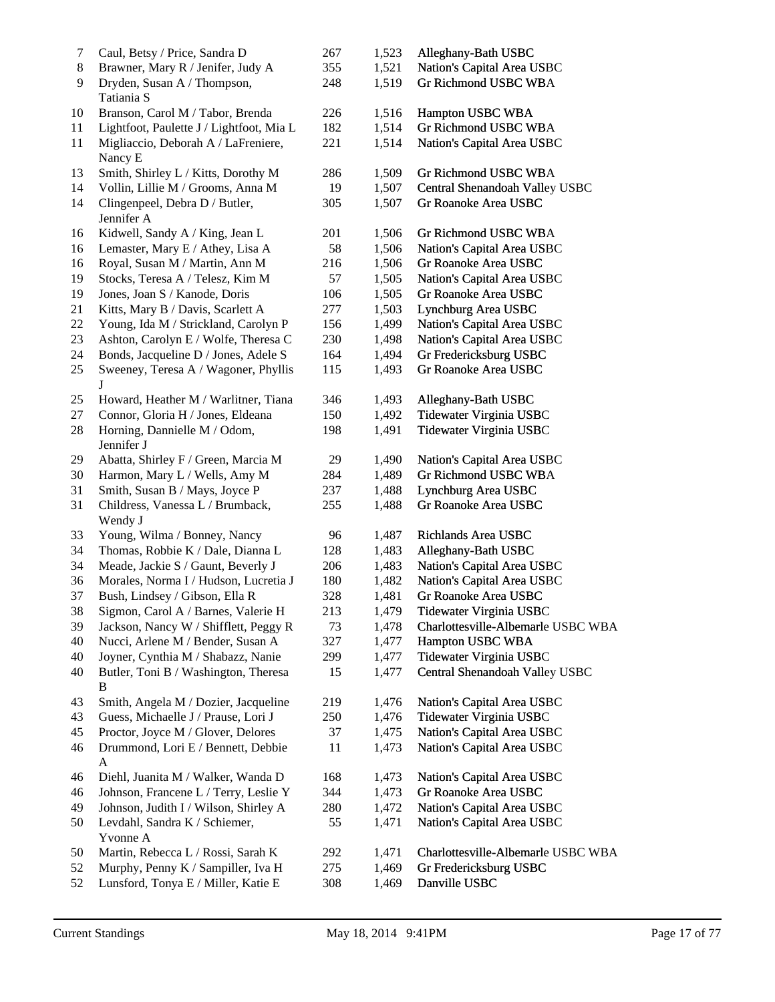| 7  | Caul, Betsy / Price, Sandra D                | 267 | 1,523 | Alleghany-Bath USBC                |
|----|----------------------------------------------|-----|-------|------------------------------------|
| 8  | Brawner, Mary R / Jenifer, Judy A            | 355 | 1,521 | Nation's Capital Area USBC         |
| 9  | Dryden, Susan A / Thompson,<br>Tatiania S    | 248 | 1,519 | Gr Richmond USBC WBA               |
| 10 | Branson, Carol M / Tabor, Brenda             | 226 | 1,516 | Hampton USBC WBA                   |
| 11 | Lightfoot, Paulette J / Lightfoot, Mia L     | 182 | 1,514 | Gr Richmond USBC WBA               |
| 11 | Migliaccio, Deborah A / LaFreniere,          | 221 | 1,514 | Nation's Capital Area USBC         |
|    | Nancy E                                      |     |       |                                    |
| 13 | Smith, Shirley L / Kitts, Dorothy M          | 286 | 1,509 | Gr Richmond USBC WBA               |
| 14 | Vollin, Lillie M / Grooms, Anna M            | 19  | 1,507 | Central Shenandoah Valley USBC     |
| 14 | Clingenpeel, Debra D / Butler,<br>Jennifer A | 305 | 1,507 | Gr Roanoke Area USBC               |
| 16 | Kidwell, Sandy A / King, Jean L              | 201 | 1,506 | Gr Richmond USBC WBA               |
| 16 | Lemaster, Mary E / Athey, Lisa A             | 58  | 1,506 | Nation's Capital Area USBC         |
| 16 | Royal, Susan M / Martin, Ann M               | 216 | 1,506 | Gr Roanoke Area USBC               |
| 19 | Stocks, Teresa A / Telesz, Kim M             | 57  | 1,505 | Nation's Capital Area USBC         |
| 19 | Jones, Joan S / Kanode, Doris                | 106 | 1,505 | Gr Roanoke Area USBC               |
| 21 | Kitts, Mary B / Davis, Scarlett A            | 277 | 1,503 | Lynchburg Area USBC                |
| 22 | Young, Ida M / Strickland, Carolyn P         | 156 | 1,499 | Nation's Capital Area USBC         |
| 23 | Ashton, Carolyn E / Wolfe, Theresa C         | 230 | 1,498 | Nation's Capital Area USBC         |
| 24 | Bonds, Jacqueline D / Jones, Adele S         | 164 | 1,494 | Gr Fredericksburg USBC             |
| 25 | Sweeney, Teresa A / Wagoner, Phyllis<br>J    | 115 | 1,493 | Gr Roanoke Area USBC               |
| 25 | Howard, Heather M / Warlitner, Tiana         | 346 | 1,493 | Alleghany-Bath USBC                |
| 27 | Connor, Gloria H / Jones, Eldeana            | 150 | 1,492 | Tidewater Virginia USBC            |
| 28 | Horning, Dannielle M / Odom,<br>Jennifer J   | 198 | 1,491 | Tidewater Virginia USBC            |
| 29 | Abatta, Shirley F / Green, Marcia M          | 29  | 1,490 | Nation's Capital Area USBC         |
| 30 | Harmon, Mary L / Wells, Amy M                | 284 | 1,489 | Gr Richmond USBC WBA               |
| 31 | Smith, Susan B / Mays, Joyce P               | 237 | 1,488 | Lynchburg Area USBC                |
| 31 | Childress, Vanessa L / Brumback,<br>Wendy J  | 255 | 1,488 | Gr Roanoke Area USBC               |
| 33 | Young, Wilma / Bonney, Nancy                 | 96  | 1,487 | Richlands Area USBC                |
| 34 | Thomas, Robbie K / Dale, Dianna L            | 128 | 1,483 | Alleghany-Bath USBC                |
| 34 | Meade, Jackie S / Gaunt, Beverly J           | 206 | 1,483 | Nation's Capital Area USBC         |
| 36 | Morales, Norma I / Hudson, Lucretia J        | 180 | 1,482 | Nation's Capital Area USBC         |
| 37 | Bush, Lindsey / Gibson, Ella R               | 328 | 1,481 | Gr Roanoke Area USBC               |
| 38 | Sigmon, Carol A / Barnes, Valerie H          | 213 | 1,479 | Tidewater Virginia USBC            |
| 39 | Jackson, Nancy W / Shifflett, Peggy R        | 73  | 1,478 | Charlottesville-Albemarle USBC WBA |
| 40 | Nucci, Arlene M / Bender, Susan A            | 327 | 1,477 | Hampton USBC WBA                   |
| 40 | Joyner, Cynthia M / Shabazz, Nanie           | 299 | 1,477 | Tidewater Virginia USBC            |
| 40 | Butler, Toni B / Washington, Theresa<br>B    | 15  | 1,477 | Central Shenandoah Valley USBC     |
| 43 | Smith, Angela M / Dozier, Jacqueline         | 219 | 1,476 | Nation's Capital Area USBC         |
| 43 | Guess, Michaelle J / Prause, Lori J          | 250 | 1,476 | Tidewater Virginia USBC            |
| 45 | Proctor, Joyce M / Glover, Delores           | 37  | 1,475 | Nation's Capital Area USBC         |
| 46 | Drummond, Lori E / Bennett, Debbie<br>A      | 11  | 1,473 | Nation's Capital Area USBC         |
| 46 | Diehl, Juanita M / Walker, Wanda D           | 168 | 1,473 | Nation's Capital Area USBC         |
| 46 | Johnson, Francene L / Terry, Leslie Y        | 344 | 1,473 | Gr Roanoke Area USBC               |
| 49 | Johnson, Judith I / Wilson, Shirley A        | 280 | 1,472 | Nation's Capital Area USBC         |
| 50 | Levdahl, Sandra K / Schiemer,<br>Yvonne A    | 55  | 1,471 | Nation's Capital Area USBC         |
| 50 | Martin, Rebecca L / Rossi, Sarah K           | 292 | 1,471 | Charlottesville-Albemarle USBC WBA |
| 52 | Murphy, Penny K / Sampiller, Iva H           | 275 | 1,469 | Gr Fredericksburg USBC             |
| 52 | Lunsford, Tonya E / Miller, Katie E          | 308 | 1,469 | Danville USBC                      |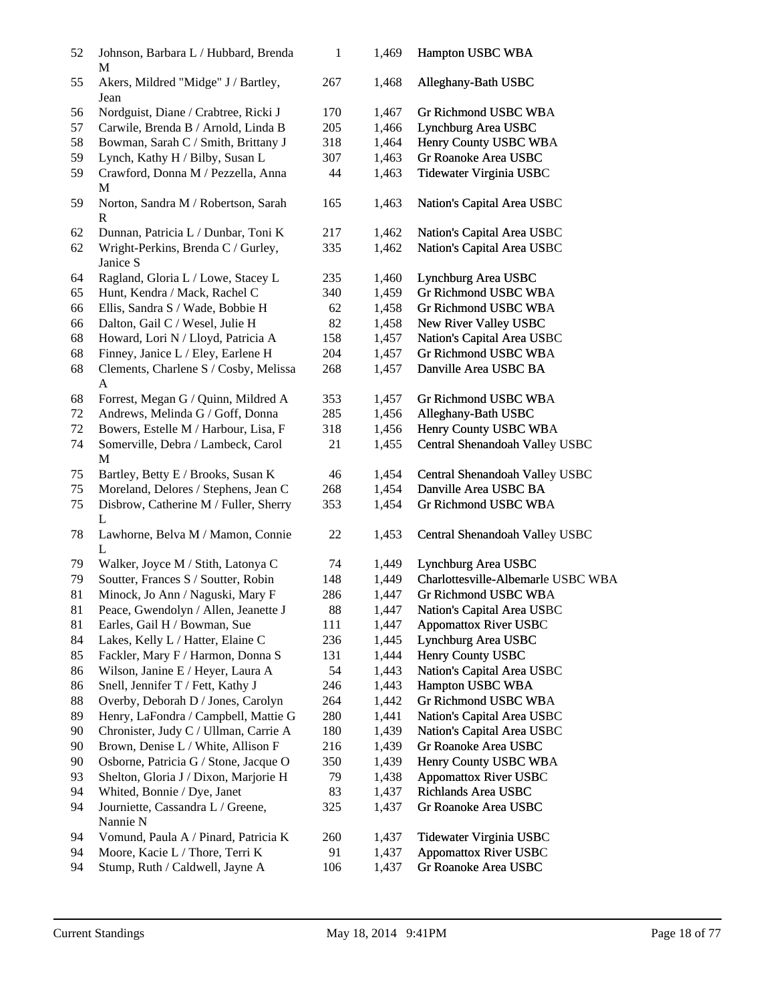| 52 | Johnson, Barbara L / Hubbard, Brenda<br>M      | 1   | 1,469 | Hampton USBC WBA                   |
|----|------------------------------------------------|-----|-------|------------------------------------|
| 55 | Akers, Mildred "Midge" J / Bartley,<br>Jean    | 267 | 1,468 | Alleghany-Bath USBC                |
| 56 | Nordguist, Diane / Crabtree, Ricki J           | 170 | 1,467 | Gr Richmond USBC WBA               |
| 57 | Carwile, Brenda B / Arnold, Linda B            | 205 | 1,466 | Lynchburg Area USBC                |
| 58 | Bowman, Sarah C / Smith, Brittany J            | 318 | 1,464 | Henry County USBC WBA              |
| 59 | Lynch, Kathy H / Bilby, Susan L                | 307 | 1,463 | Gr Roanoke Area USBC               |
| 59 | Crawford, Donna M / Pezzella, Anna<br>M        | 44  | 1,463 | Tidewater Virginia USBC            |
| 59 | Norton, Sandra M / Robertson, Sarah<br>R       | 165 | 1,463 | Nation's Capital Area USBC         |
| 62 | Dunnan, Patricia L / Dunbar, Toni K            | 217 | 1,462 | Nation's Capital Area USBC         |
| 62 | Wright-Perkins, Brenda C / Gurley,<br>Janice S | 335 | 1,462 | Nation's Capital Area USBC         |
| 64 | Ragland, Gloria L / Lowe, Stacey L             | 235 | 1,460 | Lynchburg Area USBC                |
| 65 | Hunt, Kendra / Mack, Rachel C                  | 340 | 1,459 | Gr Richmond USBC WBA               |
| 66 | Ellis, Sandra S / Wade, Bobbie H               | 62  | 1,458 | Gr Richmond USBC WBA               |
| 66 | Dalton, Gail C / Wesel, Julie H                | 82  | 1,458 | New River Valley USBC              |
| 68 | Howard, Lori N / Lloyd, Patricia A             | 158 | 1,457 | Nation's Capital Area USBC         |
| 68 | Finney, Janice L / Eley, Earlene H             | 204 | 1,457 | Gr Richmond USBC WBA               |
| 68 | Clements, Charlene S / Cosby, Melissa<br>A     | 268 | 1,457 | Danville Area USBC BA              |
| 68 | Forrest, Megan G / Quinn, Mildred A            | 353 | 1,457 | Gr Richmond USBC WBA               |
| 72 | Andrews, Melinda G / Goff, Donna               | 285 | 1,456 | Alleghany-Bath USBC                |
| 72 | Bowers, Estelle M / Harbour, Lisa, F           | 318 | 1,456 | Henry County USBC WBA              |
| 74 | Somerville, Debra / Lambeck, Carol<br>M        | 21  | 1,455 | Central Shenandoah Valley USBC     |
| 75 | Bartley, Betty E / Brooks, Susan K             | 46  | 1,454 | Central Shenandoah Valley USBC     |
| 75 | Moreland, Delores / Stephens, Jean C           | 268 | 1,454 | Danville Area USBC BA              |
| 75 | Disbrow, Catherine M / Fuller, Sherry<br>L     | 353 | 1,454 | Gr Richmond USBC WBA               |
| 78 | Lawhorne, Belva M / Mamon, Connie<br>L         | 22  | 1,453 | Central Shenandoah Valley USBC     |
| 79 | Walker, Joyce M / Stith, Latonya C             | 74  | 1,449 | Lynchburg Area USBC                |
| 79 | Soutter, Frances S / Soutter, Robin            | 148 | 1,449 | Charlottesville-Albemarle USBC WBA |
| 81 | Minock, Jo Ann / Naguski, Mary F               | 286 | 1,447 | Gr Richmond USBC WBA               |
| 81 | Peace, Gwendolyn / Allen, Jeanette J           | 88  | 1,447 | Nation's Capital Area USBC         |
| 81 | Earles, Gail H / Bowman, Sue                   | 111 | 1,447 | <b>Appomattox River USBC</b>       |
| 84 | Lakes, Kelly L / Hatter, Elaine C              | 236 | 1,445 | Lynchburg Area USBC                |
| 85 | Fackler, Mary F / Harmon, Donna S              | 131 | 1,444 | Henry County USBC                  |
| 86 | Wilson, Janine E / Heyer, Laura A              | 54  | 1,443 | Nation's Capital Area USBC         |
| 86 | Snell, Jennifer T / Fett, Kathy J              | 246 | 1,443 | Hampton USBC WBA                   |
| 88 | Overby, Deborah D / Jones, Carolyn             | 264 | 1,442 | Gr Richmond USBC WBA               |
| 89 | Henry, LaFondra / Campbell, Mattie G           | 280 | 1,441 | Nation's Capital Area USBC         |
| 90 | Chronister, Judy C / Ullman, Carrie A          | 180 | 1,439 | Nation's Capital Area USBC         |
| 90 | Brown, Denise L / White, Allison F             | 216 | 1,439 | Gr Roanoke Area USBC               |
| 90 | Osborne, Patricia G / Stone, Jacque O          | 350 | 1,439 | Henry County USBC WBA              |
| 93 | Shelton, Gloria J / Dixon, Marjorie H          | 79  | 1,438 | <b>Appomattox River USBC</b>       |
| 94 | Whited, Bonnie / Dye, Janet                    | 83  | 1,437 | Richlands Area USBC                |
| 94 | Journiette, Cassandra L / Greene,<br>Nannie N  | 325 | 1,437 | Gr Roanoke Area USBC               |
| 94 | Vomund, Paula A / Pinard, Patricia K           | 260 | 1,437 | Tidewater Virginia USBC            |
| 94 | Moore, Kacie L / Thore, Terri K                | 91  | 1,437 | <b>Appomattox River USBC</b>       |
| 94 | Stump, Ruth / Caldwell, Jayne A                | 106 | 1,437 | Gr Roanoke Area USBC               |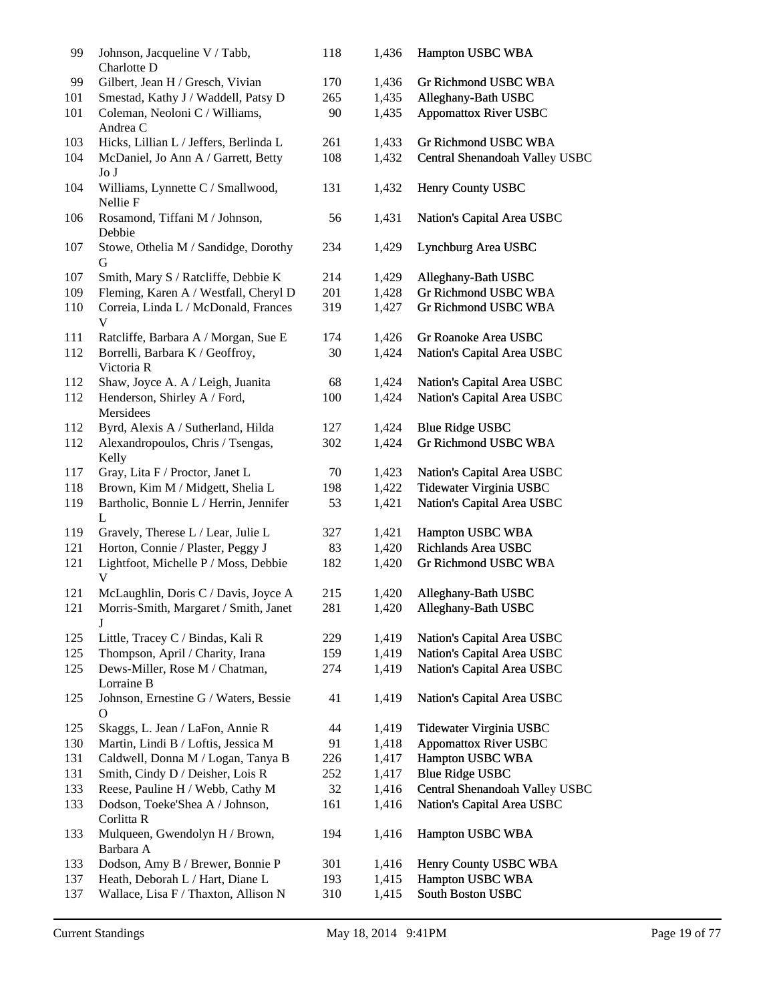| 99  | Johnson, Jacqueline V / Tabb,<br>Charlotte D  | 118 | 1,436 | Hampton USBC WBA               |
|-----|-----------------------------------------------|-----|-------|--------------------------------|
| 99  | Gilbert, Jean H / Gresch, Vivian              | 170 | 1,436 | Gr Richmond USBC WBA           |
| 101 | Smestad, Kathy J / Waddell, Patsy D           | 265 | 1,435 | Alleghany-Bath USBC            |
| 101 | Coleman, Neoloni C / Williams,<br>Andrea C    | 90  | 1,435 | <b>Appomattox River USBC</b>   |
| 103 | Hicks, Lillian L / Jeffers, Berlinda L        | 261 | 1,433 | Gr Richmond USBC WBA           |
| 104 | McDaniel, Jo Ann A / Garrett, Betty<br>Jo J   | 108 | 1,432 | Central Shenandoah Valley USBC |
| 104 | Williams, Lynnette C / Smallwood,<br>Nellie F | 131 | 1,432 | Henry County USBC              |
| 106 | Rosamond, Tiffani M / Johnson,<br>Debbie      | 56  | 1,431 | Nation's Capital Area USBC     |
| 107 | Stowe, Othelia M / Sandidge, Dorothy<br>G     | 234 | 1,429 | Lynchburg Area USBC            |
| 107 | Smith, Mary S / Ratcliffe, Debbie K           | 214 | 1,429 | Alleghany-Bath USBC            |
| 109 | Fleming, Karen A / Westfall, Cheryl D         | 201 | 1,428 | <b>Gr Richmond USBC WBA</b>    |
| 110 | Correia, Linda L / McDonald, Frances<br>V     | 319 | 1,427 | Gr Richmond USBC WBA           |
| 111 | Ratcliffe, Barbara A / Morgan, Sue E          | 174 | 1,426 | Gr Roanoke Area USBC           |
| 112 | Borrelli, Barbara K / Geoffroy,<br>Victoria R | 30  | 1,424 | Nation's Capital Area USBC     |
| 112 | Shaw, Joyce A. A / Leigh, Juanita             | 68  | 1,424 | Nation's Capital Area USBC     |
| 112 | Henderson, Shirley A / Ford,                  | 100 | 1,424 | Nation's Capital Area USBC     |
|     | Mersidees                                     |     |       |                                |
| 112 | Byrd, Alexis A / Sutherland, Hilda            | 127 | 1,424 | <b>Blue Ridge USBC</b>         |
| 112 | Alexandropoulos, Chris / Tsengas,<br>Kelly    | 302 | 1,424 | Gr Richmond USBC WBA           |
| 117 | Gray, Lita F / Proctor, Janet L               | 70  | 1,423 | Nation's Capital Area USBC     |
| 118 | Brown, Kim M / Midgett, Shelia L              | 198 | 1,422 | Tidewater Virginia USBC        |
| 119 | Bartholic, Bonnie L / Herrin, Jennifer<br>L   | 53  | 1,421 | Nation's Capital Area USBC     |
| 119 | Gravely, Therese L / Lear, Julie L            | 327 | 1,421 | Hampton USBC WBA               |
| 121 | Horton, Connie / Plaster, Peggy J             | 83  | 1,420 | Richlands Area USBC            |
| 121 | Lightfoot, Michelle P / Moss, Debbie<br>V     | 182 | 1,420 | Gr Richmond USBC WBA           |
| 121 | McLaughlin, Doris C / Davis, Joyce A          | 215 | 1,420 | Alleghany-Bath USBC            |
| 121 | Morris-Smith, Margaret / Smith, Janet<br>J    | 281 | 1,420 | Alleghany-Bath USBC            |
| 125 | Little, Tracey C / Bindas, Kali R             | 229 | 1,419 | Nation's Capital Area USBC     |
| 125 | Thompson, April / Charity, Irana              | 159 | 1,419 | Nation's Capital Area USBC     |
| 125 | Dews-Miller, Rose M / Chatman,<br>Lorraine B  | 274 | 1,419 | Nation's Capital Area USBC     |
| 125 | Johnson, Ernestine G / Waters, Bessie<br>O    | 41  | 1,419 | Nation's Capital Area USBC     |
| 125 | Skaggs, L. Jean / LaFon, Annie R              | 44  | 1,419 | Tidewater Virginia USBC        |
| 130 | Martin, Lindi B / Loftis, Jessica M           | 91  | 1,418 | <b>Appomattox River USBC</b>   |
| 131 | Caldwell, Donna M / Logan, Tanya B            | 226 | 1,417 | Hampton USBC WBA               |
| 131 | Smith, Cindy D / Deisher, Lois R              | 252 | 1,417 | <b>Blue Ridge USBC</b>         |
| 133 | Reese, Pauline H / Webb, Cathy M              | 32  | 1,416 | Central Shenandoah Valley USBC |
| 133 | Dodson, Toeke'Shea A / Johnson,<br>Corlitta R | 161 | 1,416 | Nation's Capital Area USBC     |
| 133 | Mulqueen, Gwendolyn H / Brown,<br>Barbara A   | 194 | 1,416 | Hampton USBC WBA               |
| 133 | Dodson, Amy B / Brewer, Bonnie P              | 301 | 1,416 | Henry County USBC WBA          |
| 137 | Heath, Deborah L / Hart, Diane L              | 193 | 1,415 | Hampton USBC WBA               |
| 137 | Wallace, Lisa F / Thaxton, Allison N          | 310 | 1,415 | South Boston USBC              |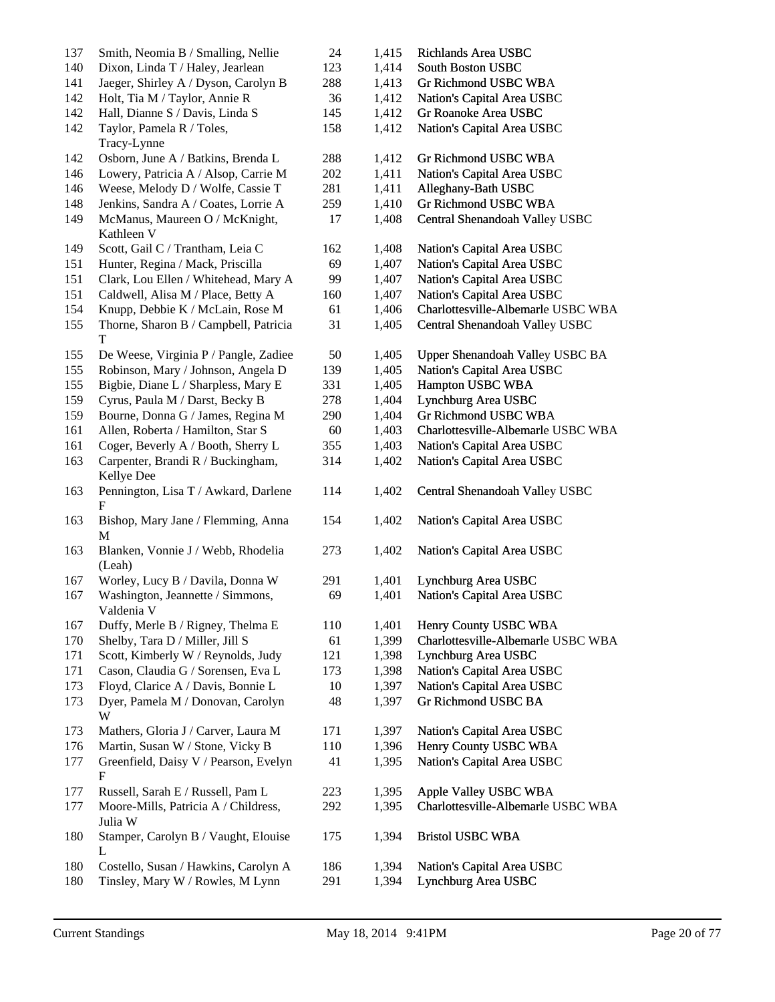| 137        | Smith, Neomia B / Smalling, Nellie                                       | 24         | 1,415          | Richlands Area USBC                               |
|------------|--------------------------------------------------------------------------|------------|----------------|---------------------------------------------------|
| 140        | Dixon, Linda T / Haley, Jearlean                                         | 123        | 1,414          | <b>South Boston USBC</b>                          |
| 141        | Jaeger, Shirley A / Dyson, Carolyn B                                     | 288        | 1,413          | Gr Richmond USBC WBA                              |
| 142        | Holt, Tia M / Taylor, Annie R                                            | 36         | 1,412          | Nation's Capital Area USBC                        |
| 142        | Hall, Dianne S / Davis, Linda S                                          | 145        | 1,412          | Gr Roanoke Area USBC                              |
| 142        | Taylor, Pamela R / Toles,<br>Tracy-Lynne                                 | 158        | 1,412          | Nation's Capital Area USBC                        |
| 142        | Osborn, June A / Batkins, Brenda L                                       | 288        | 1,412          | Gr Richmond USBC WBA                              |
| 146        | Lowery, Patricia A / Alsop, Carrie M                                     | 202        | 1,411          | Nation's Capital Area USBC                        |
| 146        | Weese, Melody D / Wolfe, Cassie T                                        | 281        | 1,411          | Alleghany-Bath USBC                               |
| 148        | Jenkins, Sandra A / Coates, Lorrie A                                     | 259        | 1,410          | Gr Richmond USBC WBA                              |
| 149        | McManus, Maureen O / McKnight,<br>Kathleen V                             | 17         | 1,408          | Central Shenandoah Valley USBC                    |
| 149        | Scott, Gail C / Trantham, Leia C                                         | 162        | 1,408          | Nation's Capital Area USBC                        |
| 151        | Hunter, Regina / Mack, Priscilla                                         | 69         | 1,407          | Nation's Capital Area USBC                        |
| 151        | Clark, Lou Ellen / Whitehead, Mary A                                     | 99         | 1,407          | Nation's Capital Area USBC                        |
| 151        | Caldwell, Alisa M / Place, Betty A                                       | 160        | 1,407          | Nation's Capital Area USBC                        |
| 154        | Knupp, Debbie K / McLain, Rose M                                         | 61         | 1,406          | Charlottesville-Albemarle USBC WBA                |
| 155        | Thorne, Sharon B / Campbell, Patricia                                    | 31         | 1,405          | Central Shenandoah Valley USBC                    |
|            | T                                                                        |            |                |                                                   |
| 155        | De Weese, Virginia P / Pangle, Zadiee                                    | 50         | 1,405          | <b>Upper Shenandoah Valley USBC BA</b>            |
| 155        | Robinson, Mary / Johnson, Angela D                                       | 139        | 1,405          | Nation's Capital Area USBC                        |
| 155        | Bigbie, Diane L / Sharpless, Mary E                                      | 331        | 1,405          | Hampton USBC WBA                                  |
| 159        | Cyrus, Paula M / Darst, Becky B                                          | 278        | 1,404          | Lynchburg Area USBC                               |
| 159        | Bourne, Donna G / James, Regina M                                        | 290        | 1,404          | Gr Richmond USBC WBA                              |
| 161        | Allen, Roberta / Hamilton, Star S                                        | 60         | 1,403          | Charlottesville-Albemarle USBC WBA                |
| 161        | Coger, Beverly A / Booth, Sherry L                                       | 355        | 1,403          | Nation's Capital Area USBC                        |
| 163        | Carpenter, Brandi R / Buckingham,<br>Kellye Dee                          | 314        | 1,402          | Nation's Capital Area USBC                        |
| 163        | Pennington, Lisa T / Awkard, Darlene<br>F                                | 114        | 1,402          | Central Shenandoah Valley USBC                    |
| 163        | Bishop, Mary Jane / Flemming, Anna<br>M                                  | 154        | 1,402          | Nation's Capital Area USBC                        |
| 163        | Blanken, Vonnie J / Webb, Rhodelia<br>(Leah)                             | 273        | 1,402          | Nation's Capital Area USBC                        |
| 167        | Worley, Lucy B / Davila, Donna W                                         | 291        | 1,401          | Lynchburg Area USBC                               |
| 167        | Washington, Jeannette / Simmons,<br>Valdenia V                           | 69         | 1,401          | Nation's Capital Area USBC                        |
| 167        | Duffy, Merle B / Rigney, Thelma E                                        | 110        | 1,401          | Henry County USBC WBA                             |
| 170        | Shelby, Tara D / Miller, Jill S                                          | 61         | 1,399          | Charlottesville-Albemarle USBC WBA                |
| 171        | Scott, Kimberly W / Reynolds, Judy                                       | 121        | 1,398          | Lynchburg Area USBC                               |
| 171        | Cason, Claudia G / Sorensen, Eva L                                       | 173        | 1,398          | Nation's Capital Area USBC                        |
| 173        | Floyd, Clarice A / Davis, Bonnie L                                       | 10         | 1,397          | Nation's Capital Area USBC                        |
| 173        | Dyer, Pamela M / Donovan, Carolyn<br>W                                   | 48         | 1,397          | <b>Gr Richmond USBC BA</b>                        |
| 173        | Mathers, Gloria J / Carver, Laura M                                      | 171        | 1,397          | Nation's Capital Area USBC                        |
| 176        | Martin, Susan W / Stone, Vicky B                                         | 110        | 1,396          | Henry County USBC WBA                             |
| 177        | Greenfield, Daisy V / Pearson, Evelyn                                    | 41         | 1,395          | Nation's Capital Area USBC                        |
|            | F                                                                        |            |                |                                                   |
| 177        | Russell, Sarah E / Russell, Pam L                                        | 223        | 1,395          | Apple Valley USBC WBA                             |
| 177        | Moore-Mills, Patricia A / Childress,<br>Julia W                          | 292        | 1,395          | Charlottesville-Albemarle USBC WBA                |
| 180        | Stamper, Carolyn B / Vaught, Elouise<br>L                                | 175        | 1,394          | <b>Bristol USBC WBA</b>                           |
| 180<br>180 | Costello, Susan / Hawkins, Carolyn A<br>Tinsley, Mary W / Rowles, M Lynn | 186<br>291 | 1,394<br>1,394 | Nation's Capital Area USBC<br>Lynchburg Area USBC |
|            |                                                                          |            |                |                                                   |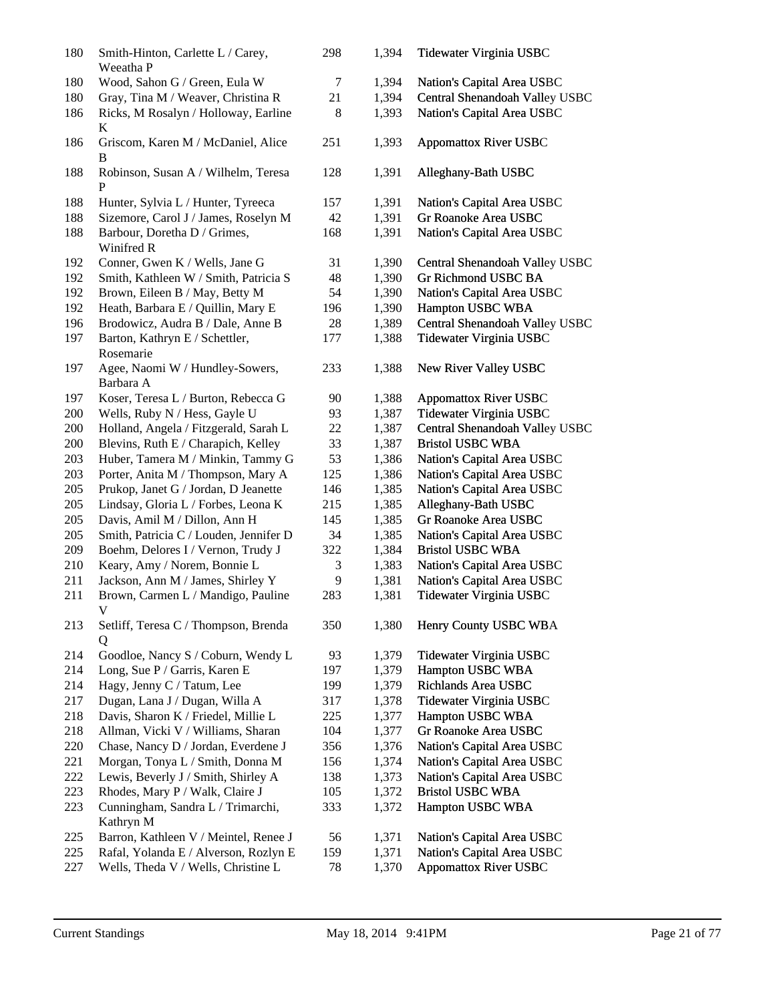| 180 | Smith-Hinton, Carlette L / Carey,<br>Weeatha P     | 298    | 1,394 | Tidewater Virginia USBC        |
|-----|----------------------------------------------------|--------|-------|--------------------------------|
| 180 | Wood, Sahon G / Green, Eula W                      | $\tau$ | 1,394 | Nation's Capital Area USBC     |
| 180 | Gray, Tina M / Weaver, Christina R                 | 21     | 1,394 | Central Shenandoah Valley USBC |
| 186 | Ricks, M Rosalyn / Holloway, Earline<br>K          | 8      | 1,393 | Nation's Capital Area USBC     |
| 186 | Griscom, Karen M / McDaniel, Alice<br>B            | 251    | 1,393 | <b>Appomattox River USBC</b>   |
| 188 | Robinson, Susan A / Wilhelm, Teresa<br>$\mathbf P$ | 128    | 1,391 | Alleghany-Bath USBC            |
| 188 | Hunter, Sylvia L / Hunter, Tyreeca                 | 157    | 1,391 | Nation's Capital Area USBC     |
| 188 | Sizemore, Carol J / James, Roselyn M               | 42     | 1,391 | Gr Roanoke Area USBC           |
| 188 | Barbour, Doretha D / Grimes,<br>Winifred R         | 168    | 1,391 | Nation's Capital Area USBC     |
| 192 | Conner, Gwen K / Wells, Jane G                     | 31     | 1,390 | Central Shenandoah Valley USBC |
| 192 | Smith, Kathleen W / Smith, Patricia S              | 48     | 1,390 | Gr Richmond USBC BA            |
| 192 | Brown, Eileen B / May, Betty M                     | 54     | 1,390 | Nation's Capital Area USBC     |
| 192 | Heath, Barbara E / Quillin, Mary E                 | 196    | 1,390 | Hampton USBC WBA               |
| 196 | Brodowicz, Audra B / Dale, Anne B                  | 28     | 1,389 | Central Shenandoah Valley USBC |
| 197 | Barton, Kathryn E / Schettler,<br>Rosemarie        | 177    | 1,388 | Tidewater Virginia USBC        |
| 197 | Agee, Naomi W / Hundley-Sowers,<br>Barbara A       | 233    | 1,388 | New River Valley USBC          |
| 197 | Koser, Teresa L / Burton, Rebecca G                | 90     | 1,388 | <b>Appomattox River USBC</b>   |
| 200 | Wells, Ruby N / Hess, Gayle U                      | 93     | 1,387 | Tidewater Virginia USBC        |
| 200 | Holland, Angela / Fitzgerald, Sarah L              | 22     | 1,387 | Central Shenandoah Valley USBC |
| 200 | Blevins, Ruth E / Charapich, Kelley                | 33     | 1,387 | <b>Bristol USBC WBA</b>        |
| 203 | Huber, Tamera M / Minkin, Tammy G                  | 53     | 1,386 | Nation's Capital Area USBC     |
| 203 | Porter, Anita M / Thompson, Mary A                 | 125    | 1,386 | Nation's Capital Area USBC     |
| 205 | Prukop, Janet G / Jordan, D Jeanette               | 146    | 1,385 | Nation's Capital Area USBC     |
| 205 | Lindsay, Gloria L / Forbes, Leona K                | 215    | 1,385 | Alleghany-Bath USBC            |
| 205 | Davis, Amil M / Dillon, Ann H                      | 145    | 1,385 | Gr Roanoke Area USBC           |
| 205 | Smith, Patricia C / Louden, Jennifer D             | 34     | 1,385 | Nation's Capital Area USBC     |
| 209 | Boehm, Delores I / Vernon, Trudy J                 | 322    | 1,384 | <b>Bristol USBC WBA</b>        |
| 210 | Keary, Amy / Norem, Bonnie L                       | 3      | 1,383 | Nation's Capital Area USBC     |
| 211 | Jackson, Ann M / James, Shirley Y                  | 9      | 1,381 | Nation's Capital Area USBC     |
| 211 | Brown, Carmen L / Mandigo, Pauline<br>V            | 283    | 1,381 | Tidewater Virginia USBC        |
| 213 | Setliff, Teresa C / Thompson, Brenda<br>Q          | 350    | 1,380 | Henry County USBC WBA          |
| 214 | Goodloe, Nancy S / Coburn, Wendy L                 | 93     | 1,379 | Tidewater Virginia USBC        |
| 214 | Long, Sue P / Garris, Karen E                      | 197    | 1,379 | Hampton USBC WBA               |
| 214 | Hagy, Jenny C / Tatum, Lee                         | 199    | 1,379 | Richlands Area USBC            |
| 217 | Dugan, Lana J / Dugan, Willa A                     | 317    | 1,378 | Tidewater Virginia USBC        |
| 218 | Davis, Sharon K / Friedel, Millie L                | 225    | 1,377 | Hampton USBC WBA               |
| 218 | Allman, Vicki V / Williams, Sharan                 | 104    | 1,377 | Gr Roanoke Area USBC           |
| 220 | Chase, Nancy D / Jordan, Everdene J                | 356    | 1,376 | Nation's Capital Area USBC     |
| 221 | Morgan, Tonya L / Smith, Donna M                   | 156    | 1,374 | Nation's Capital Area USBC     |
| 222 | Lewis, Beverly J / Smith, Shirley A                | 138    | 1,373 | Nation's Capital Area USBC     |
| 223 | Rhodes, Mary P / Walk, Claire J                    | 105    | 1,372 | <b>Bristol USBC WBA</b>        |
| 223 | Cunningham, Sandra L / Trimarchi,<br>Kathryn M     | 333    | 1,372 | Hampton USBC WBA               |
| 225 | Barron, Kathleen V / Meintel, Renee J              | 56     | 1,371 | Nation's Capital Area USBC     |
| 225 | Rafal, Yolanda E / Alverson, Rozlyn E              | 159    | 1,371 | Nation's Capital Area USBC     |
| 227 | Wells, Theda V / Wells, Christine L                | 78     | 1,370 | <b>Appomattox River USBC</b>   |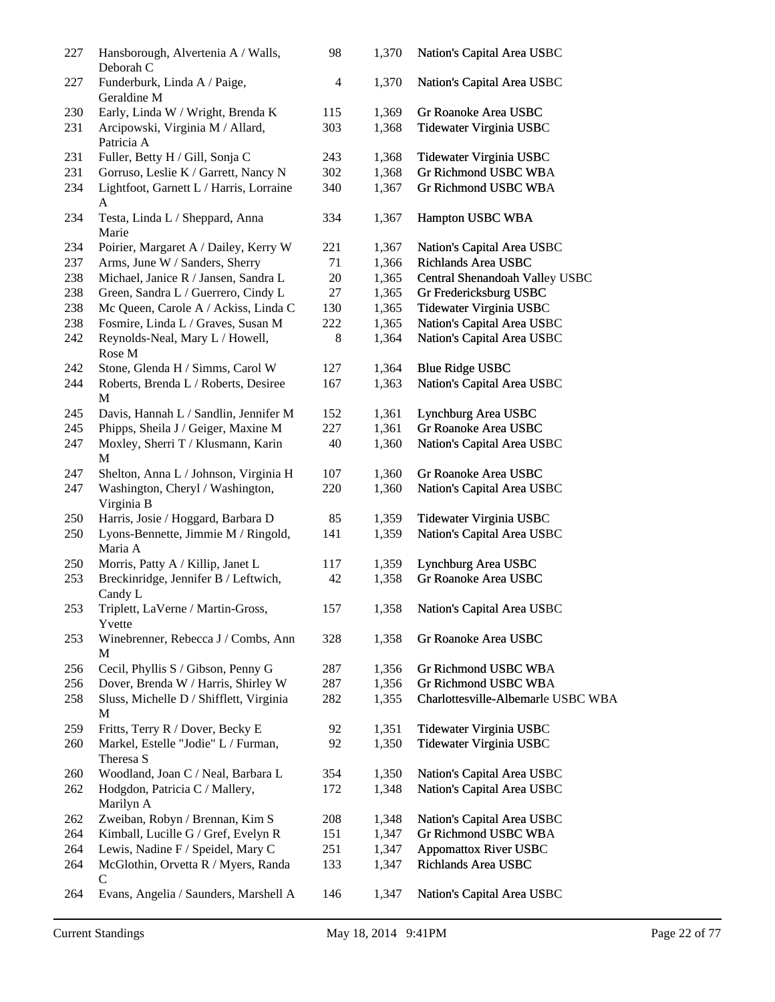| 227 | Hansborough, Alvertenia A / Walls,<br>Deborah C  | 98             | 1,370 | Nation's Capital Area USBC         |
|-----|--------------------------------------------------|----------------|-------|------------------------------------|
| 227 | Funderburk, Linda A / Paige,<br>Geraldine M      | $\overline{4}$ | 1,370 | Nation's Capital Area USBC         |
| 230 | Early, Linda W / Wright, Brenda K                | 115            | 1,369 | Gr Roanoke Area USBC               |
| 231 | Arcipowski, Virginia M / Allard,<br>Patricia A   | 303            | 1,368 | Tidewater Virginia USBC            |
| 231 | Fuller, Betty H / Gill, Sonja C                  | 243            | 1,368 | Tidewater Virginia USBC            |
| 231 | Gorruso, Leslie K / Garrett, Nancy N             | 302            | 1,368 | Gr Richmond USBC WBA               |
| 234 | Lightfoot, Garnett L / Harris, Lorraine          | 340            | 1,367 | Gr Richmond USBC WBA               |
| 234 | A<br>Testa, Linda L / Sheppard, Anna             | 334            | 1,367 | Hampton USBC WBA                   |
|     | Marie                                            |                |       |                                    |
| 234 | Poirier, Margaret A / Dailey, Kerry W            | 221            | 1,367 | Nation's Capital Area USBC         |
| 237 | Arms, June W / Sanders, Sherry                   | 71             | 1,366 | Richlands Area USBC                |
| 238 | Michael, Janice R / Jansen, Sandra L             | 20             | 1,365 | Central Shenandoah Valley USBC     |
| 238 | Green, Sandra L / Guerrero, Cindy L              | 27             | 1,365 | Gr Fredericksburg USBC             |
| 238 | Mc Queen, Carole A / Ackiss, Linda C             | 130            | 1,365 | Tidewater Virginia USBC            |
| 238 | Fosmire, Linda L / Graves, Susan M               | 222            | 1,365 | Nation's Capital Area USBC         |
| 242 | Reynolds-Neal, Mary L / Howell,<br>Rose M        | 8              | 1,364 | Nation's Capital Area USBC         |
| 242 | Stone, Glenda H / Simms, Carol W                 | 127            | 1,364 | <b>Blue Ridge USBC</b>             |
| 244 | Roberts, Brenda L / Roberts, Desiree<br>М        | 167            | 1,363 | Nation's Capital Area USBC         |
| 245 | Davis, Hannah L / Sandlin, Jennifer M            | 152            | 1,361 | Lynchburg Area USBC                |
| 245 | Phipps, Sheila J / Geiger, Maxine M              | 227            | 1,361 | Gr Roanoke Area USBC               |
| 247 | Moxley, Sherri T / Klusmann, Karin<br>М          | 40             | 1,360 | Nation's Capital Area USBC         |
| 247 | Shelton, Anna L / Johnson, Virginia H            | 107            | 1,360 | Gr Roanoke Area USBC               |
| 247 | Washington, Cheryl / Washington,<br>Virginia B   | 220            | 1,360 | Nation's Capital Area USBC         |
| 250 | Harris, Josie / Hoggard, Barbara D               | 85             | 1,359 | Tidewater Virginia USBC            |
| 250 | Lyons-Bennette, Jimmie M / Ringold,<br>Maria A   | 141            | 1,359 | Nation's Capital Area USBC         |
| 250 | Morris, Patty A / Killip, Janet L                | 117            | 1,359 | Lynchburg Area USBC                |
| 253 | Breckinridge, Jennifer B / Leftwich,<br>Candy L  | 42             | 1,358 | Gr Roanoke Area USBC               |
| 253 | Triplett, LaVerne / Martin-Gross,<br>Yvette      | 157            | 1,358 | Nation's Capital Area USBC         |
| 253 | Winebrenner, Rebecca J / Combs, Ann<br>M         | 328            | 1,358 | Gr Roanoke Area USBC               |
| 256 | Cecil, Phyllis S / Gibson, Penny G               | 287            | 1,356 | <b>Gr Richmond USBC WBA</b>        |
| 256 | Dover, Brenda W / Harris, Shirley W              | 287            | 1,356 | Gr Richmond USBC WBA               |
| 258 | Sluss, Michelle D / Shifflett, Virginia<br>M     | 282            | 1,355 | Charlottesville-Albemarle USBC WBA |
| 259 | Fritts, Terry R / Dover, Becky E                 | 92             | 1,351 | Tidewater Virginia USBC            |
| 260 | Markel, Estelle "Jodie" L / Furman,<br>Theresa S | 92             | 1,350 | Tidewater Virginia USBC            |
| 260 | Woodland, Joan C / Neal, Barbara L               | 354            | 1,350 | Nation's Capital Area USBC         |
| 262 | Hodgdon, Patricia C / Mallery,<br>Marilyn A      | 172            | 1,348 | Nation's Capital Area USBC         |
| 262 | Zweiban, Robyn / Brennan, Kim S                  | 208            | 1,348 | Nation's Capital Area USBC         |
| 264 | Kimball, Lucille G / Gref, Evelyn R              | 151            | 1,347 | Gr Richmond USBC WBA               |
| 264 | Lewis, Nadine F / Speidel, Mary C                | 251            | 1,347 | <b>Appomattox River USBC</b>       |
| 264 | McGlothin, Orvetta R / Myers, Randa<br>C         | 133            | 1,347 | Richlands Area USBC                |
| 264 | Evans, Angelia / Saunders, Marshell A            | 146            | 1,347 | Nation's Capital Area USBC         |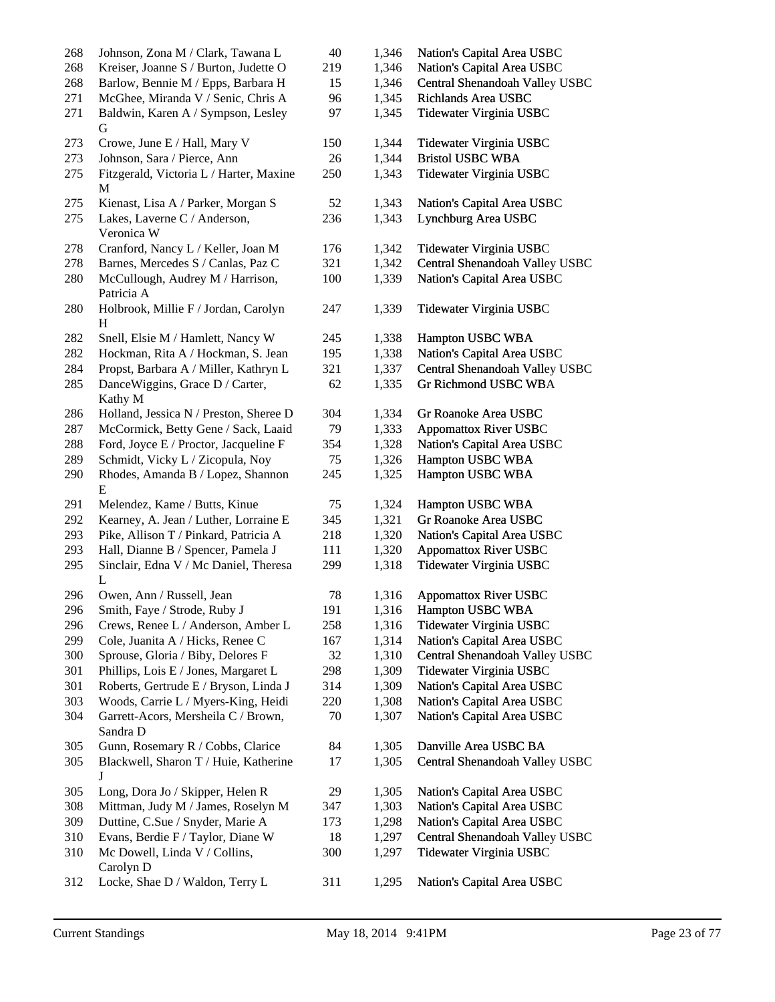| 268 | Johnson, Zona M / Clark, Tawana L          | 40  | 1,346 | Nation's Capital Area USBC     |
|-----|--------------------------------------------|-----|-------|--------------------------------|
| 268 | Kreiser, Joanne S / Burton, Judette O      | 219 | 1,346 | Nation's Capital Area USBC     |
| 268 | Barlow, Bennie M / Epps, Barbara H         | 15  | 1,346 | Central Shenandoah Valley USBC |
| 271 | McGhee, Miranda V / Senic, Chris A         | 96  | 1,345 | Richlands Area USBC            |
| 271 | Baldwin, Karen A / Sympson, Lesley         | 97  | 1,345 | Tidewater Virginia USBC        |
| 273 | G<br>Crowe, June E / Hall, Mary V          | 150 | 1,344 | Tidewater Virginia USBC        |
| 273 | Johnson, Sara / Pierce, Ann                | 26  | 1,344 | <b>Bristol USBC WBA</b>        |
| 275 | Fitzgerald, Victoria L / Harter, Maxine    | 250 | 1,343 | Tidewater Virginia USBC        |
|     | M                                          |     |       |                                |
| 275 | Kienast, Lisa A / Parker, Morgan S         | 52  | 1,343 | Nation's Capital Area USBC     |
| 275 | Lakes, Laverne C / Anderson,<br>Veronica W | 236 | 1,343 | Lynchburg Area USBC            |
| 278 | Cranford, Nancy L / Keller, Joan M         | 176 | 1,342 | Tidewater Virginia USBC        |
| 278 | Barnes, Mercedes S / Canlas, Paz C         | 321 | 1,342 | Central Shenandoah Valley USBC |
| 280 | McCullough, Audrey M / Harrison,           | 100 | 1,339 | Nation's Capital Area USBC     |
|     | Patricia A                                 |     |       |                                |
| 280 | Holbrook, Millie F / Jordan, Carolyn<br>H  | 247 | 1,339 | Tidewater Virginia USBC        |
| 282 | Snell, Elsie M / Hamlett, Nancy W          | 245 | 1,338 | Hampton USBC WBA               |
| 282 | Hockman, Rita A / Hockman, S. Jean         | 195 | 1,338 | Nation's Capital Area USBC     |
| 284 | Propst, Barbara A / Miller, Kathryn L      | 321 | 1,337 | Central Shenandoah Valley USBC |
| 285 | DanceWiggins, Grace D / Carter,            | 62  | 1,335 | Gr Richmond USBC WBA           |
|     | Kathy M                                    |     |       |                                |
| 286 | Holland, Jessica N / Preston, Sheree D     | 304 | 1,334 | Gr Roanoke Area USBC           |
| 287 | McCormick, Betty Gene / Sack, Laaid        | 79  | 1,333 | <b>Appomattox River USBC</b>   |
| 288 | Ford, Joyce E / Proctor, Jacqueline F      | 354 | 1,328 | Nation's Capital Area USBC     |
| 289 | Schmidt, Vicky L / Zicopula, Noy           | 75  | 1,326 | Hampton USBC WBA               |
| 290 | Rhodes, Amanda B / Lopez, Shannon<br>E     | 245 | 1,325 | Hampton USBC WBA               |
| 291 | Melendez, Kame / Butts, Kinue              | 75  | 1,324 | Hampton USBC WBA               |
| 292 | Kearney, A. Jean / Luther, Lorraine E      | 345 | 1,321 | Gr Roanoke Area USBC           |
| 293 | Pike, Allison T / Pinkard, Patricia A      | 218 | 1,320 | Nation's Capital Area USBC     |
| 293 | Hall, Dianne B / Spencer, Pamela J         | 111 | 1,320 | <b>Appomattox River USBC</b>   |
| 295 | Sinclair, Edna V / Mc Daniel, Theresa      | 299 | 1,318 | Tidewater Virginia USBC        |
|     | L                                          |     |       |                                |
| 296 | Owen, Ann / Russell, Jean                  | 78  | 1,316 | <b>Appomattox River USBC</b>   |
| 296 | Smith, Faye / Strode, Ruby J               | 191 | 1,316 | Hampton USBC WBA               |
| 296 | Crews, Renee L / Anderson, Amber L         | 258 | 1,316 | Tidewater Virginia USBC        |
| 299 | Cole, Juanita A / Hicks, Renee C           | 167 | 1,314 | Nation's Capital Area USBC     |
| 300 | Sprouse, Gloria / Biby, Delores F          | 32  | 1,310 | Central Shenandoah Valley USBC |
| 301 | Phillips, Lois E / Jones, Margaret L       | 298 | 1,309 | Tidewater Virginia USBC        |
| 301 | Roberts, Gertrude E / Bryson, Linda J      | 314 | 1,309 | Nation's Capital Area USBC     |
| 303 | Woods, Carrie L / Myers-King, Heidi        | 220 | 1,308 | Nation's Capital Area USBC     |
| 304 | Garrett-Acors, Mersheila C / Brown,        | 70  | 1,307 | Nation's Capital Area USBC     |
|     | Sandra D                                   |     |       |                                |
| 305 | Gunn, Rosemary R / Cobbs, Clarice          | 84  | 1,305 | Danville Area USBC BA          |
| 305 | Blackwell, Sharon T / Huie, Katherine<br>J | 17  | 1,305 | Central Shenandoah Valley USBC |
| 305 | Long, Dora Jo / Skipper, Helen R           | 29  | 1,305 | Nation's Capital Area USBC     |
| 308 | Mittman, Judy M / James, Roselyn M         | 347 | 1,303 | Nation's Capital Area USBC     |
| 309 | Duttine, C.Sue / Snyder, Marie A           | 173 | 1,298 | Nation's Capital Area USBC     |
| 310 | Evans, Berdie F / Taylor, Diane W          | 18  | 1,297 | Central Shenandoah Valley USBC |
| 310 | Mc Dowell, Linda V / Collins,              | 300 | 1,297 | Tidewater Virginia USBC        |
|     | Carolyn D                                  |     |       |                                |
| 312 | Locke, Shae D / Waldon, Terry L            | 311 | 1,295 | Nation's Capital Area USBC     |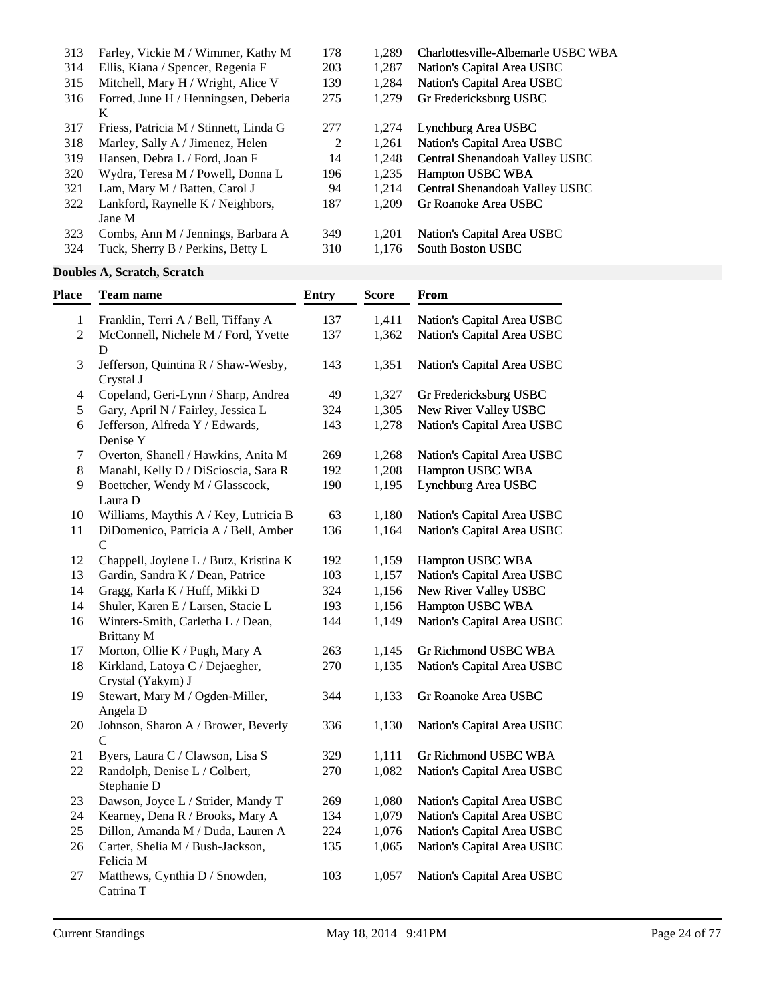| 313 | Farley, Vickie M / Wimmer, Kathy M     | 178 | 1.289 | Charlottesville-Albemarle USBC WBA |
|-----|----------------------------------------|-----|-------|------------------------------------|
| 314 | Ellis, Kiana / Spencer, Regenia F      | 203 | 1,287 | Nation's Capital Area USBC         |
| 315 | Mitchell, Mary H / Wright, Alice V     | 139 | 1,284 | Nation's Capital Area USBC         |
| 316 | Forred, June H / Henningsen, Deberia   | 275 | 1.279 | Gr Fredericksburg USBC             |
|     | K                                      |     |       |                                    |
| 317 | Friess, Patricia M / Stinnett, Linda G | 277 | 1,274 | Lynchburg Area USBC                |
| 318 | Marley, Sally A / Jimenez, Helen       | 2   | 1,261 | Nation's Capital Area USBC         |
| 319 | Hansen, Debra L / Ford, Joan F         | 14  | 1,248 | Central Shenandoah Valley USBC     |
| 320 | Wydra, Teresa M / Powell, Donna L      | 196 | 1.235 | Hampton USBC WBA                   |
| 321 | Lam, Mary M / Batten, Carol J          | 94  | 1.214 | Central Shenandoah Valley USBC     |
| 322 | Lankford, Raynelle K / Neighbors,      | 187 | 1.209 | Gr Roanoke Area USBC               |
|     | Jane M                                 |     |       |                                    |
| 323 | Combs, Ann M / Jennings, Barbara A     | 349 | 1,201 | Nation's Capital Area USBC         |
| 324 | Tuck, Sherry B / Perkins, Betty L      | 310 | 1.176 | <b>South Boston USBC</b>           |
|     |                                        |     |       |                                    |

## **Doubles A, Scratch, Scratch**

| Place<br><b>Team name</b> |                                                        | <b>Entry</b><br><b>Score</b> |       | From                        |  |
|---------------------------|--------------------------------------------------------|------------------------------|-------|-----------------------------|--|
| $\mathbf{1}$              | Franklin, Terri A / Bell, Tiffany A                    | 137                          | 1,411 | Nation's Capital Area USBC  |  |
| $\overline{c}$            | McConnell, Nichele M / Ford, Yvette                    | 137                          | 1,362 | Nation's Capital Area USBC  |  |
|                           | D                                                      |                              |       |                             |  |
| 3                         | Jefferson, Quintina R / Shaw-Wesby,                    |                              | 1,351 | Nation's Capital Area USBC  |  |
|                           | Crystal J                                              |                              |       |                             |  |
| 4                         | Copeland, Geri-Lynn / Sharp, Andrea                    | 49                           | 1,327 | Gr Fredericksburg USBC      |  |
| 5                         | Gary, April N / Fairley, Jessica L                     | 324                          | 1,305 | New River Valley USBC       |  |
| 6                         | Jefferson, Alfreda Y / Edwards,<br>Denise Y            | 143                          | 1,278 | Nation's Capital Area USBC  |  |
| $\tau$                    | Overton, Shanell / Hawkins, Anita M                    | 269                          | 1,268 | Nation's Capital Area USBC  |  |
| $8\,$                     | Manahl, Kelly D / DiScioscia, Sara R                   | 192                          | 1,208 | Hampton USBC WBA            |  |
| 9                         | Boettcher, Wendy M / Glasscock,<br>Laura D             | 190                          | 1,195 | Lynchburg Area USBC         |  |
| 10                        | Williams, Maythis A / Key, Lutricia B                  | 63                           | 1,180 | Nation's Capital Area USBC  |  |
| 11                        | DiDomenico, Patricia A / Bell, Amber<br>C              | 136                          | 1,164 | Nation's Capital Area USBC  |  |
| 12                        | Chappell, Joylene L / Butz, Kristina K                 | 192                          | 1,159 | Hampton USBC WBA            |  |
| 13                        | Gardin, Sandra K / Dean, Patrice                       | 103                          | 1,157 | Nation's Capital Area USBC  |  |
| 14                        | Gragg, Karla K / Huff, Mikki D                         | 324                          | 1,156 | New River Valley USBC       |  |
| 14                        | Shuler, Karen E / Larsen, Stacie L                     | 193                          | 1,156 | Hampton USBC WBA            |  |
| 16                        | Winters-Smith, Carletha L / Dean,<br><b>Brittany M</b> |                              | 1,149 | Nation's Capital Area USBC  |  |
| 17                        | Morton, Ollie K / Pugh, Mary A                         | 263                          | 1,145 | <b>Gr Richmond USBC WBA</b> |  |
| 18                        | Kirkland, Latoya C / Dejaegher,                        | 270                          | 1,135 | Nation's Capital Area USBC  |  |
|                           | Crystal (Yakym) J                                      |                              |       |                             |  |
| 19                        | Stewart, Mary M / Ogden-Miller,<br>Angela D            | 344                          | 1,133 | Gr Roanoke Area USBC        |  |
| 20                        | Johnson, Sharon A / Brower, Beverly<br>C               | 336                          | 1,130 | Nation's Capital Area USBC  |  |
| 21                        | Byers, Laura C / Clawson, Lisa S                       | 329                          | 1,111 | Gr Richmond USBC WBA        |  |
| 22                        | Randolph, Denise L / Colbert,                          | 270                          | 1,082 | Nation's Capital Area USBC  |  |
|                           | Stephanie D                                            |                              |       |                             |  |
| 23                        | Dawson, Joyce L / Strider, Mandy T                     | 269                          | 1,080 | Nation's Capital Area USBC  |  |
| 24                        | Kearney, Dena R / Brooks, Mary A                       | 134                          | 1,079 | Nation's Capital Area USBC  |  |
| 25                        | Dillon, Amanda M / Duda, Lauren A                      | 224                          | 1,076 | Nation's Capital Area USBC  |  |
| 26                        | Carter, Shelia M / Bush-Jackson,<br>Felicia M          | 135                          | 1,065 | Nation's Capital Area USBC  |  |
| 27                        | Matthews, Cynthia D / Snowden,<br>Catrina T            | 103                          | 1,057 | Nation's Capital Area USBC  |  |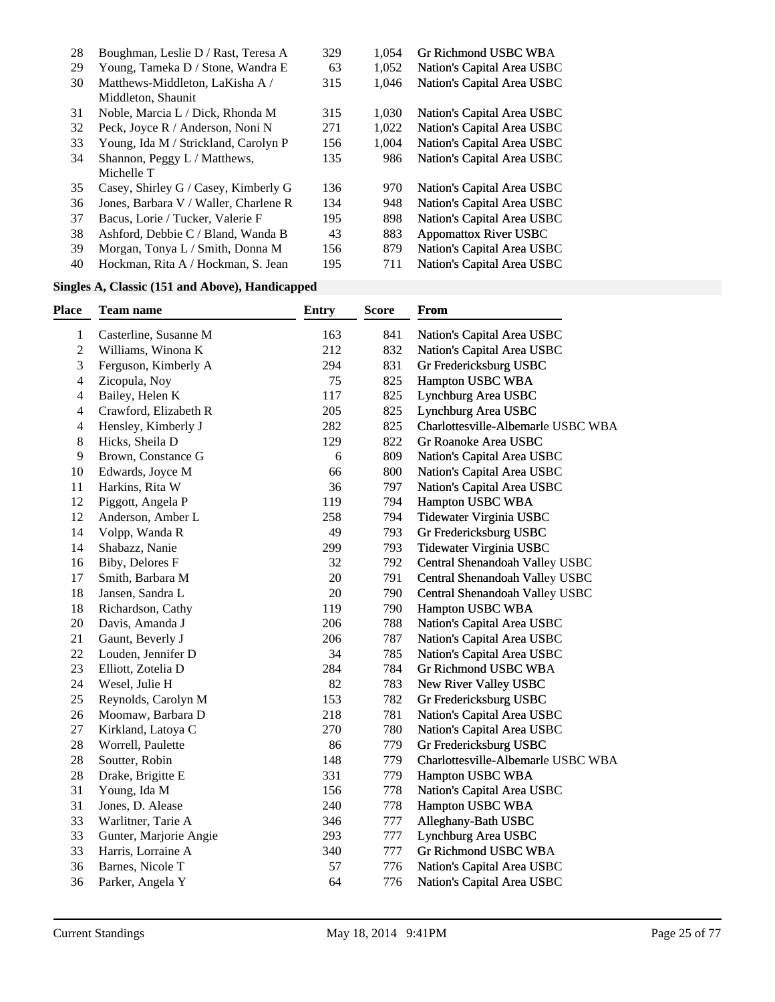| 28 | Boughman, Leslie D / Rast, Teresa A   | 329 | 1.054 | Gr Richmond USBC WBA         |
|----|---------------------------------------|-----|-------|------------------------------|
| 29 | Young, Tameka D / Stone, Wandra E     | 63  | 1,052 | Nation's Capital Area USBC   |
| 30 | Matthews-Middleton, LaKisha A /       | 315 | 1.046 | Nation's Capital Area USBC   |
|    | Middleton, Shaunit                    |     |       |                              |
| 31 | Noble, Marcia L / Dick, Rhonda M      | 315 | 1,030 | Nation's Capital Area USBC   |
| 32 | Peck, Joyce R / Anderson, Noni N      | 271 | 1,022 | Nation's Capital Area USBC   |
| 33 | Young, Ida M / Strickland, Carolyn P  | 156 | 1,004 | Nation's Capital Area USBC   |
| 34 | Shannon, Peggy L / Matthews,          | 135 | 986   | Nation's Capital Area USBC   |
|    | Michelle T                            |     |       |                              |
| 35 | Casey, Shirley G / Casey, Kimberly G  | 136 | 970   | Nation's Capital Area USBC   |
| 36 | Jones, Barbara V / Waller, Charlene R | 134 | 948   | Nation's Capital Area USBC   |
| 37 | Bacus, Lorie / Tucker, Valerie F      | 195 | 898   | Nation's Capital Area USBC   |
| 38 | Ashford, Debbie C / Bland, Wanda B    | 43  | 883   | <b>Appomattox River USBC</b> |
| 39 | Morgan, Tonya L / Smith, Donna M      | 156 | 879   | Nation's Capital Area USBC   |
| 40 | Hockman, Rita A / Hockman, S. Jean    | 195 | 711   | Nation's Capital Area USBC   |
|    |                                       |     |       |                              |

# **Singles A, Classic (151 and Above), Handicapped**

| Place            | <b>Team name</b>       | <b>Entry</b> | <b>Score</b> | From                               |
|------------------|------------------------|--------------|--------------|------------------------------------|
| $\mathbf{1}$     | Casterline, Susanne M  | 163          | 841          | Nation's Capital Area USBC         |
| $\boldsymbol{2}$ | Williams, Winona K     | 212          | 832          | Nation's Capital Area USBC         |
| 3                | Ferguson, Kimberly A   | 294          | 831          | Gr Fredericksburg USBC             |
| $\overline{4}$   | Zicopula, Noy          | 75           | 825          | Hampton USBC WBA                   |
| $\overline{4}$   | Bailey, Helen K        | 117          | 825          | Lynchburg Area USBC                |
| $\overline{4}$   | Crawford, Elizabeth R  | 205          | 825          | Lynchburg Area USBC                |
| $\overline{4}$   | Hensley, Kimberly J    | 282          | 825          | Charlottesville-Albemarle USBC WBA |
| 8                | Hicks, Sheila D        | 129          | 822          | Gr Roanoke Area USBC               |
| 9                | Brown, Constance G     | 6            | 809          | Nation's Capital Area USBC         |
| 10               | Edwards, Joyce M       | 66           | 800          | Nation's Capital Area USBC         |
| 11               | Harkins, Rita W        | 36           | 797          | Nation's Capital Area USBC         |
| 12               | Piggott, Angela P      | 119          | 794          | Hampton USBC WBA                   |
| 12               | Anderson, Amber L      | 258          | 794          | Tidewater Virginia USBC            |
| 14               | Volpp, Wanda R         | 49           | 793          | Gr Fredericksburg USBC             |
| 14               | Shabazz, Nanie         | 299          | 793          | Tidewater Virginia USBC            |
| 16               | Biby, Delores F        | 32           | 792          | Central Shenandoah Valley USBC     |
| 17               | Smith, Barbara M       | 20           | 791          | Central Shenandoah Valley USBC     |
| 18               | Jansen, Sandra L       | 20           | 790          | Central Shenandoah Valley USBC     |
| 18               | Richardson, Cathy      | 119          | 790          | Hampton USBC WBA                   |
| 20               | Davis, Amanda J        | 206          | 788          | Nation's Capital Area USBC         |
| 21               | Gaunt, Beverly J       | 206          | 787          | Nation's Capital Area USBC         |
| 22               | Louden, Jennifer D     | 34           | 785          | Nation's Capital Area USBC         |
| 23               | Elliott, Zotelia D     | 284          | 784          | Gr Richmond USBC WBA               |
| 24               | Wesel, Julie H         | 82           | 783          | New River Valley USBC              |
| 25               | Reynolds, Carolyn M    | 153          | 782          | Gr Fredericksburg USBC             |
| 26               | Moomaw, Barbara D      | 218          | 781          | Nation's Capital Area USBC         |
| 27               | Kirkland, Latoya C     | 270          | 780          | Nation's Capital Area USBC         |
| 28               | Worrell, Paulette      | 86           | 779          | Gr Fredericksburg USBC             |
| 28               | Soutter, Robin         | 148          | 779          | Charlottesville-Albemarle USBC WBA |
| 28               | Drake, Brigitte E      | 331          | 779          | Hampton USBC WBA                   |
| 31               | Young, Ida M           | 156          | 778          | Nation's Capital Area USBC         |
| 31               | Jones, D. Alease       | 240          | 778          | Hampton USBC WBA                   |
| 33               | Warlitner, Tarie A     | 346          | 777          | Alleghany-Bath USBC                |
| 33               | Gunter, Marjorie Angie | 293          | 777          | Lynchburg Area USBC                |
| 33               | Harris, Lorraine A     | 340          | 777          | Gr Richmond USBC WBA               |
| 36               | Barnes, Nicole T       | 57           | 776          | Nation's Capital Area USBC         |
| 36               | Parker, Angela Y       | 64           | 776          | Nation's Capital Area USBC         |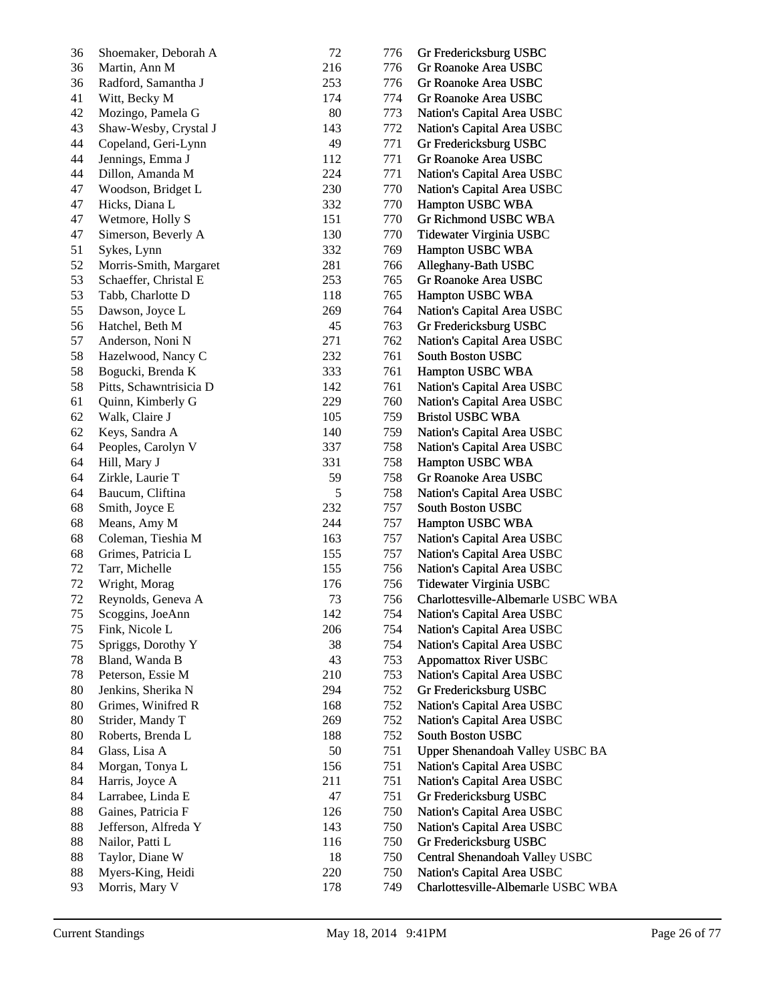| 36       | Shoemaker, Deborah A             | 72  | 776        | Gr Fredericksburg USBC                   |
|----------|----------------------------------|-----|------------|------------------------------------------|
| 36       | Martin, Ann M                    | 216 | 776        | Gr Roanoke Area USBC                     |
| 36       | Radford, Samantha J              | 253 | 776        | Gr Roanoke Area USBC                     |
| 41       | Witt, Becky M                    | 174 | 774        | Gr Roanoke Area USBC                     |
| 42       | Mozingo, Pamela G                | 80  | 773        | Nation's Capital Area USBC               |
| 43       | Shaw-Wesby, Crystal J            | 143 | 772        | Nation's Capital Area USBC               |
| 44       | Copeland, Geri-Lynn              | 49  | 771        | Gr Fredericksburg USBC                   |
| 44       | Jennings, Emma J                 | 112 | 771        | Gr Roanoke Area USBC                     |
| 44       | Dillon, Amanda M                 | 224 | 771        | Nation's Capital Area USBC               |
| 47       | Woodson, Bridget L               | 230 | 770        | Nation's Capital Area USBC               |
| 47       | Hicks, Diana L                   | 332 | 770        | Hampton USBC WBA                         |
| 47       | Wetmore, Holly S                 | 151 | 770        | Gr Richmond USBC WBA                     |
| 47       | Simerson, Beverly A              | 130 | 770        | Tidewater Virginia USBC                  |
| 51       | Sykes, Lynn                      | 332 | 769        | Hampton USBC WBA                         |
| 52       | Morris-Smith, Margaret           | 281 | 766        | Alleghany-Bath USBC                      |
| 53       | Schaeffer, Christal E            | 253 | 765        | Gr Roanoke Area USBC                     |
| 53       | Tabb, Charlotte D                | 118 | 765        | Hampton USBC WBA                         |
| 55       | Dawson, Joyce L                  | 269 | 764        | Nation's Capital Area USBC               |
| 56       | Hatchel, Beth M                  | 45  | 763        | Gr Fredericksburg USBC                   |
| 57       | Anderson, Noni N                 | 271 | 762        | Nation's Capital Area USBC               |
| 58       | Hazelwood, Nancy C               | 232 | 761        | South Boston USBC                        |
| 58       | Bogucki, Brenda K                | 333 | 761        | Hampton USBC WBA                         |
| 58       | Pitts, Schawntrisicia D          | 142 | 761        | Nation's Capital Area USBC               |
| 61       | Quinn, Kimberly G                | 229 | 760        | Nation's Capital Area USBC               |
|          | Walk, Claire J                   | 105 | 759        | <b>Bristol USBC WBA</b>                  |
| 62<br>62 | Keys, Sandra A                   | 140 | 759        | Nation's Capital Area USBC               |
| 64       | Peoples, Carolyn V               | 337 | 758        | Nation's Capital Area USBC               |
| 64       |                                  | 331 |            |                                          |
| 64       | Hill, Mary J<br>Zirkle, Laurie T | 59  | 758<br>758 | Hampton USBC WBA<br>Gr Roanoke Area USBC |
| 64       | Baucum, Cliftina                 | 5   | 758        | Nation's Capital Area USBC               |
| 68       | Smith, Joyce E                   | 232 | 757        | South Boston USBC                        |
| 68       | Means, Amy M                     | 244 | 757        | Hampton USBC WBA                         |
| 68       | Coleman, Tieshia M               | 163 | 757        | Nation's Capital Area USBC               |
| 68       | Grimes, Patricia L               | 155 | 757        | Nation's Capital Area USBC               |
| 72       |                                  |     | 756        |                                          |
|          | Tarr, Michelle                   | 155 |            | Nation's Capital Area USBC               |
| 72       | Wright, Morag                    | 176 | 756        | Tidewater Virginia USBC                  |
| 72       | Reynolds, Geneva A               | 73  | 756        | Charlottesville-Albemarle USBC WBA       |
| 75       | Scoggins, JoeAnn                 | 142 | 754        | Nation's Capital Area USBC               |
| 75       | Fink, Nicole L                   | 206 | 754        | Nation's Capital Area USBC               |
| 75       | Spriggs, Dorothy Y               | 38  | 754        | Nation's Capital Area USBC               |
| 78       | Bland, Wanda B                   | 43  | 753        | <b>Appomattox River USBC</b>             |
| 78       | Peterson, Essie M                | 210 | 753        | Nation's Capital Area USBC               |
| 80       | Jenkins, Sherika N               | 294 | 752        | Gr Fredericksburg USBC                   |
| 80       | Grimes, Winifred R               | 168 | 752        | Nation's Capital Area USBC               |
| 80       | Strider, Mandy T                 | 269 | 752        | Nation's Capital Area USBC               |
| 80       | Roberts, Brenda L                | 188 | 752        | South Boston USBC                        |
| 84       | Glass, Lisa A                    | 50  | 751        | Upper Shenandoah Valley USBC BA          |
| 84       | Morgan, Tonya L                  | 156 | 751        | Nation's Capital Area USBC               |
| 84       | Harris, Joyce A                  | 211 | 751        | Nation's Capital Area USBC               |
| 84       | Larrabee, Linda E                | 47  | 751        | Gr Fredericksburg USBC                   |
| 88       | Gaines, Patricia F               | 126 | 750        | Nation's Capital Area USBC               |
| 88       | Jefferson, Alfreda Y             | 143 | 750        | Nation's Capital Area USBC               |
| 88       | Nailor, Patti L                  | 116 | 750        | Gr Fredericksburg USBC                   |
| 88       | Taylor, Diane W                  | 18  | 750        | Central Shenandoah Valley USBC           |
| 88       | Myers-King, Heidi                | 220 | 750        | Nation's Capital Area USBC               |
| 93       | Morris, Mary V                   | 178 | 749        | Charlottesville-Albemarle USBC WBA       |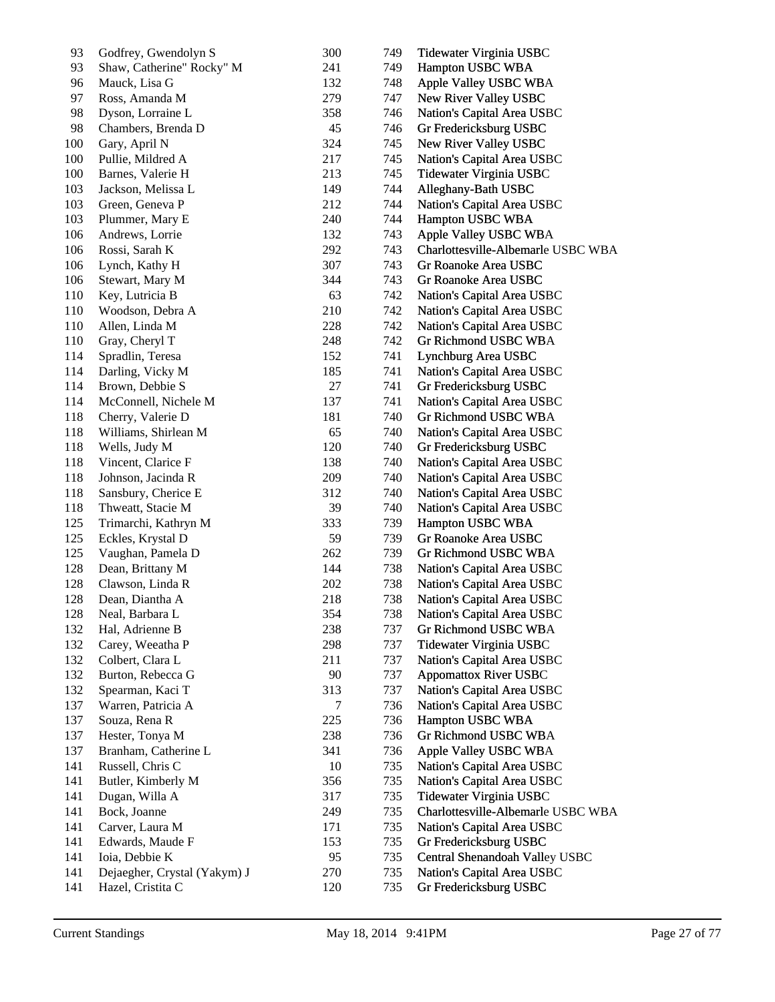| 93  | Godfrey, Gwendolyn S         | 300 | 749 | Tidewater Virginia USBC            |
|-----|------------------------------|-----|-----|------------------------------------|
| 93  | Shaw, Catherine" Rocky" M    | 241 | 749 | Hampton USBC WBA                   |
| 96  | Mauck, Lisa G                | 132 | 748 | Apple Valley USBC WBA              |
| 97  | Ross, Amanda M               | 279 | 747 | New River Valley USBC              |
| 98  | Dyson, Lorraine L            | 358 | 746 | Nation's Capital Area USBC         |
| 98  | Chambers, Brenda D           | 45  | 746 | Gr Fredericksburg USBC             |
| 100 | Gary, April N                | 324 | 745 | New River Valley USBC              |
| 100 | Pullie, Mildred A            | 217 | 745 | Nation's Capital Area USBC         |
| 100 | Barnes, Valerie H            | 213 | 745 | Tidewater Virginia USBC            |
| 103 | Jackson, Melissa L           | 149 | 744 | Alleghany-Bath USBC                |
| 103 | Green, Geneva P              | 212 | 744 | Nation's Capital Area USBC         |
| 103 | Plummer, Mary E              | 240 | 744 | Hampton USBC WBA                   |
| 106 | Andrews, Lorrie              | 132 | 743 | Apple Valley USBC WBA              |
| 106 | Rossi, Sarah K               | 292 | 743 | Charlottesville-Albemarle USBC WBA |
| 106 | Lynch, Kathy H               | 307 | 743 | Gr Roanoke Area USBC               |
| 106 | Stewart, Mary M              | 344 | 743 | Gr Roanoke Area USBC               |
| 110 | Key, Lutricia B              | 63  | 742 | Nation's Capital Area USBC         |
| 110 | Woodson, Debra A             | 210 | 742 | Nation's Capital Area USBC         |
| 110 | Allen, Linda M               | 228 | 742 | Nation's Capital Area USBC         |
| 110 | Gray, Cheryl T               | 248 | 742 | Gr Richmond USBC WBA               |
| 114 | Spradlin, Teresa             | 152 | 741 | Lynchburg Area USBC                |
| 114 | Darling, Vicky M             | 185 | 741 | Nation's Capital Area USBC         |
| 114 | Brown, Debbie S              | 27  | 741 | Gr Fredericksburg USBC             |
| 114 | McConnell, Nichele M         | 137 | 741 | Nation's Capital Area USBC         |
| 118 | Cherry, Valerie D            | 181 | 740 | Gr Richmond USBC WBA               |
| 118 | Williams, Shirlean M         | 65  | 740 | Nation's Capital Area USBC         |
| 118 | Wells, Judy M                | 120 | 740 | Gr Fredericksburg USBC             |
| 118 | Vincent, Clarice F           | 138 | 740 | Nation's Capital Area USBC         |
| 118 | Johnson, Jacinda R           | 209 | 740 | Nation's Capital Area USBC         |
| 118 | Sansbury, Cherice E          | 312 | 740 | Nation's Capital Area USBC         |
| 118 | Thweatt, Stacie M            | 39  | 740 | Nation's Capital Area USBC         |
| 125 | Trimarchi, Kathryn M         | 333 | 739 | Hampton USBC WBA                   |
| 125 | Eckles, Krystal D            | 59  | 739 | Gr Roanoke Area USBC               |
| 125 | Vaughan, Pamela D            | 262 | 739 | Gr Richmond USBC WBA               |
| 128 | Dean, Brittany M             | 144 | 738 | Nation's Capital Area USBC         |
| 128 | Clawson, Linda R             | 202 | 738 | Nation's Capital Area USBC         |
| 128 | Dean, Diantha A              | 218 | 738 | Nation's Capital Area USBC         |
| 128 | Neal, Barbara L              | 354 | 738 | Nation's Capital Area USBC         |
| 132 | Hal, Adrienne B              | 238 | 737 | Gr Richmond USBC WBA               |
| 132 | Carey, Weeatha P             | 298 | 737 | Tidewater Virginia USBC            |
| 132 | Colbert, Clara L             | 211 | 737 | Nation's Capital Area USBC         |
| 132 | Burton, Rebecca G            | 90  | 737 | <b>Appomattox River USBC</b>       |
| 132 | Spearman, Kaci T             | 313 | 737 | Nation's Capital Area USBC         |
| 137 | Warren, Patricia A           | 7   | 736 | Nation's Capital Area USBC         |
| 137 | Souza, Rena R                | 225 | 736 | Hampton USBC WBA                   |
| 137 | Hester, Tonya M              | 238 | 736 | Gr Richmond USBC WBA               |
| 137 | Branham, Catherine L         | 341 | 736 | Apple Valley USBC WBA              |
| 141 | Russell, Chris C             | 10  | 735 | Nation's Capital Area USBC         |
| 141 | Butler, Kimberly M           | 356 | 735 | Nation's Capital Area USBC         |
| 141 | Dugan, Willa A               | 317 | 735 | Tidewater Virginia USBC            |
| 141 | Bock, Joanne                 | 249 | 735 | Charlottesville-Albemarle USBC WBA |
| 141 | Carver, Laura M              | 171 | 735 | Nation's Capital Area USBC         |
| 141 | Edwards, Maude F             | 153 | 735 | Gr Fredericksburg USBC             |
| 141 | Ioia, Debbie K               | 95  | 735 | Central Shenandoah Valley USBC     |
| 141 | Dejaegher, Crystal (Yakym) J | 270 | 735 | Nation's Capital Area USBC         |
| 141 | Hazel, Cristita C            | 120 | 735 | Gr Fredericksburg USBC             |
|     |                              |     |     |                                    |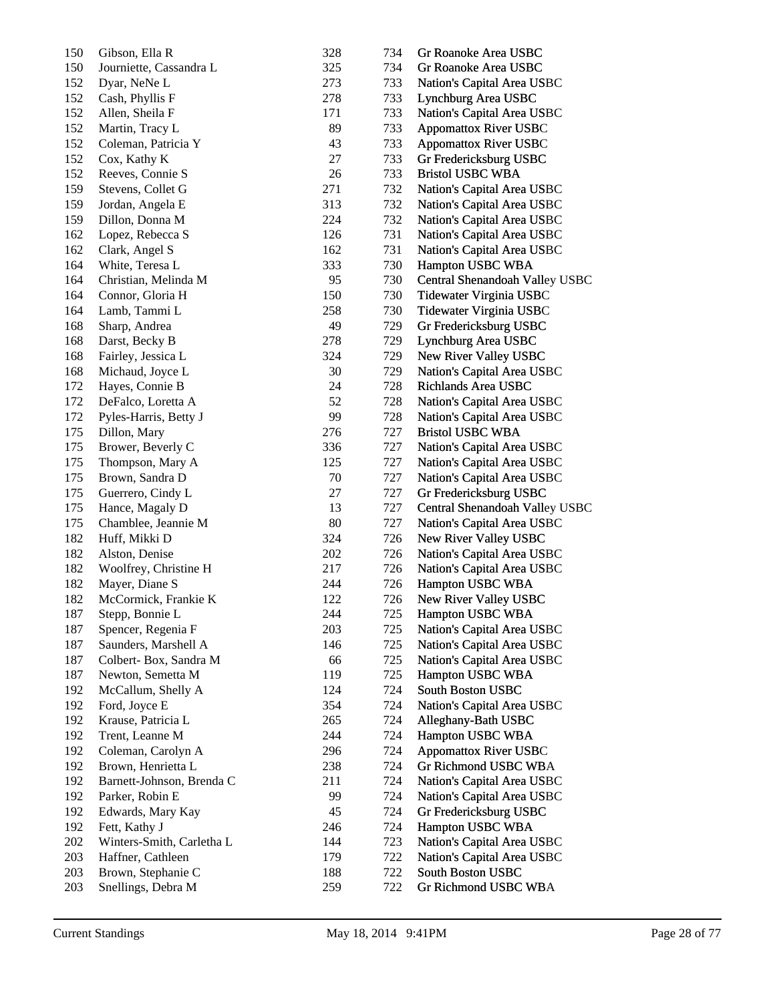| 150 | Gibson, Ella R            | 328 | 734 | Gr Roanoke Area USBC           |
|-----|---------------------------|-----|-----|--------------------------------|
| 150 | Journiette, Cassandra L   | 325 | 734 | Gr Roanoke Area USBC           |
| 152 | Dyar, NeNe L              | 273 | 733 | Nation's Capital Area USBC     |
| 152 | Cash, Phyllis F           | 278 | 733 | Lynchburg Area USBC            |
| 152 | Allen, Sheila F           | 171 | 733 | Nation's Capital Area USBC     |
| 152 | Martin, Tracy L           | 89  | 733 | <b>Appomattox River USBC</b>   |
| 152 | Coleman, Patricia Y       | 43  | 733 | <b>Appomattox River USBC</b>   |
| 152 | Cox, Kathy K              | 27  | 733 | Gr Fredericksburg USBC         |
| 152 | Reeves, Connie S          | 26  | 733 | <b>Bristol USBC WBA</b>        |
| 159 | Stevens, Collet G         | 271 | 732 | Nation's Capital Area USBC     |
| 159 | Jordan, Angela E          | 313 | 732 | Nation's Capital Area USBC     |
| 159 | Dillon, Donna M           | 224 | 732 | Nation's Capital Area USBC     |
| 162 | Lopez, Rebecca S          | 126 | 731 | Nation's Capital Area USBC     |
| 162 | Clark, Angel S            | 162 | 731 | Nation's Capital Area USBC     |
| 164 | White, Teresa L           | 333 | 730 | Hampton USBC WBA               |
| 164 | Christian, Melinda M      | 95  | 730 | Central Shenandoah Valley USBC |
| 164 | Connor, Gloria H          | 150 | 730 |                                |
| 164 | Lamb, Tammi L             | 258 |     | Tidewater Virginia USBC        |
| 168 |                           |     | 730 | Tidewater Virginia USBC        |
|     | Sharp, Andrea             | 49  | 729 | Gr Fredericksburg USBC         |
| 168 | Darst, Becky B            | 278 | 729 | Lynchburg Area USBC            |
| 168 | Fairley, Jessica L        | 324 | 729 | New River Valley USBC          |
| 168 | Michaud, Joyce L          | 30  | 729 | Nation's Capital Area USBC     |
| 172 | Hayes, Connie B           | 24  | 728 | Richlands Area USBC            |
| 172 | DeFalco, Loretta A        | 52  | 728 | Nation's Capital Area USBC     |
| 172 | Pyles-Harris, Betty J     | 99  | 728 | Nation's Capital Area USBC     |
| 175 | Dillon, Mary              | 276 | 727 | <b>Bristol USBC WBA</b>        |
| 175 | Brower, Beverly C         | 336 | 727 | Nation's Capital Area USBC     |
| 175 | Thompson, Mary A          | 125 | 727 | Nation's Capital Area USBC     |
| 175 | Brown, Sandra D           | 70  | 727 | Nation's Capital Area USBC     |
| 175 | Guerrero, Cindy L         | 27  | 727 | Gr Fredericksburg USBC         |
| 175 | Hance, Magaly D           | 13  | 727 | Central Shenandoah Valley USBC |
| 175 | Chamblee, Jeannie M       | 80  | 727 | Nation's Capital Area USBC     |
| 182 | Huff, Mikki D             | 324 | 726 | New River Valley USBC          |
| 182 | Alston, Denise            | 202 | 726 | Nation's Capital Area USBC     |
| 182 | Woolfrey, Christine H     | 217 | 726 | Nation's Capital Area USBC     |
| 182 | Mayer, Diane S            | 244 | 726 | Hampton USBC WBA               |
| 182 | McCormick, Frankie K      | 122 | 726 | New River Valley USBC          |
| 187 | Stepp, Bonnie L           | 244 | 725 | Hampton USBC WBA               |
| 187 | Spencer, Regenia F        | 203 | 725 | Nation's Capital Area USBC     |
| 187 | Saunders, Marshell A      | 146 | 725 | Nation's Capital Area USBC     |
| 187 | Colbert-Box, Sandra M     | 66  | 725 | Nation's Capital Area USBC     |
| 187 | Newton, Semetta M         | 119 | 725 | Hampton USBC WBA               |
| 192 | McCallum, Shelly A        | 124 | 724 | South Boston USBC              |
| 192 | Ford, Joyce E             | 354 | 724 | Nation's Capital Area USBC     |
| 192 | Krause, Patricia L        | 265 | 724 | Alleghany-Bath USBC            |
| 192 | Trent, Leanne M           | 244 | 724 | Hampton USBC WBA               |
| 192 | Coleman, Carolyn A        | 296 | 724 | <b>Appomattox River USBC</b>   |
| 192 | Brown, Henrietta L        | 238 | 724 | Gr Richmond USBC WBA           |
| 192 | Barnett-Johnson, Brenda C | 211 | 724 | Nation's Capital Area USBC     |
| 192 | Parker, Robin E           | 99  | 724 | Nation's Capital Area USBC     |
| 192 | Edwards, Mary Kay         | 45  | 724 | Gr Fredericksburg USBC         |
| 192 | Fett, Kathy J             | 246 | 724 | Hampton USBC WBA               |
| 202 | Winters-Smith, Carletha L | 144 | 723 | Nation's Capital Area USBC     |
| 203 | Haffner, Cathleen         | 179 | 722 | Nation's Capital Area USBC     |
| 203 | Brown, Stephanie C        | 188 | 722 | South Boston USBC              |
| 203 | Snellings, Debra M        | 259 | 722 | Gr Richmond USBC WBA           |
|     |                           |     |     |                                |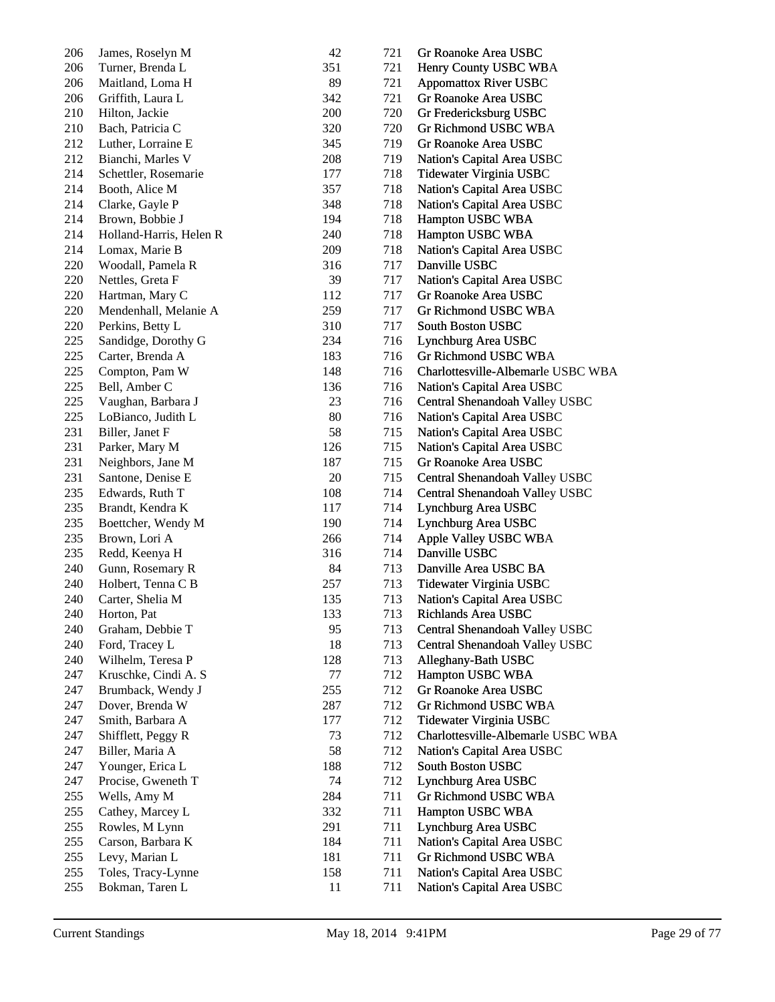| James, Roselyn M     | 42                                                                                                                                                                                                                                                                                                                                                                                                                                                                                                                                                                                                                                                                                                                                                                                                                                                                     | 721                                                                                                                                                                                                                                                               | Gr Roanoke Area USBC                                                                                                                                                                                                                                                          |
|----------------------|------------------------------------------------------------------------------------------------------------------------------------------------------------------------------------------------------------------------------------------------------------------------------------------------------------------------------------------------------------------------------------------------------------------------------------------------------------------------------------------------------------------------------------------------------------------------------------------------------------------------------------------------------------------------------------------------------------------------------------------------------------------------------------------------------------------------------------------------------------------------|-------------------------------------------------------------------------------------------------------------------------------------------------------------------------------------------------------------------------------------------------------------------|-------------------------------------------------------------------------------------------------------------------------------------------------------------------------------------------------------------------------------------------------------------------------------|
| Turner, Brenda L     | 351                                                                                                                                                                                                                                                                                                                                                                                                                                                                                                                                                                                                                                                                                                                                                                                                                                                                    | 721                                                                                                                                                                                                                                                               | Henry County USBC WBA                                                                                                                                                                                                                                                         |
| Maitland, Loma H     | 89                                                                                                                                                                                                                                                                                                                                                                                                                                                                                                                                                                                                                                                                                                                                                                                                                                                                     | 721                                                                                                                                                                                                                                                               | <b>Appomattox River USBC</b>                                                                                                                                                                                                                                                  |
| Griffith, Laura L    | 342                                                                                                                                                                                                                                                                                                                                                                                                                                                                                                                                                                                                                                                                                                                                                                                                                                                                    | 721                                                                                                                                                                                                                                                               | Gr Roanoke Area USBC                                                                                                                                                                                                                                                          |
| Hilton, Jackie       | 200                                                                                                                                                                                                                                                                                                                                                                                                                                                                                                                                                                                                                                                                                                                                                                                                                                                                    | 720                                                                                                                                                                                                                                                               | Gr Fredericksburg USBC                                                                                                                                                                                                                                                        |
| Bach, Patricia C     | 320                                                                                                                                                                                                                                                                                                                                                                                                                                                                                                                                                                                                                                                                                                                                                                                                                                                                    | 720                                                                                                                                                                                                                                                               | Gr Richmond USBC WBA                                                                                                                                                                                                                                                          |
| Luther, Lorraine E   | 345                                                                                                                                                                                                                                                                                                                                                                                                                                                                                                                                                                                                                                                                                                                                                                                                                                                                    | 719                                                                                                                                                                                                                                                               | Gr Roanoke Area USBC                                                                                                                                                                                                                                                          |
| Bianchi, Marles V    | 208                                                                                                                                                                                                                                                                                                                                                                                                                                                                                                                                                                                                                                                                                                                                                                                                                                                                    | 719                                                                                                                                                                                                                                                               | Nation's Capital Area USBC                                                                                                                                                                                                                                                    |
| Schettler, Rosemarie | 177                                                                                                                                                                                                                                                                                                                                                                                                                                                                                                                                                                                                                                                                                                                                                                                                                                                                    | 718                                                                                                                                                                                                                                                               | Tidewater Virginia USBC                                                                                                                                                                                                                                                       |
| Booth, Alice M       | 357                                                                                                                                                                                                                                                                                                                                                                                                                                                                                                                                                                                                                                                                                                                                                                                                                                                                    | 718                                                                                                                                                                                                                                                               | Nation's Capital Area USBC                                                                                                                                                                                                                                                    |
|                      | 348                                                                                                                                                                                                                                                                                                                                                                                                                                                                                                                                                                                                                                                                                                                                                                                                                                                                    | 718                                                                                                                                                                                                                                                               | Nation's Capital Area USBC                                                                                                                                                                                                                                                    |
|                      | 194                                                                                                                                                                                                                                                                                                                                                                                                                                                                                                                                                                                                                                                                                                                                                                                                                                                                    | 718                                                                                                                                                                                                                                                               | Hampton USBC WBA                                                                                                                                                                                                                                                              |
|                      | 240                                                                                                                                                                                                                                                                                                                                                                                                                                                                                                                                                                                                                                                                                                                                                                                                                                                                    | 718                                                                                                                                                                                                                                                               | Hampton USBC WBA                                                                                                                                                                                                                                                              |
|                      |                                                                                                                                                                                                                                                                                                                                                                                                                                                                                                                                                                                                                                                                                                                                                                                                                                                                        |                                                                                                                                                                                                                                                                   | Nation's Capital Area USBC                                                                                                                                                                                                                                                    |
|                      |                                                                                                                                                                                                                                                                                                                                                                                                                                                                                                                                                                                                                                                                                                                                                                                                                                                                        |                                                                                                                                                                                                                                                                   | Danville USBC                                                                                                                                                                                                                                                                 |
|                      |                                                                                                                                                                                                                                                                                                                                                                                                                                                                                                                                                                                                                                                                                                                                                                                                                                                                        |                                                                                                                                                                                                                                                                   | Nation's Capital Area USBC                                                                                                                                                                                                                                                    |
|                      |                                                                                                                                                                                                                                                                                                                                                                                                                                                                                                                                                                                                                                                                                                                                                                                                                                                                        |                                                                                                                                                                                                                                                                   | Gr Roanoke Area USBC                                                                                                                                                                                                                                                          |
|                      |                                                                                                                                                                                                                                                                                                                                                                                                                                                                                                                                                                                                                                                                                                                                                                                                                                                                        |                                                                                                                                                                                                                                                                   | Gr Richmond USBC WBA                                                                                                                                                                                                                                                          |
|                      |                                                                                                                                                                                                                                                                                                                                                                                                                                                                                                                                                                                                                                                                                                                                                                                                                                                                        |                                                                                                                                                                                                                                                                   | South Boston USBC                                                                                                                                                                                                                                                             |
|                      |                                                                                                                                                                                                                                                                                                                                                                                                                                                                                                                                                                                                                                                                                                                                                                                                                                                                        |                                                                                                                                                                                                                                                                   | Lynchburg Area USBC                                                                                                                                                                                                                                                           |
|                      |                                                                                                                                                                                                                                                                                                                                                                                                                                                                                                                                                                                                                                                                                                                                                                                                                                                                        |                                                                                                                                                                                                                                                                   | <b>Gr Richmond USBC WBA</b>                                                                                                                                                                                                                                                   |
|                      |                                                                                                                                                                                                                                                                                                                                                                                                                                                                                                                                                                                                                                                                                                                                                                                                                                                                        |                                                                                                                                                                                                                                                                   | Charlottesville-Albemarle USBC WBA                                                                                                                                                                                                                                            |
|                      |                                                                                                                                                                                                                                                                                                                                                                                                                                                                                                                                                                                                                                                                                                                                                                                                                                                                        |                                                                                                                                                                                                                                                                   | Nation's Capital Area USBC                                                                                                                                                                                                                                                    |
|                      |                                                                                                                                                                                                                                                                                                                                                                                                                                                                                                                                                                                                                                                                                                                                                                                                                                                                        |                                                                                                                                                                                                                                                                   | Central Shenandoah Valley USBC                                                                                                                                                                                                                                                |
|                      |                                                                                                                                                                                                                                                                                                                                                                                                                                                                                                                                                                                                                                                                                                                                                                                                                                                                        |                                                                                                                                                                                                                                                                   | Nation's Capital Area USBC                                                                                                                                                                                                                                                    |
|                      |                                                                                                                                                                                                                                                                                                                                                                                                                                                                                                                                                                                                                                                                                                                                                                                                                                                                        |                                                                                                                                                                                                                                                                   | Nation's Capital Area USBC                                                                                                                                                                                                                                                    |
|                      |                                                                                                                                                                                                                                                                                                                                                                                                                                                                                                                                                                                                                                                                                                                                                                                                                                                                        |                                                                                                                                                                                                                                                                   | Nation's Capital Area USBC                                                                                                                                                                                                                                                    |
|                      |                                                                                                                                                                                                                                                                                                                                                                                                                                                                                                                                                                                                                                                                                                                                                                                                                                                                        |                                                                                                                                                                                                                                                                   | Gr Roanoke Area USBC                                                                                                                                                                                                                                                          |
|                      |                                                                                                                                                                                                                                                                                                                                                                                                                                                                                                                                                                                                                                                                                                                                                                                                                                                                        |                                                                                                                                                                                                                                                                   | Central Shenandoah Valley USBC                                                                                                                                                                                                                                                |
|                      |                                                                                                                                                                                                                                                                                                                                                                                                                                                                                                                                                                                                                                                                                                                                                                                                                                                                        |                                                                                                                                                                                                                                                                   | Central Shenandoah Valley USBC                                                                                                                                                                                                                                                |
|                      |                                                                                                                                                                                                                                                                                                                                                                                                                                                                                                                                                                                                                                                                                                                                                                                                                                                                        |                                                                                                                                                                                                                                                                   | Lynchburg Area USBC                                                                                                                                                                                                                                                           |
|                      |                                                                                                                                                                                                                                                                                                                                                                                                                                                                                                                                                                                                                                                                                                                                                                                                                                                                        |                                                                                                                                                                                                                                                                   | Lynchburg Area USBC                                                                                                                                                                                                                                                           |
|                      |                                                                                                                                                                                                                                                                                                                                                                                                                                                                                                                                                                                                                                                                                                                                                                                                                                                                        |                                                                                                                                                                                                                                                                   | Apple Valley USBC WBA                                                                                                                                                                                                                                                         |
|                      |                                                                                                                                                                                                                                                                                                                                                                                                                                                                                                                                                                                                                                                                                                                                                                                                                                                                        |                                                                                                                                                                                                                                                                   | Danville USBC                                                                                                                                                                                                                                                                 |
|                      |                                                                                                                                                                                                                                                                                                                                                                                                                                                                                                                                                                                                                                                                                                                                                                                                                                                                        |                                                                                                                                                                                                                                                                   | Danville Area USBC BA                                                                                                                                                                                                                                                         |
|                      |                                                                                                                                                                                                                                                                                                                                                                                                                                                                                                                                                                                                                                                                                                                                                                                                                                                                        |                                                                                                                                                                                                                                                                   |                                                                                                                                                                                                                                                                               |
|                      |                                                                                                                                                                                                                                                                                                                                                                                                                                                                                                                                                                                                                                                                                                                                                                                                                                                                        |                                                                                                                                                                                                                                                                   | Tidewater Virginia USBC                                                                                                                                                                                                                                                       |
|                      |                                                                                                                                                                                                                                                                                                                                                                                                                                                                                                                                                                                                                                                                                                                                                                                                                                                                        |                                                                                                                                                                                                                                                                   | Nation's Capital Area USBC                                                                                                                                                                                                                                                    |
|                      |                                                                                                                                                                                                                                                                                                                                                                                                                                                                                                                                                                                                                                                                                                                                                                                                                                                                        |                                                                                                                                                                                                                                                                   | Richlands Area USBC                                                                                                                                                                                                                                                           |
|                      |                                                                                                                                                                                                                                                                                                                                                                                                                                                                                                                                                                                                                                                                                                                                                                                                                                                                        |                                                                                                                                                                                                                                                                   | Central Shenandoah Valley USBC                                                                                                                                                                                                                                                |
|                      |                                                                                                                                                                                                                                                                                                                                                                                                                                                                                                                                                                                                                                                                                                                                                                                                                                                                        |                                                                                                                                                                                                                                                                   | Central Shenandoah Valley USBC                                                                                                                                                                                                                                                |
|                      |                                                                                                                                                                                                                                                                                                                                                                                                                                                                                                                                                                                                                                                                                                                                                                                                                                                                        |                                                                                                                                                                                                                                                                   | Alleghany-Bath USBC                                                                                                                                                                                                                                                           |
|                      |                                                                                                                                                                                                                                                                                                                                                                                                                                                                                                                                                                                                                                                                                                                                                                                                                                                                        |                                                                                                                                                                                                                                                                   | Hampton USBC WBA                                                                                                                                                                                                                                                              |
|                      |                                                                                                                                                                                                                                                                                                                                                                                                                                                                                                                                                                                                                                                                                                                                                                                                                                                                        |                                                                                                                                                                                                                                                                   | Gr Roanoke Area USBC                                                                                                                                                                                                                                                          |
|                      |                                                                                                                                                                                                                                                                                                                                                                                                                                                                                                                                                                                                                                                                                                                                                                                                                                                                        |                                                                                                                                                                                                                                                                   | Gr Richmond USBC WBA                                                                                                                                                                                                                                                          |
|                      |                                                                                                                                                                                                                                                                                                                                                                                                                                                                                                                                                                                                                                                                                                                                                                                                                                                                        |                                                                                                                                                                                                                                                                   | Tidewater Virginia USBC                                                                                                                                                                                                                                                       |
|                      |                                                                                                                                                                                                                                                                                                                                                                                                                                                                                                                                                                                                                                                                                                                                                                                                                                                                        |                                                                                                                                                                                                                                                                   | Charlottesville-Albemarle USBC WBA                                                                                                                                                                                                                                            |
|                      |                                                                                                                                                                                                                                                                                                                                                                                                                                                                                                                                                                                                                                                                                                                                                                                                                                                                        |                                                                                                                                                                                                                                                                   | Nation's Capital Area USBC                                                                                                                                                                                                                                                    |
|                      |                                                                                                                                                                                                                                                                                                                                                                                                                                                                                                                                                                                                                                                                                                                                                                                                                                                                        |                                                                                                                                                                                                                                                                   | South Boston USBC                                                                                                                                                                                                                                                             |
|                      |                                                                                                                                                                                                                                                                                                                                                                                                                                                                                                                                                                                                                                                                                                                                                                                                                                                                        |                                                                                                                                                                                                                                                                   | Lynchburg Area USBC                                                                                                                                                                                                                                                           |
|                      |                                                                                                                                                                                                                                                                                                                                                                                                                                                                                                                                                                                                                                                                                                                                                                                                                                                                        |                                                                                                                                                                                                                                                                   | Gr Richmond USBC WBA                                                                                                                                                                                                                                                          |
|                      |                                                                                                                                                                                                                                                                                                                                                                                                                                                                                                                                                                                                                                                                                                                                                                                                                                                                        |                                                                                                                                                                                                                                                                   | Hampton USBC WBA                                                                                                                                                                                                                                                              |
|                      |                                                                                                                                                                                                                                                                                                                                                                                                                                                                                                                                                                                                                                                                                                                                                                                                                                                                        |                                                                                                                                                                                                                                                                   | Lynchburg Area USBC                                                                                                                                                                                                                                                           |
| Carson, Barbara K    | 184                                                                                                                                                                                                                                                                                                                                                                                                                                                                                                                                                                                                                                                                                                                                                                                                                                                                    | 711                                                                                                                                                                                                                                                               | Nation's Capital Area USBC                                                                                                                                                                                                                                                    |
| Levy, Marian L       | 181                                                                                                                                                                                                                                                                                                                                                                                                                                                                                                                                                                                                                                                                                                                                                                                                                                                                    | 711                                                                                                                                                                                                                                                               | Gr Richmond USBC WBA                                                                                                                                                                                                                                                          |
| Toles, Tracy-Lynne   | 158                                                                                                                                                                                                                                                                                                                                                                                                                                                                                                                                                                                                                                                                                                                                                                                                                                                                    | 711                                                                                                                                                                                                                                                               | Nation's Capital Area USBC                                                                                                                                                                                                                                                    |
| Bokman, Taren L      | 11                                                                                                                                                                                                                                                                                                                                                                                                                                                                                                                                                                                                                                                                                                                                                                                                                                                                     | 711                                                                                                                                                                                                                                                               | Nation's Capital Area USBC                                                                                                                                                                                                                                                    |
|                      | Clarke, Gayle P<br>Brown, Bobbie J<br>Holland-Harris, Helen R<br>Lomax, Marie B<br>Woodall, Pamela R<br>Nettles, Greta F<br>Hartman, Mary C<br>Mendenhall, Melanie A<br>Perkins, Betty L<br>Sandidge, Dorothy G<br>Carter, Brenda A<br>Compton, Pam W<br>Bell, Amber C<br>Vaughan, Barbara J<br>LoBianco, Judith L<br>Biller, Janet F<br>Parker, Mary M<br>Neighbors, Jane M<br>Santone, Denise E<br>Edwards, Ruth T<br>Brandt, Kendra K<br>Boettcher, Wendy M<br>Brown, Lori A<br>Redd, Keenya H<br>Gunn, Rosemary R<br>Holbert, Tenna C B<br>Carter, Shelia M<br>Horton, Pat<br>Graham, Debbie T<br>Ford, Tracey L<br>Wilhelm, Teresa P<br>Kruschke, Cindi A. S<br>Brumback, Wendy J<br>Dover, Brenda W<br>Smith, Barbara A<br>Shifflett, Peggy R<br>Biller, Maria A<br>Younger, Erica L<br>Procise, Gweneth T<br>Wells, Amy M<br>Cathey, Marcey L<br>Rowles, M Lynn | 209<br>316<br>39<br>112<br>259<br>310<br>234<br>183<br>148<br>136<br>23<br>80<br>58<br>126<br>187<br>20<br>108<br>117<br>190<br>266<br>316<br>84<br>257<br>135<br>133<br>95<br>18<br>128<br>77<br>255<br>287<br>177<br>73<br>58<br>188<br>74<br>284<br>332<br>291 | 718<br>717<br>717<br>717<br>717<br>717<br>716<br>716<br>716<br>716<br>716<br>716<br>715<br>715<br>715<br>715<br>714<br>714<br>714<br>714<br>714<br>713<br>713<br>713<br>713<br>713<br>713<br>713<br>712<br>712<br>712<br>712<br>712<br>712<br>712<br>712<br>711<br>711<br>711 |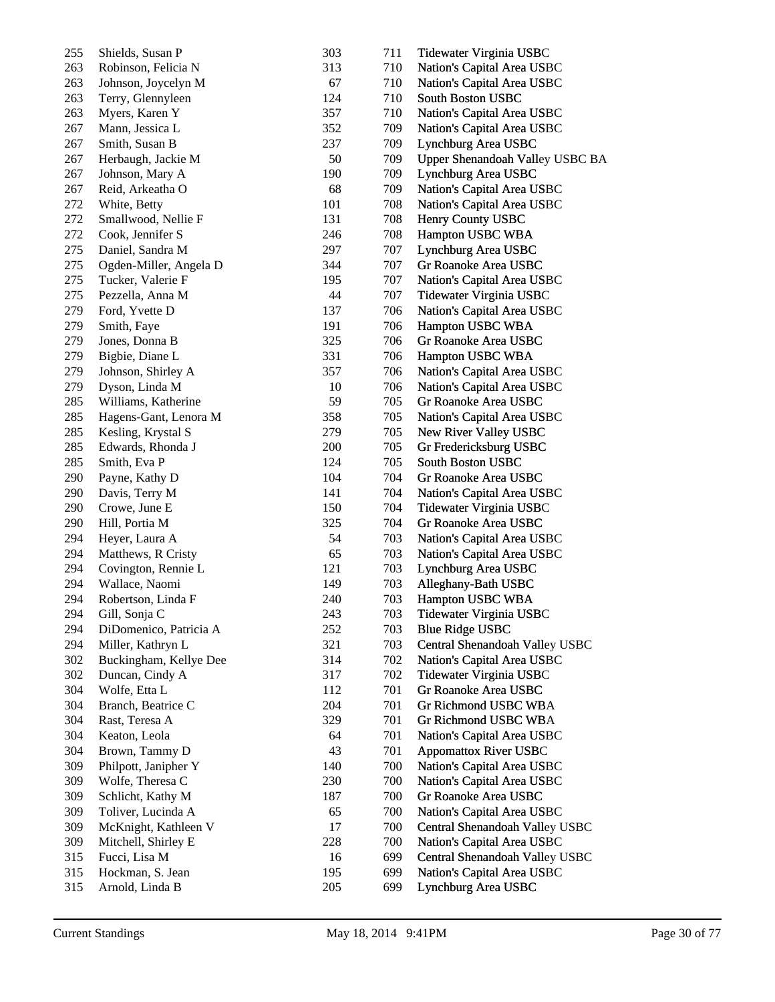| 255 | Shields, Susan P       | 303 | 711 | Tidewater Virginia USBC         |
|-----|------------------------|-----|-----|---------------------------------|
| 263 | Robinson, Felicia N    | 313 | 710 | Nation's Capital Area USBC      |
| 263 | Johnson, Joycelyn M    | 67  | 710 | Nation's Capital Area USBC      |
| 263 | Terry, Glennyleen      | 124 | 710 | South Boston USBC               |
| 263 | Myers, Karen Y         | 357 | 710 | Nation's Capital Area USBC      |
| 267 | Mann, Jessica L        | 352 | 709 | Nation's Capital Area USBC      |
| 267 | Smith, Susan B         | 237 | 709 | Lynchburg Area USBC             |
| 267 | Herbaugh, Jackie M     | 50  | 709 | Upper Shenandoah Valley USBC BA |
| 267 | Johnson, Mary A        | 190 | 709 | Lynchburg Area USBC             |
| 267 | Reid, Arkeatha O       | 68  | 709 | Nation's Capital Area USBC      |
| 272 | White, Betty           | 101 | 708 | Nation's Capital Area USBC      |
| 272 | Smallwood, Nellie F    | 131 | 708 | Henry County USBC               |
| 272 | Cook, Jennifer S       | 246 | 708 | Hampton USBC WBA                |
| 275 | Daniel, Sandra M       | 297 | 707 | Lynchburg Area USBC             |
| 275 | Ogden-Miller, Angela D | 344 | 707 | Gr Roanoke Area USBC            |
| 275 | Tucker, Valerie F      | 195 | 707 | Nation's Capital Area USBC      |
| 275 | Pezzella, Anna M       | 44  | 707 | Tidewater Virginia USBC         |
| 279 | Ford, Yvette D         | 137 | 706 | Nation's Capital Area USBC      |
| 279 | Smith, Faye            | 191 | 706 | Hampton USBC WBA                |
| 279 | Jones, Donna B         | 325 | 706 | Gr Roanoke Area USBC            |
| 279 | Bigbie, Diane L        | 331 | 706 | Hampton USBC WBA                |
| 279 | Johnson, Shirley A     | 357 | 706 | Nation's Capital Area USBC      |
| 279 | Dyson, Linda M         | 10  | 706 | Nation's Capital Area USBC      |
| 285 | Williams, Katherine    | 59  | 705 | Gr Roanoke Area USBC            |
| 285 | Hagens-Gant, Lenora M  | 358 | 705 | Nation's Capital Area USBC      |
| 285 | Kesling, Krystal S     | 279 | 705 | New River Valley USBC           |
| 285 | Edwards, Rhonda J      | 200 | 705 | Gr Fredericksburg USBC          |
| 285 | Smith, Eva P           | 124 | 705 | South Boston USBC               |
| 290 | Payne, Kathy D         | 104 | 704 | Gr Roanoke Area USBC            |
| 290 | Davis, Terry M         | 141 | 704 | Nation's Capital Area USBC      |
| 290 | Crowe, June E          | 150 | 704 | Tidewater Virginia USBC         |
| 290 | Hill, Portia M         | 325 | 704 | Gr Roanoke Area USBC            |
| 294 | Heyer, Laura A         | 54  | 703 | Nation's Capital Area USBC      |
| 294 | Matthews, R Cristy     | 65  | 703 | Nation's Capital Area USBC      |
| 294 | Covington, Rennie L    | 121 | 703 | Lynchburg Area USBC             |
| 294 | Wallace, Naomi         | 149 | 703 | Alleghany-Bath USBC             |
| 294 | Robertson, Linda F     | 240 | 703 | Hampton USBC WBA                |
| 294 | Gill, Sonja C          | 243 | 703 | Tidewater Virginia USBC         |
| 294 | DiDomenico, Patricia A | 252 | 703 | <b>Blue Ridge USBC</b>          |
| 294 | Miller, Kathryn L      | 321 | 703 | Central Shenandoah Valley USBC  |
| 302 | Buckingham, Kellye Dee | 314 | 702 | Nation's Capital Area USBC      |
| 302 | Duncan, Cindy A        | 317 | 702 | Tidewater Virginia USBC         |
| 304 | Wolfe, Etta L          | 112 | 701 | Gr Roanoke Area USBC            |
| 304 | Branch, Beatrice C     | 204 | 701 | Gr Richmond USBC WBA            |
| 304 | Rast, Teresa A         | 329 | 701 | Gr Richmond USBC WBA            |
| 304 | Keaton, Leola          | 64  | 701 | Nation's Capital Area USBC      |
| 304 | Brown, Tammy D         | 43  | 701 | <b>Appomattox River USBC</b>    |
| 309 | Philpott, Janipher Y   | 140 | 700 | Nation's Capital Area USBC      |
| 309 | Wolfe, Theresa C       | 230 | 700 | Nation's Capital Area USBC      |
| 309 | Schlicht, Kathy M      | 187 | 700 | Gr Roanoke Area USBC            |
| 309 | Toliver, Lucinda A     | 65  | 700 | Nation's Capital Area USBC      |
| 309 | McKnight, Kathleen V   | 17  | 700 | Central Shenandoah Valley USBC  |
| 309 | Mitchell, Shirley E    | 228 | 700 | Nation's Capital Area USBC      |
| 315 | Fucci, Lisa M          | 16  | 699 | Central Shenandoah Valley USBC  |
| 315 | Hockman, S. Jean       | 195 | 699 | Nation's Capital Area USBC      |
| 315 | Arnold, Linda B        | 205 | 699 | Lynchburg Area USBC             |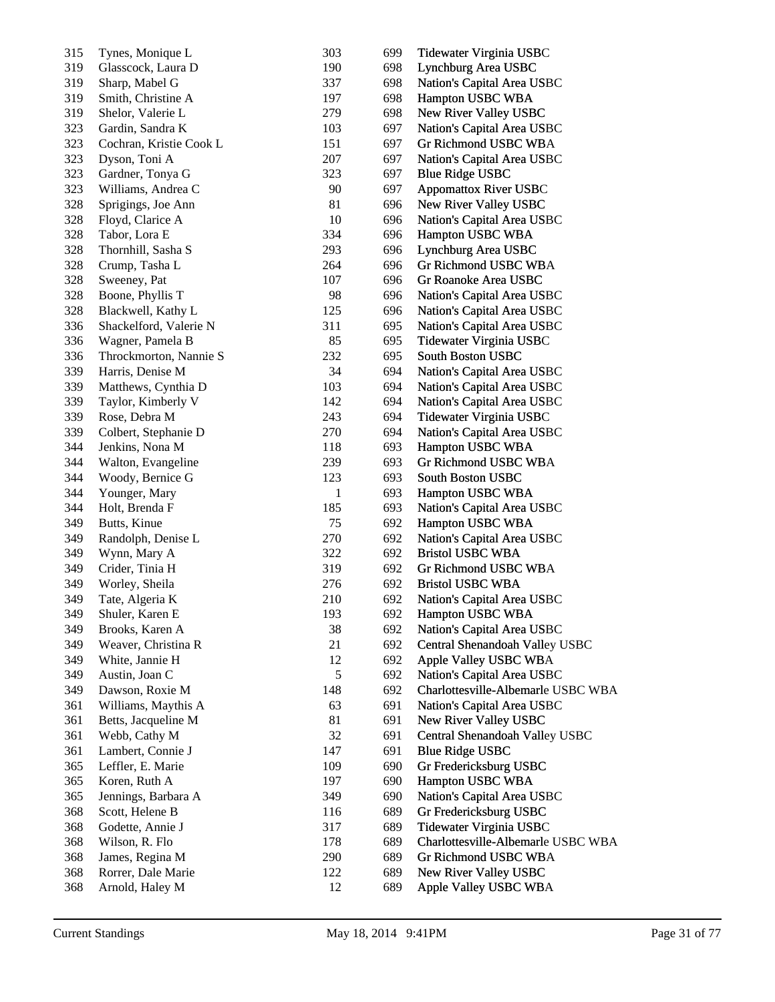| 315 | Tynes, Monique L        | 303          | 699 | Tidewater Virginia USBC            |
|-----|-------------------------|--------------|-----|------------------------------------|
| 319 | Glasscock, Laura D      | 190          | 698 | Lynchburg Area USBC                |
| 319 | Sharp, Mabel G          | 337          | 698 | Nation's Capital Area USBC         |
| 319 | Smith, Christine A      | 197          | 698 | Hampton USBC WBA                   |
| 319 | Shelor, Valerie L       | 279          | 698 | New River Valley USBC              |
| 323 | Gardin, Sandra K        | 103          | 697 | Nation's Capital Area USBC         |
| 323 | Cochran, Kristie Cook L | 151          | 697 | Gr Richmond USBC WBA               |
| 323 | Dyson, Toni A           | 207          | 697 | Nation's Capital Area USBC         |
| 323 | Gardner, Tonya G        | 323          | 697 | <b>Blue Ridge USBC</b>             |
| 323 | Williams, Andrea C      | 90           | 697 | <b>Appomattox River USBC</b>       |
| 328 | Sprigings, Joe Ann      | 81           | 696 | New River Valley USBC              |
| 328 | Floyd, Clarice A        | 10           | 696 | Nation's Capital Area USBC         |
| 328 | Tabor, Lora E           | 334          | 696 | Hampton USBC WBA                   |
| 328 | Thornhill, Sasha S      | 293          | 696 | Lynchburg Area USBC                |
| 328 | Crump, Tasha L          | 264          | 696 | Gr Richmond USBC WBA               |
| 328 |                         | 107          | 696 | Gr Roanoke Area USBC               |
|     | Sweeney, Pat            |              |     |                                    |
| 328 | Boone, Phyllis T        | 98           | 696 | Nation's Capital Area USBC         |
| 328 | Blackwell, Kathy L      | 125          | 696 | Nation's Capital Area USBC         |
| 336 | Shackelford, Valerie N  | 311          | 695 | Nation's Capital Area USBC         |
| 336 | Wagner, Pamela B        | 85           | 695 | Tidewater Virginia USBC            |
| 336 | Throckmorton, Nannie S  | 232          | 695 | South Boston USBC                  |
| 339 | Harris, Denise M        | 34           | 694 | Nation's Capital Area USBC         |
| 339 | Matthews, Cynthia D     | 103          | 694 | Nation's Capital Area USBC         |
| 339 | Taylor, Kimberly V      | 142          | 694 | Nation's Capital Area USBC         |
| 339 | Rose, Debra M           | 243          | 694 | Tidewater Virginia USBC            |
| 339 | Colbert, Stephanie D    | 270          | 694 | Nation's Capital Area USBC         |
| 344 | Jenkins, Nona M         | 118          | 693 | Hampton USBC WBA                   |
| 344 | Walton, Evangeline      | 239          | 693 | Gr Richmond USBC WBA               |
| 344 | Woody, Bernice G        | 123          | 693 | South Boston USBC                  |
| 344 | Younger, Mary           | $\mathbf{1}$ | 693 | Hampton USBC WBA                   |
| 344 | Holt, Brenda F          | 185          | 693 | Nation's Capital Area USBC         |
| 349 | Butts, Kinue            | 75           | 692 | Hampton USBC WBA                   |
| 349 | Randolph, Denise L      | 270          | 692 | Nation's Capital Area USBC         |
| 349 | Wynn, Mary A            | 322          | 692 | <b>Bristol USBC WBA</b>            |
| 349 | Crider, Tinia H         | 319          | 692 | <b>Gr Richmond USBC WBA</b>        |
| 349 | Worley, Sheila          | 276          | 692 | <b>Bristol USBC WBA</b>            |
| 349 | Tate, Algeria K         | 210          | 692 | Nation's Capital Area USBC         |
| 349 | Shuler, Karen E         | 193          | 692 | Hampton USBC WBA                   |
| 349 | Brooks, Karen A         | 38           | 692 | Nation's Capital Area USBC         |
| 349 | Weaver, Christina R     | 21           | 692 | Central Shenandoah Valley USBC     |
| 349 | White, Jannie H         | 12           | 692 | Apple Valley USBC WBA              |
| 349 | Austin, Joan C          | 5            | 692 | Nation's Capital Area USBC         |
| 349 | Dawson, Roxie M         | 148          | 692 | Charlottesville-Albemarle USBC WBA |
| 361 | Williams, Maythis A     | 63           | 691 | Nation's Capital Area USBC         |
| 361 | Betts, Jacqueline M     | 81           | 691 | New River Valley USBC              |
| 361 | Webb, Cathy M           | 32           | 691 | Central Shenandoah Valley USBC     |
| 361 | Lambert, Connie J       | 147          | 691 | <b>Blue Ridge USBC</b>             |
| 365 | Leffler, E. Marie       | 109          | 690 | Gr Fredericksburg USBC             |
| 365 | Koren, Ruth A           | 197          | 690 | Hampton USBC WBA                   |
| 365 | Jennings, Barbara A     | 349          | 690 | Nation's Capital Area USBC         |
| 368 | Scott, Helene B         | 116          | 689 | Gr Fredericksburg USBC             |
| 368 | Godette, Annie J        | 317          |     |                                    |
|     |                         |              | 689 | Tidewater Virginia USBC            |
| 368 | Wilson, R. Flo          | 178          | 689 | Charlottesville-Albemarle USBC WBA |
| 368 | James, Regina M         | 290          | 689 | Gr Richmond USBC WBA               |
| 368 | Rorrer, Dale Marie      | 122          | 689 | New River Valley USBC              |
| 368 | Arnold, Haley M         | 12           | 689 | Apple Valley USBC WBA              |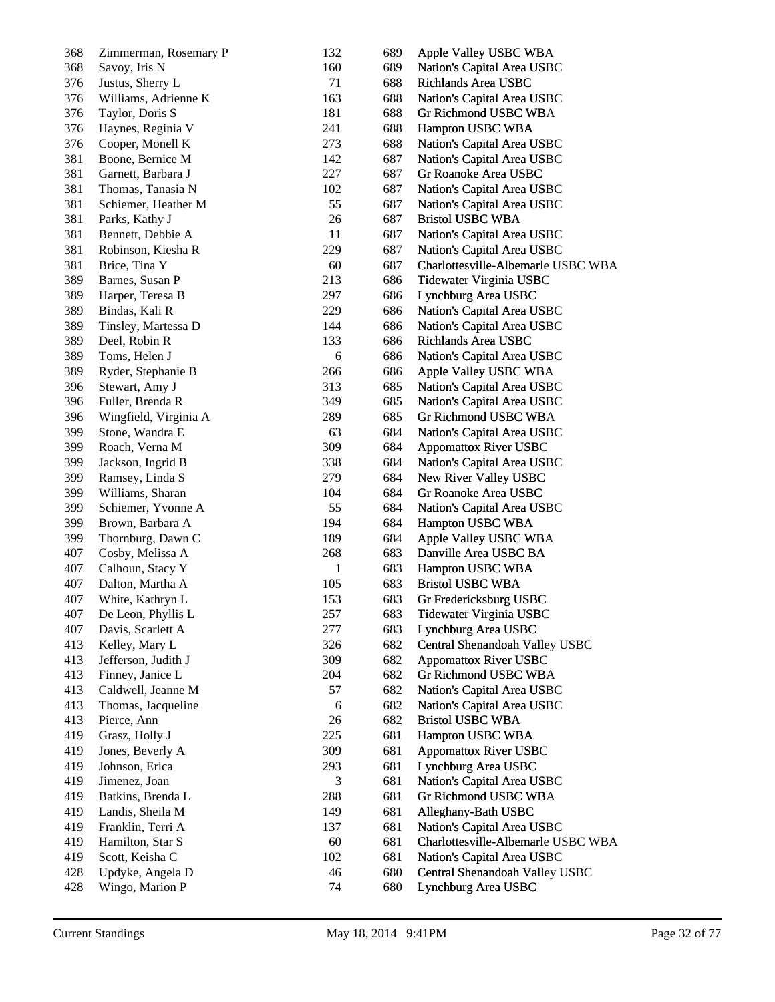| 368 | Zimmerman, Rosemary P | 132              | 689 | Apple Valley USBC WBA              |
|-----|-----------------------|------------------|-----|------------------------------------|
| 368 | Savoy, Iris N         | 160              | 689 | Nation's Capital Area USBC         |
| 376 | Justus, Sherry L      | 71               | 688 | Richlands Area USBC                |
| 376 | Williams, Adrienne K  | 163              | 688 | Nation's Capital Area USBC         |
| 376 | Taylor, Doris S       | 181              | 688 | Gr Richmond USBC WBA               |
| 376 | Haynes, Reginia V     | 241              | 688 | Hampton USBC WBA                   |
| 376 | Cooper, Monell K      | 273              | 688 | Nation's Capital Area USBC         |
| 381 | Boone, Bernice M      | 142              | 687 | Nation's Capital Area USBC         |
| 381 | Garnett, Barbara J    | 227              | 687 | Gr Roanoke Area USBC               |
| 381 | Thomas, Tanasia N     | 102              | 687 | Nation's Capital Area USBC         |
| 381 | Schiemer, Heather M   | 55               | 687 | Nation's Capital Area USBC         |
| 381 | Parks, Kathy J        | 26               | 687 | <b>Bristol USBC WBA</b>            |
| 381 | Bennett, Debbie A     | 11               | 687 | Nation's Capital Area USBC         |
| 381 | Robinson, Kiesha R    | 229              | 687 | Nation's Capital Area USBC         |
| 381 | Brice, Tina Y         | 60               | 687 | Charlottesville-Albemarle USBC WBA |
| 389 | Barnes, Susan P       | 213              | 686 | Tidewater Virginia USBC            |
| 389 | Harper, Teresa B      | 297              | 686 | Lynchburg Area USBC                |
| 389 | Bindas, Kali R        | 229              | 686 | Nation's Capital Area USBC         |
| 389 | Tinsley, Martessa D   | 144              | 686 | Nation's Capital Area USBC         |
| 389 | Deel, Robin R         | 133              | 686 | Richlands Area USBC                |
| 389 | Toms, Helen J         | $\boldsymbol{6}$ | 686 | Nation's Capital Area USBC         |
| 389 | Ryder, Stephanie B    | 266              | 686 | Apple Valley USBC WBA              |
| 396 | Stewart, Amy J        | 313              | 685 | Nation's Capital Area USBC         |
| 396 | Fuller, Brenda R      | 349              | 685 | Nation's Capital Area USBC         |
| 396 | Wingfield, Virginia A | 289              | 685 | Gr Richmond USBC WBA               |
| 399 | Stone, Wandra E       | 63               | 684 | Nation's Capital Area USBC         |
| 399 | Roach, Verna M        | 309              | 684 | <b>Appomattox River USBC</b>       |
| 399 | Jackson, Ingrid B     | 338              | 684 | Nation's Capital Area USBC         |
| 399 | Ramsey, Linda S       | 279              | 684 | New River Valley USBC              |
| 399 | Williams, Sharan      | 104              | 684 | Gr Roanoke Area USBC               |
| 399 | Schiemer, Yvonne A    | 55               | 684 | Nation's Capital Area USBC         |
| 399 | Brown, Barbara A      | 194              | 684 | Hampton USBC WBA                   |
| 399 | Thornburg, Dawn C     | 189              | 684 | Apple Valley USBC WBA              |
| 407 | Cosby, Melissa A      | 268              | 683 | Danville Area USBC BA              |
| 407 | Calhoun, Stacy Y      | $\mathbf{1}$     | 683 | Hampton USBC WBA                   |
| 407 | Dalton, Martha A      | 105              | 683 | <b>Bristol USBC WBA</b>            |
| 407 | White, Kathryn L      | 153              | 683 | Gr Fredericksburg USBC             |
| 407 | De Leon, Phyllis L    | 257              | 683 | Tidewater Virginia USBC            |
| 407 | Davis, Scarlett A     | 277              | 683 | Lynchburg Area USBC                |
| 413 | Kelley, Mary L        | 326              | 682 | Central Shenandoah Valley USBC     |
| 413 | Jefferson, Judith J   | 309              | 682 | <b>Appomattox River USBC</b>       |
| 413 | Finney, Janice L      | 204              | 682 | Gr Richmond USBC WBA               |
| 413 | Caldwell, Jeanne M    | 57               | 682 | Nation's Capital Area USBC         |
| 413 | Thomas, Jacqueline    | $\sqrt{6}$       | 682 | Nation's Capital Area USBC         |
| 413 | Pierce, Ann           | 26               | 682 | <b>Bristol USBC WBA</b>            |
| 419 | Grasz, Holly J        | 225              | 681 | Hampton USBC WBA                   |
| 419 | Jones, Beverly A      | 309              | 681 | <b>Appomattox River USBC</b>       |
| 419 | Johnson, Erica        | 293              | 681 | Lynchburg Area USBC                |
| 419 |                       | 3                | 681 |                                    |
|     | Jimenez, Joan         |                  |     | Nation's Capital Area USBC         |
| 419 | Batkins, Brenda L     | 288              | 681 | Gr Richmond USBC WBA               |
| 419 | Landis, Sheila M      | 149              | 681 | Alleghany-Bath USBC                |
| 419 | Franklin, Terri A     | 137              | 681 | Nation's Capital Area USBC         |
| 419 | Hamilton, Star S      | 60               | 681 | Charlottesville-Albemarle USBC WBA |
| 419 | Scott, Keisha C       | 102              | 681 | Nation's Capital Area USBC         |
| 428 | Updyke, Angela D      | 46               | 680 | Central Shenandoah Valley USBC     |
| 428 | Wingo, Marion P       | 74               | 680 | Lynchburg Area USBC                |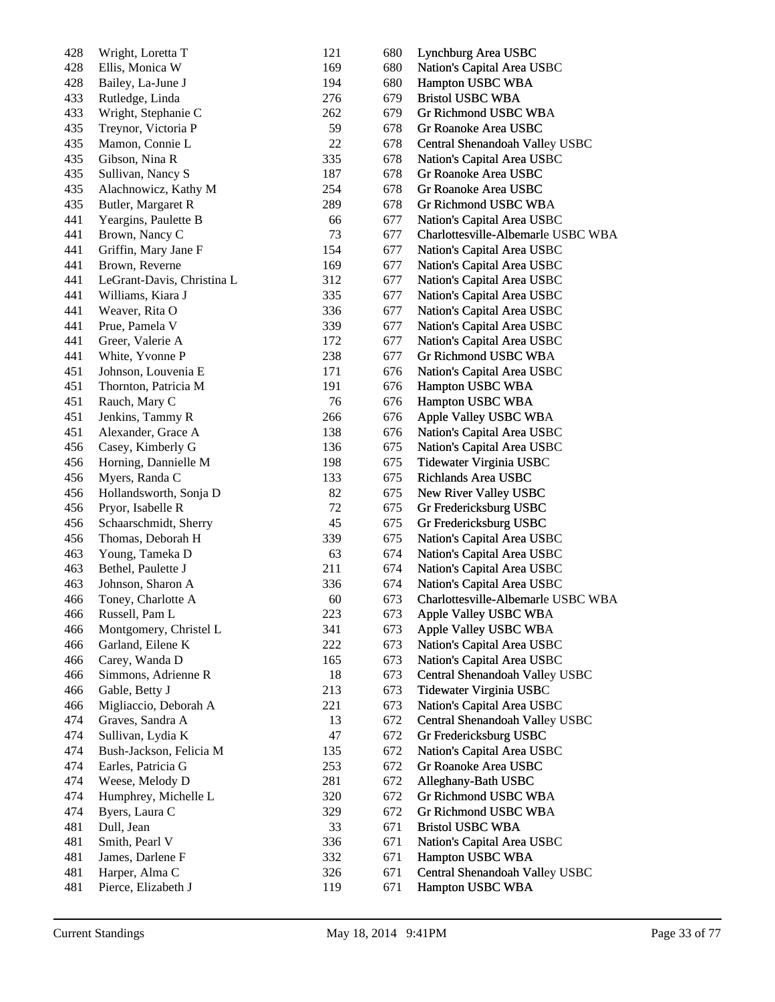| 428 | Wright, Loretta T          | 121 | 680 | Lynchburg Area USBC                |
|-----|----------------------------|-----|-----|------------------------------------|
| 428 | Ellis, Monica W            | 169 | 680 | Nation's Capital Area USBC         |
| 428 | Bailey, La-June J          | 194 | 680 | Hampton USBC WBA                   |
| 433 | Rutledge, Linda            | 276 | 679 | <b>Bristol USBC WBA</b>            |
| 433 | Wright, Stephanie C        | 262 | 679 | Gr Richmond USBC WBA               |
| 435 | Treynor, Victoria P        | 59  | 678 | Gr Roanoke Area USBC               |
| 435 | Mamon, Connie L            | 22  | 678 | Central Shenandoah Valley USBC     |
| 435 | Gibson, Nina R             | 335 | 678 | Nation's Capital Area USBC         |
| 435 | Sullivan, Nancy S          | 187 | 678 | Gr Roanoke Area USBC               |
| 435 | Alachnowicz, Kathy M       | 254 | 678 | Gr Roanoke Area USBC               |
| 435 | Butler, Margaret R         | 289 | 678 | Gr Richmond USBC WBA               |
| 441 | Yeargins, Paulette B       | 66  | 677 | Nation's Capital Area USBC         |
| 441 | Brown, Nancy C             | 73  | 677 | Charlottesville-Albemarle USBC WBA |
| 441 | Griffin, Mary Jane F       | 154 | 677 | Nation's Capital Area USBC         |
| 441 | Brown, Reverne             | 169 | 677 | Nation's Capital Area USBC         |
| 441 | LeGrant-Davis, Christina L | 312 | 677 | Nation's Capital Area USBC         |
| 441 | Williams, Kiara J          | 335 | 677 | Nation's Capital Area USBC         |
| 441 | Weaver, Rita O             | 336 | 677 | Nation's Capital Area USBC         |
| 441 | Prue, Pamela V             | 339 | 677 | Nation's Capital Area USBC         |
| 441 | Greer, Valerie A           | 172 | 677 | Nation's Capital Area USBC         |
| 441 | White, Yvonne P            | 238 | 677 | Gr Richmond USBC WBA               |
| 451 | Johnson, Louvenia E        | 171 | 676 | Nation's Capital Area USBC         |
| 451 | Thornton, Patricia M       | 191 | 676 | Hampton USBC WBA                   |
| 451 | Rauch, Mary C              | 76  | 676 | Hampton USBC WBA                   |
| 451 | Jenkins, Tammy R           | 266 | 676 | Apple Valley USBC WBA              |
| 451 | Alexander, Grace A         | 138 | 676 | Nation's Capital Area USBC         |
| 456 | Casey, Kimberly G          | 136 | 675 | Nation's Capital Area USBC         |
| 456 | Horning, Dannielle M       | 198 | 675 | Tidewater Virginia USBC            |
| 456 | Myers, Randa C             | 133 | 675 | Richlands Area USBC                |
| 456 | Hollandsworth, Sonja D     | 82  | 675 | New River Valley USBC              |
| 456 | Pryor, Isabelle R          | 72  | 675 | Gr Fredericksburg USBC             |
| 456 | Schaarschmidt, Sherry      | 45  | 675 | Gr Fredericksburg USBC             |
| 456 | Thomas, Deborah H          | 339 | 675 | Nation's Capital Area USBC         |
| 463 | Young, Tameka D            | 63  | 674 | Nation's Capital Area USBC         |
| 463 | Bethel, Paulette J         | 211 | 674 | Nation's Capital Area USBC         |
| 463 | Johnson, Sharon A          | 336 | 674 | Nation's Capital Area USBC         |
| 466 | Toney, Charlotte A         | 60  | 673 | Charlottesville-Albemarle USBC WBA |
| 466 | Russell, Pam L             | 223 | 673 | Apple Valley USBC WBA              |
| 466 | Montgomery, Christel L     | 341 | 673 | Apple Valley USBC WBA              |
| 466 | Garland, Eilene K          | 222 | 673 | Nation's Capital Area USBC         |
| 466 | Carey, Wanda D             | 165 | 673 | Nation's Capital Area USBC         |
| 466 | Simmons, Adrienne R        | 18  | 673 | Central Shenandoah Valley USBC     |
| 466 | Gable, Betty J             | 213 | 673 | Tidewater Virginia USBC            |
| 466 | Migliaccio, Deborah A      | 221 | 673 | Nation's Capital Area USBC         |
| 474 | Graves, Sandra A           | 13  | 672 | Central Shenandoah Valley USBC     |
| 474 | Sullivan, Lydia K          | 47  | 672 | Gr Fredericksburg USBC             |
| 474 | Bush-Jackson, Felicia M    | 135 | 672 | Nation's Capital Area USBC         |
| 474 | Earles, Patricia G         | 253 | 672 | Gr Roanoke Area USBC               |
| 474 | Weese, Melody D            | 281 | 672 | Alleghany-Bath USBC                |
| 474 | Humphrey, Michelle L       | 320 | 672 | Gr Richmond USBC WBA               |
| 474 | Byers, Laura C             | 329 | 672 | Gr Richmond USBC WBA               |
| 481 | Dull, Jean                 | 33  | 671 | <b>Bristol USBC WBA</b>            |
| 481 | Smith, Pearl V             | 336 | 671 | Nation's Capital Area USBC         |
| 481 | James, Darlene F           | 332 | 671 | Hampton USBC WBA                   |
| 481 | Harper, Alma C             | 326 | 671 | Central Shenandoah Valley USBC     |
| 481 | Pierce, Elizabeth J        | 119 | 671 | Hampton USBC WBA                   |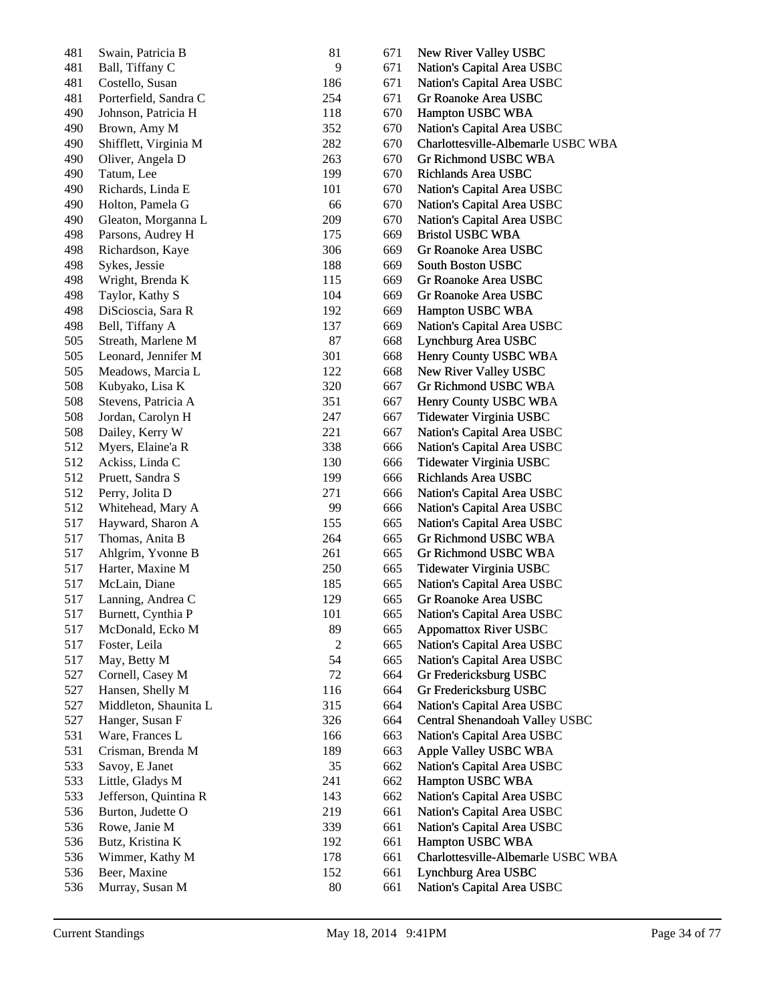| 481 | Swain, Patricia B     | 81         | 671 | New River Valley USBC              |
|-----|-----------------------|------------|-----|------------------------------------|
| 481 | Ball, Tiffany C       | 9          | 671 | Nation's Capital Area USBC         |
| 481 | Costello, Susan       | 186        | 671 | Nation's Capital Area USBC         |
| 481 | Porterfield, Sandra C | 254        | 671 | Gr Roanoke Area USBC               |
| 490 | Johnson, Patricia H   | 118        | 670 | Hampton USBC WBA                   |
| 490 | Brown, Amy M          | 352        | 670 | Nation's Capital Area USBC         |
| 490 | Shifflett, Virginia M | 282        | 670 | Charlottesville-Albemarle USBC WBA |
| 490 | Oliver, Angela D      | 263        | 670 | Gr Richmond USBC WBA               |
| 490 | Tatum, Lee            | 199        | 670 | Richlands Area USBC                |
| 490 | Richards, Linda E     | 101        | 670 | Nation's Capital Area USBC         |
| 490 | Holton, Pamela G      | 66         | 670 | Nation's Capital Area USBC         |
| 490 | Gleaton, Morganna L   | 209        | 670 | Nation's Capital Area USBC         |
| 498 | Parsons, Audrey H     | 175        | 669 | <b>Bristol USBC WBA</b>            |
| 498 | Richardson, Kaye      | 306        | 669 | Gr Roanoke Area USBC               |
| 498 | Sykes, Jessie         | 188        | 669 | South Boston USBC                  |
| 498 | Wright, Brenda K      | 115        | 669 | Gr Roanoke Area USBC               |
| 498 | Taylor, Kathy S       | 104        | 669 | Gr Roanoke Area USBC               |
| 498 | DiScioscia, Sara R    | 192        | 669 | Hampton USBC WBA                   |
| 498 | Bell, Tiffany A       | 137        | 669 | Nation's Capital Area USBC         |
| 505 | Streath, Marlene M    | 87         | 668 | Lynchburg Area USBC                |
| 505 | Leonard, Jennifer M   | 301        | 668 | Henry County USBC WBA              |
| 505 | Meadows, Marcia L     | 122        | 668 | New River Valley USBC              |
| 508 | Kubyako, Lisa K       | 320        | 667 | Gr Richmond USBC WBA               |
| 508 | Stevens, Patricia A   | 351        | 667 | Henry County USBC WBA              |
| 508 | Jordan, Carolyn H     | 247        | 667 | Tidewater Virginia USBC            |
| 508 | Dailey, Kerry W       | 221        | 667 | Nation's Capital Area USBC         |
| 512 | Myers, Elaine'a R     | 338        | 666 | Nation's Capital Area USBC         |
| 512 | Ackiss, Linda C       | 130        | 666 | Tidewater Virginia USBC            |
| 512 | Pruett, Sandra S      | 199        | 666 | Richlands Area USBC                |
| 512 | Perry, Jolita D       | 271        | 666 | Nation's Capital Area USBC         |
| 512 | Whitehead, Mary A     | 99         | 666 | Nation's Capital Area USBC         |
| 517 | Hayward, Sharon A     | 155        | 665 | Nation's Capital Area USBC         |
| 517 | Thomas, Anita B       | 264        | 665 | Gr Richmond USBC WBA               |
| 517 | Ahlgrim, Yvonne B     | 261        | 665 | Gr Richmond USBC WBA               |
| 517 | Harter, Maxine M      | 250        | 665 | Tidewater Virginia USBC            |
| 517 | McLain, Diane         | 185        | 665 | Nation's Capital Area USBC         |
| 517 | Lanning, Andrea C     | 129        | 665 | Gr Roanoke Area USBC               |
| 517 | Burnett, Cynthia P    | 101        | 665 | Nation's Capital Area USBC         |
| 517 | McDonald, Ecko M      | 89         | 665 | <b>Appomattox River USBC</b>       |
| 517 | Foster, Leila         | $\sqrt{2}$ | 665 | Nation's Capital Area USBC         |
| 517 | May, Betty M          | 54         | 665 | Nation's Capital Area USBC         |
| 527 | Cornell, Casey M      | 72         | 664 | Gr Fredericksburg USBC             |
| 527 | Hansen, Shelly M      | 116        | 664 | Gr Fredericksburg USBC             |
| 527 | Middleton, Shaunita L | 315        | 664 | Nation's Capital Area USBC         |
| 527 | Hanger, Susan F       | 326        | 664 | Central Shenandoah Valley USBC     |
| 531 | Ware, Frances L       | 166        | 663 | Nation's Capital Area USBC         |
| 531 | Crisman, Brenda M     | 189        | 663 | Apple Valley USBC WBA              |
| 533 | Savoy, E Janet        | 35         | 662 | Nation's Capital Area USBC         |
| 533 | Little, Gladys M      | 241        | 662 | Hampton USBC WBA                   |
| 533 | Jefferson, Quintina R | 143        | 662 | Nation's Capital Area USBC         |
| 536 | Burton, Judette O     | 219        | 661 | Nation's Capital Area USBC         |
| 536 | Rowe, Janie M         | 339        | 661 | Nation's Capital Area USBC         |
| 536 | Butz, Kristina K      | 192        | 661 | Hampton USBC WBA                   |
| 536 | Wimmer, Kathy M       | 178        | 661 | Charlottesville-Albemarle USBC WBA |
| 536 | Beer, Maxine          | 152        | 661 | Lynchburg Area USBC                |
| 536 | Murray, Susan M       | 80         | 661 | Nation's Capital Area USBC         |
|     |                       |            |     |                                    |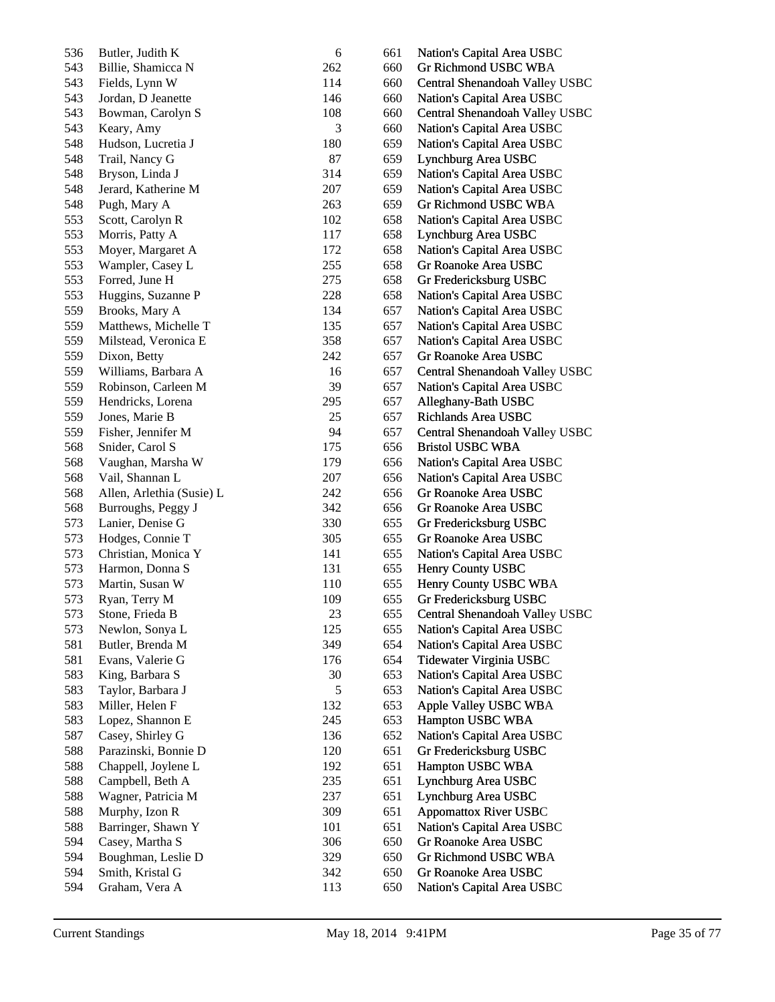| 536        | Butler, Judith K                     | 6   | 661 | Nation's Capital Area USBC     |
|------------|--------------------------------------|-----|-----|--------------------------------|
| 543        | Billie, Shamicca N                   | 262 | 660 | Gr Richmond USBC WBA           |
| 543        | Fields, Lynn W                       | 114 | 660 | Central Shenandoah Valley USBC |
| 543        | Jordan, D Jeanette                   | 146 | 660 | Nation's Capital Area USBC     |
| 543        | Bowman, Carolyn S                    | 108 | 660 | Central Shenandoah Valley USBC |
| 543        | Keary, Amy                           | 3   | 660 | Nation's Capital Area USBC     |
| 548        | Hudson, Lucretia J                   | 180 | 659 | Nation's Capital Area USBC     |
| 548        | Trail, Nancy G                       | 87  | 659 | Lynchburg Area USBC            |
| 548        | Bryson, Linda J                      | 314 | 659 | Nation's Capital Area USBC     |
| 548        | Jerard, Katherine M                  | 207 | 659 | Nation's Capital Area USBC     |
| 548        | Pugh, Mary A                         | 263 | 659 | Gr Richmond USBC WBA           |
| 553        | Scott, Carolyn R                     | 102 | 658 | Nation's Capital Area USBC     |
| 553        | Morris, Patty A                      | 117 | 658 | Lynchburg Area USBC            |
| 553        | Moyer, Margaret A                    | 172 | 658 | Nation's Capital Area USBC     |
| 553        | Wampler, Casey L                     | 255 | 658 | Gr Roanoke Area USBC           |
| 553        | Forred, June H                       | 275 | 658 | Gr Fredericksburg USBC         |
| 553        | Huggins, Suzanne P                   | 228 | 658 | Nation's Capital Area USBC     |
| 559        | Brooks, Mary A                       | 134 | 657 | Nation's Capital Area USBC     |
| 559        | Matthews, Michelle T                 | 135 | 657 | Nation's Capital Area USBC     |
| 559        | Milstead, Veronica E                 | 358 | 657 | Nation's Capital Area USBC     |
| 559        | Dixon, Betty                         | 242 | 657 | Gr Roanoke Area USBC           |
| 559        | Williams, Barbara A                  | 16  | 657 | Central Shenandoah Valley USBC |
| 559        | Robinson, Carleen M                  | 39  | 657 | Nation's Capital Area USBC     |
| 559        | Hendricks, Lorena                    | 295 | 657 | Alleghany-Bath USBC            |
| 559        | Jones, Marie B                       | 25  | 657 | Richlands Area USBC            |
| 559        | Fisher, Jennifer M                   | 94  | 657 | Central Shenandoah Valley USBC |
| 568        | Snider, Carol S                      | 175 | 656 | <b>Bristol USBC WBA</b>        |
| 568        | Vaughan, Marsha W                    | 179 | 656 | Nation's Capital Area USBC     |
| 568        | Vail, Shannan L                      | 207 | 656 | Nation's Capital Area USBC     |
| 568        | Allen, Arlethia (Susie) L            | 242 | 656 | Gr Roanoke Area USBC           |
| 568        | Burroughs, Peggy J                   | 342 | 656 | Gr Roanoke Area USBC           |
| 573        | Lanier, Denise G                     | 330 | 655 | Gr Fredericksburg USBC         |
| 573        | Hodges, Connie T                     | 305 | 655 | Gr Roanoke Area USBC           |
| 573        | Christian, Monica Y                  | 141 | 655 | Nation's Capital Area USBC     |
| 573        | Harmon, Donna S                      | 131 | 655 | Henry County USBC              |
| 573        | Martin, Susan W                      | 110 | 655 | Henry County USBC WBA          |
| 573        | Ryan, Terry M                        | 109 | 655 | Gr Fredericksburg USBC         |
| 573        | Stone, Frieda B                      | 23  | 655 | Central Shenandoah Valley USBC |
| 573        | Newlon, Sonya L                      | 125 | 655 | Nation's Capital Area USBC     |
| 581        | Butler, Brenda M                     | 349 | 654 | Nation's Capital Area USBC     |
| 581        | Evans, Valerie G                     | 176 | 654 | Tidewater Virginia USBC        |
| 583        | King, Barbara S                      | 30  | 653 | Nation's Capital Area USBC     |
| 583        |                                      | 5   |     |                                |
|            | Taylor, Barbara J<br>Miller, Helen F |     | 653 | Nation's Capital Area USBC     |
| 583<br>583 |                                      | 132 | 653 | Apple Valley USBC WBA          |
|            | Lopez, Shannon E                     | 245 | 653 | Hampton USBC WBA               |
| 587        | Casey, Shirley G                     | 136 | 652 | Nation's Capital Area USBC     |
| 588        | Parazinski, Bonnie D                 | 120 | 651 | Gr Fredericksburg USBC         |
| 588        | Chappell, Joylene L                  | 192 | 651 | Hampton USBC WBA               |
| 588        | Campbell, Beth A                     | 235 | 651 | Lynchburg Area USBC            |
| 588        | Wagner, Patricia M                   | 237 | 651 | Lynchburg Area USBC            |
| 588        | Murphy, Izon R                       | 309 | 651 | <b>Appomattox River USBC</b>   |
| 588        | Barringer, Shawn Y                   | 101 | 651 | Nation's Capital Area USBC     |
| 594        | Casey, Martha S                      | 306 | 650 | Gr Roanoke Area USBC           |
| 594        | Boughman, Leslie D                   | 329 | 650 | Gr Richmond USBC WBA           |
| 594        | Smith, Kristal G                     | 342 | 650 | Gr Roanoke Area USBC           |
| 594        | Graham, Vera A                       | 113 | 650 | Nation's Capital Area USBC     |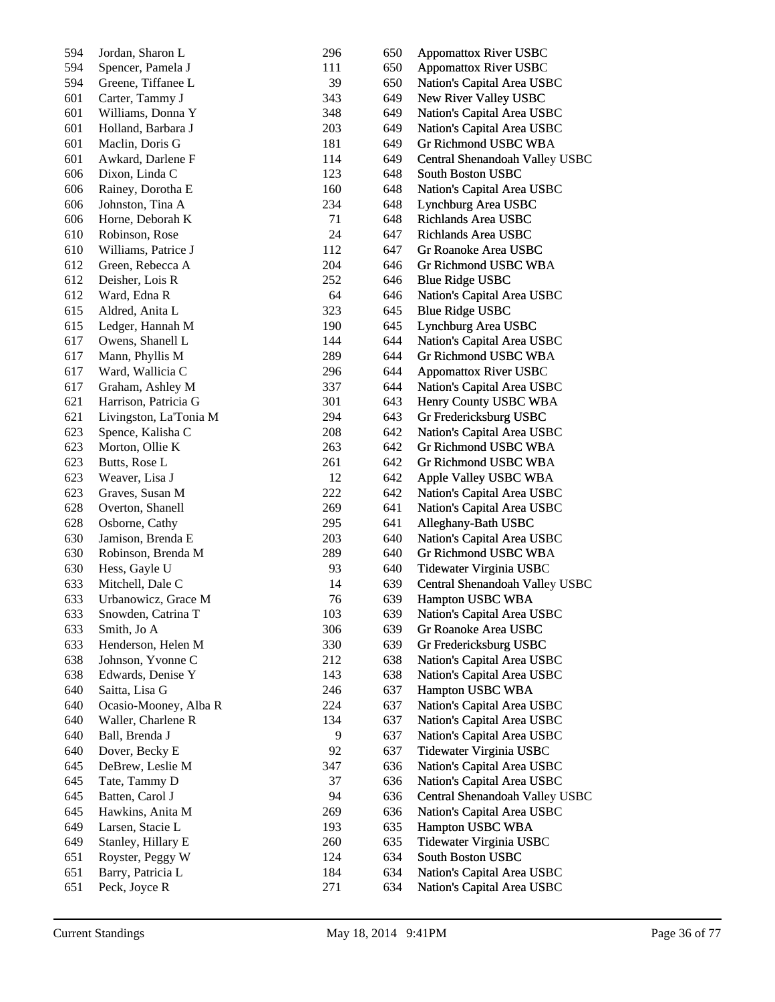| 594 | Jordan, Sharon L       | 296 | 650 | <b>Appomattox River USBC</b>   |
|-----|------------------------|-----|-----|--------------------------------|
| 594 | Spencer, Pamela J      | 111 | 650 | <b>Appomattox River USBC</b>   |
| 594 | Greene, Tiffanee L     | 39  | 650 | Nation's Capital Area USBC     |
| 601 | Carter, Tammy J        | 343 | 649 | New River Valley USBC          |
| 601 | Williams, Donna Y      | 348 | 649 | Nation's Capital Area USBC     |
| 601 | Holland, Barbara J     | 203 | 649 | Nation's Capital Area USBC     |
| 601 | Maclin, Doris G        | 181 | 649 | Gr Richmond USBC WBA           |
| 601 | Awkard, Darlene F      | 114 | 649 | Central Shenandoah Valley USBC |
| 606 | Dixon, Linda C         | 123 | 648 | <b>South Boston USBC</b>       |
| 606 | Rainey, Dorotha E      | 160 | 648 | Nation's Capital Area USBC     |
| 606 | Johnston, Tina A       | 234 | 648 | Lynchburg Area USBC            |
| 606 | Horne, Deborah K       | 71  | 648 | Richlands Area USBC            |
| 610 | Robinson, Rose         | 24  | 647 | Richlands Area USBC            |
| 610 | Williams, Patrice J    | 112 | 647 | Gr Roanoke Area USBC           |
| 612 | Green, Rebecca A       | 204 | 646 | Gr Richmond USBC WBA           |
| 612 | Deisher, Lois R        | 252 | 646 | <b>Blue Ridge USBC</b>         |
| 612 | Ward, Edna R           | 64  | 646 | Nation's Capital Area USBC     |
| 615 | Aldred, Anita L        | 323 | 645 | <b>Blue Ridge USBC</b>         |
| 615 | Ledger, Hannah M       | 190 | 645 | Lynchburg Area USBC            |
| 617 | Owens, Shanell L       | 144 | 644 | Nation's Capital Area USBC     |
| 617 | Mann, Phyllis M        | 289 | 644 | Gr Richmond USBC WBA           |
| 617 | Ward, Wallicia C       | 296 | 644 | <b>Appomattox River USBC</b>   |
| 617 | Graham, Ashley M       | 337 | 644 | Nation's Capital Area USBC     |
| 621 | Harrison, Patricia G   | 301 | 643 | Henry County USBC WBA          |
| 621 | Livingston, La'Tonia M | 294 | 643 | Gr Fredericksburg USBC         |
| 623 | Spence, Kalisha C      | 208 | 642 | Nation's Capital Area USBC     |
| 623 | Morton, Ollie K        | 263 | 642 | Gr Richmond USBC WBA           |
| 623 | Butts, Rose L          | 261 | 642 | Gr Richmond USBC WBA           |
| 623 | Weaver, Lisa J         | 12  | 642 | Apple Valley USBC WBA          |
| 623 | Graves, Susan M        | 222 | 642 | Nation's Capital Area USBC     |
| 628 | Overton, Shanell       | 269 | 641 | Nation's Capital Area USBC     |
| 628 | Osborne, Cathy         | 295 | 641 | Alleghany-Bath USBC            |
| 630 | Jamison, Brenda E      | 203 | 640 | Nation's Capital Area USBC     |
| 630 | Robinson, Brenda M     | 289 | 640 | Gr Richmond USBC WBA           |
| 630 | Hess, Gayle U          | 93  | 640 | Tidewater Virginia USBC        |
| 633 | Mitchell, Dale C       | 14  | 639 | Central Shenandoah Valley USBC |
| 633 | Urbanowicz, Grace M    | 76  | 639 | Hampton USBC WBA               |
| 633 | Snowden, Catrina T     | 103 | 639 | Nation's Capital Area USBC     |
| 633 | Smith, Jo A            | 306 | 639 | Gr Roanoke Area USBC           |
| 633 | Henderson, Helen M     | 330 | 639 | Gr Fredericksburg USBC         |
| 638 | Johnson, Yvonne C      | 212 | 638 | Nation's Capital Area USBC     |
| 638 | Edwards, Denise Y      | 143 | 638 | Nation's Capital Area USBC     |
| 640 | Saitta, Lisa G         | 246 | 637 | Hampton USBC WBA               |
| 640 | Ocasio-Mooney, Alba R  | 224 | 637 | Nation's Capital Area USBC     |
| 640 | Waller, Charlene R     | 134 | 637 | Nation's Capital Area USBC     |
| 640 | Ball, Brenda J         | 9   | 637 | Nation's Capital Area USBC     |
| 640 | Dover, Becky E         | 92  | 637 | Tidewater Virginia USBC        |
| 645 | DeBrew, Leslie M       | 347 | 636 | Nation's Capital Area USBC     |
| 645 | Tate, Tammy D          | 37  | 636 | Nation's Capital Area USBC     |
| 645 | Batten, Carol J        | 94  | 636 | Central Shenandoah Valley USBC |
| 645 | Hawkins, Anita M       | 269 | 636 | Nation's Capital Area USBC     |
| 649 | Larsen, Stacie L       | 193 | 635 | Hampton USBC WBA               |
| 649 | Stanley, Hillary E     | 260 | 635 | Tidewater Virginia USBC        |
| 651 | Royster, Peggy W       | 124 | 634 | South Boston USBC              |
| 651 | Barry, Patricia L      | 184 | 634 | Nation's Capital Area USBC     |
| 651 | Peck, Joyce R          | 271 | 634 | Nation's Capital Area USBC     |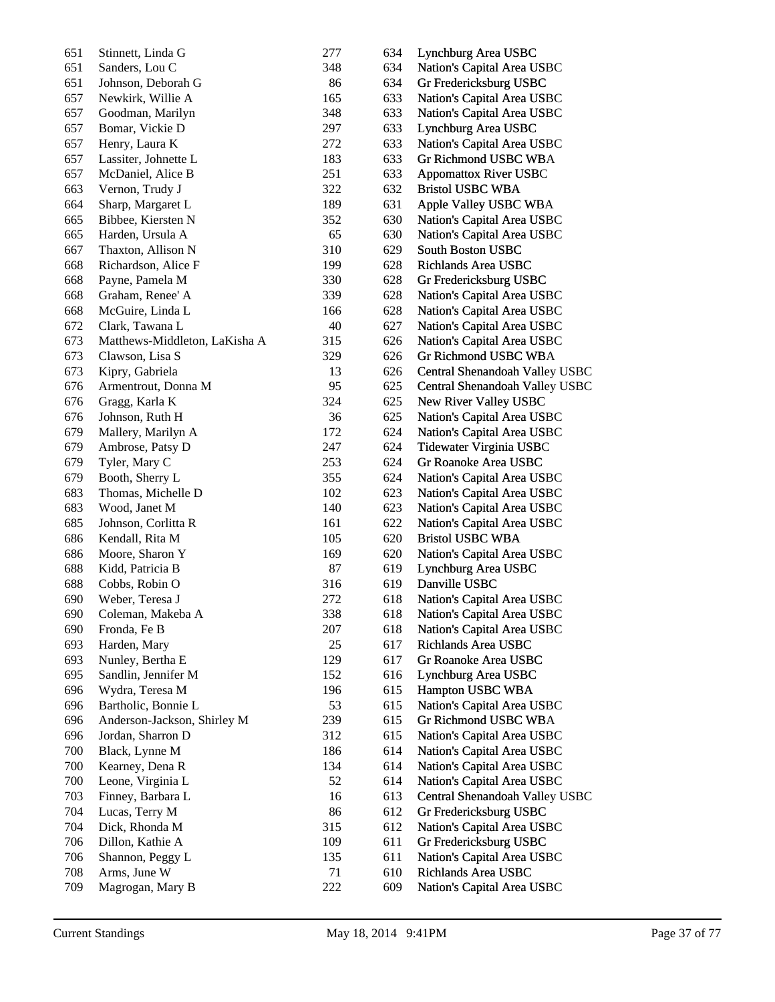| 651 | Stinnett, Linda G             | 277 | 634 | Lynchburg Area USBC                               |
|-----|-------------------------------|-----|-----|---------------------------------------------------|
| 651 | Sanders, Lou C                | 348 | 634 | Nation's Capital Area USBC                        |
| 651 | Johnson, Deborah G            | 86  | 634 | Gr Fredericksburg USBC                            |
| 657 | Newkirk, Willie A             | 165 | 633 | Nation's Capital Area USBC                        |
| 657 | Goodman, Marilyn              | 348 | 633 | Nation's Capital Area USBC                        |
| 657 | Bomar, Vickie D               | 297 | 633 | Lynchburg Area USBC                               |
| 657 | Henry, Laura K                | 272 | 633 | Nation's Capital Area USBC                        |
| 657 | Lassiter, Johnette L          | 183 | 633 | Gr Richmond USBC WBA                              |
| 657 | McDaniel, Alice B             | 251 | 633 | <b>Appomattox River USBC</b>                      |
| 663 | Vernon, Trudy J               | 322 | 632 | <b>Bristol USBC WBA</b>                           |
| 664 | Sharp, Margaret L             | 189 | 631 | Apple Valley USBC WBA                             |
| 665 | Bibbee, Kiersten N            | 352 | 630 | Nation's Capital Area USBC                        |
| 665 | Harden, Ursula A              | 65  | 630 | Nation's Capital Area USBC                        |
| 667 | Thaxton, Allison N            | 310 | 629 | South Boston USBC                                 |
| 668 | Richardson, Alice F           | 199 | 628 | Richlands Area USBC                               |
| 668 | Payne, Pamela M               | 330 | 628 | Gr Fredericksburg USBC                            |
| 668 | Graham, Renee' A              | 339 | 628 | Nation's Capital Area USBC                        |
| 668 | McGuire, Linda L              | 166 | 628 | Nation's Capital Area USBC                        |
| 672 | Clark, Tawana L               | 40  | 627 | Nation's Capital Area USBC                        |
| 673 | Matthews-Middleton, LaKisha A | 315 | 626 | Nation's Capital Area USBC                        |
| 673 | Clawson, Lisa S               | 329 | 626 | <b>Gr Richmond USBC WBA</b>                       |
| 673 | Kipry, Gabriela               | 13  | 626 | Central Shenandoah Valley USBC                    |
| 676 | Armentrout, Donna M           | 95  | 625 | Central Shenandoah Valley USBC                    |
| 676 | Gragg, Karla K                | 324 | 625 | New River Valley USBC                             |
| 676 | Johnson, Ruth H               | 36  | 625 | Nation's Capital Area USBC                        |
| 679 | Mallery, Marilyn A            | 172 | 624 | Nation's Capital Area USBC                        |
| 679 | Ambrose, Patsy D              | 247 | 624 | Tidewater Virginia USBC                           |
| 679 | Tyler, Mary C                 | 253 | 624 | Gr Roanoke Area USBC                              |
| 679 | Booth, Sherry L               | 355 | 624 | Nation's Capital Area USBC                        |
| 683 | Thomas, Michelle D            | 102 | 623 | Nation's Capital Area USBC                        |
| 683 | Wood, Janet M                 | 140 | 623 | Nation's Capital Area USBC                        |
| 685 | Johnson, Corlitta R           | 161 | 622 | Nation's Capital Area USBC                        |
| 686 | Kendall, Rita M               | 105 | 620 | <b>Bristol USBC WBA</b>                           |
| 686 | Moore, Sharon Y               | 169 | 620 | Nation's Capital Area USBC                        |
| 688 | Kidd, Patricia B              | 87  | 619 | Lynchburg Area USBC                               |
| 688 | Cobbs, Robin O                | 316 | 619 | Danville USBC                                     |
| 690 | Weber, Teresa J               | 272 | 618 | Nation's Capital Area USBC                        |
| 690 | Coleman, Makeba A             | 338 | 618 | Nation's Capital Area USBC                        |
| 690 | Fronda, Fe B                  | 207 | 618 | Nation's Capital Area USBC                        |
| 693 | Harden, Mary                  | 25  | 617 | Richlands Area USBC                               |
| 693 | Nunley, Bertha E              | 129 | 617 | Gr Roanoke Area USBC                              |
| 695 | Sandlin, Jennifer M           | 152 | 616 | Lynchburg Area USBC                               |
| 696 | Wydra, Teresa M               | 196 | 615 | Hampton USBC WBA                                  |
| 696 | Bartholic, Bonnie L           | 53  | 615 | Nation's Capital Area USBC                        |
| 696 | Anderson-Jackson, Shirley M   | 239 | 615 | Gr Richmond USBC WBA                              |
| 696 | Jordan, Sharron D             | 312 | 615 | Nation's Capital Area USBC                        |
| 700 | Black, Lynne M                | 186 | 614 | Nation's Capital Area USBC                        |
| 700 | Kearney, Dena R               | 134 | 614 | Nation's Capital Area USBC                        |
| 700 | Leone, Virginia L             | 52  | 614 | Nation's Capital Area USBC                        |
| 703 | Finney, Barbara L             | 16  | 613 | Central Shenandoah Valley USBC                    |
| 704 | Lucas, Terry M                | 86  | 612 | Gr Fredericksburg USBC                            |
| 704 | Dick, Rhonda M                | 315 | 612 | Nation's Capital Area USBC                        |
| 706 |                               |     | 611 |                                                   |
|     | Dillon, Kathie A              | 109 |     | Gr Fredericksburg USBC                            |
| 706 | Shannon, Peggy L              | 135 | 611 | Nation's Capital Area USBC<br>Richlands Area USBC |
| 708 | Arms, June W                  | 71  | 610 |                                                   |
| 709 | Magrogan, Mary B              | 222 | 609 | Nation's Capital Area USBC                        |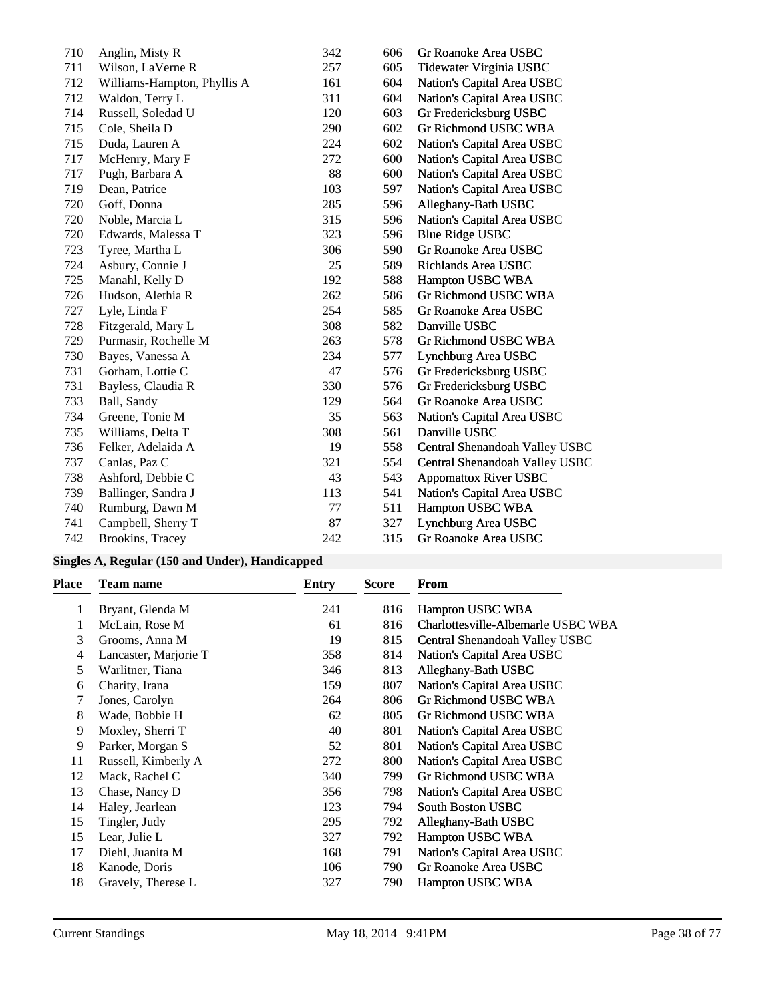| 710 | Anglin, Misty R             | 342 | 606 | Gr Roanoke Area USBC           |
|-----|-----------------------------|-----|-----|--------------------------------|
| 711 | Wilson, LaVerne R           | 257 | 605 | Tidewater Virginia USBC        |
| 712 | Williams-Hampton, Phyllis A | 161 | 604 | Nation's Capital Area USBC     |
| 712 | Waldon, Terry L             | 311 | 604 | Nation's Capital Area USBC     |
| 714 | Russell, Soledad U          | 120 | 603 | Gr Fredericksburg USBC         |
| 715 | Cole, Sheila D              | 290 | 602 | Gr Richmond USBC WBA           |
| 715 | Duda, Lauren A              | 224 | 602 | Nation's Capital Area USBC     |
| 717 | McHenry, Mary F             | 272 | 600 | Nation's Capital Area USBC     |
| 717 | Pugh, Barbara A             | 88  | 600 | Nation's Capital Area USBC     |
| 719 | Dean, Patrice               | 103 | 597 | Nation's Capital Area USBC     |
| 720 | Goff, Donna                 | 285 | 596 | Alleghany-Bath USBC            |
| 720 | Noble, Marcia L             | 315 | 596 | Nation's Capital Area USBC     |
| 720 | Edwards, Malessa T          | 323 | 596 | <b>Blue Ridge USBC</b>         |
| 723 | Tyree, Martha L             | 306 | 590 | Gr Roanoke Area USBC           |
| 724 | Asbury, Connie J            | 25  | 589 | Richlands Area USBC            |
| 725 | Manahl, Kelly D             | 192 | 588 | Hampton USBC WBA               |
| 726 | Hudson, Alethia R           | 262 | 586 | Gr Richmond USBC WBA           |
| 727 | Lyle, Linda F               | 254 | 585 | Gr Roanoke Area USBC           |
| 728 | Fitzgerald, Mary L          | 308 | 582 | Danville USBC                  |
| 729 | Purmasir, Rochelle M        | 263 | 578 | Gr Richmond USBC WBA           |
| 730 | Bayes, Vanessa A            | 234 | 577 | Lynchburg Area USBC            |
| 731 | Gorham, Lottie C            | 47  | 576 | Gr Fredericksburg USBC         |
| 731 | Bayless, Claudia R          | 330 | 576 | Gr Fredericksburg USBC         |
| 733 | Ball, Sandy                 | 129 | 564 | Gr Roanoke Area USBC           |
| 734 | Greene, Tonie M             | 35  | 563 | Nation's Capital Area USBC     |
| 735 | Williams, Delta T           | 308 | 561 | Danville USBC                  |
| 736 | Felker, Adelaida A          | 19  | 558 | Central Shenandoah Valley USBC |
| 737 | Canlas, Paz C               | 321 | 554 | Central Shenandoah Valley USBC |
| 738 | Ashford, Debbie C           | 43  | 543 | <b>Appomattox River USBC</b>   |
| 739 | Ballinger, Sandra J         | 113 | 541 | Nation's Capital Area USBC     |
| 740 | Rumburg, Dawn M             | 77  | 511 | Hampton USBC WBA               |
| 741 | Campbell, Sherry T          | 87  | 327 | Lynchburg Area USBC            |
| 742 | Brookins, Tracey            | 242 | 315 | Gr Roanoke Area USBC           |

## **Singles A, Regular (150 and Under), Handicapped**

| Place | <b>Team name</b>      | Entry | <b>Score</b> | <b>From</b>                        |
|-------|-----------------------|-------|--------------|------------------------------------|
| 1     | Bryant, Glenda M      | 241   | 816          | Hampton USBC WBA                   |
| 1     | McLain, Rose M        | 61    | 816          | Charlottesville-Albemarle USBC WBA |
| 3     | Grooms, Anna M        | 19    | 815          | Central Shenandoah Valley USBC     |
| 4     | Lancaster, Marjorie T | 358   | 814          | Nation's Capital Area USBC         |
| 5     | Warlitner, Tiana      | 346   | 813          | Alleghany-Bath USBC                |
| 6     | Charity, Irana        | 159   | 807          | Nation's Capital Area USBC         |
| 7     | Jones, Carolyn        | 264   | 806          | <b>Gr Richmond USBC WBA</b>        |
| 8     | Wade, Bobbie H        | 62    | 805          | Gr Richmond USBC WBA               |
| 9     | Moxley, Sherri T      | 40    | 801          | Nation's Capital Area USBC         |
| 9     | Parker, Morgan S      | 52    | 801          | Nation's Capital Area USBC         |
| 11    | Russell, Kimberly A   | 272   | 800          | Nation's Capital Area USBC         |
| 12    | Mack, Rachel C        | 340   | 799          | Gr Richmond USBC WBA               |
| 13    | Chase, Nancy D        | 356   | 798          | Nation's Capital Area USBC         |
| 14    | Haley, Jearlean       | 123   | 794          | <b>South Boston USBC</b>           |
| 15    | Tingler, Judy         | 295   | 792          | Alleghany-Bath USBC                |
| 15    | Lear, Julie L         | 327   | 792          | Hampton USBC WBA                   |
| 17    | Diehl, Juanita M      | 168   | 791          | Nation's Capital Area USBC         |
| 18    | Kanode, Doris         | 106   | 790          | Gr Roanoke Area USBC               |
| 18    | Gravely, Therese L    | 327   | 790          | Hampton USBC WBA                   |
|       |                       |       |              |                                    |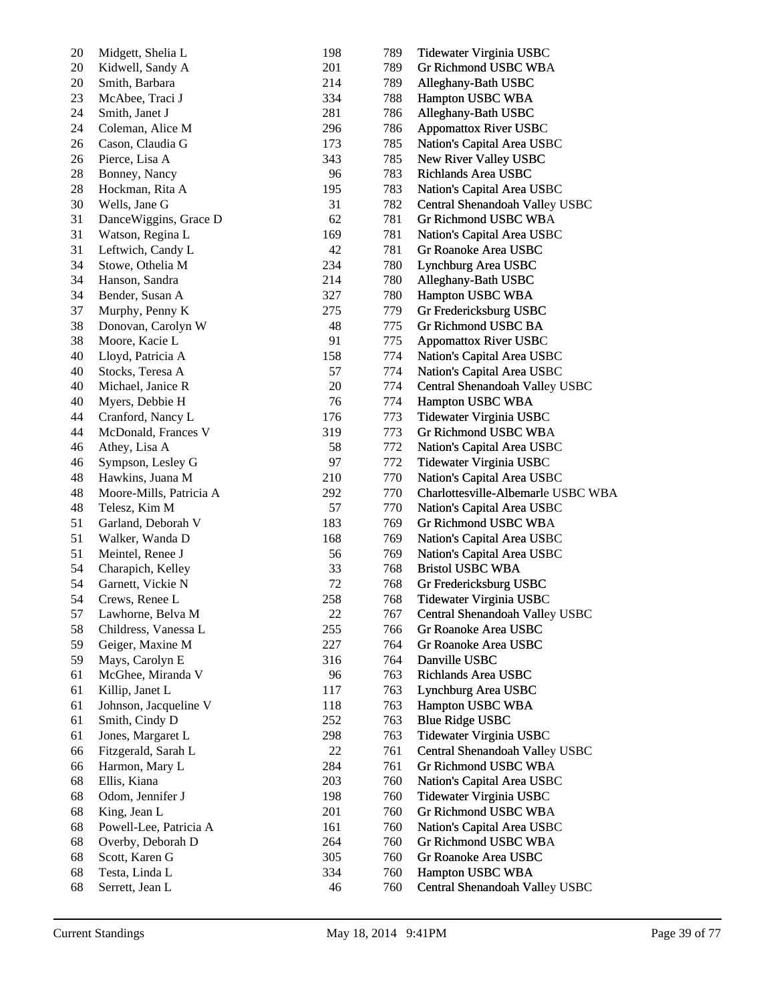| 20     | Midgett, Shelia L                     | 198    | 789 | Tidewater Virginia USBC            |
|--------|---------------------------------------|--------|-----|------------------------------------|
| 20     | Kidwell, Sandy A                      | 201    | 789 | Gr Richmond USBC WBA               |
| 20     | Smith, Barbara                        | 214    | 789 | Alleghany-Bath USBC                |
| 23     | McAbee, Traci J                       | 334    | 788 | Hampton USBC WBA                   |
| 24     | Smith, Janet J                        | 281    | 786 | Alleghany-Bath USBC                |
| 24     | Coleman, Alice M                      | 296    | 786 | <b>Appomattox River USBC</b>       |
| 26     | Cason, Claudia G                      | 173    | 785 | Nation's Capital Area USBC         |
| 26     | Pierce, Lisa A                        | 343    | 785 | New River Valley USBC              |
| 28     | Bonney, Nancy                         | 96     | 783 | Richlands Area USBC                |
| 28     | Hockman, Rita A                       | 195    | 783 | Nation's Capital Area USBC         |
| $30\,$ | Wells, Jane G                         | 31     | 782 | Central Shenandoah Valley USBC     |
| 31     | DanceWiggins, Grace D                 | 62     | 781 | Gr Richmond USBC WBA               |
| 31     | Watson, Regina L                      | 169    | 781 | Nation's Capital Area USBC         |
| 31     | Leftwich, Candy L                     | 42     | 781 | Gr Roanoke Area USBC               |
| 34     | Stowe, Othelia M                      | 234    | 780 | Lynchburg Area USBC                |
| 34     | Hanson, Sandra                        | 214    | 780 | Alleghany-Bath USBC                |
| 34     | Bender, Susan A                       | 327    | 780 | Hampton USBC WBA                   |
| 37     | Murphy, Penny K                       | 275    | 779 | Gr Fredericksburg USBC             |
| 38     | Donovan, Carolyn W                    | 48     | 775 | Gr Richmond USBC BA                |
| 38     | Moore, Kacie L                        | 91     | 775 | <b>Appomattox River USBC</b>       |
| 40     | Lloyd, Patricia A                     | 158    | 774 | Nation's Capital Area USBC         |
| 40     | Stocks, Teresa A                      | 57     | 774 | Nation's Capital Area USBC         |
| 40     | Michael, Janice R                     | $20\,$ | 774 | Central Shenandoah Valley USBC     |
| 40     | Myers, Debbie H                       | 76     | 774 | Hampton USBC WBA                   |
| 44     | Cranford, Nancy L                     | 176    | 773 | Tidewater Virginia USBC            |
| 44     | McDonald, Frances V                   | 319    | 773 | Gr Richmond USBC WBA               |
| 46     | Athey, Lisa A                         | 58     | 772 | Nation's Capital Area USBC         |
| 46     | Sympson, Lesley G                     | 97     | 772 | Tidewater Virginia USBC            |
| 48     | Hawkins, Juana M                      | 210    | 770 | Nation's Capital Area USBC         |
| 48     | Moore-Mills, Patricia A               | 292    | 770 | Charlottesville-Albemarle USBC WBA |
| 48     | Telesz, Kim M                         | 57     | 770 |                                    |
| 51     |                                       | 183    | 769 | Nation's Capital Area USBC         |
| 51     | Garland, Deborah V<br>Walker, Wanda D | 168    | 769 | Gr Richmond USBC WBA               |
|        |                                       | 56     |     | Nation's Capital Area USBC         |
| 51     | Meintel, Renee J                      |        | 769 | Nation's Capital Area USBC         |
| 54     | Charapich, Kelley                     | 33     | 768 | <b>Bristol USBC WBA</b>            |
| 54     | Garnett, Vickie N                     | 72     | 768 | Gr Fredericksburg USBC             |
| 54     | Crews, Renee L                        | 258    | 768 | Tidewater Virginia USBC            |
| 57     | Lawhorne, Belva M                     | 22     | 767 | Central Shenandoah Valley USBC     |
| 58     | Childress, Vanessa L                  | 255    | 766 | Gr Roanoke Area USBC               |
| 59     | Geiger, Maxine M                      | 227    | 764 | Gr Roanoke Area USBC               |
| 59     | Mays, Carolyn E                       | 316    | 764 | Danville USBC                      |
| 61     | McGhee, Miranda V                     | 96     | 763 | Richlands Area USBC                |
| 61     | Killip, Janet L                       | 117    | 763 | Lynchburg Area USBC                |
| 61     | Johnson, Jacqueline V                 | 118    | 763 | Hampton USBC WBA                   |
| 61     | Smith, Cindy D                        | 252    | 763 | <b>Blue Ridge USBC</b>             |
| 61     | Jones, Margaret L                     | 298    | 763 | Tidewater Virginia USBC            |
| 66     | Fitzgerald, Sarah L                   | $22\,$ | 761 | Central Shenandoah Valley USBC     |
| 66     | Harmon, Mary L                        | 284    | 761 | <b>Gr Richmond USBC WBA</b>        |
| 68     | Ellis, Kiana                          | 203    | 760 | Nation's Capital Area USBC         |
| 68     | Odom, Jennifer J                      | 198    | 760 | Tidewater Virginia USBC            |
| 68     | King, Jean L                          | 201    | 760 | Gr Richmond USBC WBA               |
| 68     | Powell-Lee, Patricia A                | 161    | 760 | Nation's Capital Area USBC         |
| 68     | Overby, Deborah D                     | 264    | 760 | Gr Richmond USBC WBA               |
| 68     | Scott, Karen G                        | 305    | 760 | Gr Roanoke Area USBC               |
| 68     | Testa, Linda L                        | 334    | 760 | Hampton USBC WBA                   |
| 68     | Serrett, Jean L                       | 46     | 760 | Central Shenandoah Valley USBC     |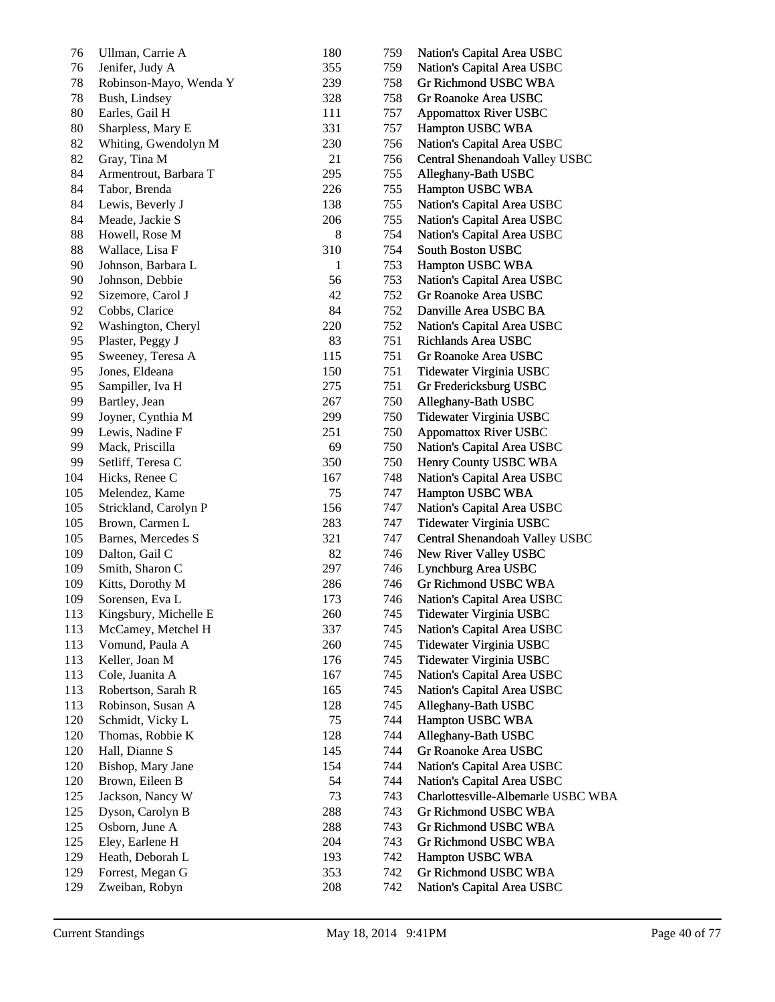| 76  | Ullman, Carrie A       | 180 | 759 | Nation's Capital Area USBC         |
|-----|------------------------|-----|-----|------------------------------------|
| 76  | Jenifer, Judy A        | 355 | 759 | Nation's Capital Area USBC         |
| 78  | Robinson-Mayo, Wenda Y | 239 | 758 | Gr Richmond USBC WBA               |
| 78  | Bush, Lindsey          | 328 | 758 | Gr Roanoke Area USBC               |
| 80  | Earles, Gail H         | 111 | 757 | <b>Appomattox River USBC</b>       |
| 80  | Sharpless, Mary E      | 331 | 757 | Hampton USBC WBA                   |
| 82  | Whiting, Gwendolyn M   | 230 | 756 | Nation's Capital Area USBC         |
| 82  | Gray, Tina M           | 21  | 756 | Central Shenandoah Valley USBC     |
| 84  | Armentrout, Barbara T  | 295 | 755 | Alleghany-Bath USBC                |
| 84  | Tabor, Brenda          | 226 | 755 | Hampton USBC WBA                   |
| 84  | Lewis, Beverly J       | 138 | 755 | Nation's Capital Area USBC         |
| 84  | Meade, Jackie S        | 206 | 755 | Nation's Capital Area USBC         |
| 88  | Howell, Rose M         | 8   | 754 | Nation's Capital Area USBC         |
| 88  | Wallace, Lisa F        | 310 | 754 | South Boston USBC                  |
| 90  | Johnson, Barbara L     | 1   | 753 | Hampton USBC WBA                   |
| 90  | Johnson, Debbie        | 56  | 753 | Nation's Capital Area USBC         |
| 92  | Sizemore, Carol J      | 42  | 752 | Gr Roanoke Area USBC               |
| 92  | Cobbs, Clarice         | 84  | 752 | Danville Area USBC BA              |
| 92  | Washington, Cheryl     | 220 | 752 | Nation's Capital Area USBC         |
| 95  | Plaster, Peggy J       | 83  | 751 | Richlands Area USBC                |
| 95  | Sweeney, Teresa A      | 115 | 751 | Gr Roanoke Area USBC               |
| 95  | Jones, Eldeana         | 150 | 751 | Tidewater Virginia USBC            |
| 95  | Sampiller, Iva H       | 275 | 751 | Gr Fredericksburg USBC             |
| 99  | Bartley, Jean          | 267 | 750 | Alleghany-Bath USBC                |
| 99  | Joyner, Cynthia M      | 299 | 750 | Tidewater Virginia USBC            |
| 99  | Lewis, Nadine F        | 251 | 750 | <b>Appomattox River USBC</b>       |
| 99  | Mack, Priscilla        | 69  | 750 | Nation's Capital Area USBC         |
| 99  | Setliff, Teresa C      | 350 | 750 | Henry County USBC WBA              |
| 104 | Hicks, Renee C         | 167 | 748 | Nation's Capital Area USBC         |
| 105 | Melendez, Kame         | 75  | 747 | Hampton USBC WBA                   |
| 105 | Strickland, Carolyn P  | 156 | 747 | Nation's Capital Area USBC         |
| 105 | Brown, Carmen L        | 283 | 747 | Tidewater Virginia USBC            |
| 105 | Barnes, Mercedes S     | 321 | 747 | Central Shenandoah Valley USBC     |
| 109 | Dalton, Gail C         | 82  | 746 | New River Valley USBC              |
| 109 | Smith, Sharon C        | 297 | 746 | Lynchburg Area USBC                |
| 109 | Kitts, Dorothy M       | 286 | 746 | Gr Richmond USBC WBA               |
| 109 | Sorensen, Eva L        | 173 | 746 | Nation's Capital Area USBC         |
| 113 | Kingsbury, Michelle E  | 260 | 745 | Tidewater Virginia USBC            |
| 113 | McCamey, Metchel H     | 337 | 745 | Nation's Capital Area USBC         |
| 113 | Vomund, Paula A        | 260 | 745 | Tidewater Virginia USBC            |
| 113 | Keller, Joan M         | 176 | 745 | Tidewater Virginia USBC            |
| 113 | Cole, Juanita A        | 167 | 745 | Nation's Capital Area USBC         |
| 113 | Robertson, Sarah R     | 165 | 745 | Nation's Capital Area USBC         |
| 113 | Robinson, Susan A      | 128 | 745 | Alleghany-Bath USBC                |
| 120 | Schmidt, Vicky L       | 75  | 744 | Hampton USBC WBA                   |
| 120 | Thomas, Robbie K       | 128 | 744 | Alleghany-Bath USBC                |
|     |                        |     |     |                                    |
| 120 | Hall, Dianne S         | 145 | 744 | Gr Roanoke Area USBC               |
| 120 | Bishop, Mary Jane      | 154 | 744 | Nation's Capital Area USBC         |
| 120 | Brown, Eileen B        | 54  | 744 | Nation's Capital Area USBC         |
| 125 | Jackson, Nancy W       | 73  | 743 | Charlottesville-Albemarle USBC WBA |
| 125 | Dyson, Carolyn B       | 288 | 743 | Gr Richmond USBC WBA               |
| 125 | Osborn, June A         | 288 | 743 | Gr Richmond USBC WBA               |
| 125 | Eley, Earlene H        | 204 | 743 | Gr Richmond USBC WBA               |
| 129 | Heath, Deborah L       | 193 | 742 | Hampton USBC WBA                   |
| 129 | Forrest, Megan G       | 353 | 742 | Gr Richmond USBC WBA               |
| 129 | Zweiban, Robyn         | 208 | 742 | Nation's Capital Area USBC         |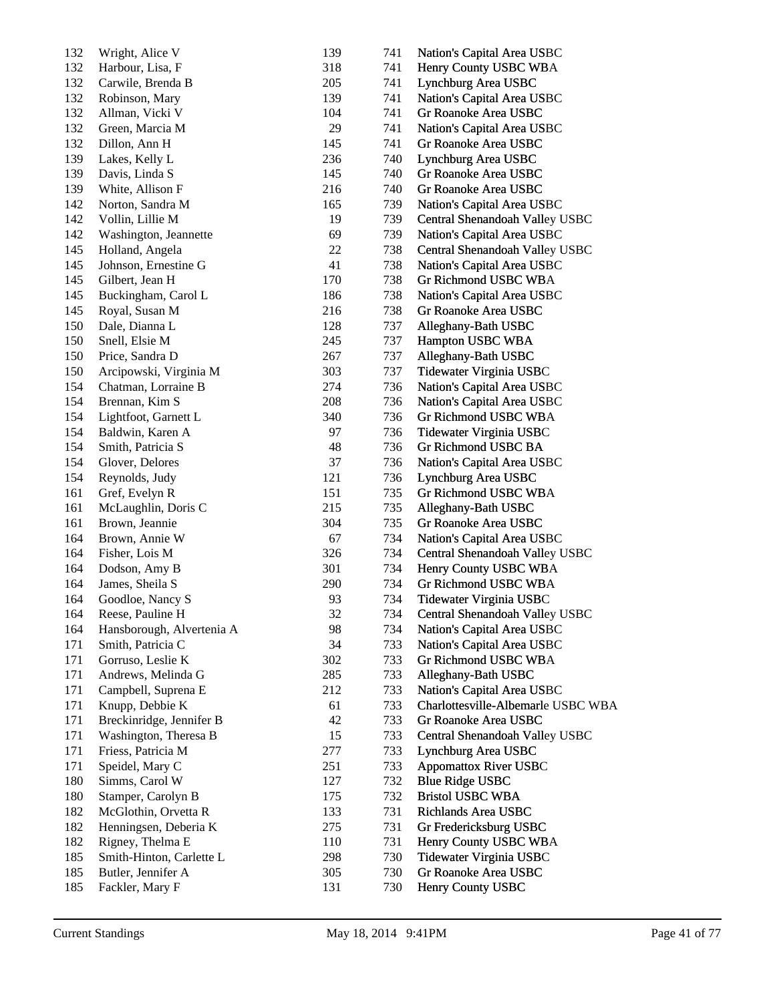| 132 | Wright, Alice V           | 139 | 741 | Nation's Capital Area USBC         |
|-----|---------------------------|-----|-----|------------------------------------|
| 132 | Harbour, Lisa, F          | 318 | 741 | Henry County USBC WBA              |
| 132 | Carwile, Brenda B         | 205 | 741 | Lynchburg Area USBC                |
| 132 | Robinson, Mary            | 139 | 741 | Nation's Capital Area USBC         |
| 132 | Allman, Vicki V           | 104 | 741 | Gr Roanoke Area USBC               |
| 132 | Green, Marcia M           | 29  | 741 | Nation's Capital Area USBC         |
| 132 | Dillon, Ann H             | 145 | 741 | Gr Roanoke Area USBC               |
| 139 | Lakes, Kelly L            | 236 | 740 | Lynchburg Area USBC                |
| 139 | Davis, Linda S            | 145 | 740 | Gr Roanoke Area USBC               |
| 139 | White, Allison F          | 216 | 740 | Gr Roanoke Area USBC               |
| 142 | Norton, Sandra M          | 165 | 739 | Nation's Capital Area USBC         |
| 142 | Vollin, Lillie M          | 19  | 739 | Central Shenandoah Valley USBC     |
| 142 | Washington, Jeannette     | 69  | 739 | Nation's Capital Area USBC         |
| 145 | Holland, Angela           | 22  | 738 | Central Shenandoah Valley USBC     |
| 145 | Johnson, Ernestine G      | 41  | 738 | Nation's Capital Area USBC         |
| 145 | Gilbert, Jean H           | 170 | 738 | Gr Richmond USBC WBA               |
| 145 | Buckingham, Carol L       | 186 | 738 | Nation's Capital Area USBC         |
| 145 | Royal, Susan M            | 216 | 738 | Gr Roanoke Area USBC               |
| 150 | Dale, Dianna L            | 128 | 737 | Alleghany-Bath USBC                |
| 150 | Snell, Elsie M            | 245 | 737 | Hampton USBC WBA                   |
| 150 | Price, Sandra D           | 267 | 737 | Alleghany-Bath USBC                |
| 150 | Arcipowski, Virginia M    | 303 | 737 | Tidewater Virginia USBC            |
| 154 | Chatman, Lorraine B       | 274 | 736 | Nation's Capital Area USBC         |
| 154 | Brennan, Kim S            | 208 | 736 | Nation's Capital Area USBC         |
| 154 | Lightfoot, Garnett L      | 340 | 736 | Gr Richmond USBC WBA               |
| 154 | Baldwin, Karen A          | 97  | 736 | Tidewater Virginia USBC            |
| 154 | Smith, Patricia S         | 48  | 736 | Gr Richmond USBC BA                |
| 154 | Glover, Delores           | 37  | 736 | Nation's Capital Area USBC         |
| 154 | Reynolds, Judy            | 121 | 736 | Lynchburg Area USBC                |
| 161 | Gref, Evelyn R            | 151 | 735 | Gr Richmond USBC WBA               |
| 161 | McLaughlin, Doris C       | 215 | 735 | Alleghany-Bath USBC                |
| 161 | Brown, Jeannie            | 304 | 735 | Gr Roanoke Area USBC               |
| 164 | Brown, Annie W            | 67  | 734 | Nation's Capital Area USBC         |
| 164 | Fisher, Lois M            | 326 | 734 | Central Shenandoah Valley USBC     |
| 164 | Dodson, Amy B             | 301 | 734 | Henry County USBC WBA              |
| 164 | James, Sheila S           | 290 | 734 | Gr Richmond USBC WBA               |
| 164 | Goodloe, Nancy S          | 93  | 734 | Tidewater Virginia USBC            |
| 164 | Reese, Pauline H          | 32  | 734 | Central Shenandoah Valley USBC     |
| 164 | Hansborough, Alvertenia A | 98  | 734 | Nation's Capital Area USBC         |
| 171 | Smith, Patricia C         | 34  | 733 | Nation's Capital Area USBC         |
| 171 | Gorruso, Leslie K         | 302 | 733 | Gr Richmond USBC WBA               |
| 171 | Andrews, Melinda G        | 285 | 733 | Alleghany-Bath USBC                |
| 171 | Campbell, Suprena E       | 212 | 733 | Nation's Capital Area USBC         |
| 171 | Knupp, Debbie K           | 61  | 733 | Charlottesville-Albemarle USBC WBA |
| 171 | Breckinridge, Jennifer B  | 42  | 733 | Gr Roanoke Area USBC               |
| 171 | Washington, Theresa B     | 15  | 733 | Central Shenandoah Valley USBC     |
| 171 | Friess, Patricia M        | 277 | 733 | Lynchburg Area USBC                |
| 171 | Speidel, Mary C           | 251 | 733 | <b>Appomattox River USBC</b>       |
| 180 | Simms, Carol W            | 127 | 732 | <b>Blue Ridge USBC</b>             |
| 180 | Stamper, Carolyn B        | 175 | 732 | <b>Bristol USBC WBA</b>            |
| 182 | McGlothin, Orvetta R      | 133 | 731 | Richlands Area USBC                |
| 182 | Henningsen, Deberia K     | 275 | 731 | Gr Fredericksburg USBC             |
| 182 | Rigney, Thelma E          | 110 | 731 | Henry County USBC WBA              |
| 185 | Smith-Hinton, Carlette L  | 298 | 730 | Tidewater Virginia USBC            |
| 185 | Butler, Jennifer A        | 305 | 730 | Gr Roanoke Area USBC               |
| 185 | Fackler, Mary F           | 131 | 730 | Henry County USBC                  |
|     |                           |     |     |                                    |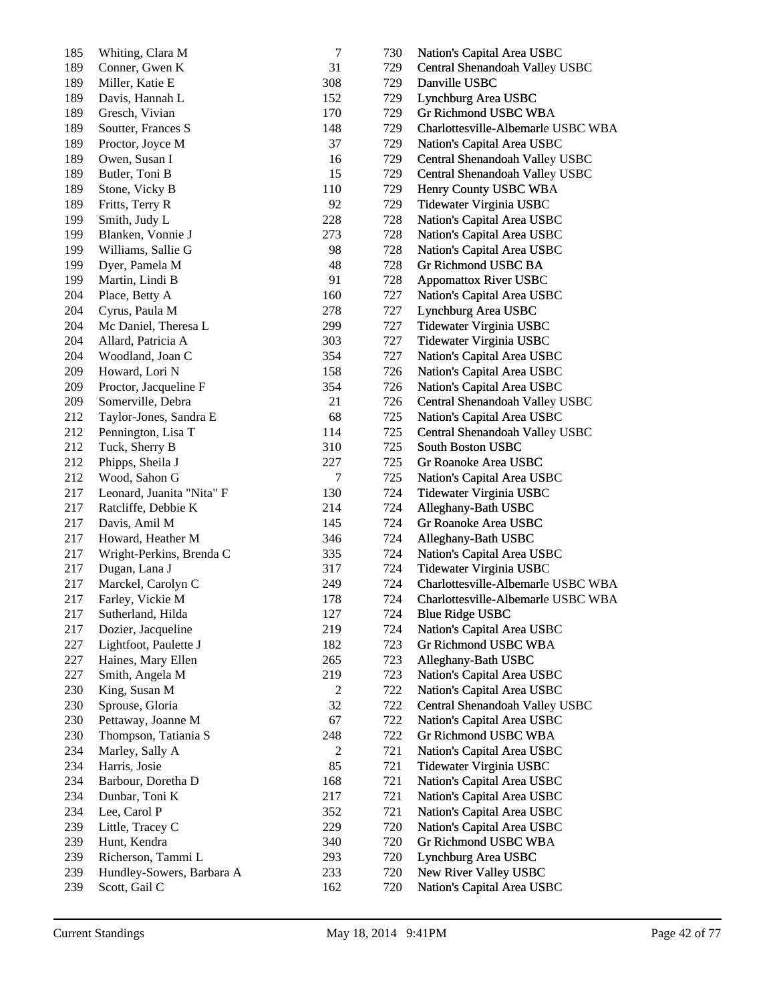| 185 | Whiting, Clara M          | $\tau$ | 730 | Nation's Capital Area USBC         |
|-----|---------------------------|--------|-----|------------------------------------|
| 189 | Conner, Gwen K            | 31     | 729 | Central Shenandoah Valley USBC     |
| 189 | Miller, Katie E           | 308    | 729 | Danville USBC                      |
| 189 | Davis, Hannah L           | 152    | 729 | Lynchburg Area USBC                |
| 189 | Gresch, Vivian            | 170    | 729 | Gr Richmond USBC WBA               |
| 189 | Soutter, Frances S        | 148    | 729 | Charlottesville-Albemarle USBC WBA |
| 189 | Proctor, Joyce M          | 37     | 729 | Nation's Capital Area USBC         |
| 189 | Owen, Susan I             | 16     | 729 | Central Shenandoah Valley USBC     |
| 189 | Butler, Toni B            | 15     | 729 | Central Shenandoah Valley USBC     |
| 189 | Stone, Vicky B            | 110    | 729 | Henry County USBC WBA              |
| 189 | Fritts, Terry R           | 92     | 729 | Tidewater Virginia USBC            |
| 199 | Smith, Judy L             | 228    | 728 | Nation's Capital Area USBC         |
| 199 | Blanken, Vonnie J         | 273    | 728 | Nation's Capital Area USBC         |
| 199 | Williams, Sallie G        | 98     | 728 | Nation's Capital Area USBC         |
| 199 | Dyer, Pamela M            | 48     | 728 | Gr Richmond USBC BA                |
| 199 | Martin, Lindi B           | 91     | 728 | <b>Appomattox River USBC</b>       |
| 204 | Place, Betty A            | 160    | 727 | Nation's Capital Area USBC         |
| 204 | Cyrus, Paula M            | 278    | 727 | Lynchburg Area USBC                |
| 204 | Mc Daniel, Theresa L      | 299    | 727 | Tidewater Virginia USBC            |
| 204 | Allard, Patricia A        | 303    | 727 | Tidewater Virginia USBC            |
| 204 | Woodland, Joan C          | 354    | 727 | Nation's Capital Area USBC         |
| 209 | Howard, Lori N            | 158    | 726 | Nation's Capital Area USBC         |
| 209 | Proctor, Jacqueline F     | 354    | 726 | Nation's Capital Area USBC         |
| 209 | Somerville, Debra         | 21     | 726 | Central Shenandoah Valley USBC     |
| 212 | Taylor-Jones, Sandra E    | 68     | 725 | Nation's Capital Area USBC         |
| 212 | Pennington, Lisa T        | 114    | 725 | Central Shenandoah Valley USBC     |
| 212 | Tuck, Sherry B            | 310    | 725 | South Boston USBC                  |
| 212 | Phipps, Sheila J          | 227    | 725 | Gr Roanoke Area USBC               |
| 212 | Wood, Sahon G             | 7      | 725 | Nation's Capital Area USBC         |
| 217 |                           | 130    | 724 | Tidewater Virginia USBC            |
| 217 | Leonard, Juanita "Nita" F | 214    | 724 |                                    |
| 217 | Ratcliffe, Debbie K       |        |     | Alleghany-Bath USBC                |
|     | Davis, Amil M             | 145    | 724 | Gr Roanoke Area USBC               |
| 217 | Howard, Heather M         | 346    | 724 | Alleghany-Bath USBC                |
| 217 | Wright-Perkins, Brenda C  | 335    | 724 | Nation's Capital Area USBC         |
| 217 | Dugan, Lana J             | 317    | 724 | Tidewater Virginia USBC            |
| 217 | Marckel, Carolyn C        | 249    | 724 | Charlottesville-Albemarle USBC WBA |
| 217 | Farley, Vickie M          | 178    | 724 | Charlottesville-Albemarle USBC WBA |
| 217 | Sutherland, Hilda         | 127    | 724 | <b>Blue Ridge USBC</b>             |
| 217 | Dozier, Jacqueline        | 219    | 724 | Nation's Capital Area USBC         |
| 227 | Lightfoot, Paulette J     | 182    | 723 | Gr Richmond USBC WBA               |
| 227 | Haines, Mary Ellen        | 265    | 723 | Alleghany-Bath USBC                |
| 227 | Smith, Angela M           | 219    | 723 | Nation's Capital Area USBC         |
| 230 | King, Susan M             | 2      | 722 | Nation's Capital Area USBC         |
| 230 | Sprouse, Gloria           | 32     | 722 | Central Shenandoah Valley USBC     |
| 230 | Pettaway, Joanne M        | 67     | 722 | Nation's Capital Area USBC         |
| 230 | Thompson, Tatiania S      | 248    | 722 | Gr Richmond USBC WBA               |
| 234 | Marley, Sally A           | 2      | 721 | Nation's Capital Area USBC         |
| 234 | Harris, Josie             | 85     | 721 | Tidewater Virginia USBC            |
| 234 | Barbour, Doretha D        | 168    | 721 | Nation's Capital Area USBC         |
| 234 | Dunbar, Toni K            | 217    | 721 | Nation's Capital Area USBC         |
| 234 | Lee, Carol P              | 352    | 721 | Nation's Capital Area USBC         |
| 239 | Little, Tracey C          | 229    | 720 | Nation's Capital Area USBC         |
| 239 | Hunt, Kendra              | 340    | 720 | Gr Richmond USBC WBA               |
| 239 | Richerson, Tammi L        | 293    | 720 | Lynchburg Area USBC                |
| 239 | Hundley-Sowers, Barbara A | 233    | 720 | New River Valley USBC              |
| 239 | Scott, Gail C             | 162    | 720 | Nation's Capital Area USBC         |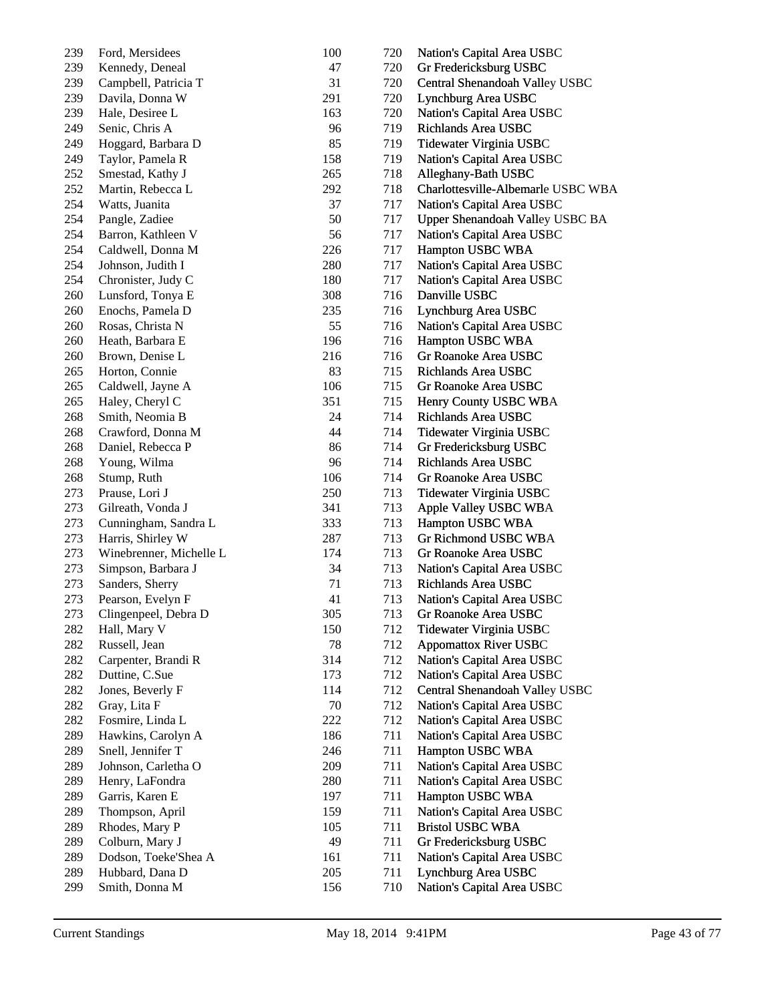| 239 | Ford, Mersidees         | 100 | 720 | Nation's Capital Area USBC         |
|-----|-------------------------|-----|-----|------------------------------------|
| 239 | Kennedy, Deneal         | 47  | 720 | Gr Fredericksburg USBC             |
| 239 | Campbell, Patricia T    | 31  | 720 | Central Shenandoah Valley USBC     |
| 239 | Davila, Donna W         | 291 | 720 | Lynchburg Area USBC                |
| 239 | Hale, Desiree L         | 163 | 720 | Nation's Capital Area USBC         |
| 249 | Senic, Chris A          | 96  | 719 | Richlands Area USBC                |
| 249 | Hoggard, Barbara D      | 85  | 719 | Tidewater Virginia USBC            |
| 249 | Taylor, Pamela R        | 158 | 719 | Nation's Capital Area USBC         |
| 252 | Smestad, Kathy J        | 265 | 718 | Alleghany-Bath USBC                |
| 252 | Martin, Rebecca L       | 292 | 718 | Charlottesville-Albemarle USBC WBA |
| 254 | Watts, Juanita          | 37  | 717 | Nation's Capital Area USBC         |
| 254 | Pangle, Zadiee          | 50  | 717 | Upper Shenandoah Valley USBC BA    |
| 254 | Barron, Kathleen V      | 56  | 717 | Nation's Capital Area USBC         |
| 254 | Caldwell, Donna M       | 226 | 717 | Hampton USBC WBA                   |
| 254 | Johnson, Judith I       | 280 | 717 | Nation's Capital Area USBC         |
| 254 | Chronister, Judy C      | 180 | 717 | Nation's Capital Area USBC         |
| 260 | Lunsford, Tonya E       | 308 | 716 | Danville USBC                      |
| 260 | Enochs, Pamela D        | 235 | 716 | Lynchburg Area USBC                |
| 260 | Rosas, Christa N        | 55  | 716 | Nation's Capital Area USBC         |
| 260 | Heath, Barbara E        | 196 | 716 | Hampton USBC WBA                   |
| 260 | Brown, Denise L         | 216 | 716 | Gr Roanoke Area USBC               |
| 265 | Horton, Connie          | 83  | 715 | Richlands Area USBC                |
| 265 | Caldwell, Jayne A       | 106 | 715 | Gr Roanoke Area USBC               |
| 265 | Haley, Cheryl C         | 351 | 715 | Henry County USBC WBA              |
| 268 | Smith, Neomia B         | 24  | 714 | Richlands Area USBC                |
| 268 | Crawford, Donna M       | 44  | 714 | Tidewater Virginia USBC            |
| 268 | Daniel, Rebecca P       | 86  | 714 | Gr Fredericksburg USBC             |
| 268 | Young, Wilma            | 96  | 714 | Richlands Area USBC                |
| 268 | Stump, Ruth             | 106 | 714 | Gr Roanoke Area USBC               |
| 273 | Prause, Lori J          | 250 | 713 | Tidewater Virginia USBC            |
| 273 | Gilreath, Vonda J       | 341 | 713 | Apple Valley USBC WBA              |
| 273 | Cunningham, Sandra L    | 333 | 713 | Hampton USBC WBA                   |
| 273 | Harris, Shirley W       | 287 | 713 | <b>Gr Richmond USBC WBA</b>        |
| 273 | Winebrenner, Michelle L | 174 | 713 | Gr Roanoke Area USBC               |
| 273 | Simpson, Barbara J      | 34  | 713 | Nation's Capital Area USBC         |
| 273 | Sanders, Sherry         | 71  | 713 | Richlands Area USBC                |
| 273 | Pearson, Evelyn F       | 41  | 713 | Nation's Capital Area USBC         |
| 273 | Clingenpeel, Debra D    | 305 | 713 | Gr Roanoke Area USBC               |
| 282 | Hall, Mary V            | 150 | 712 | Tidewater Virginia USBC            |
| 282 | Russell, Jean           | 78  | 712 | <b>Appomattox River USBC</b>       |
| 282 | Carpenter, Brandi R     | 314 | 712 | Nation's Capital Area USBC         |
| 282 | Duttine, C.Sue          | 173 | 712 | Nation's Capital Area USBC         |
| 282 | Jones, Beverly F        | 114 | 712 | Central Shenandoah Valley USBC     |
| 282 | Gray, Lita F            | 70  | 712 | Nation's Capital Area USBC         |
| 282 | Fosmire, Linda L        | 222 | 712 | Nation's Capital Area USBC         |
| 289 | Hawkins, Carolyn A      | 186 | 711 | Nation's Capital Area USBC         |
| 289 | Snell, Jennifer T       | 246 | 711 | Hampton USBC WBA                   |
| 289 | Johnson, Carletha O     | 209 | 711 | Nation's Capital Area USBC         |
| 289 | Henry, LaFondra         | 280 | 711 | Nation's Capital Area USBC         |
| 289 | Garris, Karen E         | 197 | 711 | Hampton USBC WBA                   |
| 289 | Thompson, April         | 159 | 711 | Nation's Capital Area USBC         |
| 289 | Rhodes, Mary P          | 105 | 711 | <b>Bristol USBC WBA</b>            |
| 289 | Colburn, Mary J         | 49  | 711 | Gr Fredericksburg USBC             |
| 289 | Dodson, Toeke'Shea A    | 161 | 711 | Nation's Capital Area USBC         |
| 289 | Hubbard, Dana D         | 205 | 711 | Lynchburg Area USBC                |
| 299 |                         | 156 | 710 |                                    |
|     | Smith, Donna M          |     |     | Nation's Capital Area USBC         |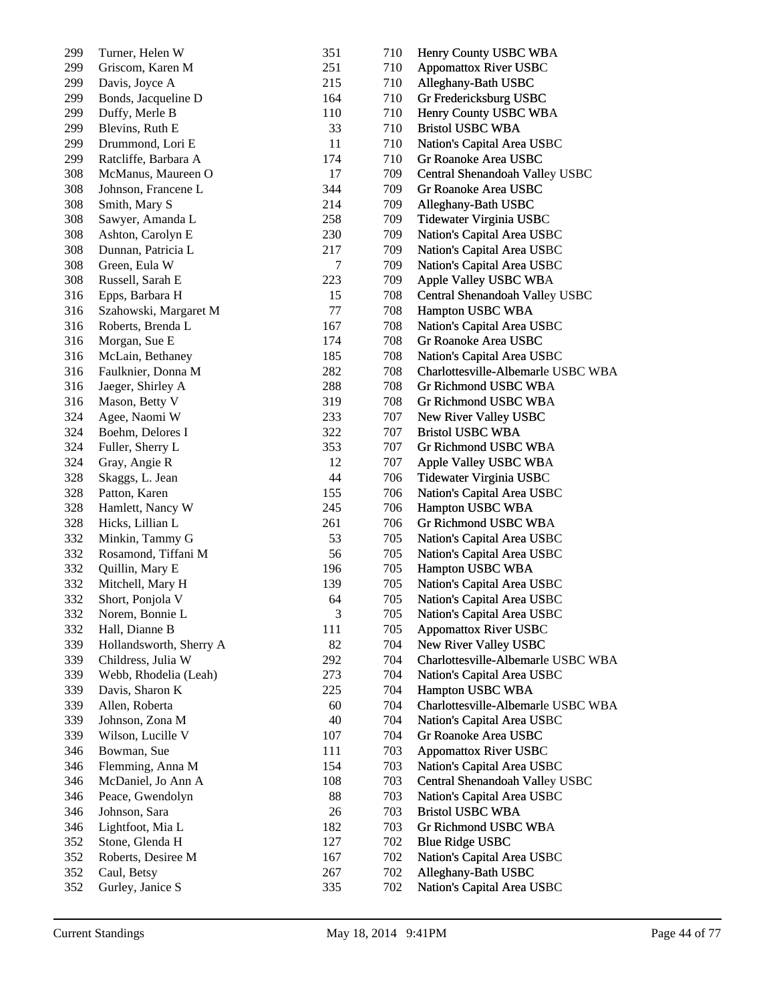| 299 | Turner, Helen W         | 351            | 710 | Henry County USBC WBA              |
|-----|-------------------------|----------------|-----|------------------------------------|
| 299 | Griscom, Karen M        | 251            | 710 | <b>Appomattox River USBC</b>       |
| 299 | Davis, Joyce A          | 215            | 710 | Alleghany-Bath USBC                |
| 299 | Bonds, Jacqueline D     | 164            | 710 | Gr Fredericksburg USBC             |
| 299 | Duffy, Merle B          | 110            | 710 | Henry County USBC WBA              |
| 299 | Blevins, Ruth E         | 33             | 710 | <b>Bristol USBC WBA</b>            |
| 299 | Drummond, Lori E        | 11             | 710 | Nation's Capital Area USBC         |
| 299 | Ratcliffe, Barbara A    | 174            | 710 | Gr Roanoke Area USBC               |
| 308 | McManus, Maureen O      | 17             | 709 | Central Shenandoah Valley USBC     |
| 308 | Johnson, Francene L     | 344            | 709 | Gr Roanoke Area USBC               |
| 308 | Smith, Mary S           | 214            | 709 | Alleghany-Bath USBC                |
| 308 | Sawyer, Amanda L        | 258            | 709 | Tidewater Virginia USBC            |
| 308 | Ashton, Carolyn E       | 230            | 709 | Nation's Capital Area USBC         |
| 308 | Dunnan, Patricia L      | 217            | 709 | Nation's Capital Area USBC         |
| 308 | Green, Eula W           | 7              | 709 | Nation's Capital Area USBC         |
| 308 | Russell, Sarah E        | 223            | 709 | Apple Valley USBC WBA              |
| 316 | Epps, Barbara H         | 15             | 708 | Central Shenandoah Valley USBC     |
| 316 | Szahowski, Margaret M   | 77             | 708 | Hampton USBC WBA                   |
| 316 | Roberts, Brenda L       | 167            | 708 | Nation's Capital Area USBC         |
| 316 | Morgan, Sue E           | 174            | 708 | Gr Roanoke Area USBC               |
| 316 | McLain, Bethaney        | 185            | 708 | Nation's Capital Area USBC         |
| 316 | Faulknier, Donna M      | 282            | 708 | Charlottesville-Albemarle USBC WBA |
| 316 | Jaeger, Shirley A       | 288            | 708 | Gr Richmond USBC WBA               |
| 316 | Mason, Betty V          | 319            | 708 | Gr Richmond USBC WBA               |
| 324 | Agee, Naomi W           | 233            | 707 | New River Valley USBC              |
| 324 | Boehm, Delores I        | 322            | 707 | <b>Bristol USBC WBA</b>            |
| 324 | Fuller, Sherry L        | 353            | 707 | Gr Richmond USBC WBA               |
| 324 | Gray, Angie R           | 12             | 707 | Apple Valley USBC WBA              |
| 328 | Skaggs, L. Jean         | 44             | 706 | Tidewater Virginia USBC            |
| 328 | Patton, Karen           | 155            | 706 | Nation's Capital Area USBC         |
| 328 | Hamlett, Nancy W        | 245            | 706 | Hampton USBC WBA                   |
| 328 | Hicks, Lillian L        | 261            | 706 | Gr Richmond USBC WBA               |
| 332 | Minkin, Tammy G         | 53             | 705 | Nation's Capital Area USBC         |
| 332 | Rosamond, Tiffani M     | 56             | 705 | Nation's Capital Area USBC         |
| 332 | Quillin, Mary E         | 196            | 705 | Hampton USBC WBA                   |
| 332 | Mitchell, Mary H        | 139            | 705 | Nation's Capital Area USBC         |
| 332 | Short, Ponjola V        | 64             | 705 | Nation's Capital Area USBC         |
| 332 | Norem, Bonnie L         | $\mathfrak{Z}$ | 705 | Nation's Capital Area USBC         |
| 332 | Hall, Dianne B          | 111            | 705 | <b>Appomattox River USBC</b>       |
| 339 | Hollandsworth, Sherry A | 82             | 704 | New River Valley USBC              |
| 339 | Childress, Julia W      | 292            | 704 | Charlottesville-Albemarle USBC WBA |
| 339 | Webb, Rhodelia (Leah)   | 273            | 704 | Nation's Capital Area USBC         |
| 339 | Davis, Sharon K         | 225            | 704 | Hampton USBC WBA                   |
| 339 | Allen, Roberta          | 60             | 704 | Charlottesville-Albemarle USBC WBA |
| 339 | Johnson, Zona M         | 40             | 704 | Nation's Capital Area USBC         |
| 339 | Wilson, Lucille V       | 107            | 704 | Gr Roanoke Area USBC               |
| 346 | Bowman, Sue             | 111            | 703 | <b>Appomattox River USBC</b>       |
| 346 | Flemming, Anna M        | 154            | 703 | Nation's Capital Area USBC         |
| 346 | McDaniel, Jo Ann A      | 108            | 703 | Central Shenandoah Valley USBC     |
| 346 | Peace, Gwendolyn        | 88             | 703 | Nation's Capital Area USBC         |
| 346 | Johnson, Sara           | 26             | 703 | <b>Bristol USBC WBA</b>            |
| 346 | Lightfoot, Mia L        | 182            | 703 | Gr Richmond USBC WBA               |
| 352 | Stone, Glenda H         | 127            | 702 | <b>Blue Ridge USBC</b>             |
| 352 | Roberts, Desiree M      | 167            | 702 | Nation's Capital Area USBC         |
| 352 |                         |                | 702 | Alleghany-Bath USBC                |
|     | Caul, Betsy             | 267            |     |                                    |
| 352 | Gurley, Janice S        | 335            | 702 | Nation's Capital Area USBC         |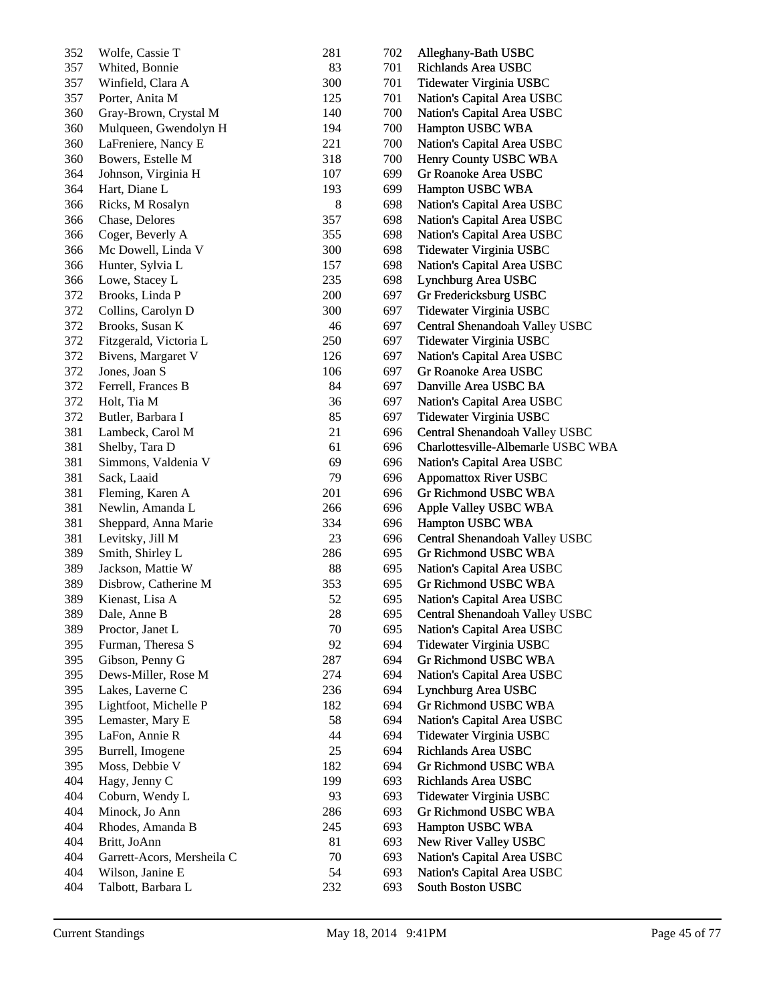| 352 | Wolfe, Cassie T                                | 281      | 702        | Alleghany-Bath USBC                |
|-----|------------------------------------------------|----------|------------|------------------------------------|
| 357 | Whited, Bonnie                                 | 83       | 701        | Richlands Area USBC                |
| 357 | Winfield, Clara A                              | 300      | 701        | Tidewater Virginia USBC            |
| 357 | Porter, Anita M                                | 125      | 701        | Nation's Capital Area USBC         |
| 360 | Gray-Brown, Crystal M                          | 140      | 700        | Nation's Capital Area USBC         |
| 360 | Mulqueen, Gwendolyn H                          | 194      | 700        | Hampton USBC WBA                   |
| 360 | LaFreniere, Nancy E                            | 221      | 700        | Nation's Capital Area USBC         |
| 360 | Bowers, Estelle M                              | 318      | 700        | Henry County USBC WBA              |
| 364 | Johnson, Virginia H                            | 107      | 699        | Gr Roanoke Area USBC               |
| 364 | Hart, Diane L                                  | 193      | 699        | Hampton USBC WBA                   |
| 366 | Ricks, M Rosalyn                               | $8\,$    | 698        | Nation's Capital Area USBC         |
| 366 | Chase, Delores                                 | 357      | 698        | Nation's Capital Area USBC         |
| 366 | Coger, Beverly A                               | 355      | 698        | Nation's Capital Area USBC         |
| 366 | Mc Dowell, Linda V                             | 300      | 698        | Tidewater Virginia USBC            |
| 366 | Hunter, Sylvia L                               | 157      | 698        | Nation's Capital Area USBC         |
| 366 | Lowe, Stacey L                                 | 235      | 698        | Lynchburg Area USBC                |
| 372 | Brooks, Linda P                                | 200      | 697        | Gr Fredericksburg USBC             |
| 372 | Collins, Carolyn D                             | 300      | 697        | Tidewater Virginia USBC            |
| 372 | Brooks, Susan K                                | 46       | 697        | Central Shenandoah Valley USBC     |
| 372 | Fitzgerald, Victoria L                         | 250      | 697        | Tidewater Virginia USBC            |
| 372 | Bivens, Margaret V                             | 126      | 697        | Nation's Capital Area USBC         |
| 372 | Jones, Joan S                                  | 106      | 697        | Gr Roanoke Area USBC               |
| 372 | Ferrell, Frances B                             | 84       | 697        | Danville Area USBC BA              |
| 372 | Holt, Tia M                                    | 36       | 697        | Nation's Capital Area USBC         |
| 372 | Butler, Barbara I                              | 85       | 697        | Tidewater Virginia USBC            |
| 381 | Lambeck, Carol M                               | 21       | 696        | Central Shenandoah Valley USBC     |
| 381 | Shelby, Tara D                                 | 61       | 696        | Charlottesville-Albemarle USBC WBA |
| 381 | Simmons, Valdenia V                            | 69       | 696        | Nation's Capital Area USBC         |
| 381 | Sack, Laaid                                    | 79       | 696        | <b>Appomattox River USBC</b>       |
| 381 | Fleming, Karen A                               | 201      | 696        | Gr Richmond USBC WBA               |
| 381 | Newlin, Amanda L                               | 266      | 696        | Apple Valley USBC WBA              |
| 381 | Sheppard, Anna Marie                           | 334      | 696        | Hampton USBC WBA                   |
| 381 | Levitsky, Jill M                               | 23       | 696        | Central Shenandoah Valley USBC     |
| 389 | Smith, Shirley L                               | 286      | 695        | Gr Richmond USBC WBA               |
| 389 | Jackson, Mattie W                              | 88       | 695        | Nation's Capital Area USBC         |
| 389 | Disbrow, Catherine M                           | 353      | 695        | <b>Gr Richmond USBC WBA</b>        |
| 389 | Kienast, Lisa A                                | 52       | 695        | Nation's Capital Area USBC         |
| 389 | Dale, Anne B                                   | $28\,$   | 695        | Central Shenandoah Valley USBC     |
| 389 | Proctor, Janet L                               | 70       | 695        | Nation's Capital Area USBC         |
| 395 | Furman, Theresa S                              | 92       | 694        | Tidewater Virginia USBC            |
| 395 | Gibson, Penny G                                | 287      | 694        | Gr Richmond USBC WBA               |
| 395 | Dews-Miller, Rose M                            | 274      | 694        | Nation's Capital Area USBC         |
| 395 | Lakes, Laverne C                               | 236      | 694        | Lynchburg Area USBC                |
| 395 | Lightfoot, Michelle P                          | 182      | 694        | Gr Richmond USBC WBA               |
| 395 | Lemaster, Mary E                               | 58       | 694        | Nation's Capital Area USBC         |
| 395 | LaFon, Annie R                                 | 44       | 694        | Tidewater Virginia USBC            |
| 395 | Burrell, Imogene                               | 25       | 694        | Richlands Area USBC                |
| 395 | Moss, Debbie V                                 | 182      | 694        | Gr Richmond USBC WBA               |
| 404 | Hagy, Jenny C                                  | 199      | 693        | Richlands Area USBC                |
| 404 | Coburn, Wendy L                                | 93       | 693        | Tidewater Virginia USBC            |
| 404 | Minock, Jo Ann                                 | 286      | 693        | Gr Richmond USBC WBA               |
| 404 | Rhodes, Amanda B                               | 245      | 693        |                                    |
| 404 |                                                |          |            | Hampton USBC WBA                   |
| 404 | Britt, JoAnn                                   | 81<br>70 | 693<br>693 | New River Valley USBC              |
| 404 | Garrett-Acors, Mersheila C<br>Wilson, Janine E | 54       | 693        | Nation's Capital Area USBC         |
|     |                                                |          |            | Nation's Capital Area USBC         |
| 404 | Talbott, Barbara L                             | 232      | 693        | South Boston USBC                  |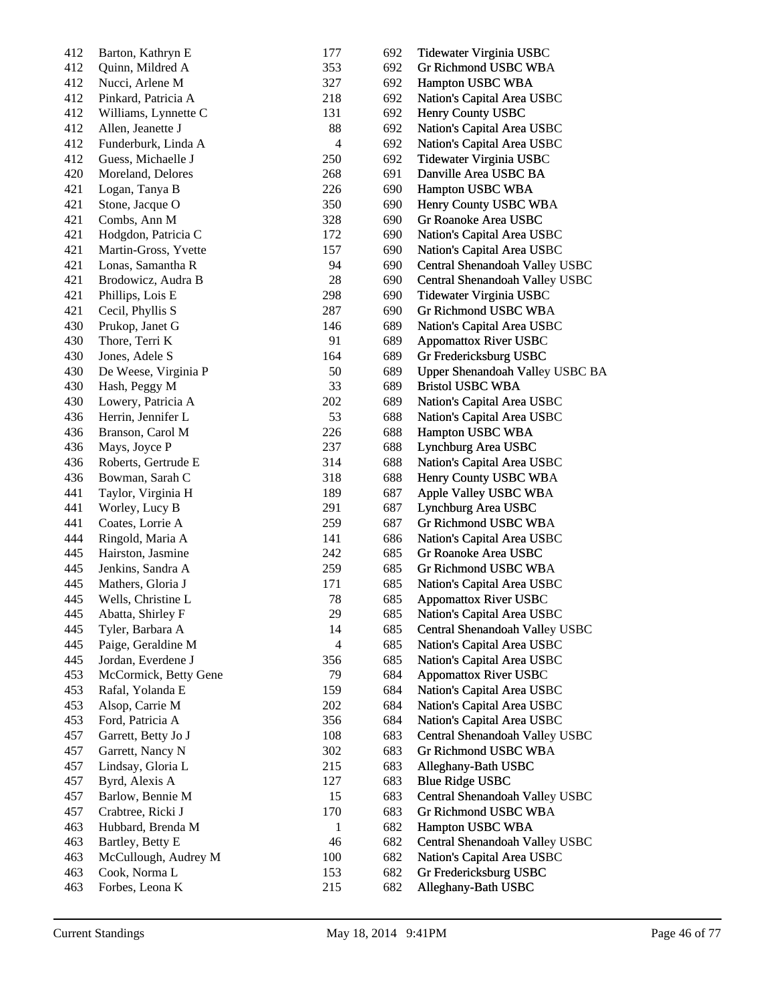| 412 | Barton, Kathryn E     | 177            | 692 | Tidewater Virginia USBC                |
|-----|-----------------------|----------------|-----|----------------------------------------|
| 412 | Quinn, Mildred A      | 353            | 692 | Gr Richmond USBC WBA                   |
| 412 | Nucci, Arlene M       | 327            | 692 | Hampton USBC WBA                       |
| 412 | Pinkard, Patricia A   | 218            | 692 | Nation's Capital Area USBC             |
| 412 | Williams, Lynnette C  | 131            | 692 | Henry County USBC                      |
| 412 | Allen, Jeanette J     | 88             | 692 | Nation's Capital Area USBC             |
| 412 | Funderburk, Linda A   | $\overline{4}$ | 692 | Nation's Capital Area USBC             |
| 412 | Guess, Michaelle J    | 250            | 692 | Tidewater Virginia USBC                |
| 420 | Moreland, Delores     | 268            | 691 | Danville Area USBC BA                  |
| 421 | Logan, Tanya B        | 226            | 690 | Hampton USBC WBA                       |
| 421 | Stone, Jacque O       | 350            | 690 | Henry County USBC WBA                  |
| 421 | Combs, Ann M          | 328            | 690 | Gr Roanoke Area USBC                   |
| 421 | Hodgdon, Patricia C   | 172            | 690 | Nation's Capital Area USBC             |
| 421 | Martin-Gross, Yvette  | 157            | 690 | Nation's Capital Area USBC             |
| 421 | Lonas, Samantha R     | 94             | 690 | Central Shenandoah Valley USBC         |
| 421 | Brodowicz, Audra B    | 28             | 690 | Central Shenandoah Valley USBC         |
| 421 | Phillips, Lois E      | 298            | 690 | Tidewater Virginia USBC                |
| 421 | Cecil, Phyllis S      | 287            | 690 | Gr Richmond USBC WBA                   |
| 430 | Prukop, Janet G       | 146            | 689 | Nation's Capital Area USBC             |
| 430 | Thore, Terri K        | 91             | 689 | <b>Appomattox River USBC</b>           |
| 430 | Jones, Adele S        | 164            | 689 | Gr Fredericksburg USBC                 |
| 430 | De Weese, Virginia P  | 50             | 689 | <b>Upper Shenandoah Valley USBC BA</b> |
| 430 | Hash, Peggy M         | 33             | 689 | <b>Bristol USBC WBA</b>                |
| 430 | Lowery, Patricia A    | 202            | 689 | Nation's Capital Area USBC             |
| 436 | Herrin, Jennifer L    | 53             | 688 | Nation's Capital Area USBC             |
| 436 | Branson, Carol M      | 226            | 688 | Hampton USBC WBA                       |
| 436 | Mays, Joyce P         | 237            | 688 | Lynchburg Area USBC                    |
| 436 | Roberts, Gertrude E   | 314            | 688 | Nation's Capital Area USBC             |
| 436 | Bowman, Sarah C       | 318            | 688 | Henry County USBC WBA                  |
| 441 | Taylor, Virginia H    | 189            | 687 | Apple Valley USBC WBA                  |
| 441 | Worley, Lucy B        | 291            | 687 | Lynchburg Area USBC                    |
| 441 | Coates, Lorrie A      | 259            | 687 | Gr Richmond USBC WBA                   |
| 444 | Ringold, Maria A      | 141            | 686 | Nation's Capital Area USBC             |
| 445 | Hairston, Jasmine     | 242            | 685 | Gr Roanoke Area USBC                   |
| 445 | Jenkins, Sandra A     | 259            | 685 | Gr Richmond USBC WBA                   |
| 445 | Mathers, Gloria J     | 171            | 685 | Nation's Capital Area USBC             |
| 445 | Wells, Christine L    | 78             | 685 | <b>Appomattox River USBC</b>           |
| 445 | Abatta, Shirley F     | 29             | 685 | Nation's Capital Area USBC             |
| 445 | Tyler, Barbara A      | 14             | 685 | Central Shenandoah Valley USBC         |
| 445 | Paige, Geraldine M    | $\overline{4}$ | 685 | Nation's Capital Area USBC             |
| 445 | Jordan, Everdene J    | 356            | 685 | Nation's Capital Area USBC             |
| 453 | McCormick, Betty Gene | 79             | 684 | <b>Appomattox River USBC</b>           |
| 453 | Rafal, Yolanda E      | 159            | 684 | Nation's Capital Area USBC             |
| 453 | Alsop, Carrie M       | 202            | 684 | Nation's Capital Area USBC             |
| 453 | Ford, Patricia A      | 356            | 684 | Nation's Capital Area USBC             |
| 457 | Garrett, Betty Jo J   | 108            | 683 | Central Shenandoah Valley USBC         |
| 457 | Garrett, Nancy N      | 302            | 683 | Gr Richmond USBC WBA                   |
| 457 | Lindsay, Gloria L     | 215            | 683 | Alleghany-Bath USBC                    |
| 457 |                       |                | 683 |                                        |
|     | Byrd, Alexis A        | 127            |     | <b>Blue Ridge USBC</b>                 |
| 457 | Barlow, Bennie M      | 15             | 683 | Central Shenandoah Valley USBC         |
| 457 | Crabtree, Ricki J     | 170            | 683 | Gr Richmond USBC WBA                   |
| 463 | Hubbard, Brenda M     | 1              | 682 | Hampton USBC WBA                       |
| 463 | Bartley, Betty E      | 46             | 682 | Central Shenandoah Valley USBC         |
| 463 | McCullough, Audrey M  | 100            | 682 | Nation's Capital Area USBC             |
| 463 | Cook, Norma L         | 153            | 682 | Gr Fredericksburg USBC                 |
| 463 | Forbes, Leona K       | 215            | 682 | Alleghany-Bath USBC                    |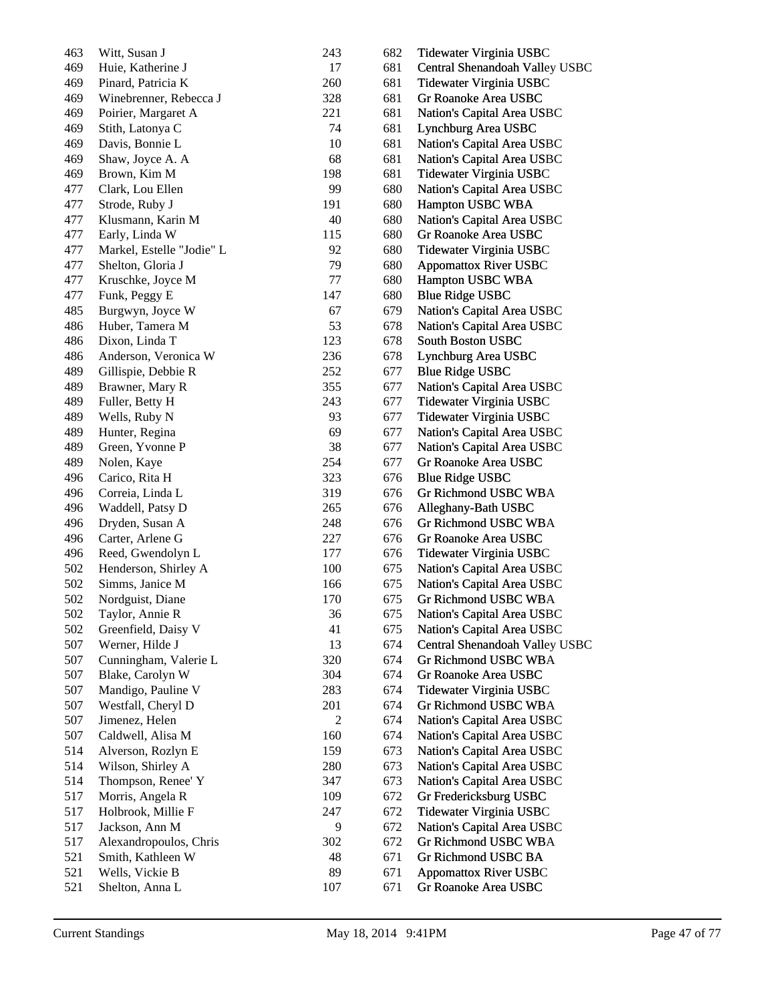| 463 | Witt, Susan J             | 243 | 682 | Tidewater Virginia USBC        |
|-----|---------------------------|-----|-----|--------------------------------|
| 469 | Huie, Katherine J         | 17  | 681 | Central Shenandoah Valley USBC |
| 469 | Pinard, Patricia K        | 260 | 681 | Tidewater Virginia USBC        |
| 469 | Winebrenner, Rebecca J    | 328 | 681 | Gr Roanoke Area USBC           |
| 469 | Poirier, Margaret A       | 221 | 681 | Nation's Capital Area USBC     |
| 469 | Stith, Latonya C          | 74  | 681 | Lynchburg Area USBC            |
| 469 | Davis, Bonnie L           | 10  | 681 | Nation's Capital Area USBC     |
| 469 | Shaw, Joyce A. A          | 68  | 681 | Nation's Capital Area USBC     |
| 469 | Brown, Kim M              | 198 | 681 | Tidewater Virginia USBC        |
| 477 | Clark, Lou Ellen          | 99  | 680 | Nation's Capital Area USBC     |
| 477 | Strode, Ruby J            | 191 | 680 | Hampton USBC WBA               |
| 477 | Klusmann, Karin M         | 40  | 680 | Nation's Capital Area USBC     |
| 477 | Early, Linda W            | 115 | 680 | Gr Roanoke Area USBC           |
| 477 | Markel, Estelle "Jodie" L | 92  | 680 | Tidewater Virginia USBC        |
| 477 | Shelton, Gloria J         | 79  | 680 | <b>Appomattox River USBC</b>   |
| 477 | Kruschke, Joyce M         | 77  | 680 | Hampton USBC WBA               |
| 477 | Funk, Peggy E             | 147 | 680 | <b>Blue Ridge USBC</b>         |
| 485 | Burgwyn, Joyce W          | 67  | 679 | Nation's Capital Area USBC     |
| 486 | Huber, Tamera M           | 53  | 678 | Nation's Capital Area USBC     |
| 486 | Dixon, Linda T            | 123 | 678 | South Boston USBC              |
| 486 | Anderson, Veronica W      | 236 | 678 | Lynchburg Area USBC            |
| 489 | Gillispie, Debbie R       | 252 | 677 | <b>Blue Ridge USBC</b>         |
| 489 | Brawner, Mary R           | 355 | 677 | Nation's Capital Area USBC     |
| 489 | Fuller, Betty H           | 243 | 677 | Tidewater Virginia USBC        |
| 489 | Wells, Ruby N             | 93  | 677 | Tidewater Virginia USBC        |
| 489 | Hunter, Regina            | 69  | 677 | Nation's Capital Area USBC     |
| 489 | Green, Yvonne P           | 38  | 677 | Nation's Capital Area USBC     |
| 489 | Nolen, Kaye               | 254 | 677 | Gr Roanoke Area USBC           |
| 496 | Carico, Rita H            | 323 | 676 | <b>Blue Ridge USBC</b>         |
| 496 | Correia, Linda L          | 319 | 676 | Gr Richmond USBC WBA           |
| 496 | Waddell, Patsy D          | 265 | 676 | Alleghany-Bath USBC            |
| 496 | Dryden, Susan A           | 248 | 676 | Gr Richmond USBC WBA           |
| 496 | Carter, Arlene G          | 227 | 676 | Gr Roanoke Area USBC           |
| 496 | Reed, Gwendolyn L         | 177 | 676 | Tidewater Virginia USBC        |
| 502 | Henderson, Shirley A      | 100 | 675 | Nation's Capital Area USBC     |
| 502 | Simms, Janice M           | 166 | 675 | Nation's Capital Area USBC     |
| 502 | Nordguist, Diane          | 170 | 675 | Gr Richmond USBC WBA           |
| 502 | Taylor, Annie R           | 36  | 675 | Nation's Capital Area USBC     |
| 502 | Greenfield, Daisy V       | 41  | 675 | Nation's Capital Area USBC     |
| 507 | Werner, Hilde J           | 13  | 674 | Central Shenandoah Valley USBC |
| 507 |                           | 320 | 674 | Gr Richmond USBC WBA           |
| 507 | Cunningham, Valerie L     | 304 | 674 | Gr Roanoke Area USBC           |
| 507 | Blake, Carolyn W          |     |     |                                |
| 507 | Mandigo, Pauline V        | 283 | 674 | Tidewater Virginia USBC        |
|     | Westfall, Cheryl D        | 201 | 674 | Gr Richmond USBC WBA           |
| 507 | Jimenez, Helen            | 2   | 674 | Nation's Capital Area USBC     |
| 507 | Caldwell, Alisa M         | 160 | 674 | Nation's Capital Area USBC     |
| 514 | Alverson, Rozlyn E        | 159 | 673 | Nation's Capital Area USBC     |
| 514 | Wilson, Shirley A         | 280 | 673 | Nation's Capital Area USBC     |
| 514 | Thompson, Renee' Y        | 347 | 673 | Nation's Capital Area USBC     |
| 517 | Morris, Angela R          | 109 | 672 | Gr Fredericksburg USBC         |
| 517 | Holbrook, Millie F        | 247 | 672 | Tidewater Virginia USBC        |
| 517 | Jackson, Ann M            | 9   | 672 | Nation's Capital Area USBC     |
| 517 | Alexandropoulos, Chris    | 302 | 672 | Gr Richmond USBC WBA           |
| 521 | Smith, Kathleen W         | 48  | 671 | Gr Richmond USBC BA            |
| 521 | Wells, Vickie B           | 89  | 671 | <b>Appomattox River USBC</b>   |
| 521 | Shelton, Anna L           | 107 | 671 | Gr Roanoke Area USBC           |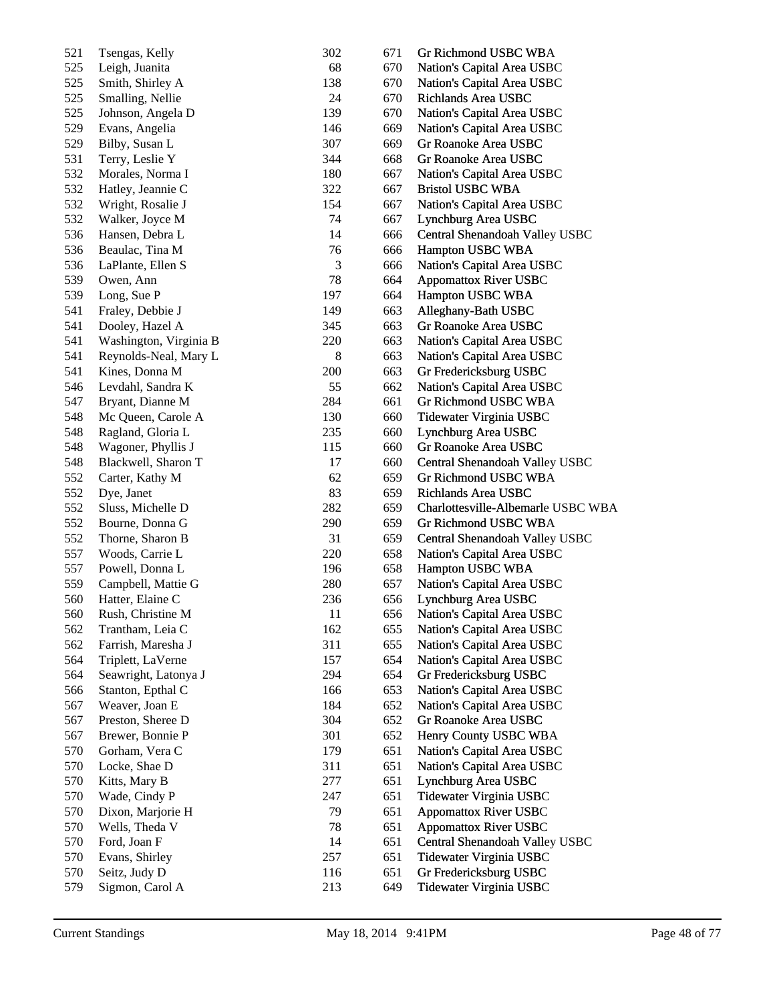| 521 | Tsengas, Kelly         | 302 | 671 | Gr Richmond USBC WBA               |
|-----|------------------------|-----|-----|------------------------------------|
| 525 | Leigh, Juanita         | 68  | 670 | Nation's Capital Area USBC         |
| 525 | Smith, Shirley A       | 138 | 670 | Nation's Capital Area USBC         |
| 525 | Smalling, Nellie       | 24  | 670 | Richlands Area USBC                |
| 525 | Johnson, Angela D      | 139 | 670 | Nation's Capital Area USBC         |
| 529 | Evans, Angelia         | 146 | 669 | Nation's Capital Area USBC         |
| 529 | Bilby, Susan L         | 307 | 669 | Gr Roanoke Area USBC               |
| 531 | Terry, Leslie Y        | 344 | 668 | Gr Roanoke Area USBC               |
| 532 | Morales, Norma I       | 180 | 667 | Nation's Capital Area USBC         |
| 532 | Hatley, Jeannie C      | 322 | 667 | <b>Bristol USBC WBA</b>            |
| 532 | Wright, Rosalie J      | 154 | 667 | Nation's Capital Area USBC         |
| 532 | Walker, Joyce M        | 74  | 667 | Lynchburg Area USBC                |
| 536 | Hansen, Debra L        | 14  | 666 | Central Shenandoah Valley USBC     |
| 536 | Beaulac, Tina M        | 76  | 666 | Hampton USBC WBA                   |
| 536 | LaPlante, Ellen S      | 3   | 666 | Nation's Capital Area USBC         |
| 539 | Owen, Ann              | 78  | 664 | <b>Appomattox River USBC</b>       |
| 539 | Long, Sue P            | 197 | 664 | Hampton USBC WBA                   |
| 541 | Fraley, Debbie J       | 149 | 663 | Alleghany-Bath USBC                |
| 541 | Dooley, Hazel A        | 345 | 663 | Gr Roanoke Area USBC               |
| 541 | Washington, Virginia B | 220 | 663 | Nation's Capital Area USBC         |
| 541 | Reynolds-Neal, Mary L  | 8   | 663 | Nation's Capital Area USBC         |
| 541 | Kines, Donna M         | 200 | 663 | Gr Fredericksburg USBC             |
| 546 | Levdahl, Sandra K      | 55  | 662 | Nation's Capital Area USBC         |
| 547 | Bryant, Dianne M       | 284 | 661 | Gr Richmond USBC WBA               |
| 548 | Mc Queen, Carole A     | 130 | 660 | Tidewater Virginia USBC            |
| 548 | Ragland, Gloria L      | 235 | 660 | Lynchburg Area USBC                |
| 548 | Wagoner, Phyllis J     | 115 | 660 | Gr Roanoke Area USBC               |
| 548 | Blackwell, Sharon T    | 17  | 660 | Central Shenandoah Valley USBC     |
| 552 | Carter, Kathy M        | 62  | 659 | Gr Richmond USBC WBA               |
| 552 | Dye, Janet             | 83  | 659 | Richlands Area USBC                |
| 552 | Sluss, Michelle D      | 282 | 659 | Charlottesville-Albemarle USBC WBA |
| 552 | Bourne, Donna G        | 290 | 659 | Gr Richmond USBC WBA               |
| 552 | Thorne, Sharon B       | 31  | 659 | Central Shenandoah Valley USBC     |
| 557 | Woods, Carrie L        | 220 | 658 | Nation's Capital Area USBC         |
| 557 | Powell, Donna L        | 196 | 658 | Hampton USBC WBA                   |
| 559 | Campbell, Mattie G     | 280 | 657 | Nation's Capital Area USBC         |
| 560 | Hatter, Elaine C       | 236 | 656 | Lynchburg Area USBC                |
| 560 | Rush, Christine M      | 11  | 656 | Nation's Capital Area USBC         |
| 562 | Trantham, Leia C       | 162 | 655 | Nation's Capital Area USBC         |
| 562 | Farrish, Maresha J     | 311 | 655 | Nation's Capital Area USBC         |
| 564 | Triplett, LaVerne      | 157 | 654 | Nation's Capital Area USBC         |
| 564 | Seawright, Latonya J   | 294 | 654 | Gr Fredericksburg USBC             |
| 566 | Stanton, Epthal C      | 166 | 653 | Nation's Capital Area USBC         |
| 567 | Weaver, Joan E         | 184 | 652 | Nation's Capital Area USBC         |
| 567 | Preston, Sheree D      | 304 | 652 | Gr Roanoke Area USBC               |
| 567 | Brewer, Bonnie P       | 301 | 652 | Henry County USBC WBA              |
| 570 | Gorham, Vera C         | 179 | 651 | Nation's Capital Area USBC         |
| 570 | Locke, Shae D          | 311 | 651 | Nation's Capital Area USBC         |
| 570 | Kitts, Mary B          | 277 | 651 | Lynchburg Area USBC                |
| 570 | Wade, Cindy P          | 247 | 651 | Tidewater Virginia USBC            |
| 570 | Dixon, Marjorie H      | 79  | 651 | <b>Appomattox River USBC</b>       |
| 570 | Wells, Theda V         | 78  | 651 | <b>Appomattox River USBC</b>       |
| 570 | Ford, Joan F           | 14  | 651 | Central Shenandoah Valley USBC     |
| 570 | Evans, Shirley         | 257 | 651 | Tidewater Virginia USBC            |
| 570 | Seitz, Judy D          | 116 | 651 | Gr Fredericksburg USBC             |
| 579 |                        | 213 | 649 | Tidewater Virginia USBC            |
|     | Sigmon, Carol A        |     |     |                                    |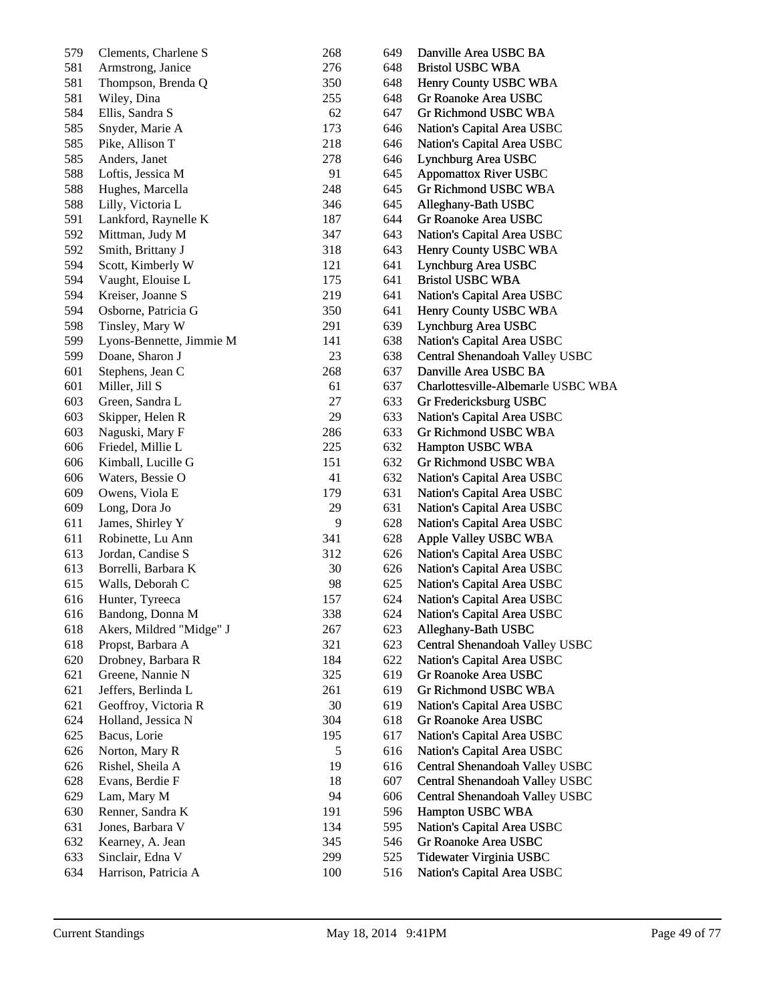| 579 | Clements, Charlene S     | 268 | 649 | Danville Area USBC BA              |
|-----|--------------------------|-----|-----|------------------------------------|
| 581 | Armstrong, Janice        | 276 | 648 | <b>Bristol USBC WBA</b>            |
| 581 | Thompson, Brenda Q       | 350 | 648 | Henry County USBC WBA              |
| 581 | Wiley, Dina              | 255 | 648 | Gr Roanoke Area USBC               |
| 584 | Ellis, Sandra S          | 62  | 647 | <b>Gr Richmond USBC WBA</b>        |
| 585 | Snyder, Marie A          | 173 | 646 | Nation's Capital Area USBC         |
| 585 | Pike, Allison T          | 218 | 646 | Nation's Capital Area USBC         |
| 585 | Anders, Janet            | 278 | 646 | Lynchburg Area USBC                |
| 588 | Loftis, Jessica M        | 91  | 645 | <b>Appomattox River USBC</b>       |
| 588 | Hughes, Marcella         | 248 | 645 | Gr Richmond USBC WBA               |
| 588 | Lilly, Victoria L        | 346 | 645 | Alleghany-Bath USBC                |
| 591 | Lankford, Raynelle K     | 187 | 644 | Gr Roanoke Area USBC               |
| 592 | Mittman, Judy M          | 347 | 643 | Nation's Capital Area USBC         |
| 592 | Smith, Brittany J        | 318 | 643 | Henry County USBC WBA              |
| 594 | Scott, Kimberly W        | 121 | 641 | Lynchburg Area USBC                |
| 594 | Vaught, Elouise L        | 175 | 641 | <b>Bristol USBC WBA</b>            |
| 594 | Kreiser, Joanne S        | 219 | 641 | Nation's Capital Area USBC         |
| 594 | Osborne, Patricia G      | 350 | 641 | Henry County USBC WBA              |
| 598 | Tinsley, Mary W          | 291 | 639 | Lynchburg Area USBC                |
| 599 | Lyons-Bennette, Jimmie M | 141 | 638 | Nation's Capital Area USBC         |
| 599 | Doane, Sharon J          | 23  | 638 | Central Shenandoah Valley USBC     |
| 601 | Stephens, Jean C         | 268 | 637 | Danville Area USBC BA              |
| 601 | Miller, Jill S           | 61  | 637 | Charlottesville-Albemarle USBC WBA |
| 603 | Green, Sandra L          | 27  | 633 | Gr Fredericksburg USBC             |
| 603 | Skipper, Helen R         | 29  | 633 | Nation's Capital Area USBC         |
| 603 |                          | 286 | 633 | Gr Richmond USBC WBA               |
| 606 | Naguski, Mary F          | 225 | 632 |                                    |
|     | Friedel, Millie L        | 151 |     | Hampton USBC WBA                   |
| 606 | Kimball, Lucille G       |     | 632 | Gr Richmond USBC WBA               |
| 606 | Waters, Bessie O         | 41  | 632 | Nation's Capital Area USBC         |
| 609 | Owens, Viola E           | 179 | 631 | Nation's Capital Area USBC         |
| 609 | Long, Dora Jo            | 29  | 631 | Nation's Capital Area USBC         |
| 611 | James, Shirley Y         | 9   | 628 | Nation's Capital Area USBC         |
| 611 | Robinette, Lu Ann        | 341 | 628 | Apple Valley USBC WBA              |
| 613 | Jordan, Candise S        | 312 | 626 | Nation's Capital Area USBC         |
| 613 | Borrelli, Barbara K      | 30  | 626 | Nation's Capital Area USBC         |
| 615 | Walls, Deborah C         | 98  | 625 | Nation's Capital Area USBC         |
| 616 | Hunter, Tyreeca          | 157 | 624 | Nation's Capital Area USBC         |
| 616 | Bandong, Donna M         | 338 | 624 | Nation's Capital Area USBC         |
| 618 | Akers, Mildred "Midge" J | 267 | 623 | Alleghany-Bath USBC                |
| 618 | Propst, Barbara A        | 321 | 623 | Central Shenandoah Valley USBC     |
| 620 | Drobney, Barbara R       | 184 | 622 | Nation's Capital Area USBC         |
| 621 | Greene, Nannie N         | 325 | 619 | Gr Roanoke Area USBC               |
| 621 | Jeffers, Berlinda L      | 261 | 619 | Gr Richmond USBC WBA               |
| 621 | Geoffroy, Victoria R     | 30  | 619 | Nation's Capital Area USBC         |
| 624 | Holland, Jessica N       | 304 | 618 | Gr Roanoke Area USBC               |
| 625 | Bacus, Lorie             | 195 | 617 | Nation's Capital Area USBC         |
| 626 | Norton, Mary R           | 5   | 616 | Nation's Capital Area USBC         |
| 626 | Rishel, Sheila A         | 19  | 616 | Central Shenandoah Valley USBC     |
| 628 | Evans, Berdie F          | 18  | 607 | Central Shenandoah Valley USBC     |
| 629 | Lam, Mary M              | 94  | 606 | Central Shenandoah Valley USBC     |
| 630 | Renner, Sandra K         | 191 | 596 | Hampton USBC WBA                   |
| 631 | Jones, Barbara V         | 134 | 595 | Nation's Capital Area USBC         |
| 632 | Kearney, A. Jean         | 345 | 546 | Gr Roanoke Area USBC               |
| 633 | Sinclair, Edna V         | 299 | 525 | Tidewater Virginia USBC            |
| 634 | Harrison, Patricia A     | 100 | 516 | Nation's Capital Area USBC         |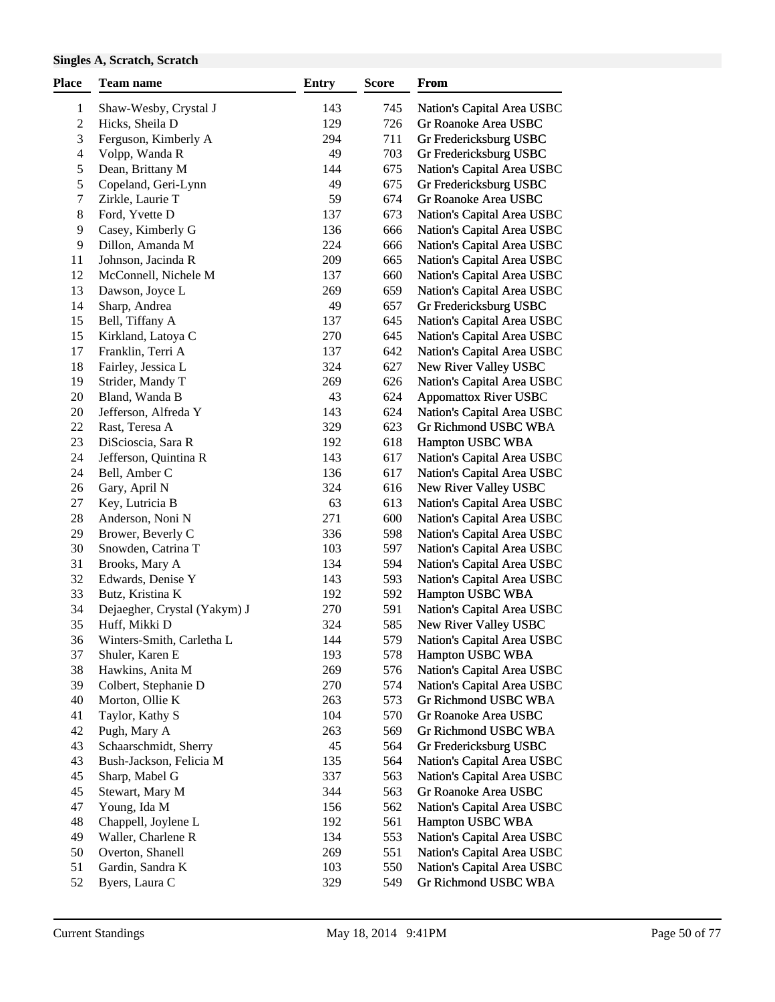#### **Singles A, Scratch, Scratch**

| <b>Place</b>   | Team name                    | <b>Entry</b> | Score | From                         |
|----------------|------------------------------|--------------|-------|------------------------------|
| 1              | Shaw-Wesby, Crystal J        | 143          | 745   | Nation's Capital Area USBC   |
| $\overline{2}$ | Hicks, Sheila D              | 129          | 726   | Gr Roanoke Area USBC         |
| 3              | Ferguson, Kimberly A         | 294          | 711   | Gr Fredericksburg USBC       |
| 4              | Volpp, Wanda R               | 49           | 703   | Gr Fredericksburg USBC       |
| 5              | Dean, Brittany M             | 144          | 675   | Nation's Capital Area USBC   |
| 5              | Copeland, Geri-Lynn          | 49           | 675   | Gr Fredericksburg USBC       |
| 7              | Zirkle, Laurie T             | 59           | 674   | Gr Roanoke Area USBC         |
| 8              | Ford, Yvette D               | 137          | 673   | Nation's Capital Area USBC   |
| 9              | Casey, Kimberly G            | 136          | 666   | Nation's Capital Area USBC   |
| 9              | Dillon, Amanda M             | 224          | 666   | Nation's Capital Area USBC   |
| 11             | Johnson, Jacinda R           | 209          | 665   | Nation's Capital Area USBC   |
| 12             | McConnell, Nichele M         | 137          | 660   | Nation's Capital Area USBC   |
| 13             | Dawson, Joyce L              | 269          | 659   | Nation's Capital Area USBC   |
| 14             | Sharp, Andrea                | 49           | 657   | Gr Fredericksburg USBC       |
| 15             | Bell, Tiffany A              | 137          | 645   | Nation's Capital Area USBC   |
| 15             | Kirkland, Latoya C           | 270          | 645   | Nation's Capital Area USBC   |
| 17             | Franklin, Terri A            | 137          | 642   | Nation's Capital Area USBC   |
| 18             | Fairley, Jessica L           | 324          | 627   | New River Valley USBC        |
| 19             | Strider, Mandy T             | 269          | 626   | Nation's Capital Area USBC   |
| 20             | Bland, Wanda B               | 43           | 624   | <b>Appomattox River USBC</b> |
| 20             | Jefferson, Alfreda Y         | 143          | 624   | Nation's Capital Area USBC   |
| 22             | Rast, Teresa A               | 329          | 623   | Gr Richmond USBC WBA         |
| 23             | DiScioscia, Sara R           | 192          | 618   | Hampton USBC WBA             |
| 24             | Jefferson, Quintina R        | 143          | 617   | Nation's Capital Area USBC   |
| 24             | Bell, Amber C                | 136          | 617   | Nation's Capital Area USBC   |
| 26             | Gary, April N                | 324          | 616   | New River Valley USBC        |
| 27             | Key, Lutricia B              | 63           | 613   | Nation's Capital Area USBC   |
| 28             | Anderson, Noni N             | 271          | 600   | Nation's Capital Area USBC   |
| 29             | Brower, Beverly C            | 336          | 598   | Nation's Capital Area USBC   |
| 30             | Snowden, Catrina T           | 103          | 597   | Nation's Capital Area USBC   |
| 31             | Brooks, Mary A               | 134          | 594   | Nation's Capital Area USBC   |
| 32             | Edwards, Denise Y            | 143          | 593   | Nation's Capital Area USBC   |
| 33             | Butz, Kristina K             | 192          | 592   | Hampton USBC WBA             |
| 34             | Dejaegher, Crystal (Yakym) J | 270          | 591   | Nation's Capital Area USBC   |
| 35             | Huff, Mikki D                | 324          | 585   | New River Valley USBC        |
| 36             | Winters-Smith, Carletha L    | 144          | 579   | Nation's Capital Area USBC   |
| 37             | Shuler, Karen E              | 193          | 578   | Hampton USBC WBA             |
| 38             | Hawkins, Anita M             | 269          | 576   | Nation's Capital Area USBC   |
| 39             | Colbert, Stephanie D         | 270          | 574   | Nation's Capital Area USBC   |
| 40             | Morton, Ollie K              | 263          | 573   | Gr Richmond USBC WBA         |
| 41             | Taylor, Kathy S              | 104          | 570   | Gr Roanoke Area USBC         |
| 42             | Pugh, Mary A                 | 263          | 569   | Gr Richmond USBC WBA         |
| 43             | Schaarschmidt, Sherry        | 45           | 564   | Gr Fredericksburg USBC       |
| 43             | Bush-Jackson, Felicia M      | 135          | 564   | Nation's Capital Area USBC   |
| 45             | Sharp, Mabel G               | 337          | 563   | Nation's Capital Area USBC   |
| 45             | Stewart, Mary M              | 344          | 563   | Gr Roanoke Area USBC         |
| 47             | Young, Ida M                 | 156          | 562   | Nation's Capital Area USBC   |
| 48             | Chappell, Joylene L          | 192          | 561   | Hampton USBC WBA             |
| 49             | Waller, Charlene R           | 134          | 553   | Nation's Capital Area USBC   |
| 50             | Overton, Shanell             | 269          | 551   | Nation's Capital Area USBC   |
| 51             | Gardin, Sandra K             | 103          | 550   | Nation's Capital Area USBC   |
| 52             | Byers, Laura C               | 329          | 549   | Gr Richmond USBC WBA         |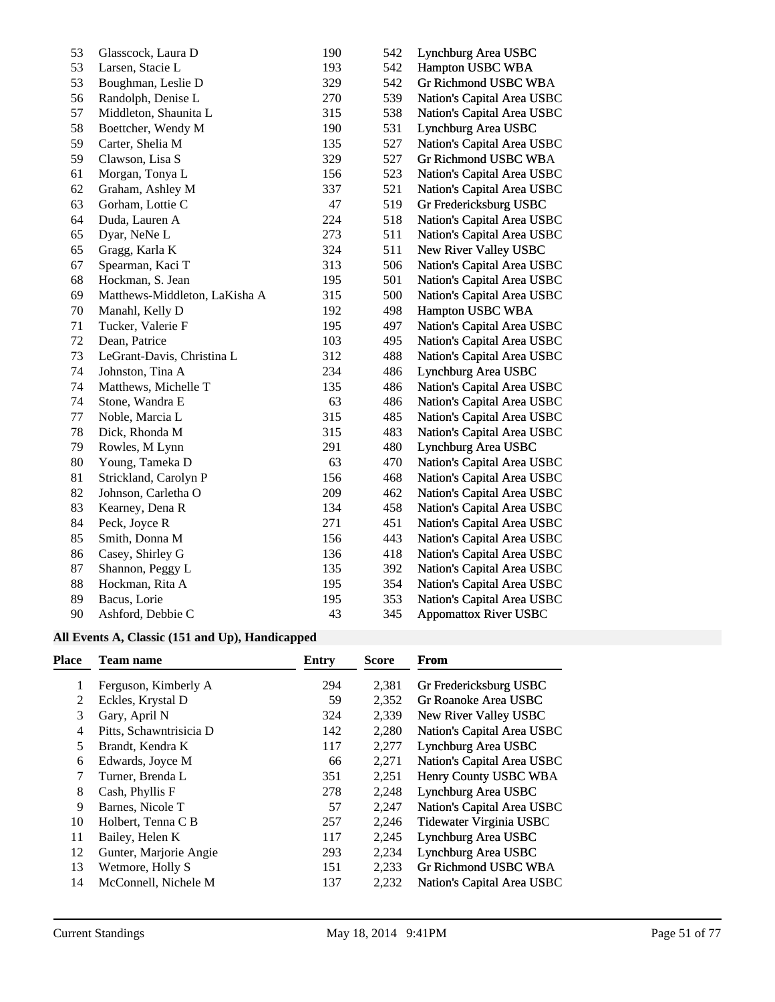| 53 | Glasscock, Laura D            | 190 | 542 | Lynchburg Area USBC          |
|----|-------------------------------|-----|-----|------------------------------|
| 53 | Larsen, Stacie L              | 193 | 542 | Hampton USBC WBA             |
| 53 | Boughman, Leslie D            | 329 | 542 | Gr Richmond USBC WBA         |
| 56 | Randolph, Denise L            | 270 | 539 | Nation's Capital Area USBC   |
| 57 | Middleton, Shaunita L         | 315 | 538 | Nation's Capital Area USBC   |
| 58 | Boettcher, Wendy M            | 190 | 531 | Lynchburg Area USBC          |
| 59 | Carter, Shelia M              | 135 | 527 | Nation's Capital Area USBC   |
| 59 | Clawson, Lisa S               | 329 | 527 | Gr Richmond USBC WBA         |
| 61 | Morgan, Tonya L               | 156 | 523 | Nation's Capital Area USBC   |
| 62 | Graham, Ashley M              | 337 | 521 | Nation's Capital Area USBC   |
| 63 | Gorham, Lottie C              | 47  | 519 | Gr Fredericksburg USBC       |
| 64 | Duda, Lauren A                | 224 | 518 | Nation's Capital Area USBC   |
| 65 | Dyar, NeNe L                  | 273 | 511 | Nation's Capital Area USBC   |
| 65 | Gragg, Karla K                | 324 | 511 | New River Valley USBC        |
| 67 | Spearman, Kaci T              | 313 | 506 | Nation's Capital Area USBC   |
| 68 | Hockman, S. Jean              | 195 | 501 | Nation's Capital Area USBC   |
| 69 | Matthews-Middleton, LaKisha A | 315 | 500 | Nation's Capital Area USBC   |
| 70 | Manahl, Kelly D               | 192 | 498 | Hampton USBC WBA             |
| 71 | Tucker, Valerie F             | 195 | 497 | Nation's Capital Area USBC   |
| 72 | Dean, Patrice                 | 103 | 495 | Nation's Capital Area USBC   |
| 73 | LeGrant-Davis, Christina L    | 312 | 488 | Nation's Capital Area USBC   |
| 74 | Johnston, Tina A              | 234 | 486 | Lynchburg Area USBC          |
| 74 | Matthews, Michelle T          | 135 | 486 | Nation's Capital Area USBC   |
| 74 | Stone, Wandra E               | 63  | 486 | Nation's Capital Area USBC   |
| 77 | Noble, Marcia L               | 315 | 485 | Nation's Capital Area USBC   |
| 78 | Dick, Rhonda M                | 315 | 483 | Nation's Capital Area USBC   |
| 79 | Rowles, M Lynn                | 291 | 480 | Lynchburg Area USBC          |
| 80 | Young, Tameka D               | 63  | 470 | Nation's Capital Area USBC   |
| 81 | Strickland, Carolyn P         | 156 | 468 | Nation's Capital Area USBC   |
| 82 | Johnson, Carletha O           | 209 | 462 | Nation's Capital Area USBC   |
| 83 | Kearney, Dena R               | 134 | 458 | Nation's Capital Area USBC   |
| 84 | Peck, Joyce R                 | 271 | 451 | Nation's Capital Area USBC   |
| 85 | Smith, Donna M                | 156 | 443 | Nation's Capital Area USBC   |
| 86 | Casey, Shirley G              | 136 | 418 | Nation's Capital Area USBC   |
| 87 | Shannon, Peggy L              | 135 | 392 | Nation's Capital Area USBC   |
| 88 | Hockman, Rita A               | 195 | 354 | Nation's Capital Area USBC   |
| 89 | Bacus, Lorie                  | 195 | 353 | Nation's Capital Area USBC   |
| 90 | Ashford, Debbie C             | 43  | 345 | <b>Appomattox River USBC</b> |

## **All Events A, Classic (151 and Up), Handicapped**

| Place | <b>Team name</b>        | Entry | <b>Score</b> | From                       |
|-------|-------------------------|-------|--------------|----------------------------|
| 1     | Ferguson, Kimberly A    | 294   | 2,381        | Gr Fredericksburg USBC     |
| 2     | Eckles, Krystal D       | 59    | 2,352        | Gr Roanoke Area USBC       |
| 3     | Gary, April N           | 324   | 2,339        | New River Valley USBC      |
| 4     | Pitts, Schawntrisicia D | 142   | 2,280        | Nation's Capital Area USBC |
| 5     | Brandt, Kendra K        | 117   | 2,277        | Lynchburg Area USBC        |
| 6     | Edwards, Joyce M        | 66    | 2,271        | Nation's Capital Area USBC |
| 7     | Turner, Brenda L        | 351   | 2,251        | Henry County USBC WBA      |
| 8     | Cash, Phyllis F         | 278   | 2,248        | Lynchburg Area USBC        |
| 9     | Barnes, Nicole T        | 57    | 2,247        | Nation's Capital Area USBC |
| 10    | Holbert, Tenna C B      | 257   | 2,246        | Tidewater Virginia USBC    |
| 11    | Bailey, Helen K         | 117   | 2,245        | Lynchburg Area USBC        |
| 12    | Gunter, Marjorie Angie  | 293   | 2,234        | Lynchburg Area USBC        |
| 13    | Wetmore, Holly S        | 151   | 2,233        | Gr Richmond USBC WBA       |
| 14    | McConnell, Nichele M    | 137   | 2,232        | Nation's Capital Area USBC |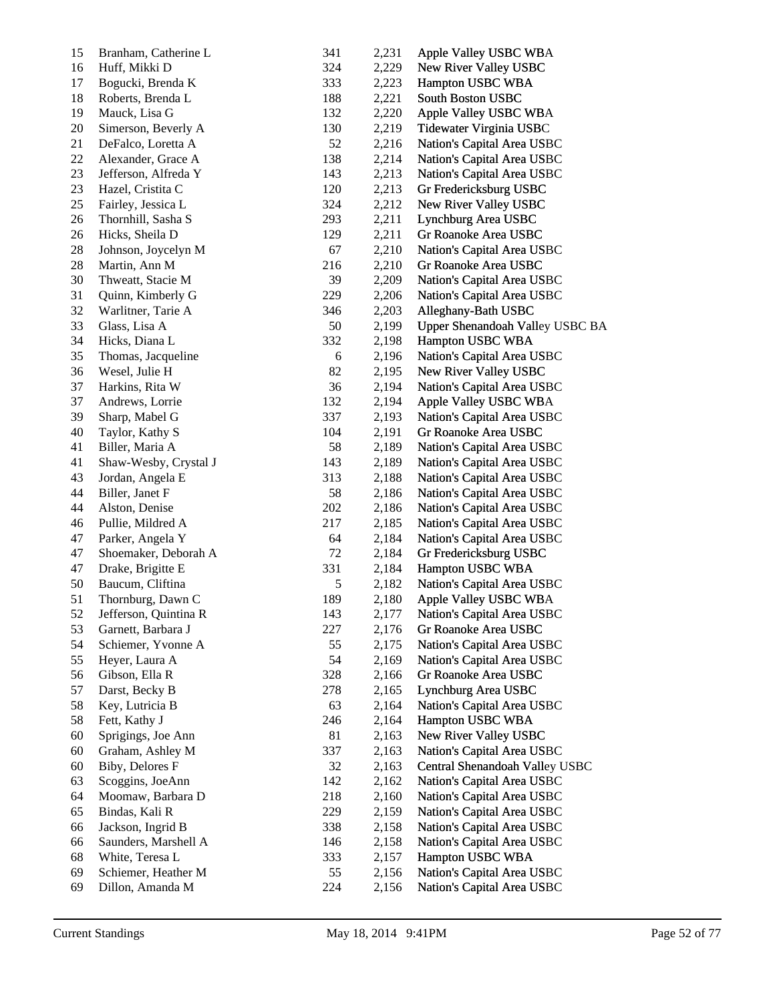| 15 | Branham, Catherine L  | 341        | 2,231 | Apple Valley USBC WBA           |
|----|-----------------------|------------|-------|---------------------------------|
| 16 | Huff, Mikki D         | 324        | 2,229 | New River Valley USBC           |
| 17 | Bogucki, Brenda K     | 333        | 2,223 | Hampton USBC WBA                |
| 18 | Roberts, Brenda L     | 188        | 2,221 | South Boston USBC               |
| 19 | Mauck, Lisa G         | 132        | 2,220 | Apple Valley USBC WBA           |
| 20 | Simerson, Beverly A   | 130        | 2,219 | Tidewater Virginia USBC         |
| 21 | DeFalco, Loretta A    | 52         | 2,216 | Nation's Capital Area USBC      |
| 22 | Alexander, Grace A    | 138        | 2,214 | Nation's Capital Area USBC      |
| 23 | Jefferson, Alfreda Y  | 143        | 2,213 | Nation's Capital Area USBC      |
| 23 | Hazel, Cristita C     | 120        | 2,213 | Gr Fredericksburg USBC          |
| 25 | Fairley, Jessica L    | 324        | 2,212 | New River Valley USBC           |
| 26 | Thornhill, Sasha S    | 293        | 2,211 | Lynchburg Area USBC             |
| 26 | Hicks, Sheila D       | 129        | 2,211 | Gr Roanoke Area USBC            |
| 28 | Johnson, Joycelyn M   | 67         | 2,210 | Nation's Capital Area USBC      |
| 28 | Martin, Ann M         | 216        | 2,210 | Gr Roanoke Area USBC            |
| 30 | Thweatt, Stacie M     | 39         | 2,209 | Nation's Capital Area USBC      |
| 31 | Quinn, Kimberly G     | 229        | 2,206 | Nation's Capital Area USBC      |
| 32 | Warlitner, Tarie A    | 346        | 2,203 | Alleghany-Bath USBC             |
| 33 | Glass, Lisa A         | 50         | 2,199 | Upper Shenandoah Valley USBC BA |
| 34 | Hicks, Diana L        | 332        | 2,198 | Hampton USBC WBA                |
| 35 | Thomas, Jacqueline    | 6          | 2,196 | Nation's Capital Area USBC      |
| 36 | Wesel, Julie H        | 82         | 2,195 | New River Valley USBC           |
| 37 | Harkins, Rita W       | 36         | 2,194 | Nation's Capital Area USBC      |
| 37 | Andrews, Lorrie       | 132        | 2,194 | Apple Valley USBC WBA           |
| 39 | Sharp, Mabel G        | 337        | 2,193 | Nation's Capital Area USBC      |
| 40 | Taylor, Kathy S       | 104        | 2,191 | Gr Roanoke Area USBC            |
| 41 | Biller, Maria A       | 58         | 2,189 | Nation's Capital Area USBC      |
| 41 | Shaw-Wesby, Crystal J | 143        | 2,189 | Nation's Capital Area USBC      |
| 43 | Jordan, Angela E      | 313        | 2,188 | Nation's Capital Area USBC      |
| 44 | Biller, Janet F       | 58         | 2,186 | Nation's Capital Area USBC      |
| 44 | Alston, Denise        | 202        | 2,186 | Nation's Capital Area USBC      |
| 46 | Pullie, Mildred A     | 217        | 2,185 | Nation's Capital Area USBC      |
| 47 | Parker, Angela Y      | 64         | 2,184 | Nation's Capital Area USBC      |
| 47 | Shoemaker, Deborah A  | 72         | 2,184 | Gr Fredericksburg USBC          |
| 47 | Drake, Brigitte E     | 331        | 2,184 | Hampton USBC WBA                |
| 50 | Baucum, Cliftina      | $\sqrt{5}$ | 2,182 | Nation's Capital Area USBC      |
| 51 | Thornburg, Dawn C     | 189        | 2,180 | Apple Valley USBC WBA           |
| 52 | Jefferson, Quintina R | 143        | 2,177 | Nation's Capital Area USBC      |
| 53 | Garnett, Barbara J    | 227        | 2,176 | Gr Roanoke Area USBC            |
| 54 | Schiemer, Yvonne A    | 55         | 2,175 | Nation's Capital Area USBC      |
| 55 | Heyer, Laura A        | 54         | 2,169 | Nation's Capital Area USBC      |
| 56 | Gibson, Ella R        | 328        | 2,166 | Gr Roanoke Area USBC            |
| 57 | Darst, Becky B        | 278        | 2,165 | Lynchburg Area USBC             |
| 58 | Key, Lutricia B       | 63         | 2,164 | Nation's Capital Area USBC      |
| 58 | Fett, Kathy J         | 246        | 2,164 | Hampton USBC WBA                |
| 60 | Sprigings, Joe Ann    | 81         | 2,163 | New River Valley USBC           |
| 60 | Graham, Ashley M      | 337        | 2,163 | Nation's Capital Area USBC      |
| 60 | Biby, Delores F       | 32         | 2,163 | Central Shenandoah Valley USBC  |
| 63 | Scoggins, JoeAnn      | 142        | 2,162 | Nation's Capital Area USBC      |
| 64 | Moomaw, Barbara D     | 218        | 2,160 | Nation's Capital Area USBC      |
| 65 | Bindas, Kali R        | 229        | 2,159 | Nation's Capital Area USBC      |
| 66 | Jackson, Ingrid B     | 338        | 2,158 | Nation's Capital Area USBC      |
| 66 | Saunders, Marshell A  | 146        | 2,158 | Nation's Capital Area USBC      |
| 68 | White, Teresa L       | 333        | 2,157 | Hampton USBC WBA                |
| 69 | Schiemer, Heather M   | 55         | 2,156 | Nation's Capital Area USBC      |
| 69 | Dillon, Amanda M      | 224        | 2,156 | Nation's Capital Area USBC      |
|    |                       |            |       |                                 |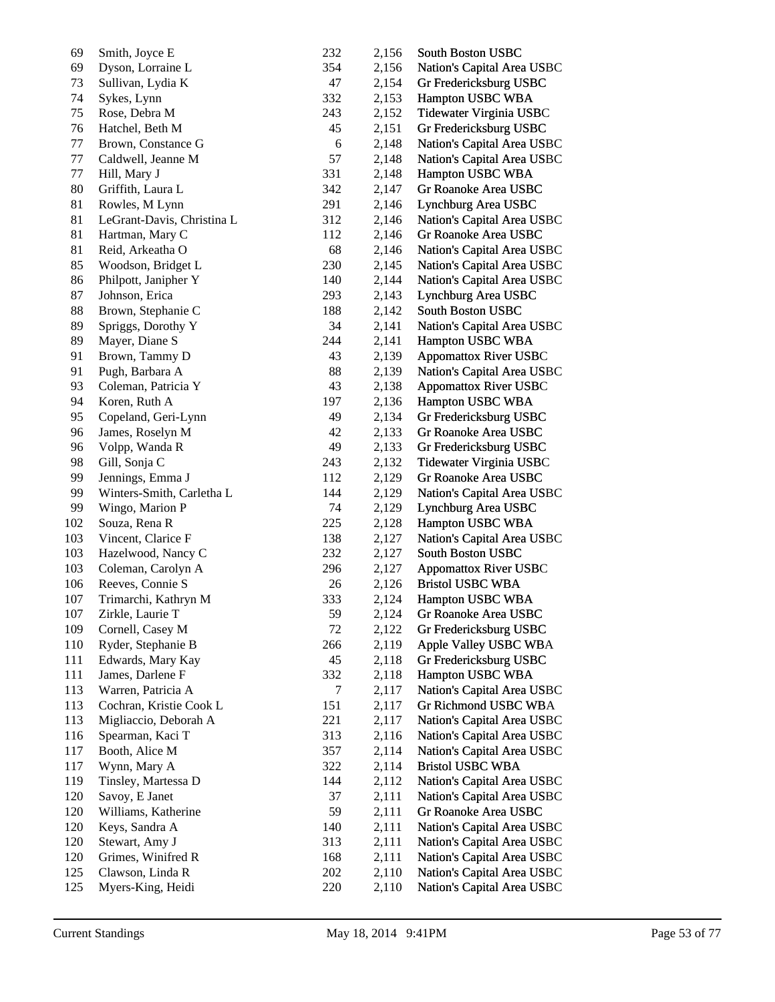| Smith, Joyce E             | 232          | 2,156 | South Boston USBC            |
|----------------------------|--------------|-------|------------------------------|
| Dyson, Lorraine L          | 354          | 2,156 | Nation's Capital Area USBC   |
| Sullivan, Lydia K          | 47           | 2,154 | Gr Fredericksburg USBC       |
| Sykes, Lynn                | 332          | 2,153 | Hampton USBC WBA             |
| Rose, Debra M              | 243          | 2,152 | Tidewater Virginia USBC      |
| Hatchel, Beth M            | 45           | 2,151 | Gr Fredericksburg USBC       |
| Brown, Constance G         | 6            | 2,148 | Nation's Capital Area USBC   |
| Caldwell, Jeanne M         | 57           | 2,148 | Nation's Capital Area USBC   |
|                            | 331          | 2,148 | Hampton USBC WBA             |
| Griffith, Laura L          | 342          | 2,147 | Gr Roanoke Area USBC         |
| Rowles, M Lynn             | 291          | 2,146 | Lynchburg Area USBC          |
| LeGrant-Davis, Christina L | 312          | 2,146 | Nation's Capital Area USBC   |
| Hartman, Mary C            | 112          | 2,146 | Gr Roanoke Area USBC         |
| Reid, Arkeatha O           | 68           | 2,146 | Nation's Capital Area USBC   |
| Woodson, Bridget L         | 230          | 2,145 | Nation's Capital Area USBC   |
| Philpott, Janipher Y       | 140          | 2,144 | Nation's Capital Area USBC   |
| Johnson, Erica             | 293          | 2,143 | Lynchburg Area USBC          |
| Brown, Stephanie C         | 188          | 2,142 | South Boston USBC            |
| Spriggs, Dorothy Y         | 34           | 2,141 | Nation's Capital Area USBC   |
| Mayer, Diane S             | 244          | 2,141 | Hampton USBC WBA             |
| Brown, Tammy D             | 43           | 2,139 | <b>Appomattox River USBC</b> |
| Pugh, Barbara A            | 88           | 2,139 | Nation's Capital Area USBC   |
| Coleman, Patricia Y        | 43           | 2,138 | Appomattox River USBC        |
| Koren, Ruth A              | 197          | 2,136 | Hampton USBC WBA             |
| Copeland, Geri-Lynn        | 49           | 2,134 | Gr Fredericksburg USBC       |
| James, Roselyn M           | 42           | 2,133 | Gr Roanoke Area USBC         |
| Volpp, Wanda R             | 49           | 2,133 | Gr Fredericksburg USBC       |
| Gill, Sonja C              | 243          | 2,132 | Tidewater Virginia USBC      |
| Jennings, Emma J           | 112          | 2,129 | Gr Roanoke Area USBC         |
| Winters-Smith, Carletha L  | 144          | 2,129 | Nation's Capital Area USBC   |
| Wingo, Marion P            | 74           | 2,129 | Lynchburg Area USBC          |
| Souza, Rena R              | 225          | 2,128 | Hampton USBC WBA             |
| Vincent, Clarice F         | 138          | 2,127 | Nation's Capital Area USBC   |
| Hazelwood, Nancy C         | 232          | 2,127 | South Boston USBC            |
| Coleman, Carolyn A         | 296          | 2,127 | <b>Appomattox River USBC</b> |
| Reeves, Connie S           | 26           | 2,126 | <b>Bristol USBC WBA</b>      |
| Trimarchi, Kathryn M       | 333          | 2,124 | Hampton USBC WBA             |
| Zirkle, Laurie T           | 59           | 2,124 | Gr Roanoke Area USBC         |
| Cornell, Casey M           | 72           | 2,122 | Gr Fredericksburg USBC       |
| Ryder, Stephanie B         | 266          | 2,119 | Apple Valley USBC WBA        |
| Edwards, Mary Kay          | 45           | 2,118 | Gr Fredericksburg USBC       |
| James, Darlene F           | 332          | 2,118 | Hampton USBC WBA             |
| Warren, Patricia A         | 7            | 2,117 | Nation's Capital Area USBC   |
| Cochran, Kristie Cook L    | 151          | 2,117 | Gr Richmond USBC WBA         |
| Migliaccio, Deborah A      | 221          | 2,117 | Nation's Capital Area USBC   |
| Spearman, Kaci T           | 313          | 2,116 | Nation's Capital Area USBC   |
| Booth, Alice M             | 357          | 2,114 | Nation's Capital Area USBC   |
| Wynn, Mary A               | 322          | 2,114 | <b>Bristol USBC WBA</b>      |
| Tinsley, Martessa D        | 144          | 2,112 | Nation's Capital Area USBC   |
| Savoy, E Janet             | 37           | 2,111 | Nation's Capital Area USBC   |
| Williams, Katherine        | 59           | 2,111 | Gr Roanoke Area USBC         |
| Keys, Sandra A             | 140          | 2,111 | Nation's Capital Area USBC   |
| Stewart, Amy J             | 313          | 2,111 | Nation's Capital Area USBC   |
| Grimes, Winifred R         | 168          | 2,111 | Nation's Capital Area USBC   |
| Clawson, Linda R           | 202          | 2,110 | Nation's Capital Area USBC   |
| Myers-King, Heidi          | 220          | 2,110 | Nation's Capital Area USBC   |
|                            | Hill, Mary J |       |                              |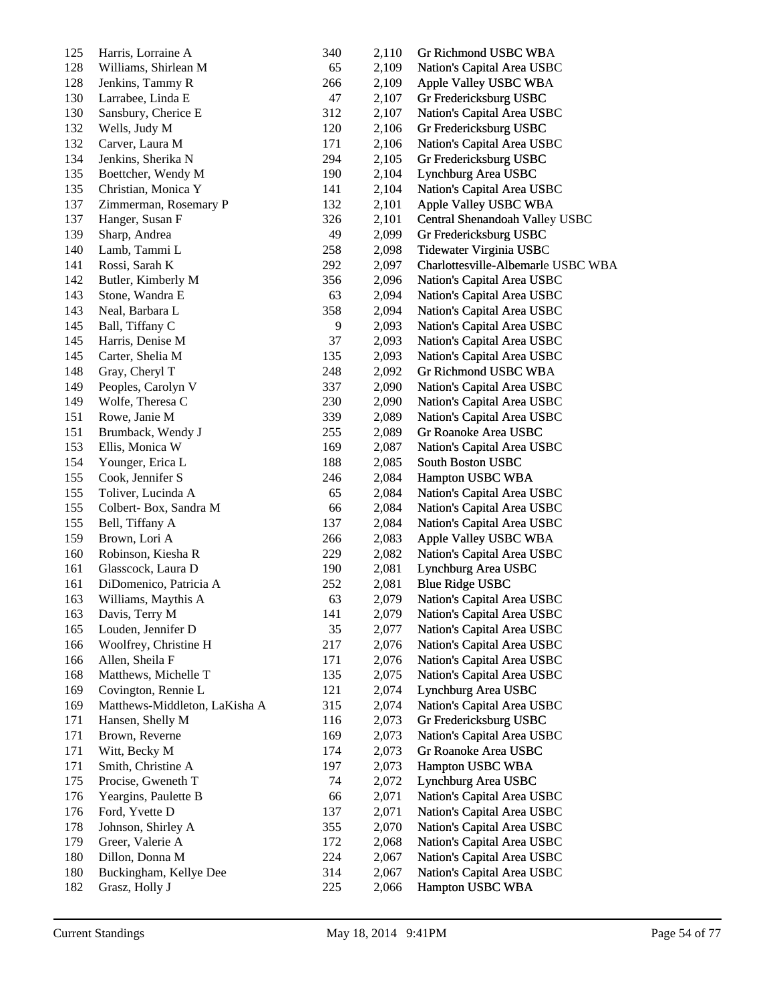| 125 | Harris, Lorraine A            | 340 | 2,110 | Gr Richmond USBC WBA               |
|-----|-------------------------------|-----|-------|------------------------------------|
| 128 | Williams, Shirlean M          | 65  | 2,109 | Nation's Capital Area USBC         |
| 128 | Jenkins, Tammy R              | 266 | 2,109 | Apple Valley USBC WBA              |
| 130 | Larrabee, Linda E             | 47  | 2,107 | Gr Fredericksburg USBC             |
| 130 | Sansbury, Cherice E           | 312 | 2,107 | Nation's Capital Area USBC         |
| 132 | Wells, Judy M                 | 120 | 2,106 | Gr Fredericksburg USBC             |
| 132 | Carver, Laura M               | 171 | 2,106 | Nation's Capital Area USBC         |
| 134 | Jenkins, Sherika N            | 294 | 2,105 | Gr Fredericksburg USBC             |
| 135 | Boettcher, Wendy M            | 190 | 2,104 | Lynchburg Area USBC                |
| 135 | Christian, Monica Y           | 141 | 2,104 | Nation's Capital Area USBC         |
| 137 | Zimmerman, Rosemary P         | 132 | 2,101 | Apple Valley USBC WBA              |
| 137 | Hanger, Susan F               | 326 | 2,101 | Central Shenandoah Valley USBC     |
| 139 | Sharp, Andrea                 | 49  | 2,099 | Gr Fredericksburg USBC             |
| 140 | Lamb, Tammi L                 | 258 | 2,098 | Tidewater Virginia USBC            |
| 141 | Rossi, Sarah K                | 292 | 2,097 | Charlottesville-Albemarle USBC WBA |
| 142 | Butler, Kimberly M            | 356 | 2,096 | Nation's Capital Area USBC         |
| 143 | Stone, Wandra E               | 63  | 2,094 | Nation's Capital Area USBC         |
| 143 | Neal, Barbara L               | 358 | 2,094 | Nation's Capital Area USBC         |
| 145 | Ball, Tiffany C               | 9   | 2,093 | Nation's Capital Area USBC         |
| 145 | Harris, Denise M              | 37  | 2,093 | Nation's Capital Area USBC         |
| 145 | Carter, Shelia M              | 135 | 2,093 | Nation's Capital Area USBC         |
| 148 | Gray, Cheryl T                | 248 | 2,092 | Gr Richmond USBC WBA               |
| 149 | Peoples, Carolyn V            | 337 | 2,090 | Nation's Capital Area USBC         |
| 149 | Wolfe, Theresa C              | 230 | 2,090 | Nation's Capital Area USBC         |
| 151 | Rowe, Janie M                 | 339 | 2,089 | Nation's Capital Area USBC         |
| 151 | Brumback, Wendy J             | 255 | 2,089 | Gr Roanoke Area USBC               |
| 153 | Ellis, Monica W               | 169 | 2,087 | Nation's Capital Area USBC         |
| 154 | Younger, Erica L              | 188 | 2,085 | South Boston USBC                  |
| 155 | Cook, Jennifer S              | 246 | 2,084 | Hampton USBC WBA                   |
| 155 | Toliver, Lucinda A            | 65  | 2,084 | Nation's Capital Area USBC         |
| 155 | Colbert-Box, Sandra M         | 66  | 2,084 | Nation's Capital Area USBC         |
| 155 |                               | 137 |       |                                    |
| 159 | Bell, Tiffany A               |     | 2,084 | Nation's Capital Area USBC         |
|     | Brown, Lori A                 | 266 | 2,083 | Apple Valley USBC WBA              |
| 160 | Robinson, Kiesha R            | 229 | 2,082 | Nation's Capital Area USBC         |
| 161 | Glasscock, Laura D            | 190 | 2,081 | Lynchburg Area USBC                |
| 161 | DiDomenico, Patricia A        | 252 | 2,081 | <b>Blue Ridge USBC</b>             |
| 163 | Williams, Maythis A           | 63  | 2,079 | Nation's Capital Area USBC         |
| 163 | Davis, Terry M                | 141 | 2,079 | Nation's Capital Area USBC         |
| 165 | Louden, Jennifer D            | 35  | 2,077 | Nation's Capital Area USBC         |
| 166 | Woolfrey, Christine H         | 217 | 2,076 | Nation's Capital Area USBC         |
| 166 | Allen, Sheila F               | 171 | 2,076 | Nation's Capital Area USBC         |
| 168 | Matthews, Michelle T          | 135 | 2,075 | Nation's Capital Area USBC         |
| 169 | Covington, Rennie L           | 121 | 2,074 | Lynchburg Area USBC                |
| 169 | Matthews-Middleton, LaKisha A | 315 | 2,074 | Nation's Capital Area USBC         |
| 171 | Hansen, Shelly M              | 116 | 2,073 | Gr Fredericksburg USBC             |
| 171 | Brown, Reverne                | 169 | 2,073 | Nation's Capital Area USBC         |
| 171 | Witt, Becky M                 | 174 | 2,073 | Gr Roanoke Area USBC               |
| 171 | Smith, Christine A            | 197 | 2,073 | Hampton USBC WBA                   |
| 175 | Procise, Gweneth T            | 74  | 2,072 | Lynchburg Area USBC                |
| 176 | Yeargins, Paulette B          | 66  | 2,071 | Nation's Capital Area USBC         |
| 176 | Ford, Yvette D                | 137 | 2,071 | Nation's Capital Area USBC         |
| 178 | Johnson, Shirley A            | 355 | 2,070 | Nation's Capital Area USBC         |
| 179 | Greer, Valerie A              | 172 | 2,068 | Nation's Capital Area USBC         |
| 180 | Dillon, Donna M               | 224 | 2,067 | Nation's Capital Area USBC         |
| 180 | Buckingham, Kellye Dee        | 314 | 2,067 | Nation's Capital Area USBC         |
| 182 | Grasz, Holly J                | 225 | 2,066 | Hampton USBC WBA                   |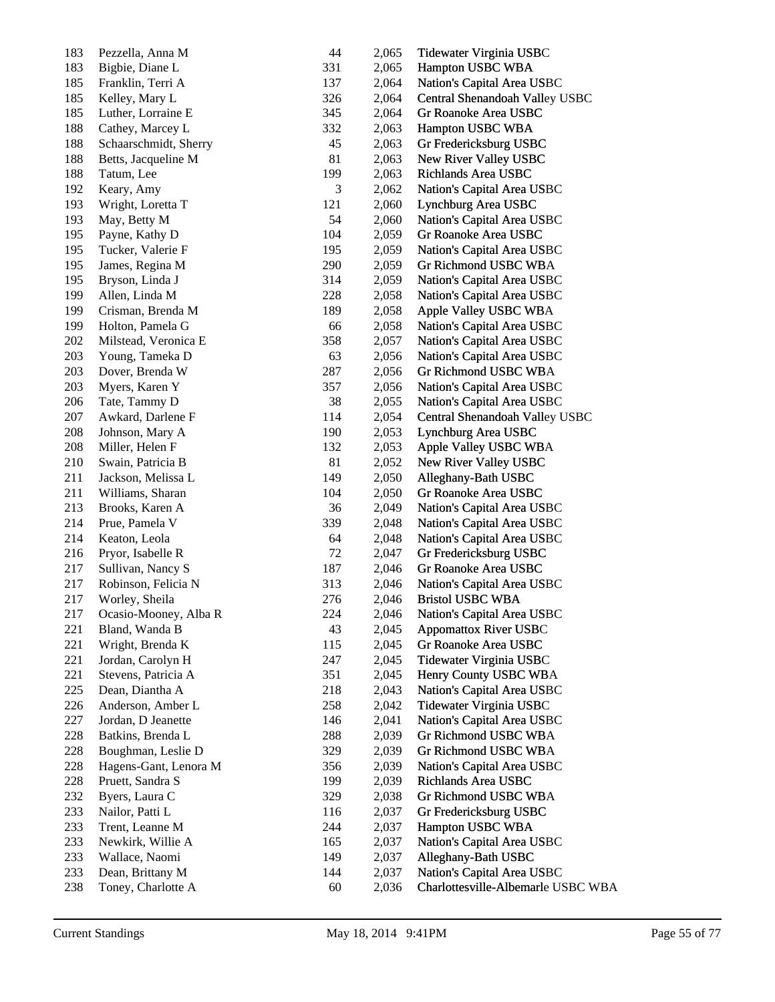| 183        | Pezzella, Anna M      | 44  | 2,065 | Tidewater Virginia USBC            |
|------------|-----------------------|-----|-------|------------------------------------|
| 183        | Bigbie, Diane L       | 331 | 2,065 | Hampton USBC WBA                   |
| 185        | Franklin, Terri A     | 137 | 2,064 | Nation's Capital Area USBC         |
| 185        | Kelley, Mary L        | 326 | 2,064 | Central Shenandoah Valley USBC     |
| 185        | Luther, Lorraine E    | 345 | 2,064 | Gr Roanoke Area USBC               |
| 188        | Cathey, Marcey L      | 332 | 2,063 | Hampton USBC WBA                   |
| 188        | Schaarschmidt, Sherry | 45  | 2,063 | Gr Fredericksburg USBC             |
| 188        | Betts, Jacqueline M   | 81  | 2,063 | New River Valley USBC              |
| 188        | Tatum, Lee            | 199 | 2,063 | Richlands Area USBC                |
| 192        | Keary, Amy            | 3   | 2,062 | Nation's Capital Area USBC         |
| 193        | Wright, Loretta T     | 121 | 2,060 | Lynchburg Area USBC                |
| 193        | May, Betty M          | 54  | 2,060 | Nation's Capital Area USBC         |
| 195        | Payne, Kathy D        | 104 | 2,059 | Gr Roanoke Area USBC               |
| 195        | Tucker, Valerie F     | 195 | 2,059 | Nation's Capital Area USBC         |
| 195        | James, Regina M       | 290 | 2,059 | Gr Richmond USBC WBA               |
| 195        | Bryson, Linda J       | 314 | 2,059 | Nation's Capital Area USBC         |
| 199        | Allen, Linda M        | 228 | 2,058 | Nation's Capital Area USBC         |
| 199        | Crisman, Brenda M     | 189 | 2,058 | Apple Valley USBC WBA              |
| 199        | Holton, Pamela G      | 66  | 2,058 | Nation's Capital Area USBC         |
| 202        | Milstead, Veronica E  | 358 | 2,057 | Nation's Capital Area USBC         |
| 203        | Young, Tameka D       | 63  | 2,056 | Nation's Capital Area USBC         |
| 203        | Dover, Brenda W       | 287 | 2,056 | Gr Richmond USBC WBA               |
| 203        | Myers, Karen Y        | 357 | 2,056 | Nation's Capital Area USBC         |
| 206        | Tate, Tammy D         | 38  | 2,055 | Nation's Capital Area USBC         |
| 207        | Awkard, Darlene F     | 114 | 2,054 | Central Shenandoah Valley USBC     |
| 208        | Johnson, Mary A       | 190 | 2,053 | Lynchburg Area USBC                |
| 208        | Miller, Helen F       | 132 | 2,053 | Apple Valley USBC WBA              |
| 210        | Swain, Patricia B     | 81  | 2,052 | New River Valley USBC              |
| 211        | Jackson, Melissa L    | 149 | 2,050 | Alleghany-Bath USBC                |
| 211        | Williams, Sharan      | 104 | 2,050 | Gr Roanoke Area USBC               |
| 213        | Brooks, Karen A       | 36  | 2,049 |                                    |
| 214        | Prue, Pamela V        | 339 | 2,048 | Nation's Capital Area USBC         |
| 214        | Keaton, Leola         | 64  |       | Nation's Capital Area USBC         |
|            |                       |     | 2,048 | Nation's Capital Area USBC         |
| 216<br>217 | Pryor, Isabelle R     | 72  | 2,047 | Gr Fredericksburg USBC             |
|            | Sullivan, Nancy S     | 187 | 2,046 | Gr Roanoke Area USBC               |
| 217        | Robinson, Felicia N   | 313 | 2,046 | Nation's Capital Area USBC         |
| 217        | Worley, Sheila        | 276 | 2,046 | <b>Bristol USBC WBA</b>            |
| 217        | Ocasio-Mooney, Alba R | 224 | 2,046 | Nation's Capital Area USBC         |
| 221        | Bland, Wanda B        | 43  | 2,045 | <b>Appomattox River USBC</b>       |
| 221        | Wright, Brenda K      | 115 | 2,045 | Gr Roanoke Area USBC               |
| 221        | Jordan, Carolyn H     | 247 | 2,045 | Tidewater Virginia USBC            |
| 221        | Stevens, Patricia A   | 351 | 2,045 | Henry County USBC WBA              |
| 225        | Dean, Diantha A       | 218 | 2,043 | Nation's Capital Area USBC         |
| 226        | Anderson, Amber L     | 258 | 2,042 | Tidewater Virginia USBC            |
| 227        | Jordan, D Jeanette    | 146 | 2,041 | Nation's Capital Area USBC         |
| 228        | Batkins, Brenda L     | 288 | 2,039 | Gr Richmond USBC WBA               |
| 228        | Boughman, Leslie D    | 329 | 2,039 | Gr Richmond USBC WBA               |
| 228        | Hagens-Gant, Lenora M | 356 | 2,039 | Nation's Capital Area USBC         |
| 228        | Pruett, Sandra S      | 199 | 2,039 | Richlands Area USBC                |
| 232        | Byers, Laura C        | 329 | 2,038 | Gr Richmond USBC WBA               |
| 233        | Nailor, Patti L       | 116 | 2,037 | Gr Fredericksburg USBC             |
| 233        | Trent, Leanne M       | 244 | 2,037 | Hampton USBC WBA                   |
| 233        | Newkirk, Willie A     | 165 | 2,037 | Nation's Capital Area USBC         |
| 233        | Wallace, Naomi        | 149 | 2,037 | Alleghany-Bath USBC                |
| 233        | Dean, Brittany M      | 144 | 2,037 | Nation's Capital Area USBC         |
| 238        | Toney, Charlotte A    | 60  | 2,036 | Charlottesville-Albemarle USBC WBA |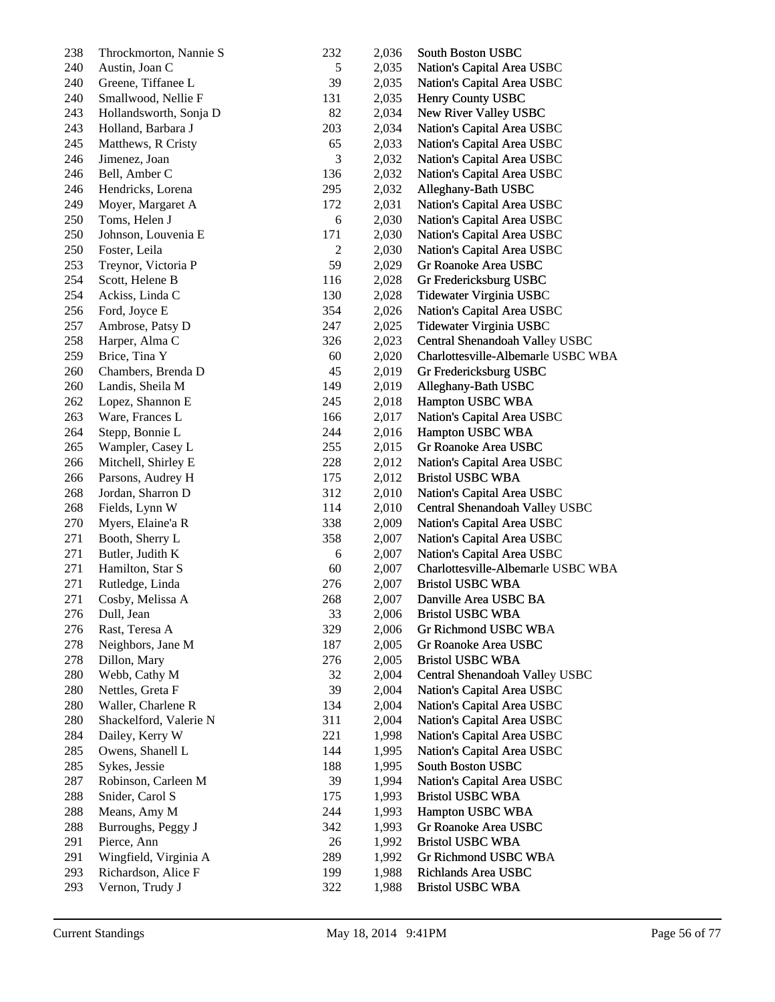| 238 | Throckmorton, Nannie S | 232            | 2,036 | South Boston USBC                  |
|-----|------------------------|----------------|-------|------------------------------------|
| 240 | Austin, Joan C         | $\sqrt{5}$     | 2,035 | Nation's Capital Area USBC         |
| 240 | Greene, Tiffanee L     | 39             | 2,035 | Nation's Capital Area USBC         |
| 240 | Smallwood, Nellie F    | 131            | 2,035 | Henry County USBC                  |
| 243 | Hollandsworth, Sonja D | 82             | 2,034 | New River Valley USBC              |
| 243 | Holland, Barbara J     | 203            | 2,034 | Nation's Capital Area USBC         |
| 245 | Matthews, R Cristy     | 65             | 2,033 | Nation's Capital Area USBC         |
| 246 | Jimenez, Joan          | 3              | 2,032 | Nation's Capital Area USBC         |
| 246 | Bell, Amber C          | 136            | 2,032 | Nation's Capital Area USBC         |
| 246 | Hendricks, Lorena      | 295            | 2,032 | Alleghany-Bath USBC                |
| 249 | Moyer, Margaret A      | 172            | 2,031 | Nation's Capital Area USBC         |
| 250 | Toms, Helen J          | $\sqrt{6}$     | 2,030 | Nation's Capital Area USBC         |
| 250 | Johnson, Louvenia E    | 171            | 2,030 | Nation's Capital Area USBC         |
| 250 | Foster, Leila          | $\overline{c}$ | 2,030 | Nation's Capital Area USBC         |
| 253 | Treynor, Victoria P    | 59             | 2,029 | Gr Roanoke Area USBC               |
| 254 | Scott, Helene B        | 116            | 2,028 | Gr Fredericksburg USBC             |
| 254 | Ackiss, Linda C        | 130            | 2,028 | Tidewater Virginia USBC            |
| 256 | Ford, Joyce E          | 354            | 2,026 | Nation's Capital Area USBC         |
| 257 | Ambrose, Patsy D       | 247            | 2,025 | Tidewater Virginia USBC            |
| 258 | Harper, Alma C         | 326            | 2,023 | Central Shenandoah Valley USBC     |
| 259 | Brice, Tina Y          | 60             | 2,020 | Charlottesville-Albemarle USBC WBA |
| 260 | Chambers, Brenda D     | 45             | 2,019 | Gr Fredericksburg USBC             |
| 260 | Landis, Sheila M       | 149            | 2,019 | Alleghany-Bath USBC                |
| 262 | Lopez, Shannon E       | 245            | 2,018 | Hampton USBC WBA                   |
| 263 | Ware, Frances L        | 166            | 2,017 | Nation's Capital Area USBC         |
| 264 | Stepp, Bonnie L        | 244            | 2,016 | Hampton USBC WBA                   |
| 265 | Wampler, Casey L       | 255            | 2,015 | Gr Roanoke Area USBC               |
| 266 | Mitchell, Shirley E    | 228            | 2,012 | Nation's Capital Area USBC         |
| 266 | Parsons, Audrey H      | 175            | 2,012 | <b>Bristol USBC WBA</b>            |
| 268 | Jordan, Sharron D      | 312            | 2,010 | Nation's Capital Area USBC         |
| 268 | Fields, Lynn W         | 114            | 2,010 | Central Shenandoah Valley USBC     |
| 270 | Myers, Elaine'a R      | 338            | 2,009 | Nation's Capital Area USBC         |
| 271 | Booth, Sherry L        | 358            | 2,007 | Nation's Capital Area USBC         |
| 271 | Butler, Judith K       | $\sqrt{6}$     | 2,007 | Nation's Capital Area USBC         |
| 271 | Hamilton, Star S       | 60             | 2,007 | Charlottesville-Albemarle USBC WBA |
| 271 | Rutledge, Linda        | 276            | 2,007 | <b>Bristol USBC WBA</b>            |
| 271 | Cosby, Melissa A       | 268            | 2,007 | Danville Area USBC BA              |
| 276 | Dull, Jean             | 33             | 2,006 | <b>Bristol USBC WBA</b>            |
| 276 | Rast, Teresa A         | 329            | 2,006 | Gr Richmond USBC WBA               |
| 278 | Neighbors, Jane M      | 187            | 2,005 | Gr Roanoke Area USBC               |
| 278 | Dillon, Mary           | 276            | 2,005 | <b>Bristol USBC WBA</b>            |
| 280 | Webb, Cathy M          | 32             | 2,004 | Central Shenandoah Valley USBC     |
| 280 | Nettles, Greta F       | 39             | 2,004 | Nation's Capital Area USBC         |
| 280 | Waller, Charlene R     | 134            | 2,004 | Nation's Capital Area USBC         |
| 280 | Shackelford, Valerie N | 311            | 2,004 | Nation's Capital Area USBC         |
| 284 | Dailey, Kerry W        | 221            | 1,998 | Nation's Capital Area USBC         |
| 285 | Owens, Shanell L       | 144            | 1,995 | Nation's Capital Area USBC         |
| 285 | Sykes, Jessie          | 188            | 1,995 | South Boston USBC                  |
| 287 | Robinson, Carleen M    | 39             | 1,994 | Nation's Capital Area USBC         |
| 288 | Snider, Carol S        | 175            | 1,993 | <b>Bristol USBC WBA</b>            |
| 288 | Means, Amy M           | 244            | 1,993 | Hampton USBC WBA                   |
| 288 | Burroughs, Peggy J     | 342            | 1,993 | Gr Roanoke Area USBC               |
| 291 | Pierce, Ann            | 26             | 1,992 | <b>Bristol USBC WBA</b>            |
| 291 | Wingfield, Virginia A  | 289            | 1,992 | Gr Richmond USBC WBA               |
| 293 | Richardson, Alice F    | 199            | 1,988 | Richlands Area USBC                |
| 293 | Vernon, Trudy J        | 322            | 1,988 | <b>Bristol USBC WBA</b>            |
|     |                        |                |       |                                    |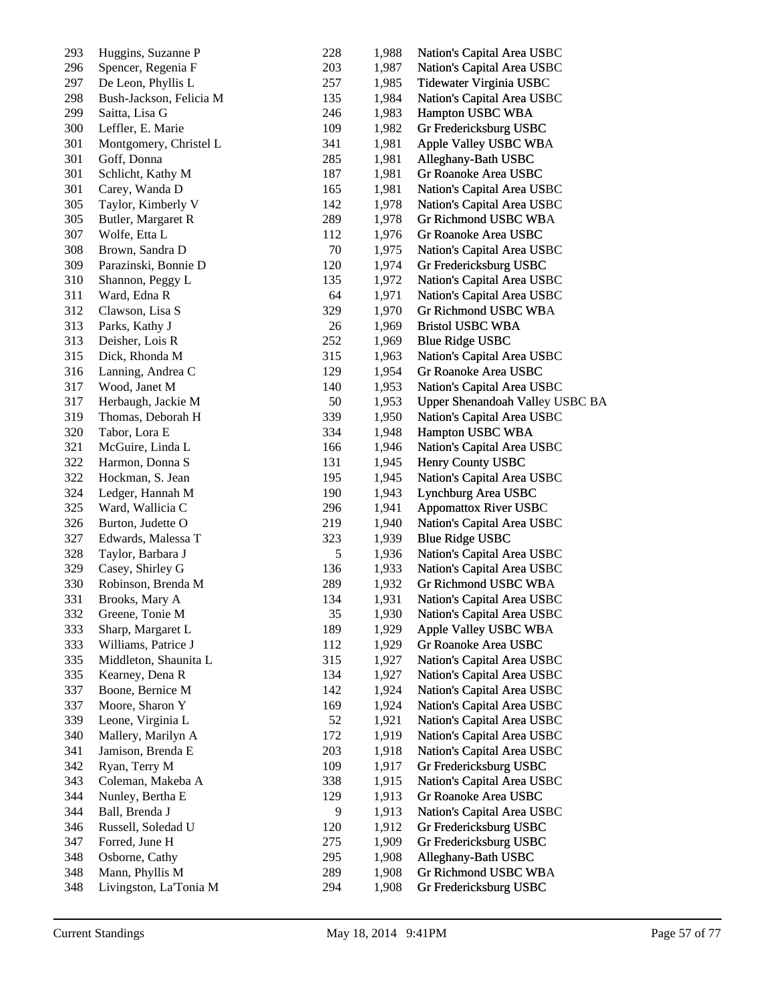| 293        | Huggins, Suzanne P      | 228 | 1,988 | Nation's Capital Area USBC      |
|------------|-------------------------|-----|-------|---------------------------------|
| 296        | Spencer, Regenia F      | 203 | 1,987 | Nation's Capital Area USBC      |
| 297        | De Leon, Phyllis L      | 257 | 1,985 | Tidewater Virginia USBC         |
| 298        | Bush-Jackson, Felicia M | 135 | 1,984 | Nation's Capital Area USBC      |
| 299        | Saitta, Lisa G          | 246 | 1,983 | Hampton USBC WBA                |
| 300        | Leffler, E. Marie       | 109 | 1,982 | Gr Fredericksburg USBC          |
| 301        | Montgomery, Christel L  | 341 | 1,981 | Apple Valley USBC WBA           |
| 301        | Goff, Donna             | 285 | 1,981 | Alleghany-Bath USBC             |
| 301        | Schlicht, Kathy M       | 187 | 1,981 | Gr Roanoke Area USBC            |
| 301        | Carey, Wanda D          | 165 | 1,981 | Nation's Capital Area USBC      |
| 305        | Taylor, Kimberly V      | 142 | 1,978 | Nation's Capital Area USBC      |
| 305        | Butler, Margaret R      | 289 | 1,978 | Gr Richmond USBC WBA            |
| 307        | Wolfe, Etta L           | 112 | 1,976 | Gr Roanoke Area USBC            |
| 308        | Brown, Sandra D         | 70  | 1,975 | Nation's Capital Area USBC      |
| 309        | Parazinski, Bonnie D    | 120 | 1,974 | Gr Fredericksburg USBC          |
| 310        | Shannon, Peggy L        | 135 | 1,972 | Nation's Capital Area USBC      |
| 311        | Ward, Edna R            | 64  | 1,971 | Nation's Capital Area USBC      |
| 312        | Clawson, Lisa S         | 329 | 1,970 | Gr Richmond USBC WBA            |
| 313        | Parks, Kathy J          | 26  | 1,969 | <b>Bristol USBC WBA</b>         |
| 313        | Deisher, Lois R         | 252 | 1,969 | <b>Blue Ridge USBC</b>          |
| 315        | Dick, Rhonda M          | 315 | 1,963 | Nation's Capital Area USBC      |
| 316        | Lanning, Andrea C       | 129 | 1,954 | Gr Roanoke Area USBC            |
| 317        | Wood, Janet M           | 140 | 1,953 | Nation's Capital Area USBC      |
| 317        | Herbaugh, Jackie M      | 50  | 1,953 | Upper Shenandoah Valley USBC BA |
| 319        | Thomas, Deborah H       | 339 | 1,950 | Nation's Capital Area USBC      |
| 320        | Tabor, Lora E           | 334 | 1,948 | Hampton USBC WBA                |
| 321        | McGuire, Linda L        | 166 | 1,946 | Nation's Capital Area USBC      |
| 322        | Harmon, Donna S         | 131 | 1,945 | Henry County USBC               |
| 322        | Hockman, S. Jean        | 195 | 1,945 | Nation's Capital Area USBC      |
| 324        | Ledger, Hannah M        | 190 | 1,943 | Lynchburg Area USBC             |
| 325        | Ward, Wallicia C        | 296 | 1,941 | <b>Appomattox River USBC</b>    |
| 326        | Burton, Judette O       | 219 | 1,940 | Nation's Capital Area USBC      |
| 327        | Edwards, Malessa T      | 323 | 1,939 | <b>Blue Ridge USBC</b>          |
| 328        | Taylor, Barbara J       | 5   | 1,936 | Nation's Capital Area USBC      |
| 329        | Casey, Shirley G        | 136 | 1,933 | Nation's Capital Area USBC      |
| 330        | Robinson, Brenda M      | 289 | 1,932 | Gr Richmond USBC WBA            |
| 331        | Brooks, Mary A          | 134 | 1,931 | Nation's Capital Area USBC      |
| 332        | Greene, Tonie M         | 35  | 1,930 | Nation's Capital Area USBC      |
| 333        | Sharp, Margaret L       | 189 | 1,929 | Apple Valley USBC WBA           |
| 333        | Williams, Patrice J     | 112 | 1,929 | Gr Roanoke Area USBC            |
| 335        | Middleton, Shaunita L   | 315 | 1,927 | Nation's Capital Area USBC      |
| 335        | Kearney, Dena R         | 134 | 1,927 | Nation's Capital Area USBC      |
| 337        | Boone, Bernice M        | 142 | 1,924 | Nation's Capital Area USBC      |
| 337        | Moore, Sharon Y         | 169 | 1,924 | Nation's Capital Area USBC      |
| 339        | Leone, Virginia L       | 52  | 1,921 | Nation's Capital Area USBC      |
| 340        | Mallery, Marilyn A      | 172 | 1,919 | Nation's Capital Area USBC      |
| 341        | Jamison, Brenda E       | 203 | 1,918 | Nation's Capital Area USBC      |
| 342        | Ryan, Terry M           | 109 | 1,917 | Gr Fredericksburg USBC          |
| 343        | Coleman, Makeba A       | 338 | 1,915 | Nation's Capital Area USBC      |
| 344        | Nunley, Bertha E        |     | 1,913 | Gr Roanoke Area USBC            |
|            |                         | 129 |       |                                 |
| 344<br>346 | Ball, Brenda J          | 9   | 1,913 | Nation's Capital Area USBC      |
|            | Russell, Soledad U      | 120 | 1,912 | Gr Fredericksburg USBC          |
| 347        | Forred, June H          | 275 | 1,909 | Gr Fredericksburg USBC          |
| 348        | Osborne, Cathy          | 295 | 1,908 | Alleghany-Bath USBC             |
| 348        | Mann, Phyllis M         | 289 | 1,908 | Gr Richmond USBC WBA            |
| 348        | Livingston, La'Tonia M  | 294 | 1,908 | Gr Fredericksburg USBC          |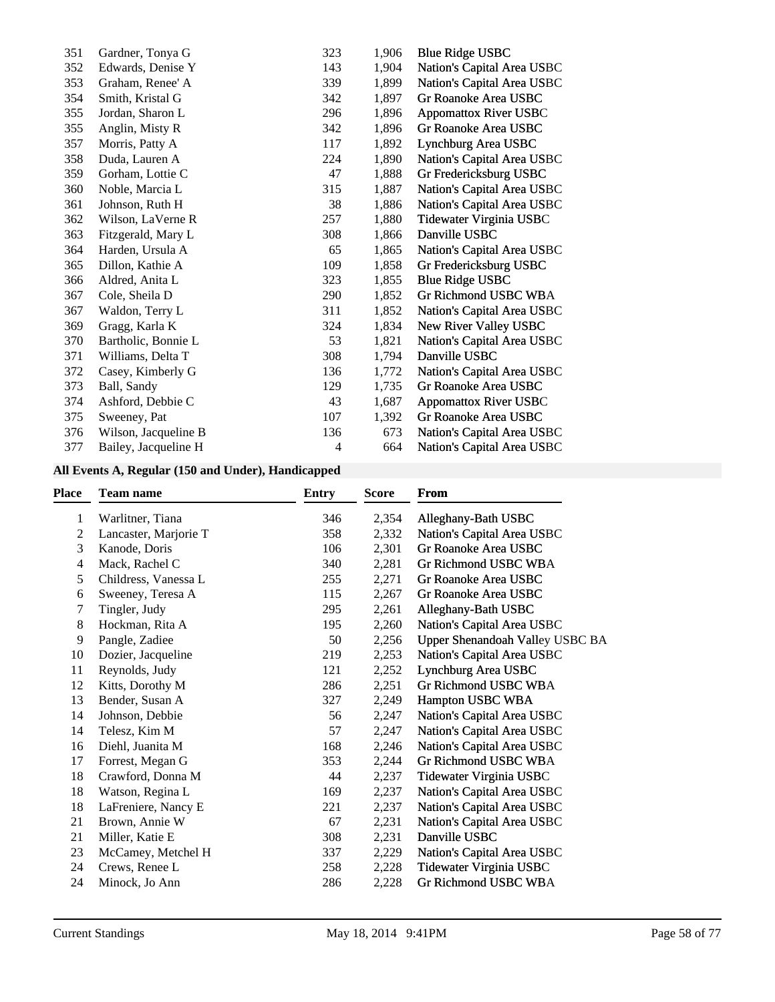| 351 | Gardner, Tonya G     | 323 | 1,906 | <b>Blue Ridge USBC</b>       |
|-----|----------------------|-----|-------|------------------------------|
| 352 | Edwards, Denise Y    | 143 | 1,904 | Nation's Capital Area USBC   |
| 353 | Graham, Renee' A     | 339 | 1,899 | Nation's Capital Area USBC   |
| 354 | Smith, Kristal G     | 342 | 1,897 | Gr Roanoke Area USBC         |
| 355 | Jordan, Sharon L     | 296 | 1,896 | <b>Appomattox River USBC</b> |
| 355 | Anglin, Misty R      | 342 | 1,896 | Gr Roanoke Area USBC         |
| 357 | Morris, Patty A      | 117 | 1,892 | Lynchburg Area USBC          |
| 358 | Duda, Lauren A       | 224 | 1,890 | Nation's Capital Area USBC   |
| 359 | Gorham, Lottie C     | 47  | 1,888 | Gr Fredericksburg USBC       |
| 360 | Noble, Marcia L      | 315 | 1,887 | Nation's Capital Area USBC   |
| 361 | Johnson, Ruth H      | 38  | 1,886 | Nation's Capital Area USBC   |
| 362 | Wilson, LaVerne R    | 257 | 1,880 | Tidewater Virginia USBC      |
| 363 | Fitzgerald, Mary L   | 308 | 1,866 | Danville USBC                |
| 364 | Harden, Ursula A     | 65  | 1,865 | Nation's Capital Area USBC   |
| 365 | Dillon, Kathie A     | 109 | 1,858 | Gr Fredericksburg USBC       |
| 366 | Aldred, Anita L      | 323 | 1,855 | <b>Blue Ridge USBC</b>       |
| 367 | Cole, Sheila D       | 290 | 1,852 | Gr Richmond USBC WBA         |
| 367 | Waldon, Terry L      | 311 | 1,852 | Nation's Capital Area USBC   |
| 369 | Gragg, Karla K       | 324 | 1,834 | New River Valley USBC        |
| 370 | Bartholic, Bonnie L  | 53  | 1,821 | Nation's Capital Area USBC   |
| 371 | Williams, Delta T    | 308 | 1,794 | Danville USBC                |
| 372 | Casey, Kimberly G    | 136 | 1,772 | Nation's Capital Area USBC   |
| 373 | Ball, Sandy          | 129 | 1,735 | Gr Roanoke Area USBC         |
| 374 | Ashford, Debbie C    | 43  | 1,687 | <b>Appomattox River USBC</b> |
| 375 | Sweeney, Pat         | 107 | 1,392 | Gr Roanoke Area USBC         |
| 376 | Wilson, Jacqueline B | 136 | 673   | Nation's Capital Area USBC   |
| 377 | Bailey, Jacqueline H | 4   | 664   | Nation's Capital Area USBC   |

## **All Events A, Regular (150 and Under), Handicapped**

| <b>Place</b>   | <b>Team name</b>      | <b>Entry</b> | <b>Score</b> | <b>From</b>                            |
|----------------|-----------------------|--------------|--------------|----------------------------------------|
| 1              | Warlitner, Tiana      | 346          | 2,354        | Alleghany-Bath USBC                    |
| 2              | Lancaster, Marjorie T | 358          | 2,332        | Nation's Capital Area USBC             |
| 3              | Kanode, Doris         | 106          | 2,301        | Gr Roanoke Area USBC                   |
| $\overline{4}$ | Mack, Rachel C        | 340          | 2,281        | <b>Gr Richmond USBC WBA</b>            |
| 5              | Childress, Vanessa L  | 255          | 2,271        | Gr Roanoke Area USBC                   |
| 6              | Sweeney, Teresa A     | 115          | 2,267        | Gr Roanoke Area USBC                   |
| 7              | Tingler, Judy         | 295          | 2,261        | Alleghany-Bath USBC                    |
| 8              | Hockman, Rita A       | 195          | 2,260        | Nation's Capital Area USBC             |
| 9              | Pangle, Zadiee        | 50           | 2,256        | <b>Upper Shenandoah Valley USBC BA</b> |
| 10             | Dozier, Jacqueline    | 219          | 2,253        | Nation's Capital Area USBC             |
| 11             | Reynolds, Judy        | 121          | 2,252        | Lynchburg Area USBC                    |
| 12             | Kitts, Dorothy M      | 286          | 2,251        | <b>Gr Richmond USBC WBA</b>            |
| 13             | Bender, Susan A       | 327          | 2,249        | Hampton USBC WBA                       |
| 14             | Johnson, Debbie       | 56           | 2,247        | Nation's Capital Area USBC             |
| 14             | Telesz, Kim M         | 57           | 2,247        | Nation's Capital Area USBC             |
| 16             | Diehl, Juanita M      | 168          | 2,246        | Nation's Capital Area USBC             |
| 17             | Forrest, Megan G      | 353          | 2,244        | <b>Gr Richmond USBC WBA</b>            |
| 18             | Crawford, Donna M     | 44           | 2,237        | Tidewater Virginia USBC                |
| 18             | Watson, Regina L      | 169          | 2,237        | Nation's Capital Area USBC             |
| 18             | LaFreniere, Nancy E   | 221          | 2,237        | Nation's Capital Area USBC             |
| 21             | Brown, Annie W        | 67           | 2,231        | Nation's Capital Area USBC             |
| 21             | Miller, Katie E       | 308          | 2,231        | Danville USBC                          |
| 23             | McCamey, Metchel H    | 337          | 2,229        | Nation's Capital Area USBC             |
| 24             | Crews, Renee L        | 258          | 2,228        | Tidewater Virginia USBC                |
| 24             | Minock, Jo Ann        | 286          | 2,228        | Gr Richmond USBC WBA                   |
|                |                       |              |              |                                        |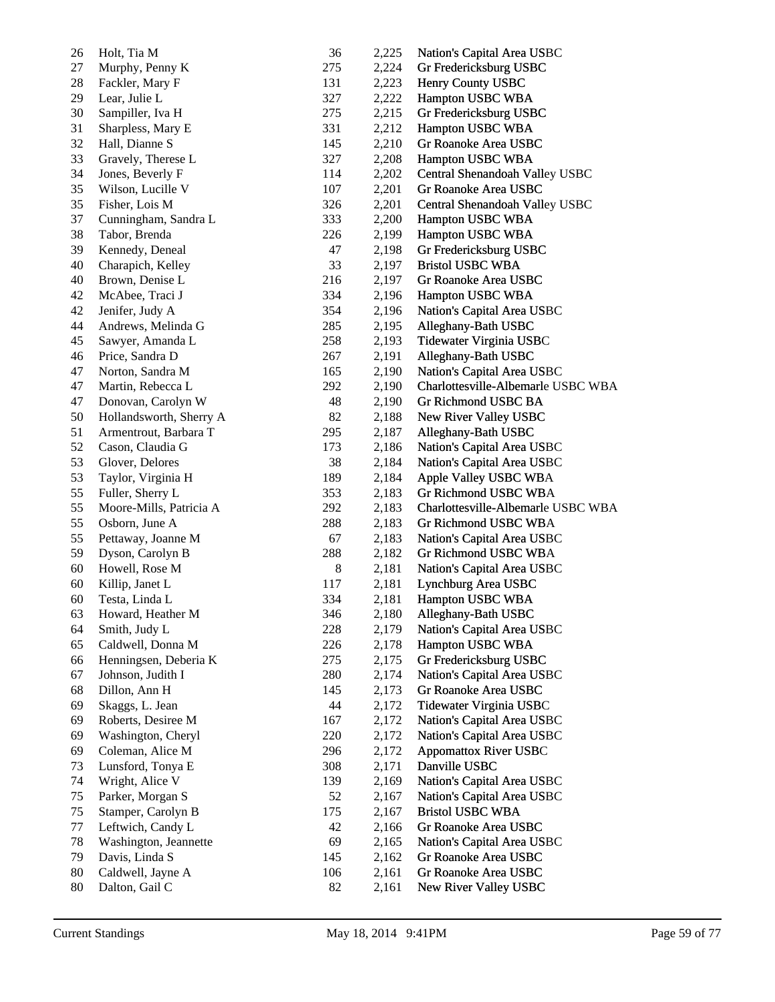| 26 | Holt, Tia M             | 36  | 2,225 | Nation's Capital Area USBC         |
|----|-------------------------|-----|-------|------------------------------------|
| 27 | Murphy, Penny K         | 275 | 2,224 | Gr Fredericksburg USBC             |
| 28 | Fackler, Mary F         | 131 | 2,223 | Henry County USBC                  |
| 29 | Lear, Julie L           | 327 | 2,222 | Hampton USBC WBA                   |
| 30 | Sampiller, Iva H        | 275 | 2,215 | Gr Fredericksburg USBC             |
| 31 | Sharpless, Mary E       | 331 | 2,212 | Hampton USBC WBA                   |
| 32 | Hall, Dianne S          | 145 | 2,210 | Gr Roanoke Area USBC               |
| 33 | Gravely, Therese L      | 327 | 2,208 | Hampton USBC WBA                   |
| 34 | Jones, Beverly F        | 114 | 2,202 | Central Shenandoah Valley USBC     |
| 35 | Wilson, Lucille V       | 107 | 2,201 | Gr Roanoke Area USBC               |
| 35 | Fisher, Lois M          | 326 | 2,201 | Central Shenandoah Valley USBC     |
| 37 | Cunningham, Sandra L    | 333 | 2,200 | Hampton USBC WBA                   |
| 38 | Tabor, Brenda           | 226 | 2,199 | Hampton USBC WBA                   |
| 39 | Kennedy, Deneal         | 47  | 2,198 | Gr Fredericksburg USBC             |
| 40 | Charapich, Kelley       | 33  | 2,197 | <b>Bristol USBC WBA</b>            |
| 40 | Brown, Denise L         | 216 | 2,197 | Gr Roanoke Area USBC               |
| 42 | McAbee, Traci J         | 334 | 2,196 | Hampton USBC WBA                   |
| 42 | Jenifer, Judy A         | 354 | 2,196 | Nation's Capital Area USBC         |
| 44 | Andrews, Melinda G      | 285 | 2,195 | Alleghany-Bath USBC                |
| 45 | Sawyer, Amanda L        | 258 | 2,193 | Tidewater Virginia USBC            |
| 46 | Price, Sandra D         | 267 | 2,191 | Alleghany-Bath USBC                |
| 47 | Norton, Sandra M        | 165 | 2,190 | Nation's Capital Area USBC         |
| 47 | Martin, Rebecca L       | 292 | 2,190 | Charlottesville-Albemarle USBC WBA |
| 47 | Donovan, Carolyn W      | 48  | 2,190 | Gr Richmond USBC BA                |
| 50 | Hollandsworth, Sherry A | 82  | 2,188 | New River Valley USBC              |
| 51 | Armentrout, Barbara T   | 295 | 2,187 | Alleghany-Bath USBC                |
| 52 | Cason, Claudia G        | 173 | 2,186 | Nation's Capital Area USBC         |
| 53 | Glover, Delores         | 38  | 2,184 | Nation's Capital Area USBC         |
| 53 | Taylor, Virginia H      | 189 | 2,184 | Apple Valley USBC WBA              |
| 55 | Fuller, Sherry L        | 353 | 2,183 | Gr Richmond USBC WBA               |
| 55 | Moore-Mills, Patricia A | 292 | 2,183 | Charlottesville-Albemarle USBC WBA |
| 55 | Osborn, June A          | 288 | 2,183 | Gr Richmond USBC WBA               |
| 55 | Pettaway, Joanne M      | 67  | 2,183 | Nation's Capital Area USBC         |
| 59 | Dyson, Carolyn B        | 288 | 2,182 | Gr Richmond USBC WBA               |
| 60 | Howell, Rose M          | 8   | 2,181 | Nation's Capital Area USBC         |
|    |                         |     |       |                                    |
| 60 | Killip, Janet L         | 117 | 2,181 | Lynchburg Area USBC                |
| 60 | Testa, Linda L          | 334 | 2,181 | Hampton USBC WBA                   |
| 63 | Howard, Heather M       | 346 | 2,180 | Alleghany-Bath USBC                |
| 64 | Smith, Judy L           | 228 | 2,179 | Nation's Capital Area USBC         |
| 65 | Caldwell, Donna M       | 226 | 2,178 | Hampton USBC WBA                   |
| 66 | Henningsen, Deberia K   | 275 | 2,175 | Gr Fredericksburg USBC             |
| 67 | Johnson, Judith I       | 280 | 2,174 | Nation's Capital Area USBC         |
| 68 | Dillon, Ann H           | 145 | 2,173 | Gr Roanoke Area USBC               |
| 69 | Skaggs, L. Jean         | 44  | 2,172 | Tidewater Virginia USBC            |
| 69 | Roberts, Desiree M      | 167 | 2,172 | Nation's Capital Area USBC         |
| 69 | Washington, Cheryl      | 220 | 2,172 | Nation's Capital Area USBC         |
| 69 | Coleman, Alice M        | 296 | 2,172 | <b>Appomattox River USBC</b>       |
| 73 | Lunsford, Tonya E       | 308 | 2,171 | Danville USBC                      |
| 74 | Wright, Alice V         | 139 | 2,169 | Nation's Capital Area USBC         |
| 75 | Parker, Morgan S        | 52  | 2,167 | Nation's Capital Area USBC         |
| 75 | Stamper, Carolyn B      | 175 | 2,167 | <b>Bristol USBC WBA</b>            |
| 77 | Leftwich, Candy L       | 42  | 2,166 | Gr Roanoke Area USBC               |
| 78 | Washington, Jeannette   | 69  | 2,165 | Nation's Capital Area USBC         |
| 79 | Davis, Linda S          | 145 | 2,162 | Gr Roanoke Area USBC               |
| 80 | Caldwell, Jayne A       | 106 | 2,161 | Gr Roanoke Area USBC               |
| 80 | Dalton, Gail C          | 82  | 2,161 | New River Valley USBC              |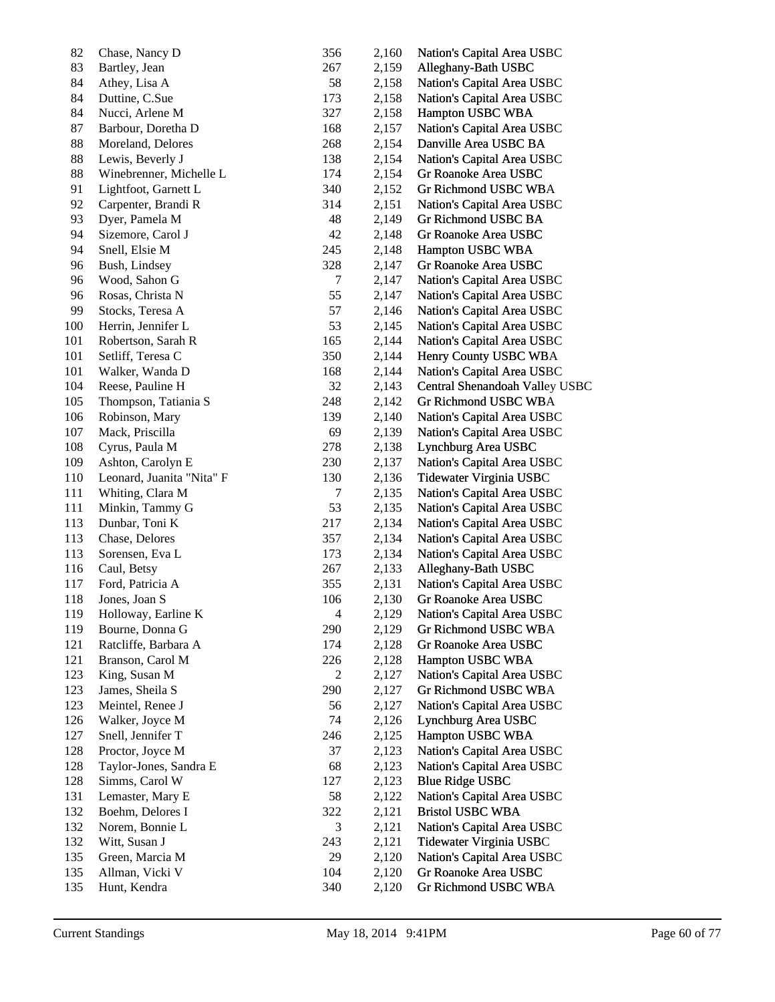| 82      | Chase, Nancy D            | 356        | 2,160 | Nation's Capital Area USBC     |
|---------|---------------------------|------------|-------|--------------------------------|
| 83      | Bartley, Jean             | 267        | 2,159 | Alleghany-Bath USBC            |
| 84      | Athey, Lisa A             | 58         | 2,158 | Nation's Capital Area USBC     |
| 84      | Duttine, C.Sue            | 173        | 2,158 | Nation's Capital Area USBC     |
| 84      | Nucci, Arlene M           | 327        | 2,158 | Hampton USBC WBA               |
| 87      | Barbour, Doretha D        | 168        | 2,157 | Nation's Capital Area USBC     |
| 88      | Moreland, Delores         | 268        | 2,154 | Danville Area USBC BA          |
| 88      | Lewis, Beverly J          | 138        | 2,154 | Nation's Capital Area USBC     |
| 88      | Winebrenner, Michelle L   | 174        | 2,154 | Gr Roanoke Area USBC           |
| 91      | Lightfoot, Garnett L      | 340        | 2,152 | Gr Richmond USBC WBA           |
| 92      | Carpenter, Brandi R       | 314        | 2,151 | Nation's Capital Area USBC     |
| 93      | Dyer, Pamela M            | 48         | 2,149 | Gr Richmond USBC BA            |
| 94      | Sizemore, Carol J         | 42         | 2,148 | Gr Roanoke Area USBC           |
| 94      |                           |            |       |                                |
|         | Snell, Elsie M            | 245        | 2,148 | Hampton USBC WBA               |
| 96      | Bush, Lindsey             | 328        | 2,147 | Gr Roanoke Area USBC           |
| 96      | Wood, Sahon G             | 7          | 2,147 | Nation's Capital Area USBC     |
| 96      | Rosas, Christa N          | 55         | 2,147 | Nation's Capital Area USBC     |
| 99      | Stocks, Teresa A          | 57         | 2,146 | Nation's Capital Area USBC     |
| 100     | Herrin, Jennifer L        | 53         | 2,145 | Nation's Capital Area USBC     |
| 101     | Robertson, Sarah R        | 165        | 2,144 | Nation's Capital Area USBC     |
| 101     | Setliff, Teresa C         | 350        | 2,144 | Henry County USBC WBA          |
| 101     | Walker, Wanda D           | 168        | 2,144 | Nation's Capital Area USBC     |
| 104     | Reese, Pauline H          | 32         | 2,143 | Central Shenandoah Valley USBC |
| 105     | Thompson, Tatiania S      | 248        | 2,142 | Gr Richmond USBC WBA           |
| $106\,$ | Robinson, Mary            | 139        | 2,140 | Nation's Capital Area USBC     |
| 107     | Mack, Priscilla           | 69         | 2,139 | Nation's Capital Area USBC     |
| 108     | Cyrus, Paula M            | 278        | 2,138 | Lynchburg Area USBC            |
| 109     | Ashton, Carolyn E         | 230        | 2,137 | Nation's Capital Area USBC     |
| $110\,$ | Leonard, Juanita "Nita" F | 130        | 2,136 | Tidewater Virginia USBC        |
| 111     | Whiting, Clara M          | 7          | 2,135 | Nation's Capital Area USBC     |
| 111     | Minkin, Tammy G           | 53         | 2,135 | Nation's Capital Area USBC     |
| 113     | Dunbar, Toni K            | 217        | 2,134 | Nation's Capital Area USBC     |
| 113     | Chase, Delores            | 357        | 2,134 | Nation's Capital Area USBC     |
| 113     | Sorensen, Eva L           | 173        | 2,134 | Nation's Capital Area USBC     |
| 116     | Caul, Betsy               | 267        | 2,133 | Alleghany-Bath USBC            |
| 117     | Ford, Patricia A          | 355        | 2,131 | Nation's Capital Area USBC     |
| 118     | Jones, Joan S             | 106        | 2,130 | Gr Roanoke Area USBC           |
| 119     | Holloway, Earline K       | 4          | 2,129 | Nation's Capital Area USBC     |
| 119     |                           |            |       | Gr Richmond USBC WBA           |
| 121     | Bourne, Donna G           | 290<br>174 | 2,129 |                                |
|         | Ratcliffe, Barbara A      |            | 2,128 | Gr Roanoke Area USBC           |
| 121     | Branson, Carol M          | 226        | 2,128 | Hampton USBC WBA               |
| 123     | King, Susan M             | 2          | 2,127 | Nation's Capital Area USBC     |
| 123     | James, Sheila S           | 290        | 2,127 | Gr Richmond USBC WBA           |
| 123     | Meintel, Renee J          | 56         | 2,127 | Nation's Capital Area USBC     |
| 126     | Walker, Joyce M           | 74         | 2,126 | Lynchburg Area USBC            |
| 127     | Snell, Jennifer T         | 246        | 2,125 | Hampton USBC WBA               |
| 128     | Proctor, Joyce M          | 37         | 2,123 | Nation's Capital Area USBC     |
| 128     | Taylor-Jones, Sandra E    | 68         | 2,123 | Nation's Capital Area USBC     |
| 128     | Simms, Carol W            | 127        | 2,123 | <b>Blue Ridge USBC</b>         |
| 131     | Lemaster, Mary E          | 58         | 2,122 | Nation's Capital Area USBC     |
| 132     | Boehm, Delores I          | 322        | 2,121 | <b>Bristol USBC WBA</b>        |
| 132     | Norem, Bonnie L           | 3          | 2,121 | Nation's Capital Area USBC     |
| 132     | Witt, Susan J             | 243        | 2,121 | Tidewater Virginia USBC        |
| 135     | Green, Marcia M           | 29         | 2,120 | Nation's Capital Area USBC     |
| 135     | Allman, Vicki V           | 104        | 2,120 | Gr Roanoke Area USBC           |
| 135     | Hunt, Kendra              | 340        | 2,120 | Gr Richmond USBC WBA           |
|         |                           |            |       |                                |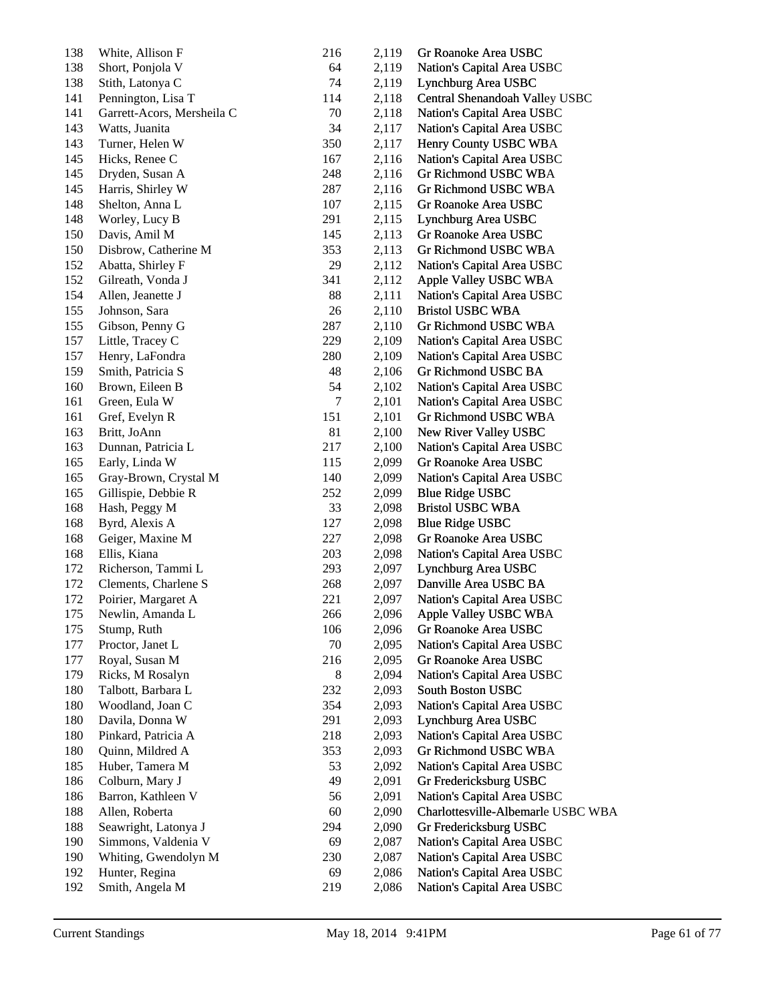| 138     | White, Allison F                   | 216 | 2,119 | Gr Roanoke Area USBC               |
|---------|------------------------------------|-----|-------|------------------------------------|
| 138     | Short, Ponjola V                   | 64  | 2,119 | Nation's Capital Area USBC         |
| 138     | Stith, Latonya C                   | 74  | 2,119 | Lynchburg Area USBC                |
| 141     | Pennington, Lisa T                 | 114 | 2,118 | Central Shenandoah Valley USBC     |
| 141     | Garrett-Acors, Mersheila C         | 70  | 2,118 | Nation's Capital Area USBC         |
| 143     | Watts, Juanita                     | 34  | 2,117 | Nation's Capital Area USBC         |
| 143     | Turner, Helen W                    | 350 | 2,117 | Henry County USBC WBA              |
| 145     | Hicks, Renee C                     | 167 | 2,116 | Nation's Capital Area USBC         |
| 145     | Dryden, Susan A                    | 248 | 2,116 | Gr Richmond USBC WBA               |
| 145     | Harris, Shirley W                  | 287 | 2,116 | Gr Richmond USBC WBA               |
| 148     | Shelton, Anna L                    | 107 | 2,115 | Gr Roanoke Area USBC               |
| 148     | Worley, Lucy B                     | 291 | 2,115 | Lynchburg Area USBC                |
| 150     | Davis, Amil M                      | 145 | 2,113 | Gr Roanoke Area USBC               |
|         |                                    |     |       |                                    |
| 150     | Disbrow, Catherine M               | 353 | 2,113 | Gr Richmond USBC WBA               |
| 152     | Abatta, Shirley F                  | 29  | 2,112 | Nation's Capital Area USBC         |
| 152     | Gilreath, Vonda J                  | 341 | 2,112 | Apple Valley USBC WBA              |
| 154     | Allen, Jeanette J                  | 88  | 2,111 | Nation's Capital Area USBC         |
| 155     | Johnson, Sara                      | 26  | 2,110 | <b>Bristol USBC WBA</b>            |
| 155     | Gibson, Penny G                    | 287 | 2,110 | Gr Richmond USBC WBA               |
| 157     | Little, Tracey C                   | 229 | 2,109 | Nation's Capital Area USBC         |
| 157     | Henry, LaFondra                    | 280 | 2,109 | Nation's Capital Area USBC         |
| 159     | Smith, Patricia S                  | 48  | 2,106 | Gr Richmond USBC BA                |
| $160\,$ | Brown, Eileen B                    | 54  | 2,102 | Nation's Capital Area USBC         |
| 161     | Green, Eula W                      | 7   | 2,101 | Nation's Capital Area USBC         |
| 161     | Gref, Evelyn R                     | 151 | 2,101 | Gr Richmond USBC WBA               |
| 163     | Britt, JoAnn                       | 81  | 2,100 | New River Valley USBC              |
| 163     | Dunnan, Patricia L                 | 217 | 2,100 | Nation's Capital Area USBC         |
| 165     | Early, Linda W                     | 115 | 2,099 | Gr Roanoke Area USBC               |
| 165     | Gray-Brown, Crystal M              | 140 | 2,099 | Nation's Capital Area USBC         |
| 165     | Gillispie, Debbie R                | 252 | 2,099 | <b>Blue Ridge USBC</b>             |
| 168     | Hash, Peggy M                      | 33  | 2,098 | <b>Bristol USBC WBA</b>            |
| 168     | Byrd, Alexis A                     | 127 | 2,098 | <b>Blue Ridge USBC</b>             |
| 168     | Geiger, Maxine M                   | 227 | 2,098 | Gr Roanoke Area USBC               |
| 168     | Ellis, Kiana                       | 203 | 2,098 | Nation's Capital Area USBC         |
| 172     | Richerson, Tammi L                 | 293 | 2,097 | Lynchburg Area USBC                |
| 172     | Clements, Charlene S               | 268 | 2,097 | Danville Area USBC BA              |
| 172     | Poirier, Margaret A                | 221 | 2,097 | Nation's Capital Area USBC         |
| 175     | Newlin, Amanda L                   | 266 | 2,096 | Apple Valley USBC WBA              |
| 175     | Stump, Ruth                        | 106 | 2,096 | Gr Roanoke Area USBC               |
| 177     | Proctor, Janet L                   | 70  | 2,095 | Nation's Capital Area USBC         |
| 177     |                                    | 216 | 2,095 | Gr Roanoke Area USBC               |
| 179     | Royal, Susan M<br>Ricks, M Rosalyn | 8   |       |                                    |
|         |                                    |     | 2,094 | Nation's Capital Area USBC         |
| 180     | Talbott, Barbara L                 | 232 | 2,093 | South Boston USBC                  |
| 180     | Woodland, Joan C                   | 354 | 2,093 | Nation's Capital Area USBC         |
| 180     | Davila, Donna W                    | 291 | 2,093 | Lynchburg Area USBC                |
| 180     | Pinkard, Patricia A                | 218 | 2,093 | Nation's Capital Area USBC         |
| 180     | Quinn, Mildred A                   | 353 | 2,093 | Gr Richmond USBC WBA               |
| 185     | Huber, Tamera M                    | 53  | 2,092 | Nation's Capital Area USBC         |
| 186     | Colburn, Mary J                    | 49  | 2,091 | Gr Fredericksburg USBC             |
| 186     | Barron, Kathleen V                 | 56  | 2,091 | Nation's Capital Area USBC         |
| 188     | Allen, Roberta                     | 60  | 2,090 | Charlottesville-Albemarle USBC WBA |
| 188     | Seawright, Latonya J               | 294 | 2,090 | Gr Fredericksburg USBC             |
| 190     | Simmons, Valdenia V                | 69  | 2,087 | Nation's Capital Area USBC         |
| 190     | Whiting, Gwendolyn M               | 230 | 2,087 | Nation's Capital Area USBC         |
| 192     | Hunter, Regina                     | 69  | 2,086 | Nation's Capital Area USBC         |
| 192     | Smith, Angela M                    | 219 | 2,086 | Nation's Capital Area USBC         |
|         |                                    |     |       |                                    |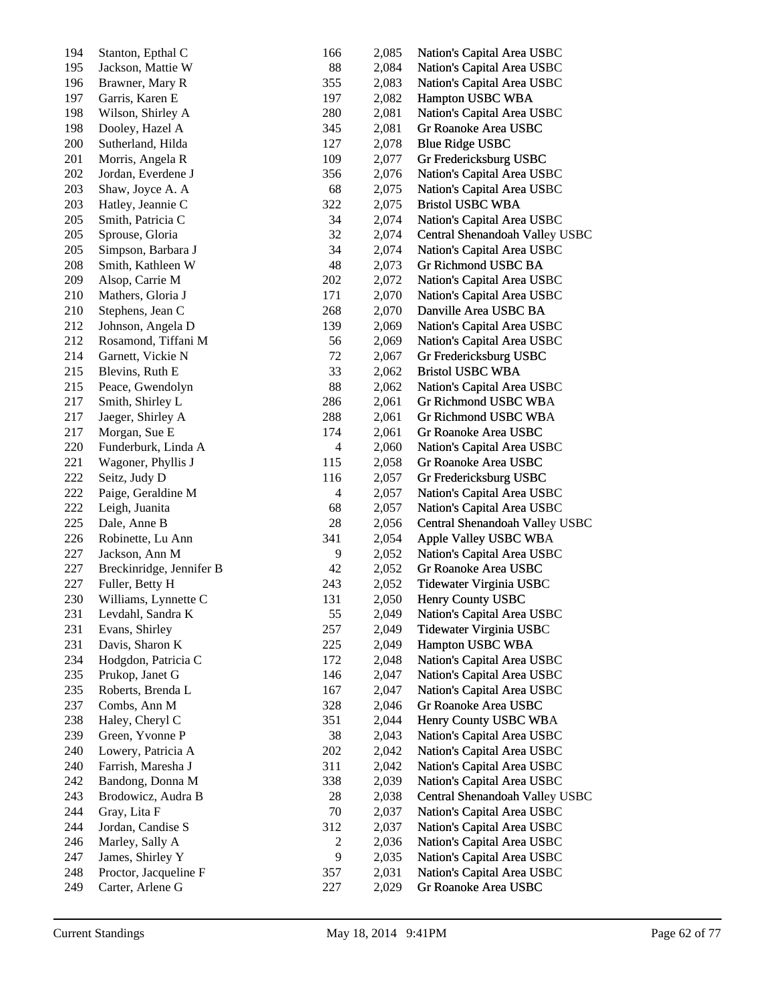| 194 | Stanton, Epthal C        | 166            | 2,085 | Nation's Capital Area USBC     |
|-----|--------------------------|----------------|-------|--------------------------------|
| 195 | Jackson, Mattie W        | 88             | 2,084 | Nation's Capital Area USBC     |
| 196 | Brawner, Mary R          | 355            | 2,083 | Nation's Capital Area USBC     |
| 197 | Garris, Karen E          | 197            | 2,082 | Hampton USBC WBA               |
| 198 | Wilson, Shirley A        | 280            | 2,081 | Nation's Capital Area USBC     |
| 198 | Dooley, Hazel A          | 345            | 2,081 | Gr Roanoke Area USBC           |
| 200 | Sutherland, Hilda        | 127            | 2,078 | <b>Blue Ridge USBC</b>         |
| 201 | Morris, Angela R         | 109            | 2,077 | Gr Fredericksburg USBC         |
| 202 | Jordan, Everdene J       | 356            | 2,076 | Nation's Capital Area USBC     |
| 203 | Shaw, Joyce A. A         | 68             | 2,075 | Nation's Capital Area USBC     |
| 203 | Hatley, Jeannie C        | 322            | 2,075 | <b>Bristol USBC WBA</b>        |
| 205 | Smith, Patricia C        | 34             | 2,074 | Nation's Capital Area USBC     |
| 205 | Sprouse, Gloria          | 32             | 2,074 | Central Shenandoah Valley USBC |
| 205 | Simpson, Barbara J       | 34             | 2,074 | Nation's Capital Area USBC     |
| 208 | Smith, Kathleen W        | 48             | 2,073 | Gr Richmond USBC BA            |
| 209 | Alsop, Carrie M          | 202            | 2,072 | Nation's Capital Area USBC     |
| 210 | Mathers, Gloria J        | 171            | 2,070 | Nation's Capital Area USBC     |
| 210 | Stephens, Jean C         | 268            | 2,070 | Danville Area USBC BA          |
| 212 | Johnson, Angela D        | 139            | 2,069 | Nation's Capital Area USBC     |
| 212 | Rosamond, Tiffani M      | 56             | 2,069 | Nation's Capital Area USBC     |
| 214 | Garnett, Vickie N        | 72             | 2,067 | Gr Fredericksburg USBC         |
| 215 | Blevins, Ruth E          | 33             | 2,062 | <b>Bristol USBC WBA</b>        |
| 215 | Peace, Gwendolyn         | 88             | 2,062 | Nation's Capital Area USBC     |
| 217 | Smith, Shirley L         | 286            | 2,061 | Gr Richmond USBC WBA           |
| 217 | Jaeger, Shirley A        | 288            | 2,061 | Gr Richmond USBC WBA           |
| 217 | Morgan, Sue E            | 174            | 2,061 | Gr Roanoke Area USBC           |
| 220 | Funderburk, Linda A      | $\overline{4}$ | 2,060 | Nation's Capital Area USBC     |
| 221 | Wagoner, Phyllis J       | 115            | 2,058 | Gr Roanoke Area USBC           |
| 222 | Seitz, Judy D            | 116            | 2,057 | Gr Fredericksburg USBC         |
| 222 | Paige, Geraldine M       | $\overline{4}$ | 2,057 | Nation's Capital Area USBC     |
| 222 | Leigh, Juanita           | 68             | 2,057 | Nation's Capital Area USBC     |
| 225 | Dale, Anne B             | 28             | 2,056 | Central Shenandoah Valley USBC |
| 226 | Robinette, Lu Ann        | 341            | 2,054 | Apple Valley USBC WBA          |
| 227 | Jackson, Ann M           | 9              | 2,052 | Nation's Capital Area USBC     |
| 227 | Breckinridge, Jennifer B | 42             | 2,052 | Gr Roanoke Area USBC           |
| 227 | Fuller, Betty H          | 243            | 2,052 | Tidewater Virginia USBC        |
| 230 | Williams, Lynnette C     | 131            | 2,050 | Henry County USBC              |
| 231 | Levdahl, Sandra K        | 55             | 2,049 | Nation's Capital Area USBC     |
| 231 | Evans, Shirley           | 257            | 2,049 | Tidewater Virginia USBC        |
| 231 | Davis, Sharon K          | 225            | 2,049 | Hampton USBC WBA               |
| 234 | Hodgdon, Patricia C      | 172            | 2,048 | Nation's Capital Area USBC     |
| 235 | Prukop, Janet G          | 146            | 2,047 | Nation's Capital Area USBC     |
| 235 | Roberts, Brenda L        | 167            | 2,047 | Nation's Capital Area USBC     |
| 237 | Combs, Ann M             | 328            | 2,046 | Gr Roanoke Area USBC           |
| 238 | Haley, Cheryl C          | 351            | 2,044 | Henry County USBC WBA          |
| 239 | Green, Yvonne P          | 38             | 2,043 | Nation's Capital Area USBC     |
| 240 | Lowery, Patricia A       | 202            | 2,042 | Nation's Capital Area USBC     |
| 240 | Farrish, Maresha J       | 311            | 2,042 | Nation's Capital Area USBC     |
| 242 | Bandong, Donna M         | 338            | 2,039 | Nation's Capital Area USBC     |
| 243 | Brodowicz, Audra B       | 28             | 2,038 | Central Shenandoah Valley USBC |
| 244 | Gray, Lita F             | 70             | 2,037 | Nation's Capital Area USBC     |
| 244 | Jordan, Candise S        | 312            | 2,037 | Nation's Capital Area USBC     |
| 246 | Marley, Sally A          | $\overline{c}$ | 2,036 | Nation's Capital Area USBC     |
| 247 | James, Shirley Y         | 9              | 2,035 | Nation's Capital Area USBC     |
| 248 | Proctor, Jacqueline F    | 357            | 2,031 | Nation's Capital Area USBC     |
| 249 | Carter, Arlene G         | 227            | 2,029 | Gr Roanoke Area USBC           |
|     |                          |                |       |                                |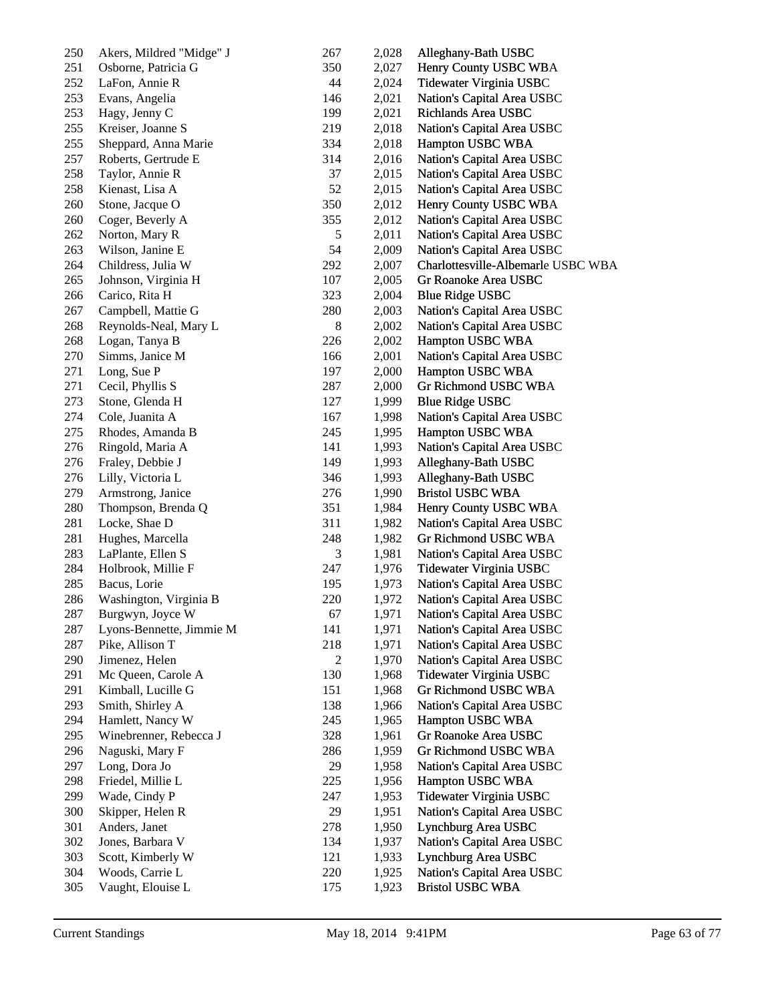| 250 | Akers, Mildred "Midge" J | 267            | 2,028 | Alleghany-Bath USBC                                |
|-----|--------------------------|----------------|-------|----------------------------------------------------|
| 251 | Osborne, Patricia G      | 350            | 2,027 | Henry County USBC WBA                              |
| 252 | LaFon, Annie R           | 44             | 2,024 | Tidewater Virginia USBC                            |
| 253 | Evans, Angelia           | 146            | 2,021 | Nation's Capital Area USBC                         |
| 253 | Hagy, Jenny C            | 199            | 2,021 | Richlands Area USBC                                |
| 255 | Kreiser, Joanne S        | 219            | 2,018 | Nation's Capital Area USBC                         |
| 255 | Sheppard, Anna Marie     | 334            | 2,018 | Hampton USBC WBA                                   |
| 257 | Roberts, Gertrude E      | 314            | 2,016 | Nation's Capital Area USBC                         |
| 258 | Taylor, Annie R          | 37             | 2,015 | Nation's Capital Area USBC                         |
| 258 | Kienast, Lisa A          | 52             | 2,015 | Nation's Capital Area USBC                         |
| 260 | Stone, Jacque O          | 350            | 2,012 | Henry County USBC WBA                              |
| 260 | Coger, Beverly A         | 355            | 2,012 | Nation's Capital Area USBC                         |
| 262 | Norton, Mary R           | 5              | 2,011 | Nation's Capital Area USBC                         |
| 263 | Wilson, Janine E         | 54             | 2,009 | Nation's Capital Area USBC                         |
| 264 | Childress, Julia W       | 292            | 2,007 | Charlottesville-Albemarle USBC WBA                 |
| 265 | Johnson, Virginia H      | 107            | 2,005 | Gr Roanoke Area USBC                               |
| 266 | Carico, Rita H           | 323            | 2,004 | <b>Blue Ridge USBC</b>                             |
| 267 | Campbell, Mattie G       | 280            | 2,003 | Nation's Capital Area USBC                         |
| 268 | Reynolds-Neal, Mary L    | $\,8$          | 2,002 | Nation's Capital Area USBC                         |
| 268 | Logan, Tanya B           | 226            | 2,002 | Hampton USBC WBA                                   |
| 270 | Simms, Janice M          | 166            | 2,001 | Nation's Capital Area USBC                         |
| 271 | Long, Sue P              | 197            | 2,000 | Hampton USBC WBA                                   |
| 271 | Cecil, Phyllis S         | 287            | 2,000 | Gr Richmond USBC WBA                               |
| 273 | Stone, Glenda H          | 127            | 1,999 | <b>Blue Ridge USBC</b>                             |
| 274 | Cole, Juanita A          | 167            | 1,998 | Nation's Capital Area USBC                         |
| 275 | Rhodes, Amanda B         | 245            | 1,995 | Hampton USBC WBA                                   |
| 276 | Ringold, Maria A         | 141            | 1,993 | Nation's Capital Area USBC                         |
| 276 | Fraley, Debbie J         | 149            | 1,993 | Alleghany-Bath USBC                                |
| 276 | Lilly, Victoria L        | 346            | 1,993 | Alleghany-Bath USBC                                |
| 279 | Armstrong, Janice        | 276            | 1,990 | <b>Bristol USBC WBA</b>                            |
| 280 |                          | 351            | 1,984 |                                                    |
| 281 | Thompson, Brenda Q       |                |       | Henry County USBC WBA                              |
| 281 | Locke, Shae D            | 311<br>248     | 1,982 | Nation's Capital Area USBC<br>Gr Richmond USBC WBA |
| 283 | Hughes, Marcella         | 3              | 1,982 |                                                    |
|     | LaPlante, Ellen S        |                | 1,981 | Nation's Capital Area USBC                         |
| 284 | Holbrook, Millie F       | 247            | 1,976 | Tidewater Virginia USBC                            |
| 285 | Bacus, Lorie             | 195            | 1,973 | Nation's Capital Area USBC                         |
| 286 | Washington, Virginia B   | 220            | 1,972 | Nation's Capital Area USBC                         |
| 287 | Burgwyn, Joyce W         | 67             | 1,971 | Nation's Capital Area USBC                         |
| 287 | Lyons-Bennette, Jimmie M | 141            | 1,971 | Nation's Capital Area USBC                         |
| 287 | Pike, Allison T          | 218            | 1,971 | Nation's Capital Area USBC                         |
| 290 | Jimenez, Helen           | $\overline{c}$ | 1,970 | Nation's Capital Area USBC                         |
| 291 | Mc Queen, Carole A       | 130            | 1,968 | Tidewater Virginia USBC                            |
| 291 | Kimball, Lucille G       | 151            | 1,968 | <b>Gr Richmond USBC WBA</b>                        |
| 293 | Smith, Shirley A         | 138            | 1,966 | Nation's Capital Area USBC                         |
| 294 | Hamlett, Nancy W         | 245            | 1,965 | Hampton USBC WBA                                   |
| 295 | Winebrenner, Rebecca J   | 328            | 1,961 | Gr Roanoke Area USBC                               |
| 296 | Naguski, Mary F          | 286            | 1,959 | Gr Richmond USBC WBA                               |
| 297 | Long, Dora Jo            | 29             | 1,958 | Nation's Capital Area USBC                         |
| 298 | Friedel, Millie L        | 225            | 1,956 | Hampton USBC WBA                                   |
| 299 | Wade, Cindy P            | 247            | 1,953 | Tidewater Virginia USBC                            |
| 300 | Skipper, Helen R         | 29             | 1,951 | Nation's Capital Area USBC                         |
| 301 | Anders, Janet            | 278            | 1,950 | Lynchburg Area USBC                                |
| 302 | Jones, Barbara V         | 134            | 1,937 | Nation's Capital Area USBC                         |
| 303 | Scott, Kimberly W        | 121            | 1,933 | Lynchburg Area USBC                                |
| 304 | Woods, Carrie L          | 220            | 1,925 | Nation's Capital Area USBC                         |
| 305 | Vaught, Elouise L        | 175            | 1,923 | <b>Bristol USBC WBA</b>                            |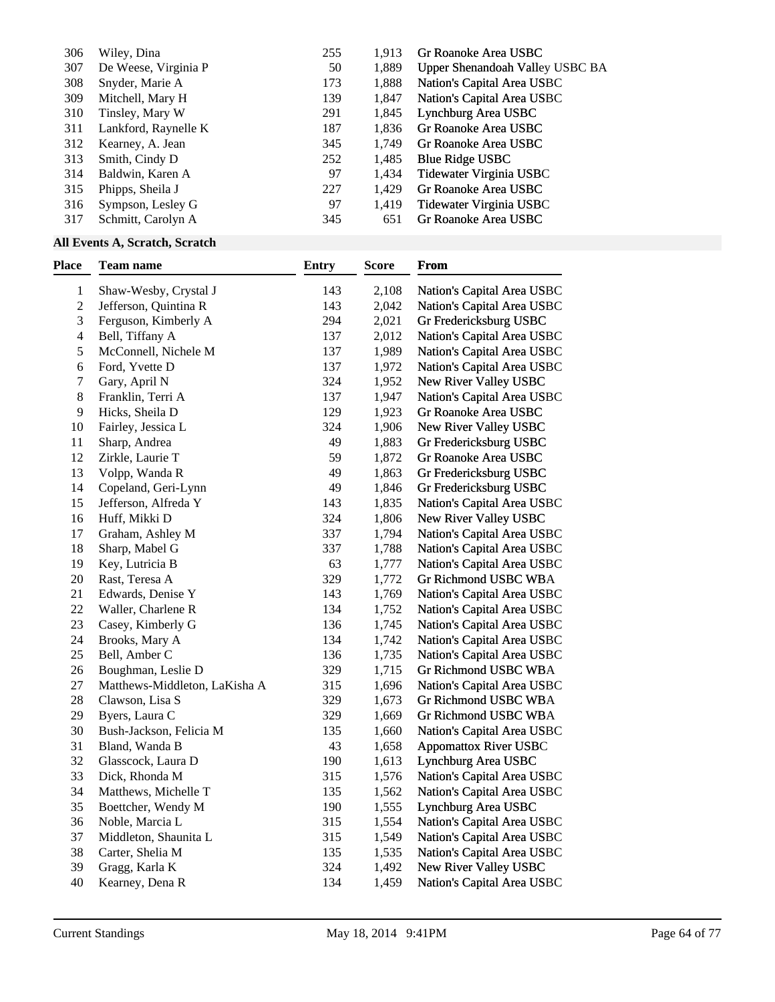| 306 | Wiley, Dina          | 255 | 1.913 | Gr Roanoke Area USBC            |
|-----|----------------------|-----|-------|---------------------------------|
| 307 | De Weese, Virginia P | 50  | 1,889 | Upper Shenandoah Valley USBC BA |
| 308 | Snyder, Marie A      | 173 | 1,888 | Nation's Capital Area USBC      |
| 309 | Mitchell, Mary H     | 139 | 1,847 | Nation's Capital Area USBC      |
| 310 | Tinsley, Mary W      | 291 | 1,845 | Lynchburg Area USBC             |
| 311 | Lankford, Raynelle K | 187 | 1.836 | Gr Roanoke Area USBC            |
| 312 | Kearney, A. Jean     | 345 | 1,749 | Gr Roanoke Area USBC            |
| 313 | Smith, Cindy D       | 252 | 1,485 | <b>Blue Ridge USBC</b>          |
| 314 | Baldwin, Karen A     | 97  | 1,434 | Tidewater Virginia USBC         |
| 315 | Phipps, Sheila J     | 227 | 1,429 | Gr Roanoke Area USBC            |
| 316 | Sympson, Lesley G    | 97  | 1,419 | Tidewater Virginia USBC         |
| 317 | Schmitt, Carolyn A   | 345 | 651   | Gr Roanoke Area USBC            |
|     |                      |     |       |                                 |

# **All Events A, Scratch, Scratch**

| Place                   | Team name                     | Entry | Score | From                         |
|-------------------------|-------------------------------|-------|-------|------------------------------|
| 1                       | Shaw-Wesby, Crystal J         | 143   | 2,108 | Nation's Capital Area USBC   |
| $\overline{c}$          | Jefferson, Quintina R         | 143   | 2,042 | Nation's Capital Area USBC   |
| 3                       | Ferguson, Kimberly A          | 294   | 2,021 | Gr Fredericksburg USBC       |
| $\overline{\mathbf{4}}$ | Bell, Tiffany A               | 137   | 2,012 | Nation's Capital Area USBC   |
| 5                       | McConnell, Nichele M          | 137   | 1,989 | Nation's Capital Area USBC   |
| 6                       | Ford, Yvette D                | 137   | 1,972 | Nation's Capital Area USBC   |
| 7                       | Gary, April N                 | 324   | 1,952 | New River Valley USBC        |
| 8                       | Franklin, Terri A             | 137   | 1,947 | Nation's Capital Area USBC   |
| 9                       | Hicks, Sheila D               | 129   | 1,923 | Gr Roanoke Area USBC         |
| 10                      | Fairley, Jessica L            | 324   | 1,906 | New River Valley USBC        |
| 11                      | Sharp, Andrea                 | 49    | 1,883 | Gr Fredericksburg USBC       |
| 12                      | Zirkle, Laurie T              | 59    | 1,872 | Gr Roanoke Area USBC         |
| 13                      | Volpp, Wanda R                | 49    | 1,863 | Gr Fredericksburg USBC       |
| 14                      | Copeland, Geri-Lynn           | 49    | 1,846 | Gr Fredericksburg USBC       |
| 15                      | Jefferson, Alfreda Y          | 143   | 1,835 | Nation's Capital Area USBC   |
| 16                      | Huff, Mikki D                 | 324   | 1,806 | New River Valley USBC        |
| 17                      | Graham, Ashley M              | 337   | 1,794 | Nation's Capital Area USBC   |
| 18                      | Sharp, Mabel G                | 337   | 1,788 | Nation's Capital Area USBC   |
| 19                      | Key, Lutricia B               | 63    | 1,777 | Nation's Capital Area USBC   |
| 20                      | Rast, Teresa A                | 329   | 1,772 | Gr Richmond USBC WBA         |
| 21                      | Edwards, Denise Y             | 143   | 1,769 | Nation's Capital Area USBC   |
| 22                      | Waller, Charlene R            | 134   | 1,752 | Nation's Capital Area USBC   |
| 23                      | Casey, Kimberly G             | 136   | 1,745 | Nation's Capital Area USBC   |
| 24                      | Brooks, Mary A                | 134   | 1,742 | Nation's Capital Area USBC   |
| 25                      | Bell, Amber C                 | 136   | 1,735 | Nation's Capital Area USBC   |
| 26                      | Boughman, Leslie D            | 329   | 1,715 | Gr Richmond USBC WBA         |
| 27                      | Matthews-Middleton, LaKisha A | 315   | 1,696 | Nation's Capital Area USBC   |
| 28                      | Clawson, Lisa S               | 329   | 1,673 | Gr Richmond USBC WBA         |
| 29                      | Byers, Laura C                | 329   | 1,669 | Gr Richmond USBC WBA         |
| 30                      | Bush-Jackson, Felicia M       | 135   | 1,660 | Nation's Capital Area USBC   |
| 31                      | Bland, Wanda B                | 43    | 1,658 | <b>Appomattox River USBC</b> |
| 32                      | Glasscock, Laura D            | 190   | 1,613 | Lynchburg Area USBC          |
| 33                      | Dick, Rhonda M                | 315   | 1,576 | Nation's Capital Area USBC   |
| 34                      | Matthews, Michelle T          | 135   | 1,562 | Nation's Capital Area USBC   |
| 35                      | Boettcher, Wendy M            | 190   | 1,555 | Lynchburg Area USBC          |
| 36                      | Noble, Marcia L               | 315   | 1,554 | Nation's Capital Area USBC   |
| 37                      | Middleton, Shaunita L         | 315   | 1,549 | Nation's Capital Area USBC   |
| 38                      | Carter, Shelia M              | 135   | 1,535 | Nation's Capital Area USBC   |
| 39                      | Gragg, Karla K                | 324   | 1,492 | New River Valley USBC        |
| 40                      | Kearney, Dena R               | 134   | 1,459 | Nation's Capital Area USBC   |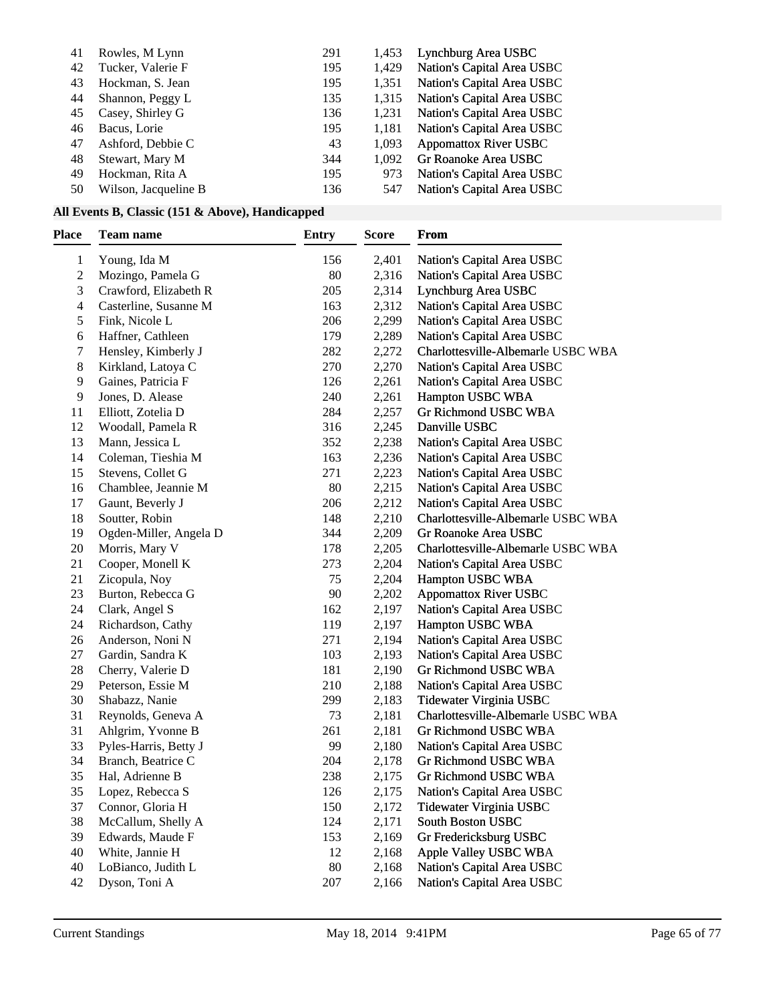| 41 | Rowles, M Lynn       | 291 | 1,453 | Lynchburg Area USBC          |
|----|----------------------|-----|-------|------------------------------|
| 42 | Tucker, Valerie F    | 195 | 1,429 | Nation's Capital Area USBC   |
| 43 | Hockman, S. Jean     | 195 | 1,351 | Nation's Capital Area USBC   |
| 44 | Shannon, Peggy L     | 135 | 1,315 | Nation's Capital Area USBC   |
| 45 | Casey, Shirley G     | 136 | 1,231 | Nation's Capital Area USBC   |
| 46 | Bacus, Lorie         | 195 | 1,181 | Nation's Capital Area USBC   |
| 47 | Ashford, Debbie C    | 43  | 1,093 | <b>Appomattox River USBC</b> |
| 48 | Stewart, Mary M      | 344 | 1.092 | Gr Roanoke Area USBC         |
| 49 | Hockman, Rita A      | 195 | 973   | Nation's Capital Area USBC   |
| 50 | Wilson, Jacqueline B | 136 | 547   | Nation's Capital Area USBC   |
|    |                      |     |       |                              |

# **All Events B, Classic (151 & Above), Handicapped**

| Place          | Team name              | <b>Entry</b> | <b>Score</b> | From                               |
|----------------|------------------------|--------------|--------------|------------------------------------|
| 1              | Young, Ida M           | 156          | 2,401        | Nation's Capital Area USBC         |
| $\overline{c}$ | Mozingo, Pamela G      | 80           | 2,316        | Nation's Capital Area USBC         |
| 3              | Crawford, Elizabeth R  | 205          | 2,314        | Lynchburg Area USBC                |
| $\overline{4}$ | Casterline, Susanne M  | 163          | 2,312        | Nation's Capital Area USBC         |
| 5              | Fink, Nicole L         | 206          | 2,299        | Nation's Capital Area USBC         |
| 6              | Haffner, Cathleen      | 179          | 2,289        | Nation's Capital Area USBC         |
| 7              | Hensley, Kimberly J    | 282          | 2,272        | Charlottesville-Albemarle USBC WBA |
| 8              | Kirkland, Latoya C     | 270          | 2,270        | Nation's Capital Area USBC         |
| 9              | Gaines, Patricia F     | 126          | 2,261        | Nation's Capital Area USBC         |
| 9              | Jones, D. Alease       | 240          | 2,261        | Hampton USBC WBA                   |
| 11             | Elliott, Zotelia D     | 284          | 2,257        | Gr Richmond USBC WBA               |
| 12             | Woodall, Pamela R      | 316          | 2,245        | Danville USBC                      |
| 13             | Mann, Jessica L        | 352          | 2,238        | Nation's Capital Area USBC         |
| 14             | Coleman, Tieshia M     | 163          | 2,236        | Nation's Capital Area USBC         |
| 15             | Stevens, Collet G      | 271          | 2,223        | Nation's Capital Area USBC         |
| 16             | Chamblee, Jeannie M    | 80           | 2,215        | Nation's Capital Area USBC         |
| 17             | Gaunt, Beverly J       | 206          | 2,212        | Nation's Capital Area USBC         |
| 18             | Soutter, Robin         | 148          | 2,210        | Charlottesville-Albemarle USBC WBA |
| 19             | Ogden-Miller, Angela D | 344          | 2,209        | Gr Roanoke Area USBC               |
| 20             | Morris, Mary V         | 178          | 2,205        | Charlottesville-Albemarle USBC WBA |
| 21             | Cooper, Monell K       | 273          | 2,204        | Nation's Capital Area USBC         |
| 21             | Zicopula, Noy          | 75           | 2,204        | Hampton USBC WBA                   |
| 23             | Burton, Rebecca G      | 90           | 2,202        | <b>Appomattox River USBC</b>       |
| 24             | Clark, Angel S         | 162          | 2,197        | Nation's Capital Area USBC         |
| 24             | Richardson, Cathy      | 119          | 2,197        | Hampton USBC WBA                   |
| 26             | Anderson, Noni N       | 271          | 2,194        | Nation's Capital Area USBC         |
| 27             | Gardin, Sandra K       | 103          | 2,193        | Nation's Capital Area USBC         |
| 28             | Cherry, Valerie D      | 181          | 2,190        | Gr Richmond USBC WBA               |
| 29             | Peterson, Essie M      | 210          | 2,188        | Nation's Capital Area USBC         |
| 30             | Shabazz, Nanie         | 299          | 2,183        | Tidewater Virginia USBC            |
| 31             | Reynolds, Geneva A     | 73           | 2,181        | Charlottesville-Albemarle USBC WBA |
| 31             | Ahlgrim, Yvonne B      | 261          | 2,181        | Gr Richmond USBC WBA               |
| 33             | Pyles-Harris, Betty J  | 99           | 2,180        | Nation's Capital Area USBC         |
| 34             | Branch, Beatrice C     | 204          | 2,178        | Gr Richmond USBC WBA               |
| 35             | Hal, Adrienne B        | 238          | 2,175        | Gr Richmond USBC WBA               |
| 35             | Lopez, Rebecca S       | 126          | 2,175        | Nation's Capital Area USBC         |
| 37             | Connor, Gloria H       | 150          | 2,172        | Tidewater Virginia USBC            |
| 38             | McCallum, Shelly A     | 124          | 2,171        | South Boston USBC                  |
| 39             | Edwards, Maude F       | 153          | 2,169        | Gr Fredericksburg USBC             |
| 40             | White, Jannie H        | 12           | 2,168        | Apple Valley USBC WBA              |
| 40             | LoBianco, Judith L     | 80           | 2,168        | Nation's Capital Area USBC         |
| 42             | Dyson, Toni A          | 207          | 2,166        | Nation's Capital Area USBC         |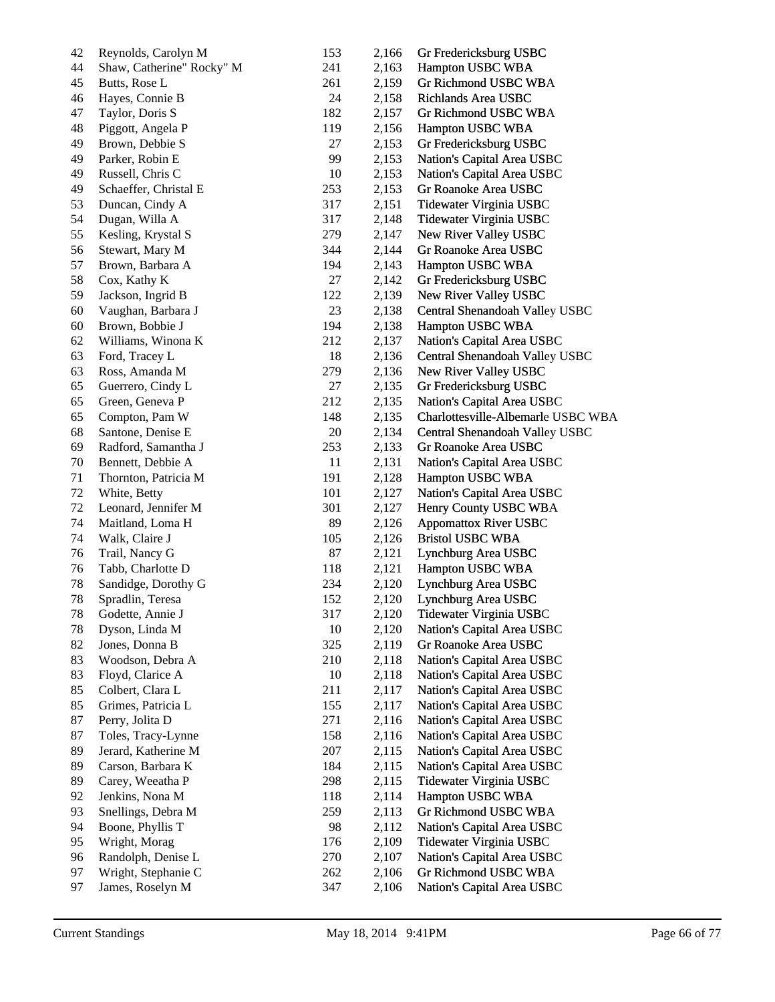| 42 | Reynolds, Carolyn M       | 153 | 2,166 | Gr Fredericksburg USBC             |
|----|---------------------------|-----|-------|------------------------------------|
| 44 | Shaw, Catherine" Rocky" M | 241 | 2,163 | Hampton USBC WBA                   |
| 45 | Butts, Rose L             | 261 | 2,159 | Gr Richmond USBC WBA               |
| 46 | Hayes, Connie B           | 24  | 2,158 | Richlands Area USBC                |
| 47 | Taylor, Doris S           | 182 | 2,157 | Gr Richmond USBC WBA               |
| 48 | Piggott, Angela P         | 119 | 2,156 | Hampton USBC WBA                   |
| 49 | Brown, Debbie S           | 27  | 2,153 | Gr Fredericksburg USBC             |
| 49 | Parker, Robin E           | 99  | 2,153 | Nation's Capital Area USBC         |
| 49 | Russell, Chris C          | 10  | 2,153 | Nation's Capital Area USBC         |
| 49 | Schaeffer, Christal E     | 253 | 2,153 | Gr Roanoke Area USBC               |
| 53 | Duncan, Cindy A           | 317 | 2,151 | Tidewater Virginia USBC            |
| 54 | Dugan, Willa A            | 317 | 2,148 | Tidewater Virginia USBC            |
| 55 | Kesling, Krystal S        | 279 | 2,147 | New River Valley USBC              |
| 56 | Stewart, Mary M           | 344 | 2,144 | Gr Roanoke Area USBC               |
| 57 | Brown, Barbara A          | 194 | 2,143 | Hampton USBC WBA                   |
| 58 | Cox, Kathy K              | 27  | 2,142 | Gr Fredericksburg USBC             |
| 59 | Jackson, Ingrid B         | 122 | 2,139 | New River Valley USBC              |
| 60 | Vaughan, Barbara J        | 23  | 2,138 | Central Shenandoah Valley USBC     |
| 60 | Brown, Bobbie J           | 194 | 2,138 | Hampton USBC WBA                   |
| 62 | Williams, Winona K        | 212 | 2,137 | Nation's Capital Area USBC         |
| 63 | Ford, Tracey L            | 18  | 2,136 | Central Shenandoah Valley USBC     |
| 63 | Ross, Amanda M            | 279 | 2,136 | New River Valley USBC              |
| 65 | Guerrero, Cindy L         | 27  | 2,135 | Gr Fredericksburg USBC             |
| 65 | Green, Geneva P           | 212 | 2,135 | Nation's Capital Area USBC         |
| 65 | Compton, Pam W            | 148 | 2,135 | Charlottesville-Albemarle USBC WBA |
| 68 | Santone, Denise E         | 20  | 2,134 | Central Shenandoah Valley USBC     |
| 69 | Radford, Samantha J       | 253 | 2,133 | Gr Roanoke Area USBC               |
| 70 | Bennett, Debbie A         | 11  | 2,131 | Nation's Capital Area USBC         |
| 71 | Thornton, Patricia M      | 191 | 2,128 | Hampton USBC WBA                   |
| 72 | White, Betty              | 101 | 2,127 | Nation's Capital Area USBC         |
| 72 | Leonard, Jennifer M       | 301 | 2,127 | Henry County USBC WBA              |
| 74 | Maitland, Loma H          | 89  | 2,126 | <b>Appomattox River USBC</b>       |
| 74 | Walk, Claire J            | 105 | 2,126 | <b>Bristol USBC WBA</b>            |
| 76 | Trail, Nancy G            | 87  | 2,121 | Lynchburg Area USBC                |
| 76 | Tabb, Charlotte D         | 118 | 2,121 | Hampton USBC WBA                   |
| 78 | Sandidge, Dorothy G       | 234 | 2,120 | Lynchburg Area USBC                |
| 78 | Spradlin, Teresa          | 152 | 2,120 | Lynchburg Area USBC                |
| 78 | Godette, Annie J          | 317 | 2,120 | Tidewater Virginia USBC            |
| 78 | Dyson, Linda M            | 10  | 2,120 | Nation's Capital Area USBC         |
| 82 | Jones, Donna B            | 325 | 2,119 | Gr Roanoke Area USBC               |
| 83 | Woodson, Debra A          | 210 | 2,118 | Nation's Capital Area USBC         |
| 83 | Floyd, Clarice A          | 10  | 2,118 | Nation's Capital Area USBC         |
| 85 | Colbert, Clara L          | 211 | 2,117 | Nation's Capital Area USBC         |
| 85 | Grimes, Patricia L        | 155 | 2,117 | Nation's Capital Area USBC         |
| 87 | Perry, Jolita D           | 271 | 2,116 | Nation's Capital Area USBC         |
| 87 | Toles, Tracy-Lynne        | 158 | 2,116 | Nation's Capital Area USBC         |
| 89 | Jerard, Katherine M       | 207 | 2,115 | Nation's Capital Area USBC         |
| 89 | Carson, Barbara K         | 184 | 2,115 | Nation's Capital Area USBC         |
| 89 | Carey, Weeatha P          | 298 | 2,115 | Tidewater Virginia USBC            |
| 92 | Jenkins, Nona M           | 118 | 2,114 | Hampton USBC WBA                   |
| 93 | Snellings, Debra M        | 259 | 2,113 | Gr Richmond USBC WBA               |
| 94 | Boone, Phyllis T          | 98  | 2,112 | Nation's Capital Area USBC         |
| 95 | Wright, Morag             | 176 | 2,109 | Tidewater Virginia USBC            |
| 96 | Randolph, Denise L        | 270 | 2,107 | Nation's Capital Area USBC         |
| 97 | Wright, Stephanie C       | 262 | 2,106 | Gr Richmond USBC WBA               |
| 97 | James, Roselyn M          | 347 | 2,106 | Nation's Capital Area USBC         |
|    |                           |     |       |                                    |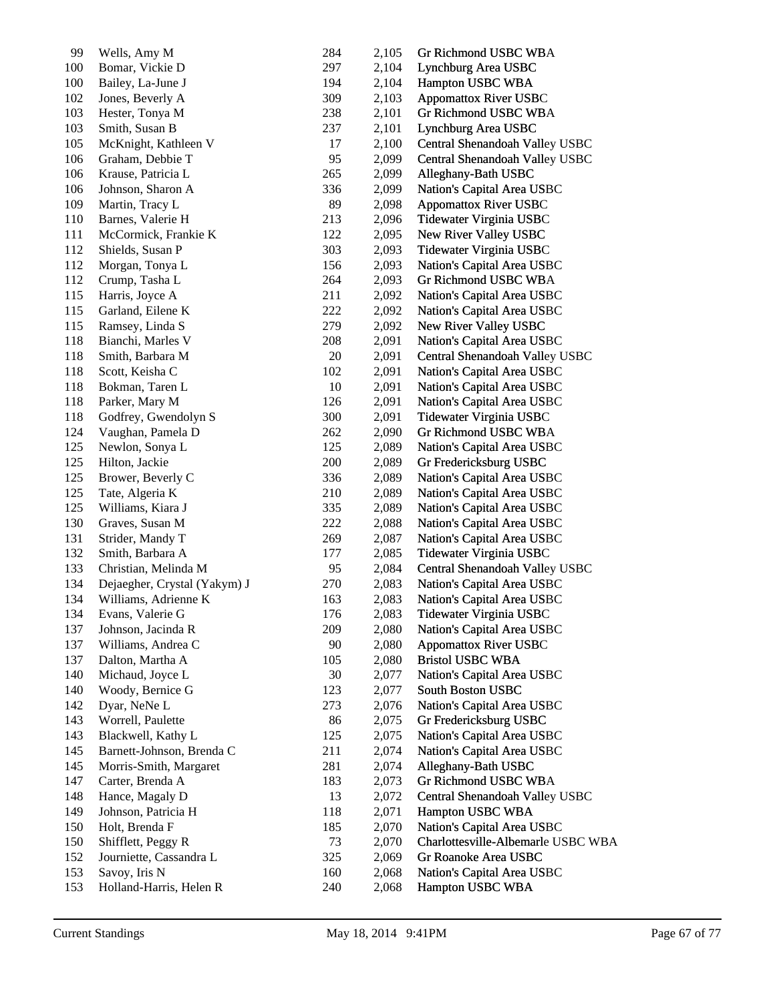| 99      | Wells, Amy M                 | 284 | 2,105 | Gr Richmond USBC WBA               |
|---------|------------------------------|-----|-------|------------------------------------|
| 100     | Bomar, Vickie D              | 297 | 2,104 | Lynchburg Area USBC                |
| 100     | Bailey, La-June J            | 194 | 2,104 | Hampton USBC WBA                   |
| 102     | Jones, Beverly A             | 309 | 2,103 | <b>Appomattox River USBC</b>       |
| 103     | Hester, Tonya M              | 238 | 2,101 | Gr Richmond USBC WBA               |
| 103     | Smith, Susan B               | 237 | 2,101 | Lynchburg Area USBC                |
| $105\,$ | McKnight, Kathleen V         | 17  | 2,100 | Central Shenandoah Valley USBC     |
| 106     | Graham, Debbie T             | 95  | 2,099 | Central Shenandoah Valley USBC     |
| 106     | Krause, Patricia L           | 265 | 2,099 | Alleghany-Bath USBC                |
| 106     | Johnson, Sharon A            | 336 | 2,099 | Nation's Capital Area USBC         |
| 109     | Martin, Tracy L              | 89  | 2,098 | <b>Appomattox River USBC</b>       |
| 110     | Barnes, Valerie H            | 213 | 2,096 | Tidewater Virginia USBC            |
| 111     | McCormick, Frankie K         | 122 | 2,095 | New River Valley USBC              |
| 112     | Shields, Susan P             | 303 | 2,093 | Tidewater Virginia USBC            |
| 112     | Morgan, Tonya L              | 156 | 2,093 | Nation's Capital Area USBC         |
| 112     | Crump, Tasha L               | 264 | 2,093 | Gr Richmond USBC WBA               |
| 115     | Harris, Joyce A              | 211 | 2,092 | Nation's Capital Area USBC         |
| 115     | Garland, Eilene K            | 222 | 2,092 | Nation's Capital Area USBC         |
| 115     | Ramsey, Linda S              | 279 | 2,092 | New River Valley USBC              |
| 118     | Bianchi, Marles V            | 208 | 2,091 | Nation's Capital Area USBC         |
| 118     | Smith, Barbara M             | 20  | 2,091 | Central Shenandoah Valley USBC     |
| 118     | Scott, Keisha C              | 102 | 2,091 | Nation's Capital Area USBC         |
| 118     | Bokman, Taren L              | 10  | 2,091 | Nation's Capital Area USBC         |
| 118     | Parker, Mary M               | 126 | 2,091 | Nation's Capital Area USBC         |
| 118     | Godfrey, Gwendolyn S         | 300 | 2,091 | Tidewater Virginia USBC            |
| 124     | Vaughan, Pamela D            | 262 | 2,090 | Gr Richmond USBC WBA               |
| 125     | Newlon, Sonya L              | 125 | 2,089 | Nation's Capital Area USBC         |
| 125     | Hilton, Jackie               | 200 | 2,089 | Gr Fredericksburg USBC             |
| 125     | Brower, Beverly C            | 336 | 2,089 | Nation's Capital Area USBC         |
| 125     | Tate, Algeria K              | 210 | 2,089 | Nation's Capital Area USBC         |
| 125     | Williams, Kiara J            | 335 | 2,089 | Nation's Capital Area USBC         |
| 130     | Graves, Susan M              | 222 | 2,088 | Nation's Capital Area USBC         |
| 131     | Strider, Mandy T             | 269 | 2,087 | Nation's Capital Area USBC         |
| 132     | Smith, Barbara A             | 177 | 2,085 | Tidewater Virginia USBC            |
| 133     | Christian, Melinda M         | 95  | 2,084 | Central Shenandoah Valley USBC     |
| 134     | Dejaegher, Crystal (Yakym) J | 270 | 2,083 | Nation's Capital Area USBC         |
| 134     | Williams, Adrienne K         | 163 | 2,083 | Nation's Capital Area USBC         |
| 134     | Evans, Valerie G             | 176 | 2,083 | Tidewater Virginia USBC            |
| 137     | Johnson, Jacinda R           | 209 | 2,080 | Nation's Capital Area USBC         |
| 137     | Williams, Andrea C           | 90  | 2,080 | <b>Appomattox River USBC</b>       |
| 137     | Dalton, Martha A             | 105 | 2,080 | <b>Bristol USBC WBA</b>            |
| 140     | Michaud, Joyce L             | 30  | 2,077 | Nation's Capital Area USBC         |
| 140     | Woody, Bernice G             | 123 | 2,077 | South Boston USBC                  |
| 142     | Dyar, NeNe L                 | 273 | 2,076 | Nation's Capital Area USBC         |
| 143     | Worrell, Paulette            | 86  | 2,075 | Gr Fredericksburg USBC             |
| 143     | Blackwell, Kathy L           | 125 | 2,075 | Nation's Capital Area USBC         |
| 145     | Barnett-Johnson, Brenda C    | 211 | 2,074 | Nation's Capital Area USBC         |
| 145     | Morris-Smith, Margaret       | 281 | 2,074 | Alleghany-Bath USBC                |
| 147     | Carter, Brenda A             | 183 | 2,073 | Gr Richmond USBC WBA               |
| 148     | Hance, Magaly D              | 13  | 2,072 | Central Shenandoah Valley USBC     |
| 149     | Johnson, Patricia H          | 118 | 2,071 | Hampton USBC WBA                   |
| 150     | Holt, Brenda F               | 185 | 2,070 | Nation's Capital Area USBC         |
| 150     | Shifflett, Peggy R           | 73  | 2,070 | Charlottesville-Albemarle USBC WBA |
| 152     | Journiette, Cassandra L      | 325 | 2,069 | Gr Roanoke Area USBC               |
| 153     | Savoy, Iris N                | 160 | 2,068 | Nation's Capital Area USBC         |
| 153     | Holland-Harris, Helen R      | 240 | 2,068 | Hampton USBC WBA                   |
|         |                              |     |       |                                    |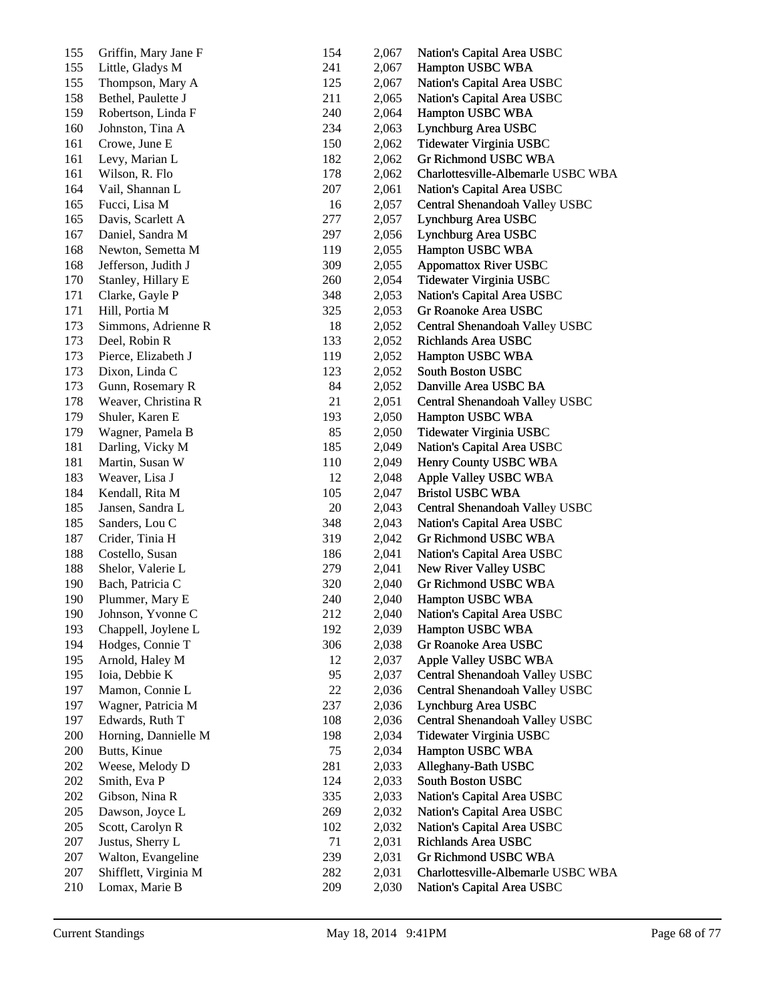| 155 | Griffin, Mary Jane F  | 154 | 2,067 | Nation's Capital Area USBC         |
|-----|-----------------------|-----|-------|------------------------------------|
| 155 | Little, Gladys M      | 241 | 2,067 | Hampton USBC WBA                   |
| 155 | Thompson, Mary A      | 125 | 2,067 | Nation's Capital Area USBC         |
| 158 | Bethel, Paulette J    | 211 | 2,065 | Nation's Capital Area USBC         |
| 159 | Robertson, Linda F    | 240 | 2,064 | Hampton USBC WBA                   |
| 160 | Johnston, Tina A      | 234 | 2,063 | Lynchburg Area USBC                |
| 161 | Crowe, June E         | 150 | 2,062 | Tidewater Virginia USBC            |
| 161 | Levy, Marian L        | 182 | 2,062 | Gr Richmond USBC WBA               |
| 161 | Wilson, R. Flo        | 178 | 2,062 | Charlottesville-Albemarle USBC WBA |
| 164 | Vail, Shannan L       | 207 | 2,061 | Nation's Capital Area USBC         |
| 165 | Fucci, Lisa M         | 16  | 2,057 | Central Shenandoah Valley USBC     |
| 165 | Davis, Scarlett A     | 277 | 2,057 | Lynchburg Area USBC                |
| 167 | Daniel, Sandra M      | 297 | 2,056 | Lynchburg Area USBC                |
| 168 | Newton, Semetta M     | 119 | 2,055 | Hampton USBC WBA                   |
| 168 | Jefferson, Judith J   | 309 | 2,055 | <b>Appomattox River USBC</b>       |
| 170 | Stanley, Hillary E    | 260 | 2,054 | Tidewater Virginia USBC            |
| 171 | Clarke, Gayle P       | 348 | 2,053 | Nation's Capital Area USBC         |
| 171 | Hill, Portia M        | 325 | 2,053 | Gr Roanoke Area USBC               |
| 173 | Simmons, Adrienne R   | 18  | 2,052 | Central Shenandoah Valley USBC     |
| 173 | Deel, Robin R         | 133 | 2,052 | Richlands Area USBC                |
| 173 | Pierce, Elizabeth J   | 119 | 2,052 | Hampton USBC WBA                   |
| 173 | Dixon, Linda C        | 123 | 2,052 | South Boston USBC                  |
| 173 | Gunn, Rosemary R      | 84  | 2,052 | Danville Area USBC BA              |
| 178 | Weaver, Christina R   | 21  | 2,051 | Central Shenandoah Valley USBC     |
| 179 | Shuler, Karen E       | 193 | 2,050 | Hampton USBC WBA                   |
| 179 | Wagner, Pamela B      | 85  | 2,050 | Tidewater Virginia USBC            |
| 181 | Darling, Vicky M      | 185 | 2,049 | Nation's Capital Area USBC         |
| 181 | Martin, Susan W       | 110 | 2,049 | Henry County USBC WBA              |
| 183 | Weaver, Lisa J        | 12  | 2,048 | Apple Valley USBC WBA              |
| 184 | Kendall, Rita M       | 105 | 2,047 | <b>Bristol USBC WBA</b>            |
| 185 | Jansen, Sandra L      | 20  | 2,043 | Central Shenandoah Valley USBC     |
| 185 | Sanders, Lou C        | 348 | 2,043 | Nation's Capital Area USBC         |
| 187 | Crider, Tinia H       | 319 | 2,042 | Gr Richmond USBC WBA               |
| 188 | Costello, Susan       | 186 | 2,041 | Nation's Capital Area USBC         |
| 188 | Shelor, Valerie L     | 279 | 2,041 | New River Valley USBC              |
| 190 | Bach, Patricia C      | 320 | 2,040 | Gr Richmond USBC WBA               |
| 190 | Plummer, Mary E       | 240 | 2,040 | Hampton USBC WBA                   |
| 190 | Johnson, Yvonne C     | 212 | 2,040 | Nation's Capital Area USBC         |
| 193 | Chappell, Joylene L   | 192 | 2,039 | Hampton USBC WBA                   |
| 194 | Hodges, Connie T      | 306 | 2,038 | Gr Roanoke Area USBC               |
| 195 | Arnold, Haley M       | 12  | 2,037 | Apple Valley USBC WBA              |
| 195 | Ioia, Debbie K        | 95  | 2,037 | Central Shenandoah Valley USBC     |
| 197 | Mamon, Connie L       | 22  | 2,036 | Central Shenandoah Valley USBC     |
| 197 | Wagner, Patricia M    | 237 | 2,036 | Lynchburg Area USBC                |
| 197 | Edwards, Ruth T       | 108 | 2,036 | Central Shenandoah Valley USBC     |
| 200 | Horning, Dannielle M  | 198 | 2,034 | Tidewater Virginia USBC            |
| 200 | Butts, Kinue          | 75  | 2,034 | Hampton USBC WBA                   |
| 202 | Weese, Melody D       | 281 | 2,033 | Alleghany-Bath USBC                |
| 202 | Smith, Eva P          | 124 | 2,033 | South Boston USBC                  |
| 202 | Gibson, Nina R        | 335 | 2,033 | Nation's Capital Area USBC         |
| 205 | Dawson, Joyce L       | 269 | 2,032 | Nation's Capital Area USBC         |
| 205 | Scott, Carolyn R      | 102 | 2,032 | Nation's Capital Area USBC         |
| 207 | Justus, Sherry L      | 71  | 2,031 | Richlands Area USBC                |
| 207 | Walton, Evangeline    | 239 | 2,031 | Gr Richmond USBC WBA               |
| 207 | Shifflett, Virginia M | 282 | 2,031 | Charlottesville-Albemarle USBC WBA |
| 210 |                       |     |       |                                    |
|     | Lomax, Marie B        | 209 | 2,030 | Nation's Capital Area USBC         |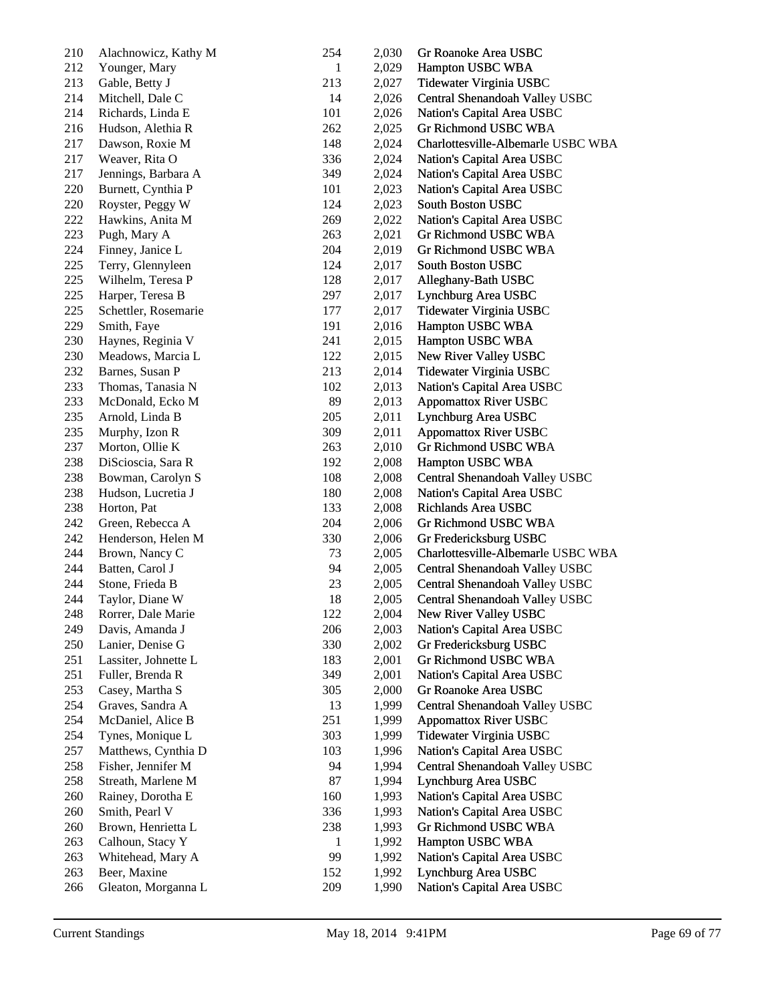| 210 | Alachnowicz, Kathy M | 254 | 2,030 | Gr Roanoke Area USBC               |
|-----|----------------------|-----|-------|------------------------------------|
| 212 | Younger, Mary        | 1   | 2,029 | Hampton USBC WBA                   |
| 213 | Gable, Betty J       | 213 | 2,027 | Tidewater Virginia USBC            |
| 214 | Mitchell, Dale C     | 14  | 2,026 | Central Shenandoah Valley USBC     |
| 214 | Richards, Linda E    | 101 | 2,026 | Nation's Capital Area USBC         |
| 216 | Hudson, Alethia R    | 262 | 2,025 | Gr Richmond USBC WBA               |
| 217 | Dawson, Roxie M      | 148 | 2,024 | Charlottesville-Albemarle USBC WBA |
| 217 | Weaver, Rita O       | 336 | 2,024 | Nation's Capital Area USBC         |
| 217 | Jennings, Barbara A  | 349 | 2,024 | Nation's Capital Area USBC         |
| 220 | Burnett, Cynthia P   | 101 | 2,023 | Nation's Capital Area USBC         |
| 220 | Royster, Peggy W     | 124 | 2,023 | South Boston USBC                  |
| 222 | Hawkins, Anita M     | 269 | 2,022 | Nation's Capital Area USBC         |
| 223 | Pugh, Mary A         | 263 | 2,021 | Gr Richmond USBC WBA               |
| 224 | Finney, Janice L     | 204 | 2,019 | Gr Richmond USBC WBA               |
| 225 | Terry, Glennyleen    | 124 | 2,017 | South Boston USBC                  |
| 225 | Wilhelm, Teresa P    | 128 | 2,017 | Alleghany-Bath USBC                |
| 225 | Harper, Teresa B     | 297 | 2,017 | Lynchburg Area USBC                |
| 225 | Schettler, Rosemarie | 177 | 2,017 | Tidewater Virginia USBC            |
| 229 | Smith, Faye          | 191 | 2,016 | Hampton USBC WBA                   |
| 230 | Haynes, Reginia V    | 241 | 2,015 | Hampton USBC WBA                   |
| 230 | Meadows, Marcia L    | 122 | 2,015 | New River Valley USBC              |
| 232 | Barnes, Susan P      | 213 | 2,014 | Tidewater Virginia USBC            |
| 233 | Thomas, Tanasia N    | 102 | 2,013 | Nation's Capital Area USBC         |
| 233 | McDonald, Ecko M     | 89  | 2,013 | <b>Appomattox River USBC</b>       |
| 235 | Arnold, Linda B      | 205 | 2,011 | Lynchburg Area USBC                |
| 235 | Murphy, Izon R       | 309 | 2,011 | Appomattox River USBC              |
| 237 | Morton, Ollie K      | 263 | 2,010 | Gr Richmond USBC WBA               |
| 238 | DiScioscia, Sara R   | 192 | 2,008 | Hampton USBC WBA                   |
| 238 | Bowman, Carolyn S    | 108 | 2,008 | Central Shenandoah Valley USBC     |
| 238 | Hudson, Lucretia J   | 180 | 2,008 | Nation's Capital Area USBC         |
| 238 | Horton, Pat          | 133 | 2,008 | Richlands Area USBC                |
| 242 | Green, Rebecca A     | 204 | 2,006 | Gr Richmond USBC WBA               |
| 242 | Henderson, Helen M   | 330 | 2,006 | Gr Fredericksburg USBC             |
| 244 | Brown, Nancy C       | 73  | 2,005 | Charlottesville-Albemarle USBC WBA |
| 244 | Batten, Carol J      | 94  | 2,005 | Central Shenandoah Valley USBC     |
| 244 | Stone, Frieda B      | 23  | 2,005 | Central Shenandoah Valley USBC     |
| 244 | Taylor, Diane W      | 18  | 2,005 | Central Shenandoah Valley USBC     |
| 248 | Rorrer, Dale Marie   | 122 | 2,004 | New River Valley USBC              |
| 249 | Davis, Amanda J      | 206 | 2,003 | Nation's Capital Area USBC         |
| 250 | Lanier, Denise G     | 330 | 2,002 | Gr Fredericksburg USBC             |
| 251 | Lassiter, Johnette L | 183 | 2,001 | <b>Gr Richmond USBC WBA</b>        |
| 251 | Fuller, Brenda R     | 349 | 2,001 | Nation's Capital Area USBC         |
| 253 | Casey, Martha S      | 305 | 2,000 | Gr Roanoke Area USBC               |
| 254 | Graves, Sandra A     | 13  | 1,999 | Central Shenandoah Valley USBC     |
| 254 | McDaniel, Alice B    | 251 | 1,999 | <b>Appomattox River USBC</b>       |
| 254 | Tynes, Monique L     | 303 | 1,999 | Tidewater Virginia USBC            |
| 257 | Matthews, Cynthia D  | 103 | 1,996 | Nation's Capital Area USBC         |
| 258 | Fisher, Jennifer M   | 94  | 1,994 | Central Shenandoah Valley USBC     |
| 258 | Streath, Marlene M   | 87  | 1,994 | Lynchburg Area USBC                |
| 260 | Rainey, Dorotha E    | 160 | 1,993 | Nation's Capital Area USBC         |
| 260 | Smith, Pearl V       | 336 | 1,993 | Nation's Capital Area USBC         |
| 260 | Brown, Henrietta L   | 238 | 1,993 | Gr Richmond USBC WBA               |
| 263 | Calhoun, Stacy Y     | 1   | 1,992 | Hampton USBC WBA                   |
| 263 | Whitehead, Mary A    | 99  | 1,992 | Nation's Capital Area USBC         |
| 263 | Beer, Maxine         | 152 | 1,992 | Lynchburg Area USBC                |
| 266 | Gleaton, Morganna L  | 209 | 1,990 | Nation's Capital Area USBC         |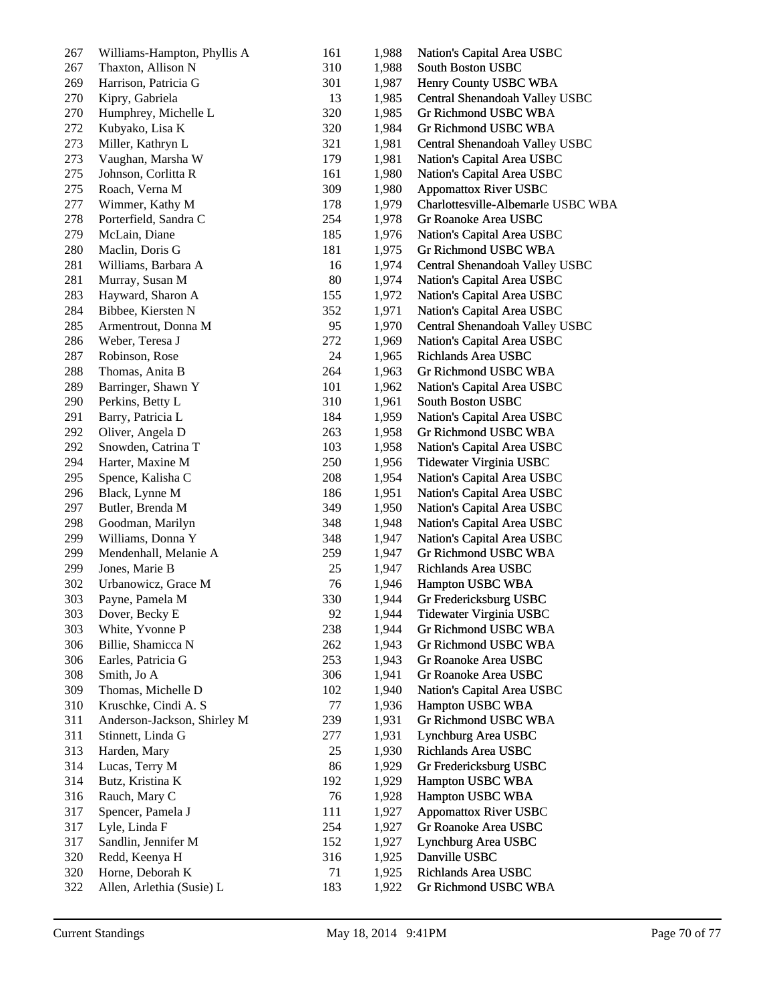| 267 | Williams-Hampton, Phyllis A | 161 | 1,988 | Nation's Capital Area USBC         |
|-----|-----------------------------|-----|-------|------------------------------------|
| 267 | Thaxton, Allison N          | 310 | 1,988 | South Boston USBC                  |
| 269 | Harrison, Patricia G        | 301 | 1,987 | Henry County USBC WBA              |
| 270 | Kipry, Gabriela             | 13  | 1,985 | Central Shenandoah Valley USBC     |
| 270 | Humphrey, Michelle L        | 320 | 1,985 | Gr Richmond USBC WBA               |
| 272 | Kubyako, Lisa K             | 320 | 1,984 | Gr Richmond USBC WBA               |
| 273 | Miller, Kathryn L           | 321 | 1,981 | Central Shenandoah Valley USBC     |
| 273 | Vaughan, Marsha W           | 179 | 1,981 | Nation's Capital Area USBC         |
| 275 | Johnson, Corlitta R         | 161 | 1,980 | Nation's Capital Area USBC         |
| 275 | Roach, Verna M              | 309 | 1,980 | <b>Appomattox River USBC</b>       |
| 277 | Wimmer, Kathy M             | 178 | 1,979 | Charlottesville-Albemarle USBC WBA |
| 278 | Porterfield, Sandra C       | 254 | 1,978 | Gr Roanoke Area USBC               |
| 279 | McLain, Diane               | 185 | 1,976 | Nation's Capital Area USBC         |
| 280 | Maclin, Doris G             | 181 | 1,975 | Gr Richmond USBC WBA               |
| 281 | Williams, Barbara A         | 16  | 1,974 | Central Shenandoah Valley USBC     |
| 281 | Murray, Susan M             | 80  | 1,974 | Nation's Capital Area USBC         |
| 283 | Hayward, Sharon A           | 155 | 1,972 | Nation's Capital Area USBC         |
| 284 | Bibbee, Kiersten N          | 352 | 1,971 | Nation's Capital Area USBC         |
| 285 | Armentrout, Donna M         | 95  | 1,970 | Central Shenandoah Valley USBC     |
| 286 | Weber, Teresa J             | 272 | 1,969 | Nation's Capital Area USBC         |
| 287 | Robinson, Rose              | 24  | 1,965 | Richlands Area USBC                |
| 288 | Thomas, Anita B             | 264 | 1,963 | Gr Richmond USBC WBA               |
| 289 | Barringer, Shawn Y          | 101 | 1,962 | Nation's Capital Area USBC         |
| 290 | Perkins, Betty L            | 310 | 1,961 | South Boston USBC                  |
| 291 | Barry, Patricia L           | 184 | 1,959 | Nation's Capital Area USBC         |
| 292 | Oliver, Angela D            | 263 | 1,958 | Gr Richmond USBC WBA               |
| 292 | Snowden, Catrina T          | 103 | 1,958 | Nation's Capital Area USBC         |
| 294 | Harter, Maxine M            | 250 | 1,956 | Tidewater Virginia USBC            |
| 295 | Spence, Kalisha C           | 208 | 1,954 | Nation's Capital Area USBC         |
| 296 | Black, Lynne M              | 186 | 1,951 | Nation's Capital Area USBC         |
| 297 | Butler, Brenda M            | 349 | 1,950 | Nation's Capital Area USBC         |
| 298 | Goodman, Marilyn            | 348 | 1,948 | Nation's Capital Area USBC         |
| 299 | Williams, Donna Y           | 348 | 1,947 | Nation's Capital Area USBC         |
| 299 | Mendenhall, Melanie A       | 259 | 1,947 | Gr Richmond USBC WBA               |
| 299 | Jones, Marie B              | 25  | 1,947 | Richlands Area USBC                |
| 302 | Urbanowicz, Grace M         | 76  | 1,946 | Hampton USBC WBA                   |
| 303 | Payne, Pamela M             | 330 | 1,944 | Gr Fredericksburg USBC             |
| 303 | Dover, Becky E              | 92  | 1,944 | Tidewater Virginia USBC            |
| 303 | White, Yvonne P             | 238 | 1,944 | Gr Richmond USBC WBA               |
| 306 | Billie, Shamicca N          | 262 | 1,943 | Gr Richmond USBC WBA               |
| 306 | Earles, Patricia G          | 253 | 1,943 | Gr Roanoke Area USBC               |
| 308 | Smith, Jo A                 | 306 | 1,941 | Gr Roanoke Area USBC               |
| 309 | Thomas, Michelle D          | 102 | 1,940 | Nation's Capital Area USBC         |
| 310 | Kruschke, Cindi A. S        | 77  | 1,936 | Hampton USBC WBA                   |
| 311 | Anderson-Jackson, Shirley M | 239 | 1,931 | Gr Richmond USBC WBA               |
| 311 | Stinnett, Linda G           | 277 | 1,931 | Lynchburg Area USBC                |
| 313 | Harden, Mary                | 25  | 1,930 | Richlands Area USBC                |
| 314 | Lucas, Terry M              | 86  | 1,929 | Gr Fredericksburg USBC             |
| 314 | Butz, Kristina K            | 192 | 1,929 | Hampton USBC WBA                   |
| 316 | Rauch, Mary C               | 76  | 1,928 | Hampton USBC WBA                   |
| 317 | Spencer, Pamela J           | 111 | 1,927 | <b>Appomattox River USBC</b>       |
| 317 | Lyle, Linda F               | 254 | 1,927 | Gr Roanoke Area USBC               |
| 317 | Sandlin, Jennifer M         | 152 | 1,927 | Lynchburg Area USBC                |
| 320 | Redd, Keenya H              | 316 | 1,925 | Danville USBC                      |
| 320 | Horne, Deborah K            | 71  | 1,925 | Richlands Area USBC                |
| 322 | Allen, Arlethia (Susie) L   | 183 | 1,922 | Gr Richmond USBC WBA               |
|     |                             |     |       |                                    |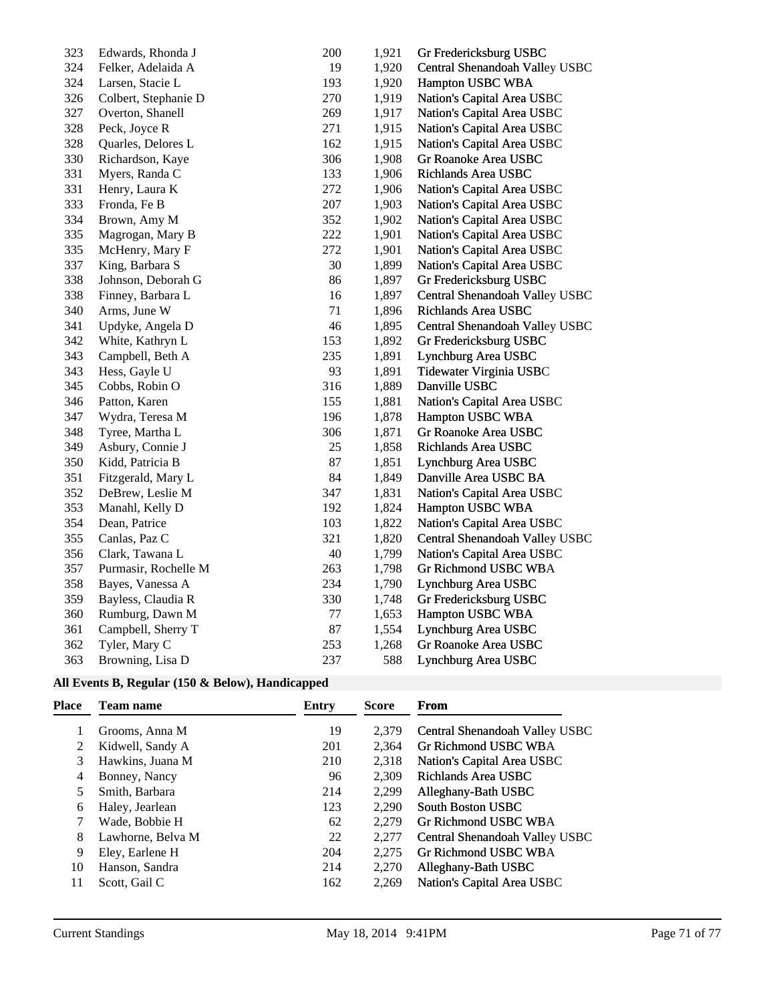| 323 | Edwards, Rhonda J    | 200 | 1,921 | Gr Fredericksburg USBC         |
|-----|----------------------|-----|-------|--------------------------------|
| 324 | Felker, Adelaida A   | 19  | 1,920 | Central Shenandoah Valley USBC |
| 324 | Larsen, Stacie L     | 193 | 1,920 | Hampton USBC WBA               |
| 326 | Colbert, Stephanie D | 270 | 1,919 | Nation's Capital Area USBC     |
| 327 | Overton, Shanell     | 269 | 1,917 | Nation's Capital Area USBC     |
| 328 | Peck, Joyce R        | 271 | 1,915 | Nation's Capital Area USBC     |
| 328 | Quarles, Delores L   | 162 | 1,915 | Nation's Capital Area USBC     |
| 330 | Richardson, Kaye     | 306 | 1,908 | Gr Roanoke Area USBC           |
| 331 | Myers, Randa C       | 133 | 1,906 | Richlands Area USBC            |
| 331 | Henry, Laura K       | 272 | 1,906 | Nation's Capital Area USBC     |
| 333 | Fronda, Fe B         | 207 | 1,903 | Nation's Capital Area USBC     |
| 334 | Brown, Amy M         | 352 | 1,902 | Nation's Capital Area USBC     |
| 335 | Magrogan, Mary B     | 222 | 1,901 | Nation's Capital Area USBC     |
| 335 | McHenry, Mary F      | 272 | 1,901 | Nation's Capital Area USBC     |
| 337 | King, Barbara S      | 30  | 1,899 | Nation's Capital Area USBC     |
| 338 | Johnson, Deborah G   | 86  | 1,897 | Gr Fredericksburg USBC         |
| 338 | Finney, Barbara L    | 16  | 1,897 | Central Shenandoah Valley USBC |
| 340 | Arms, June W         | 71  | 1,896 | Richlands Area USBC            |
| 341 | Updyke, Angela D     | 46  | 1,895 | Central Shenandoah Valley USBC |
| 342 | White, Kathryn L     | 153 | 1,892 | Gr Fredericksburg USBC         |
| 343 | Campbell, Beth A     | 235 | 1,891 | Lynchburg Area USBC            |
| 343 | Hess, Gayle U        | 93  | 1,891 | Tidewater Virginia USBC        |
| 345 | Cobbs, Robin O       | 316 | 1,889 | Danville USBC                  |
| 346 | Patton, Karen        | 155 | 1,881 | Nation's Capital Area USBC     |
| 347 | Wydra, Teresa M      | 196 | 1,878 | Hampton USBC WBA               |
| 348 | Tyree, Martha L      | 306 | 1,871 | Gr Roanoke Area USBC           |
| 349 | Asbury, Connie J     | 25  | 1,858 | Richlands Area USBC            |
| 350 | Kidd, Patricia B     | 87  | 1,851 | Lynchburg Area USBC            |
| 351 | Fitzgerald, Mary L   | 84  | 1,849 | Danville Area USBC BA          |
| 352 | DeBrew, Leslie M     | 347 | 1,831 | Nation's Capital Area USBC     |
| 353 | Manahl, Kelly D      | 192 | 1,824 | Hampton USBC WBA               |
| 354 | Dean, Patrice        | 103 | 1,822 | Nation's Capital Area USBC     |
| 355 | Canlas, Paz C        | 321 | 1,820 | Central Shenandoah Valley USBC |
| 356 | Clark, Tawana L      | 40  | 1,799 | Nation's Capital Area USBC     |
| 357 | Purmasir, Rochelle M | 263 | 1,798 | Gr Richmond USBC WBA           |
| 358 | Bayes, Vanessa A     | 234 | 1,790 | Lynchburg Area USBC            |
| 359 | Bayless, Claudia R   | 330 | 1,748 | Gr Fredericksburg USBC         |
| 360 | Rumburg, Dawn M      | 77  | 1,653 | Hampton USBC WBA               |
| 361 | Campbell, Sherry T   | 87  | 1,554 | Lynchburg Area USBC            |
| 362 | Tyler, Mary C        | 253 | 1,268 | Gr Roanoke Area USBC           |
| 363 | Browning, Lisa D     | 237 | 588   | Lynchburg Area USBC            |

#### **All Events B, Regular (150 & Below), Handicapped**

| Place | <b>Team name</b>  | Entry | <b>Score</b> | From                           |
|-------|-------------------|-------|--------------|--------------------------------|
|       | Grooms, Anna M    | 19    | 2,379        | Central Shenandoah Valley USBC |
| 2     | Kidwell, Sandy A  | 201   | 2.364        | Gr Richmond USBC WBA           |
| 3     | Hawkins, Juana M  | 210   | 2,318        | Nation's Capital Area USBC     |
| 4     | Bonney, Nancy     | 96    | 2.309        | Richlands Area USBC            |
| 5     | Smith, Barbara    | 214   | 2.299        | Alleghany-Bath USBC            |
| 6     | Haley, Jearlean   | 123   | 2.290        | South Boston USBC              |
| 7     | Wade, Bobbie H    | 62    | 2.279        | Gr Richmond USBC WBA           |
| 8     | Lawhorne, Belva M | 22    | 2,277        | Central Shenandoah Valley USBC |
| 9     | Eley, Earlene H   | 204   | 2.275        | Gr Richmond USBC WBA           |
| 10    | Hanson, Sandra    | 214   | 2,270        | Alleghany-Bath USBC            |
| 11    | Scott, Gail C     | 162   | 2,269        | Nation's Capital Area USBC     |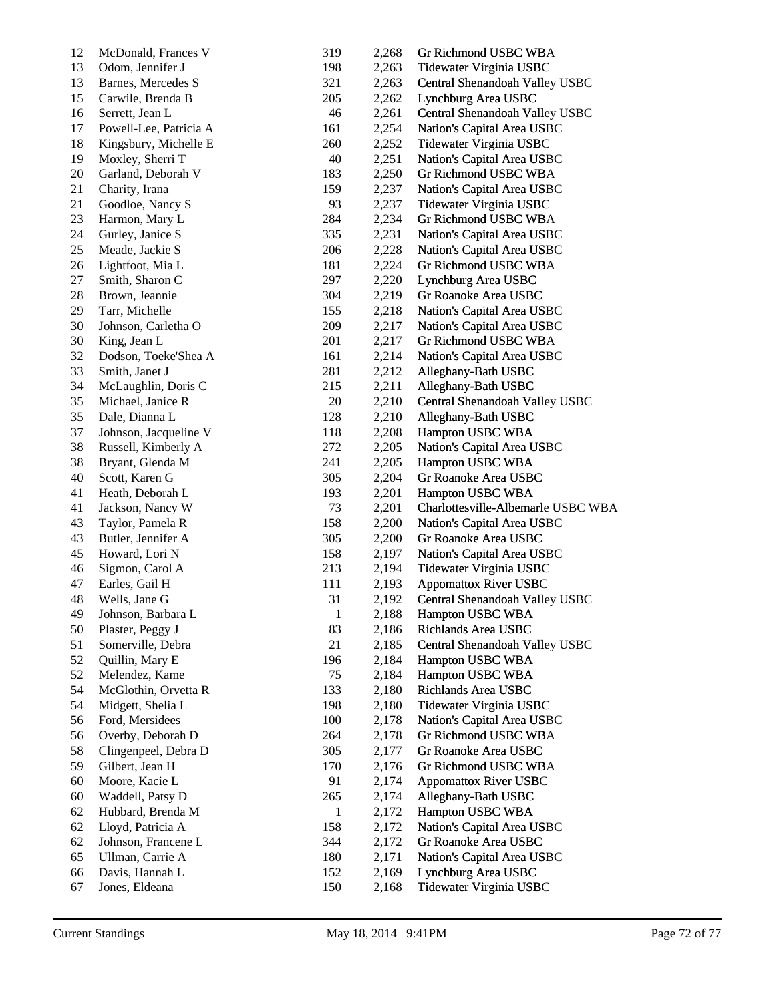| 12 | McDonald, Frances V    | 319          | 2,268 | Gr Richmond USBC WBA               |
|----|------------------------|--------------|-------|------------------------------------|
| 13 | Odom, Jennifer J       | 198          | 2,263 | Tidewater Virginia USBC            |
| 13 | Barnes, Mercedes S     | 321          | 2,263 | Central Shenandoah Valley USBC     |
| 15 | Carwile, Brenda B      | 205          | 2,262 | Lynchburg Area USBC                |
| 16 | Serrett, Jean L        | 46           | 2,261 | Central Shenandoah Valley USBC     |
| 17 | Powell-Lee, Patricia A | 161          | 2,254 | Nation's Capital Area USBC         |
| 18 | Kingsbury, Michelle E  | 260          | 2,252 | Tidewater Virginia USBC            |
| 19 | Moxley, Sherri T       | 40           | 2,251 | Nation's Capital Area USBC         |
| 20 | Garland, Deborah V     | 183          | 2,250 | Gr Richmond USBC WBA               |
| 21 | Charity, Irana         | 159          | 2,237 | Nation's Capital Area USBC         |
| 21 | Goodloe, Nancy S       | 93           | 2,237 | Tidewater Virginia USBC            |
| 23 | Harmon, Mary L         | 284          | 2,234 | Gr Richmond USBC WBA               |
| 24 | Gurley, Janice S       | 335          | 2,231 | Nation's Capital Area USBC         |
| 25 | Meade, Jackie S        | 206          | 2,228 | Nation's Capital Area USBC         |
| 26 | Lightfoot, Mia L       | 181          | 2,224 | Gr Richmond USBC WBA               |
| 27 | Smith, Sharon C        | 297          | 2,220 | Lynchburg Area USBC                |
| 28 | Brown, Jeannie         | 304          | 2,219 | Gr Roanoke Area USBC               |
| 29 | Tarr, Michelle         | 155          | 2,218 | Nation's Capital Area USBC         |
| 30 | Johnson, Carletha O    | 209          | 2,217 | Nation's Capital Area USBC         |
| 30 | King, Jean L           | 201          | 2,217 | Gr Richmond USBC WBA               |
| 32 | Dodson, Toeke'Shea A   | 161          | 2,214 | Nation's Capital Area USBC         |
| 33 | Smith, Janet J         | 281          | 2,212 | Alleghany-Bath USBC                |
| 34 | McLaughlin, Doris C    | 215          | 2,211 | Alleghany-Bath USBC                |
| 35 | Michael, Janice R      | $20\,$       | 2,210 | Central Shenandoah Valley USBC     |
| 35 | Dale, Dianna L         | 128          | 2,210 | Alleghany-Bath USBC                |
| 37 | Johnson, Jacqueline V  | 118          | 2,208 | Hampton USBC WBA                   |
| 38 | Russell, Kimberly A    | 272          | 2,205 | Nation's Capital Area USBC         |
| 38 | Bryant, Glenda M       | 241          | 2,205 | Hampton USBC WBA                   |
| 40 | Scott, Karen G         | 305          | 2,204 | Gr Roanoke Area USBC               |
| 41 | Heath, Deborah L       | 193          | 2,201 | Hampton USBC WBA                   |
| 41 | Jackson, Nancy W       | 73           | 2,201 | Charlottesville-Albemarle USBC WBA |
| 43 | Taylor, Pamela R       | 158          | 2,200 | Nation's Capital Area USBC         |
| 43 | Butler, Jennifer A     | 305          | 2,200 | Gr Roanoke Area USBC               |
| 45 | Howard, Lori N         | 158          | 2,197 | Nation's Capital Area USBC         |
| 46 | Sigmon, Carol A        | 213          | 2,194 | Tidewater Virginia USBC            |
| 47 | Earles, Gail H         | 111          | 2,193 | <b>Appomattox River USBC</b>       |
| 48 | Wells, Jane G          | 31           | 2,192 | Central Shenandoah Valley USBC     |
| 49 | Johnson, Barbara L     | $\mathbf{1}$ | 2,188 | Hampton USBC WBA                   |
| 50 | Plaster, Peggy J       | 83           | 2,186 | Richlands Area USBC                |
| 51 | Somerville, Debra      | 21           | 2,185 | Central Shenandoah Valley USBC     |
| 52 | Quillin, Mary E        | 196          | 2,184 | Hampton USBC WBA                   |
| 52 | Melendez, Kame         | 75           | 2,184 | Hampton USBC WBA                   |
| 54 | McGlothin, Orvetta R   | 133          | 2,180 | Richlands Area USBC                |
| 54 | Midgett, Shelia L      | 198          | 2,180 | Tidewater Virginia USBC            |
| 56 | Ford, Mersidees        | 100          | 2,178 | Nation's Capital Area USBC         |
| 56 | Overby, Deborah D      | 264          | 2,178 | Gr Richmond USBC WBA               |
| 58 | Clingenpeel, Debra D   | 305          | 2,177 | Gr Roanoke Area USBC               |
| 59 | Gilbert, Jean H        | 170          | 2,176 | Gr Richmond USBC WBA               |
| 60 | Moore, Kacie L         | 91           | 2,174 | <b>Appomattox River USBC</b>       |
| 60 | Waddell, Patsy D       | 265          | 2,174 | Alleghany-Bath USBC                |
| 62 | Hubbard, Brenda M      | 1            | 2,172 | Hampton USBC WBA                   |
| 62 | Lloyd, Patricia A      | 158          | 2,172 | Nation's Capital Area USBC         |
| 62 | Johnson, Francene L    | 344          | 2,172 | Gr Roanoke Area USBC               |
| 65 | Ullman, Carrie A       | 180          | 2,171 | Nation's Capital Area USBC         |
| 66 | Davis, Hannah L        | 152          | 2,169 | Lynchburg Area USBC                |
| 67 | Jones, Eldeana         | 150          | 2,168 | Tidewater Virginia USBC            |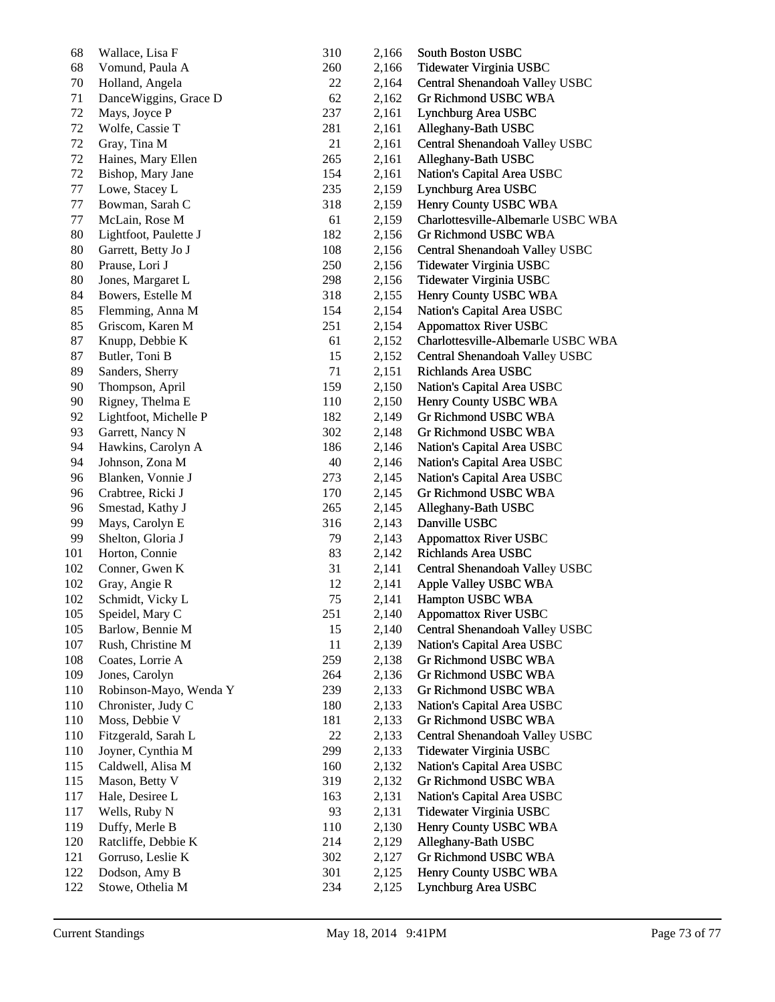| 68  | Wallace, Lisa F        | 310 | 2,166 | South Boston USBC                    |
|-----|------------------------|-----|-------|--------------------------------------|
| 68  | Vomund, Paula A        | 260 | 2,166 | Tidewater Virginia USBC              |
| 70  | Holland, Angela        | 22  | 2,164 | Central Shenandoah Valley USBC       |
| 71  | DanceWiggins, Grace D  | 62  | 2,162 | Gr Richmond USBC WBA                 |
| 72  | Mays, Joyce P          | 237 | 2,161 | Lynchburg Area USBC                  |
| 72  | Wolfe, Cassie T        | 281 | 2,161 | Alleghany-Bath USBC                  |
| 72  | Gray, Tina M           | 21  | 2,161 | Central Shenandoah Valley USBC       |
| 72  | Haines, Mary Ellen     | 265 | 2,161 | Alleghany-Bath USBC                  |
| 72  | Bishop, Mary Jane      | 154 | 2,161 | Nation's Capital Area USBC           |
| 77  | Lowe, Stacey L         | 235 | 2,159 | Lynchburg Area USBC                  |
| 77  | Bowman, Sarah C        | 318 | 2,159 | Henry County USBC WBA                |
| 77  | McLain, Rose M         | 61  | 2,159 | Charlottesville-Albemarle USBC WBA   |
| 80  | Lightfoot, Paulette J  | 182 | 2,156 | Gr Richmond USBC WBA                 |
| 80  | Garrett, Betty Jo J    | 108 | 2,156 | Central Shenandoah Valley USBC       |
| 80  | Prause, Lori J         | 250 | 2,156 | Tidewater Virginia USBC              |
| 80  | Jones, Margaret L      | 298 | 2,156 | Tidewater Virginia USBC              |
| 84  | Bowers, Estelle M      | 318 | 2,155 | Henry County USBC WBA                |
| 85  | Flemming, Anna M       | 154 | 2,154 | Nation's Capital Area USBC           |
| 85  | Griscom, Karen M       | 251 | 2,154 | <b>Appomattox River USBC</b>         |
| 87  | Knupp, Debbie K        | 61  | 2,152 | Charlottesville-Albemarle USBC WBA   |
| 87  | Butler, Toni B         | 15  | 2,152 | Central Shenandoah Valley USBC       |
| 89  | Sanders, Sherry        | 71  | 2,151 | Richlands Area USBC                  |
| 90  | Thompson, April        | 159 | 2,150 | Nation's Capital Area USBC           |
| 90  | Rigney, Thelma E       | 110 | 2,150 | Henry County USBC WBA                |
| 92  | Lightfoot, Michelle P  | 182 | 2,149 | Gr Richmond USBC WBA                 |
| 93  | Garrett, Nancy N       | 302 | 2,148 | Gr Richmond USBC WBA                 |
| 94  | Hawkins, Carolyn A     | 186 | 2,146 | Nation's Capital Area USBC           |
| 94  | Johnson, Zona M        | 40  | 2,146 | Nation's Capital Area USBC           |
| 96  | Blanken, Vonnie J      | 273 | 2,145 | Nation's Capital Area USBC           |
| 96  | Crabtree, Ricki J      | 170 |       | Gr Richmond USBC WBA                 |
| 96  |                        | 265 | 2,145 |                                      |
| 99  | Smestad, Kathy J       |     | 2,145 | Alleghany-Bath USBC<br>Danville USBC |
| 99  | Mays, Carolyn E        | 316 | 2,143 |                                      |
|     | Shelton, Gloria J      | 79  | 2,143 | <b>Appomattox River USBC</b>         |
| 101 | Horton, Connie         | 83  | 2,142 | Richlands Area USBC                  |
| 102 | Conner, Gwen K         | 31  | 2,141 | Central Shenandoah Valley USBC       |
| 102 | Gray, Angie R          | 12  | 2,141 | Apple Valley USBC WBA                |
| 102 | Schmidt, Vicky L       | 75  | 2,141 | Hampton USBC WBA                     |
| 105 | Speidel, Mary C        | 251 | 2,140 | <b>Appomattox River USBC</b>         |
| 105 | Barlow, Bennie M       | 15  | 2,140 | Central Shenandoah Valley USBC       |
| 107 | Rush, Christine M      | 11  | 2,139 | Nation's Capital Area USBC           |
| 108 | Coates, Lorrie A       | 259 | 2,138 | Gr Richmond USBC WBA                 |
| 109 | Jones, Carolyn         | 264 | 2,136 | Gr Richmond USBC WBA                 |
| 110 | Robinson-Mayo, Wenda Y | 239 | 2,133 | Gr Richmond USBC WBA                 |
| 110 | Chronister, Judy C     | 180 | 2,133 | Nation's Capital Area USBC           |
| 110 | Moss, Debbie V         | 181 | 2,133 | Gr Richmond USBC WBA                 |
| 110 | Fitzgerald, Sarah L    | 22  | 2,133 | Central Shenandoah Valley USBC       |
| 110 | Joyner, Cynthia M      | 299 | 2,133 | Tidewater Virginia USBC              |
| 115 | Caldwell, Alisa M      | 160 | 2,132 | Nation's Capital Area USBC           |
| 115 | Mason, Betty V         | 319 | 2,132 | Gr Richmond USBC WBA                 |
| 117 | Hale, Desiree L        | 163 | 2,131 | Nation's Capital Area USBC           |
| 117 | Wells, Ruby N          | 93  | 2,131 | Tidewater Virginia USBC              |
| 119 | Duffy, Merle B         | 110 | 2,130 | Henry County USBC WBA                |
| 120 | Ratcliffe, Debbie K    | 214 | 2,129 | Alleghany-Bath USBC                  |
| 121 | Gorruso, Leslie K      | 302 | 2,127 | Gr Richmond USBC WBA                 |
| 122 | Dodson, Amy B          | 301 | 2,125 | Henry County USBC WBA                |
| 122 | Stowe, Othelia M       | 234 | 2,125 | Lynchburg Area USBC                  |
|     |                        |     |       |                                      |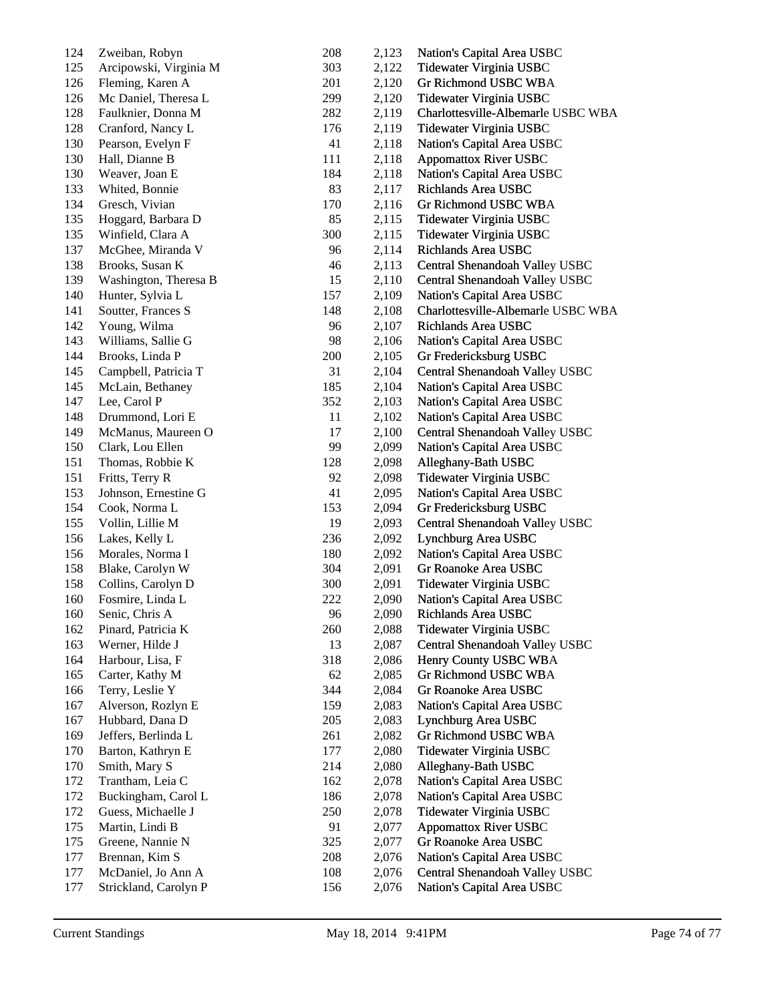| 124 | Zweiban, Robyn         | 208 | 2,123 | Nation's Capital Area USBC         |
|-----|------------------------|-----|-------|------------------------------------|
| 125 | Arcipowski, Virginia M | 303 | 2,122 | Tidewater Virginia USBC            |
| 126 | Fleming, Karen A       | 201 | 2,120 | Gr Richmond USBC WBA               |
| 126 | Mc Daniel, Theresa L   | 299 | 2,120 | Tidewater Virginia USBC            |
| 128 | Faulknier, Donna M     | 282 | 2,119 | Charlottesville-Albemarle USBC WBA |
| 128 | Cranford, Nancy L      | 176 | 2,119 | Tidewater Virginia USBC            |
| 130 | Pearson, Evelyn F      | 41  | 2,118 | Nation's Capital Area USBC         |
| 130 | Hall, Dianne B         | 111 | 2,118 | <b>Appomattox River USBC</b>       |
| 130 | Weaver, Joan E         | 184 | 2,118 | Nation's Capital Area USBC         |
| 133 | Whited, Bonnie         | 83  | 2,117 | Richlands Area USBC                |
| 134 | Gresch, Vivian         | 170 | 2,116 | Gr Richmond USBC WBA               |
| 135 | Hoggard, Barbara D     | 85  | 2,115 | Tidewater Virginia USBC            |
| 135 | Winfield, Clara A      | 300 | 2,115 | Tidewater Virginia USBC            |
| 137 | McGhee, Miranda V      | 96  | 2,114 | Richlands Area USBC                |
| 138 | Brooks, Susan K        | 46  | 2,113 | Central Shenandoah Valley USBC     |
| 139 | Washington, Theresa B  | 15  | 2,110 | Central Shenandoah Valley USBC     |
| 140 | Hunter, Sylvia L       | 157 | 2,109 | Nation's Capital Area USBC         |
| 141 | Soutter, Frances S     | 148 | 2,108 | Charlottesville-Albemarle USBC WBA |
| 142 | Young, Wilma           | 96  | 2,107 | Richlands Area USBC                |
| 143 | Williams, Sallie G     | 98  | 2,106 | Nation's Capital Area USBC         |
| 144 | Brooks, Linda P        | 200 | 2,105 | Gr Fredericksburg USBC             |
| 145 | Campbell, Patricia T   | 31  | 2,104 | Central Shenandoah Valley USBC     |
| 145 | McLain, Bethaney       | 185 | 2,104 | Nation's Capital Area USBC         |
| 147 | Lee, Carol P           | 352 | 2,103 | Nation's Capital Area USBC         |
| 148 | Drummond, Lori E       | 11  | 2,102 | Nation's Capital Area USBC         |
| 149 | McManus, Maureen O     | 17  | 2,100 | Central Shenandoah Valley USBC     |
| 150 | Clark, Lou Ellen       | 99  | 2,099 | Nation's Capital Area USBC         |
| 151 | Thomas, Robbie K       | 128 | 2,098 | Alleghany-Bath USBC                |
| 151 | Fritts, Terry R        | 92  | 2,098 | Tidewater Virginia USBC            |
| 153 | Johnson, Ernestine G   | 41  | 2,095 | Nation's Capital Area USBC         |
| 154 | Cook, Norma L          | 153 | 2,094 | Gr Fredericksburg USBC             |
| 155 | Vollin, Lillie M       | 19  | 2,093 | Central Shenandoah Valley USBC     |
| 156 | Lakes, Kelly L         | 236 | 2,092 | Lynchburg Area USBC                |
| 156 | Morales, Norma I       | 180 | 2,092 | Nation's Capital Area USBC         |
| 158 | Blake, Carolyn W       | 304 | 2,091 | Gr Roanoke Area USBC               |
| 158 | Collins, Carolyn D     | 300 | 2,091 | Tidewater Virginia USBC            |
| 160 | Fosmire, Linda L       | 222 | 2,090 | Nation's Capital Area USBC         |
| 160 | Senic, Chris A         | 96  | 2,090 | Richlands Area USBC                |
| 162 | Pinard, Patricia K     | 260 | 2,088 | Tidewater Virginia USBC            |
| 163 | Werner, Hilde J        | 13  | 2,087 | Central Shenandoah Valley USBC     |
| 164 | Harbour, Lisa, F       | 318 | 2,086 | Henry County USBC WBA              |
| 165 | Carter, Kathy M        | 62  | 2,085 | Gr Richmond USBC WBA               |
| 166 | Terry, Leslie Y        | 344 | 2,084 | Gr Roanoke Area USBC               |
| 167 | Alverson, Rozlyn E     | 159 | 2,083 | Nation's Capital Area USBC         |
| 167 | Hubbard, Dana D        | 205 | 2,083 | Lynchburg Area USBC                |
| 169 | Jeffers, Berlinda L    | 261 | 2,082 | Gr Richmond USBC WBA               |
| 170 | Barton, Kathryn E      | 177 | 2,080 | Tidewater Virginia USBC            |
| 170 | Smith, Mary S          | 214 | 2,080 | Alleghany-Bath USBC                |
| 172 | Trantham, Leia C       | 162 | 2,078 | Nation's Capital Area USBC         |
| 172 | Buckingham, Carol L    | 186 | 2,078 | Nation's Capital Area USBC         |
| 172 | Guess, Michaelle J     | 250 | 2,078 | Tidewater Virginia USBC            |
| 175 | Martin, Lindi B        | 91  | 2,077 | <b>Appomattox River USBC</b>       |
| 175 | Greene, Nannie N       | 325 | 2,077 | Gr Roanoke Area USBC               |
| 177 | Brennan, Kim S         | 208 | 2,076 | Nation's Capital Area USBC         |
| 177 | McDaniel, Jo Ann A     | 108 | 2,076 | Central Shenandoah Valley USBC     |
| 177 | Strickland, Carolyn P  | 156 | 2,076 | Nation's Capital Area USBC         |
|     |                        |     |       |                                    |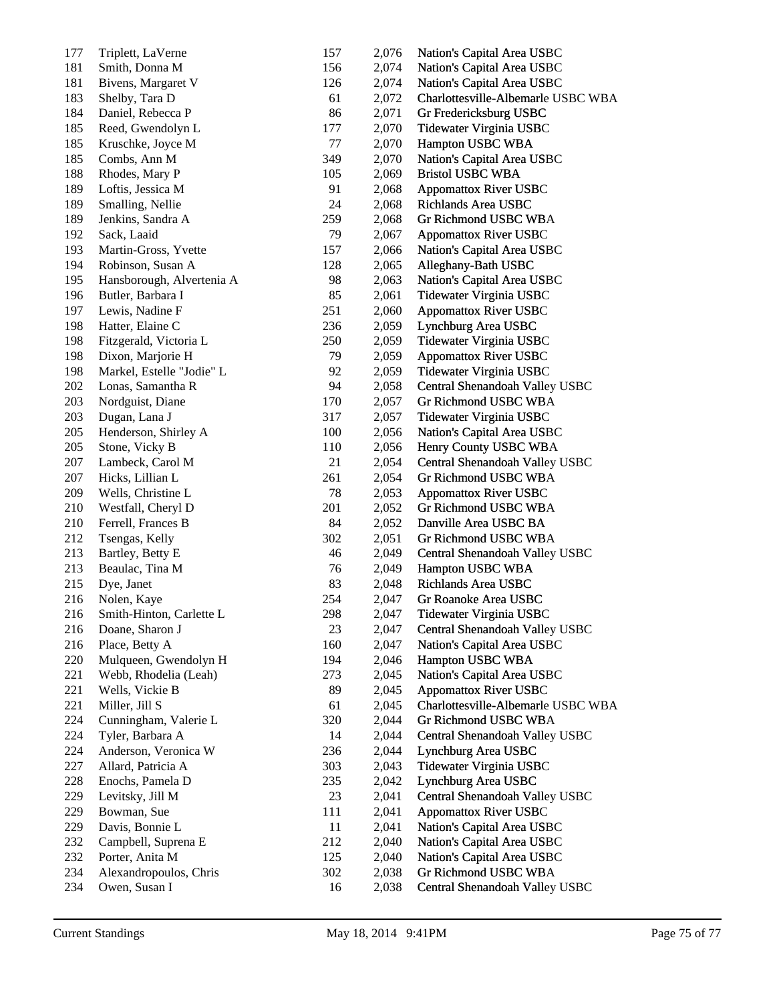| 177     | Triplett, LaVerne         | 157 | 2,076 | Nation's Capital Area USBC         |
|---------|---------------------------|-----|-------|------------------------------------|
| 181     | Smith, Donna M            | 156 | 2,074 | Nation's Capital Area USBC         |
| 181     | Bivens, Margaret V        | 126 | 2,074 | Nation's Capital Area USBC         |
| 183     | Shelby, Tara D            | 61  | 2,072 | Charlottesville-Albemarle USBC WBA |
| 184     | Daniel, Rebecca P         | 86  | 2,071 | Gr Fredericksburg USBC             |
| 185     | Reed, Gwendolyn L         | 177 | 2,070 | Tidewater Virginia USBC            |
| 185     | Kruschke, Joyce M         | 77  | 2,070 | Hampton USBC WBA                   |
| 185     | Combs, Ann M              | 349 | 2,070 | Nation's Capital Area USBC         |
| 188     | Rhodes, Mary P            | 105 | 2,069 | <b>Bristol USBC WBA</b>            |
| 189     | Loftis, Jessica M         | 91  | 2,068 | <b>Appomattox River USBC</b>       |
| 189     | Smalling, Nellie          | 24  | 2,068 | Richlands Area USBC                |
| 189     | Jenkins, Sandra A         | 259 | 2,068 | Gr Richmond USBC WBA               |
| 192     | Sack, Laaid               | 79  | 2,067 | <b>Appomattox River USBC</b>       |
| 193     |                           |     |       |                                    |
|         | Martin-Gross, Yvette      | 157 | 2,066 | Nation's Capital Area USBC         |
| 194     | Robinson, Susan A         | 128 | 2,065 | Alleghany-Bath USBC                |
| 195     | Hansborough, Alvertenia A | 98  | 2,063 | Nation's Capital Area USBC         |
| 196     | Butler, Barbara I         | 85  | 2,061 | Tidewater Virginia USBC            |
| 197     | Lewis, Nadine F           | 251 | 2,060 | <b>Appomattox River USBC</b>       |
| 198     | Hatter, Elaine C          | 236 | 2,059 | Lynchburg Area USBC                |
| 198     | Fitzgerald, Victoria L    | 250 | 2,059 | Tidewater Virginia USBC            |
| 198     | Dixon, Marjorie H         | 79  | 2,059 | <b>Appomattox River USBC</b>       |
| 198     | Markel, Estelle "Jodie" L | 92  | 2,059 | Tidewater Virginia USBC            |
| 202     | Lonas, Samantha R         | 94  | 2,058 | Central Shenandoah Valley USBC     |
| 203     | Nordguist, Diane          | 170 | 2,057 | Gr Richmond USBC WBA               |
| 203     | Dugan, Lana J             | 317 | 2,057 | Tidewater Virginia USBC            |
| 205     | Henderson, Shirley A      | 100 | 2,056 | Nation's Capital Area USBC         |
| 205     | Stone, Vicky B            | 110 | 2,056 | Henry County USBC WBA              |
| 207     | Lambeck, Carol M          | 21  | 2,054 | Central Shenandoah Valley USBC     |
| 207     | Hicks, Lillian L          | 261 | 2,054 | Gr Richmond USBC WBA               |
| 209     | Wells, Christine L        | 78  | 2,053 | <b>Appomattox River USBC</b>       |
| 210     | Westfall, Cheryl D        | 201 | 2,052 | Gr Richmond USBC WBA               |
| 210     | Ferrell, Frances B        | 84  | 2,052 | Danville Area USBC BA              |
| 212     | Tsengas, Kelly            | 302 | 2,051 | Gr Richmond USBC WBA               |
| 213     | Bartley, Betty E          | 46  | 2,049 | Central Shenandoah Valley USBC     |
| 213     | Beaulac, Tina M           | 76  | 2,049 | Hampton USBC WBA                   |
| 215     | Dye, Janet                | 83  | 2,048 | Richlands Area USBC                |
| 216     | Nolen, Kaye               | 254 | 2,047 | Gr Roanoke Area USBC               |
| 216     | Smith-Hinton, Carlette L  | 298 | 2,047 | Tidewater Virginia USBC            |
| 216     | Doane, Sharon J           | 23  | 2,047 | Central Shenandoah Valley USBC     |
| 216     | Place, Betty A            | 160 | 2,047 | Nation's Capital Area USBC         |
| $220\,$ | Mulqueen, Gwendolyn H     | 194 |       | Hampton USBC WBA                   |
|         |                           |     | 2,046 |                                    |
| 221     | Webb, Rhodelia (Leah)     | 273 | 2,045 | Nation's Capital Area USBC         |
| 221     | Wells, Vickie B           | 89  | 2,045 | <b>Appomattox River USBC</b>       |
| 221     | Miller, Jill S            | 61  | 2,045 | Charlottesville-Albemarle USBC WBA |
| 224     | Cunningham, Valerie L     | 320 | 2,044 | Gr Richmond USBC WBA               |
| 224     | Tyler, Barbara A          | 14  | 2,044 | Central Shenandoah Valley USBC     |
| 224     | Anderson, Veronica W      | 236 | 2,044 | Lynchburg Area USBC                |
| 227     | Allard, Patricia A        | 303 | 2,043 | Tidewater Virginia USBC            |
| 228     | Enochs, Pamela D          | 235 | 2,042 | Lynchburg Area USBC                |
| 229     | Levitsky, Jill M          | 23  | 2,041 | Central Shenandoah Valley USBC     |
| 229     | Bowman, Sue               | 111 | 2,041 | <b>Appomattox River USBC</b>       |
| 229     | Davis, Bonnie L           | 11  | 2,041 | Nation's Capital Area USBC         |
| 232     | Campbell, Suprena E       | 212 | 2,040 | Nation's Capital Area USBC         |
| 232     | Porter, Anita M           | 125 | 2,040 | Nation's Capital Area USBC         |
| 234     | Alexandropoulos, Chris    | 302 | 2,038 | Gr Richmond USBC WBA               |
| 234     | Owen, Susan I             | 16  | 2,038 | Central Shenandoah Valley USBC     |
|         |                           |     |       |                                    |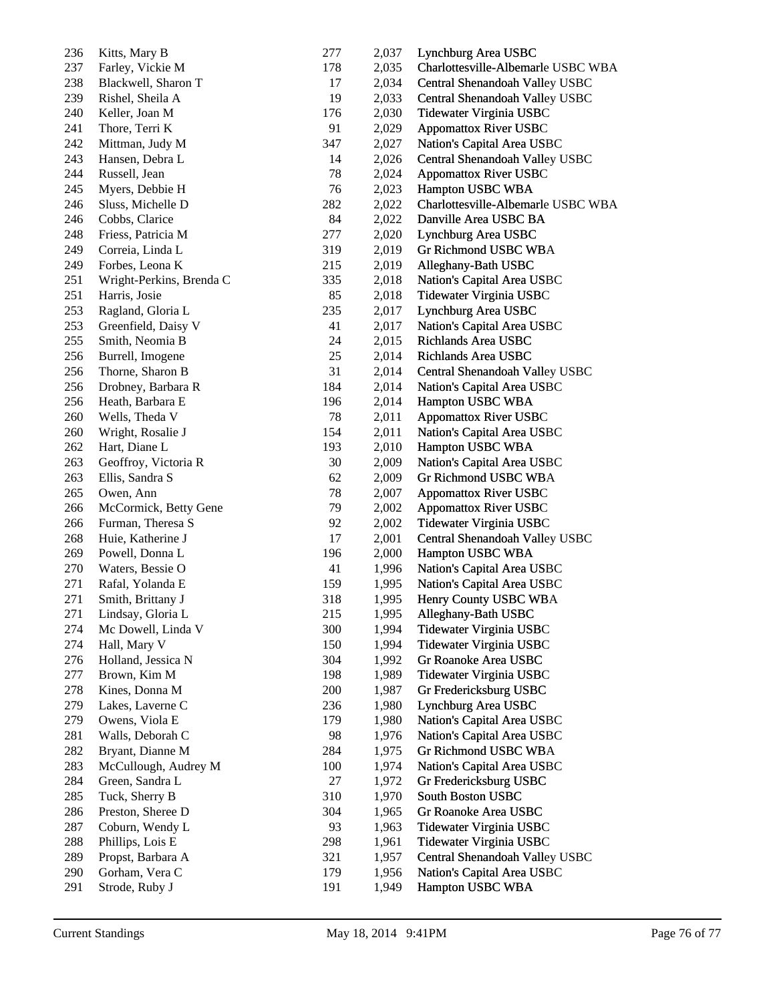| 236 | Kitts, Mary B            | 277 | 2,037 | Lynchburg Area USBC                |
|-----|--------------------------|-----|-------|------------------------------------|
| 237 | Farley, Vickie M         | 178 | 2,035 | Charlottesville-Albemarle USBC WBA |
| 238 | Blackwell, Sharon T      | 17  | 2,034 | Central Shenandoah Valley USBC     |
| 239 | Rishel, Sheila A         | 19  | 2,033 | Central Shenandoah Valley USBC     |
| 240 | Keller, Joan M           | 176 | 2,030 | Tidewater Virginia USBC            |
| 241 | Thore, Terri K           | 91  | 2,029 | <b>Appomattox River USBC</b>       |
| 242 | Mittman, Judy M          | 347 | 2,027 | Nation's Capital Area USBC         |
| 243 | Hansen, Debra L          | 14  | 2,026 | Central Shenandoah Valley USBC     |
| 244 | Russell, Jean            | 78  | 2,024 | <b>Appomattox River USBC</b>       |
| 245 | Myers, Debbie H          | 76  | 2,023 | Hampton USBC WBA                   |
| 246 | Sluss, Michelle D        | 282 | 2,022 | Charlottesville-Albemarle USBC WBA |
| 246 | Cobbs, Clarice           | 84  | 2,022 | Danville Area USBC BA              |
| 248 | Friess, Patricia M       | 277 | 2,020 | Lynchburg Area USBC                |
| 249 | Correia, Linda L         | 319 | 2,019 | Gr Richmond USBC WBA               |
| 249 | Forbes, Leona K          | 215 | 2,019 | Alleghany-Bath USBC                |
| 251 | Wright-Perkins, Brenda C | 335 | 2,018 | Nation's Capital Area USBC         |
| 251 | Harris, Josie            | 85  | 2,018 | Tidewater Virginia USBC            |
| 253 | Ragland, Gloria L        | 235 | 2,017 | Lynchburg Area USBC                |
| 253 | Greenfield, Daisy V      | 41  | 2,017 | Nation's Capital Area USBC         |
| 255 | Smith, Neomia B          | 24  | 2,015 | Richlands Area USBC                |
| 256 | Burrell, Imogene         | 25  | 2,014 | Richlands Area USBC                |
| 256 | Thorne, Sharon B         | 31  | 2,014 | Central Shenandoah Valley USBC     |
| 256 | Drobney, Barbara R       | 184 | 2,014 | Nation's Capital Area USBC         |
| 256 | Heath, Barbara E         | 196 | 2,014 | Hampton USBC WBA                   |
| 260 | Wells, Theda V           | 78  | 2,011 | <b>Appomattox River USBC</b>       |
| 260 | Wright, Rosalie J        | 154 | 2,011 | Nation's Capital Area USBC         |
| 262 | Hart, Diane L            | 193 | 2,010 | Hampton USBC WBA                   |
| 263 | Geoffroy, Victoria R     | 30  | 2,009 | Nation's Capital Area USBC         |
| 263 | Ellis, Sandra S          | 62  | 2,009 | Gr Richmond USBC WBA               |
| 265 | Owen, Ann                | 78  | 2,007 | <b>Appomattox River USBC</b>       |
| 266 | McCormick, Betty Gene    | 79  | 2,002 | <b>Appomattox River USBC</b>       |
| 266 | Furman, Theresa S        | 92  | 2,002 | Tidewater Virginia USBC            |
| 268 | Huie, Katherine J        | 17  | 2,001 | Central Shenandoah Valley USBC     |
| 269 | Powell, Donna L          | 196 | 2,000 | Hampton USBC WBA                   |
| 270 | Waters, Bessie O         | 41  |       |                                    |
| 271 |                          |     | 1,996 | Nation's Capital Area USBC         |
|     | Rafal, Yolanda E         | 159 | 1,995 | Nation's Capital Area USBC         |
| 271 | Smith, Brittany J        | 318 | 1,995 | Henry County USBC WBA              |
| 271 | Lindsay, Gloria L        | 215 | 1,995 | Alleghany-Bath USBC                |
| 274 | Mc Dowell, Linda V       | 300 | 1,994 | Tidewater Virginia USBC            |
| 274 | Hall, Mary V             | 150 | 1,994 | Tidewater Virginia USBC            |
| 276 | Holland, Jessica N       | 304 | 1,992 | Gr Roanoke Area USBC               |
| 277 | Brown, Kim M             | 198 | 1,989 | Tidewater Virginia USBC            |
| 278 | Kines, Donna M           | 200 | 1,987 | Gr Fredericksburg USBC             |
| 279 | Lakes, Laverne C         | 236 | 1,980 | Lynchburg Area USBC                |
| 279 | Owens, Viola E           | 179 | 1,980 | Nation's Capital Area USBC         |
| 281 | Walls, Deborah C         | 98  | 1,976 | Nation's Capital Area USBC         |
| 282 | Bryant, Dianne M         | 284 | 1,975 | Gr Richmond USBC WBA               |
| 283 | McCullough, Audrey M     | 100 | 1,974 | Nation's Capital Area USBC         |
| 284 | Green, Sandra L          | 27  | 1,972 | Gr Fredericksburg USBC             |
| 285 | Tuck, Sherry B           | 310 | 1,970 | South Boston USBC                  |
| 286 | Preston, Sheree D        | 304 | 1,965 | Gr Roanoke Area USBC               |
| 287 | Coburn, Wendy L          | 93  | 1,963 | Tidewater Virginia USBC            |
| 288 | Phillips, Lois E         | 298 | 1,961 | Tidewater Virginia USBC            |
| 289 | Propst, Barbara A        | 321 | 1,957 | Central Shenandoah Valley USBC     |
| 290 | Gorham, Vera C           | 179 | 1,956 | Nation's Capital Area USBC         |
| 291 | Strode, Ruby J           | 191 | 1,949 | Hampton USBC WBA                   |